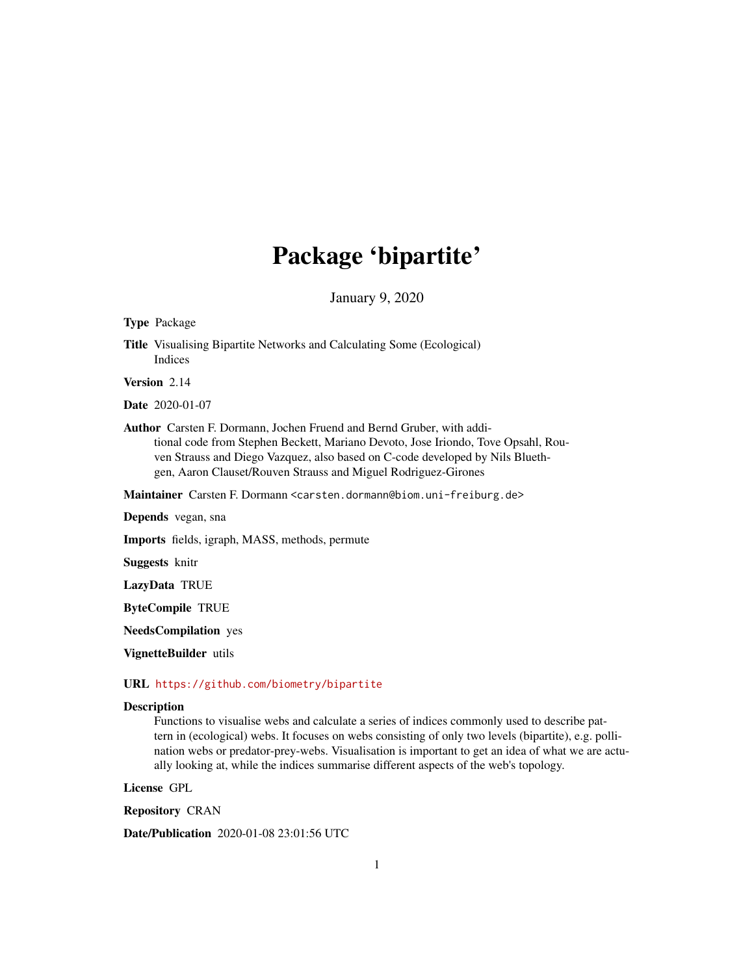# Package 'bipartite'

January 9, 2020

#### <span id="page-0-0"></span>Type Package

Title Visualising Bipartite Networks and Calculating Some (Ecological) Indices

Version 2.14

Date 2020-01-07

Author Carsten F. Dormann, Jochen Fruend and Bernd Gruber, with additional code from Stephen Beckett, Mariano Devoto, Jose Iriondo, Tove Opsahl, Rouven Strauss and Diego Vazquez, also based on C-code developed by Nils Bluethgen, Aaron Clauset/Rouven Strauss and Miguel Rodriguez-Girones

Maintainer Carsten F. Dormann <carsten.dormann@biom.uni-freiburg.de>

Depends vegan, sna

Imports fields, igraph, MASS, methods, permute

Suggests knitr

LazyData TRUE

ByteCompile TRUE

NeedsCompilation yes

VignetteBuilder utils

# URL <https://github.com/biometry/bipartite>

#### Description

Functions to visualise webs and calculate a series of indices commonly used to describe pattern in (ecological) webs. It focuses on webs consisting of only two levels (bipartite), e.g. pollination webs or predator-prey-webs. Visualisation is important to get an idea of what we are actually looking at, while the indices summarise different aspects of the web's topology.

License GPL

Repository CRAN

Date/Publication 2020-01-08 23:01:56 UTC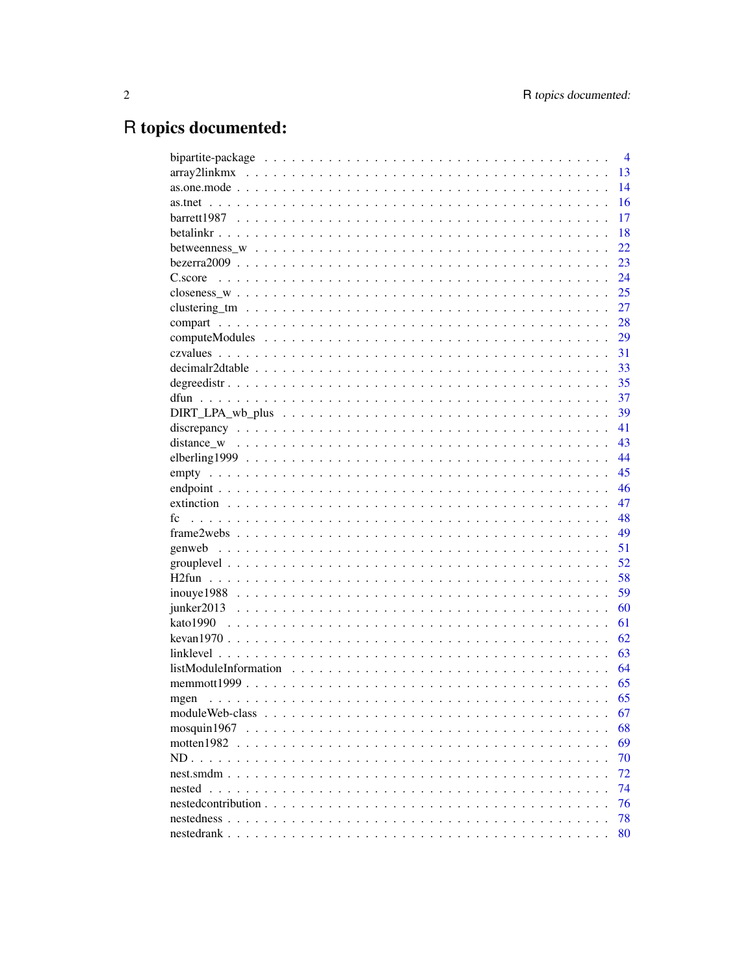# R topics documented:

|                 | $\overline{4}$ |
|-----------------|----------------|
|                 | 13             |
|                 | 14             |
|                 | 16             |
|                 | 17             |
|                 | 18             |
|                 | 22             |
|                 | 23             |
|                 | 24             |
|                 | 25             |
|                 | 27             |
|                 | 28             |
|                 | 29             |
|                 | 31             |
|                 | 33             |
|                 | 35             |
|                 | 37             |
|                 | 39             |
|                 | 41             |
|                 | 43             |
|                 | 44             |
|                 | 45             |
|                 | 46             |
|                 | 47             |
| fc              | 48             |
|                 | 49             |
|                 | 51             |
|                 | 52             |
|                 | 58             |
|                 | 59             |
|                 | 60             |
|                 | 61             |
|                 | 62             |
|                 | 63             |
|                 | 64             |
|                 | 65             |
| mgen            | 65             |
|                 | 67             |
| mosquin1967     | 68             |
| motten $1982$ . | 69             |
|                 | 70             |
|                 | 72             |
| nested          | 74             |
|                 | 76             |
|                 | 78             |
|                 | 80             |
|                 |                |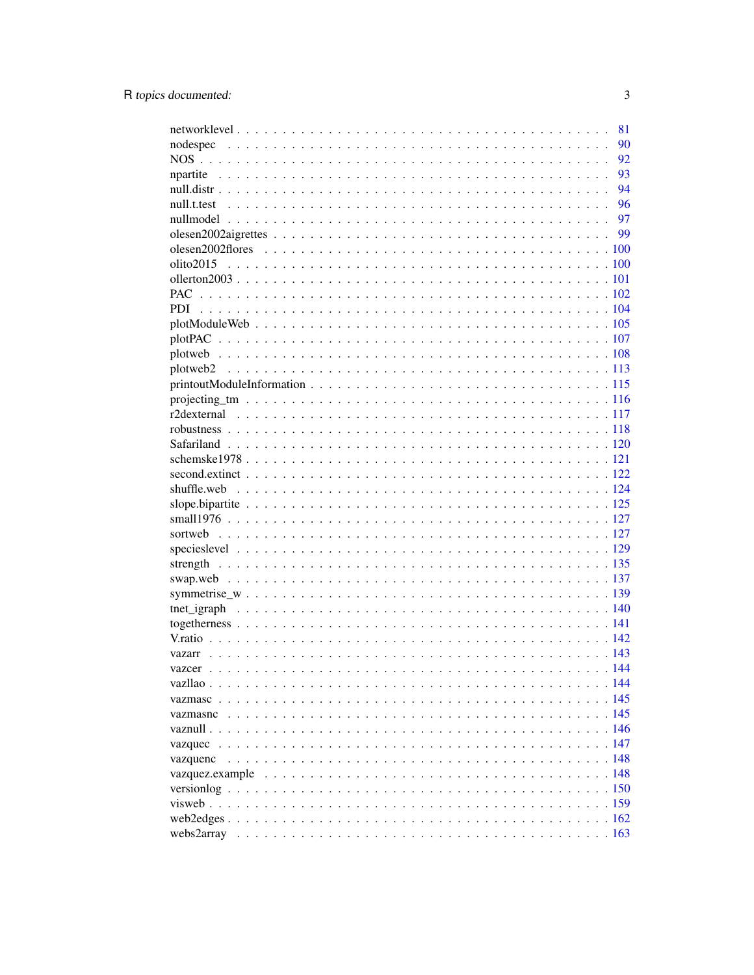|          | 81   |
|----------|------|
|          | 90   |
|          | 92   |
|          | 93   |
|          | 94   |
|          | - 96 |
|          |      |
|          |      |
|          |      |
|          |      |
|          |      |
|          |      |
|          |      |
|          |      |
|          |      |
|          |      |
|          |      |
|          |      |
|          |      |
|          |      |
|          |      |
|          |      |
|          |      |
|          |      |
|          |      |
|          |      |
|          |      |
|          |      |
|          |      |
|          |      |
|          |      |
|          |      |
|          |      |
|          |      |
|          |      |
|          |      |
|          |      |
|          |      |
|          |      |
|          |      |
|          |      |
|          |      |
| vazquec  |      |
| vazquenc |      |
|          |      |
|          |      |
|          |      |
|          |      |
|          |      |
|          |      |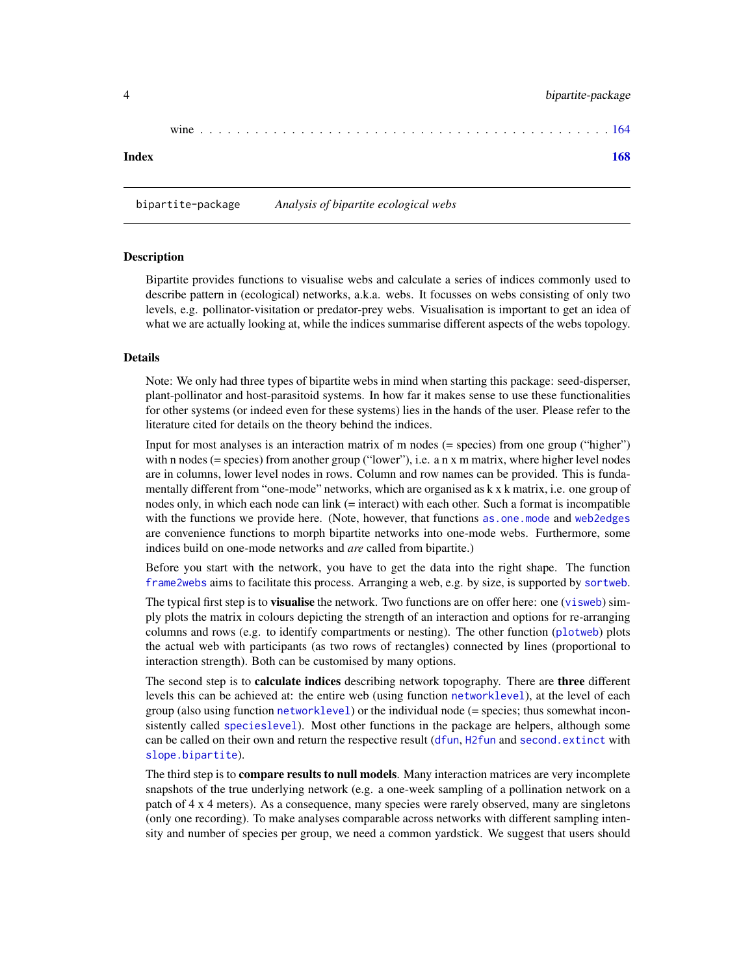<span id="page-3-0"></span>

| wine |  |  |  |  |  |  |  |  |  |  |  |  |  |  |  |  |  |  |  |  |  |
|------|--|--|--|--|--|--|--|--|--|--|--|--|--|--|--|--|--|--|--|--|--|
|      |  |  |  |  |  |  |  |  |  |  |  |  |  |  |  |  |  |  |  |  |  |

# $\blacksquare$  Index  $\blacksquare$

bipartite-package *Analysis of bipartite ecological webs*

#### **Description**

Bipartite provides functions to visualise webs and calculate a series of indices commonly used to describe pattern in (ecological) networks, a.k.a. webs. It focusses on webs consisting of only two levels, e.g. pollinator-visitation or predator-prey webs. Visualisation is important to get an idea of what we are actually looking at, while the indices summarise different aspects of the webs topology.

#### Details

Note: We only had three types of bipartite webs in mind when starting this package: seed-disperser, plant-pollinator and host-parasitoid systems. In how far it makes sense to use these functionalities for other systems (or indeed even for these systems) lies in the hands of the user. Please refer to the literature cited for details on the theory behind the indices.

Input for most analyses is an interaction matrix of m nodes (= species) from one group ("higher") with n nodes (= species) from another group ("lower"), i.e. a n x m matrix, where higher level nodes are in columns, lower level nodes in rows. Column and row names can be provided. This is fundamentally different from "one-mode" networks, which are organised as k x k matrix, i.e. one group of nodes only, in which each node can link (= interact) with each other. Such a format is incompatible with the functions we provide here. (Note, however, that functions as, one, mode and web 2 edges are convenience functions to morph bipartite networks into one-mode webs. Furthermore, some indices build on one-mode networks and *are* called from bipartite.)

Before you start with the network, you have to get the data into the right shape. The function [frame2webs](#page-48-1) aims to facilitate this process. Arranging a web, e.g. by size, is supported by [sortweb](#page-126-1).

The typical first step is to **visualise** the network. Two functions are on offer here: one ([visweb](#page-158-1)) simply plots the matrix in colours depicting the strength of an interaction and options for re-arranging columns and rows (e.g. to identify compartments or nesting). The other function ([plotweb](#page-107-1)) plots the actual web with participants (as two rows of rectangles) connected by lines (proportional to interaction strength). Both can be customised by many options.

The second step is to **calculate indices** describing network topography. There are **three** different levels this can be achieved at: the entire web (using function [networklevel](#page-80-1)), at the level of each group (also using function [networklevel](#page-80-1)) or the individual node (= species; thus somewhat inconsistently called [specieslevel](#page-128-1)). Most other functions in the package are helpers, although some can be called on their own and return the respective result ([dfun](#page-36-1), [H2fun](#page-57-1) and [second.extinct](#page-121-1) with [slope.bipartite](#page-124-1)).

The third step is to **compare results to null models**. Many interaction matrices are very incomplete snapshots of the true underlying network (e.g. a one-week sampling of a pollination network on a patch of 4 x 4 meters). As a consequence, many species were rarely observed, many are singletons (only one recording). To make analyses comparable across networks with different sampling intensity and number of species per group, we need a common yardstick. We suggest that users should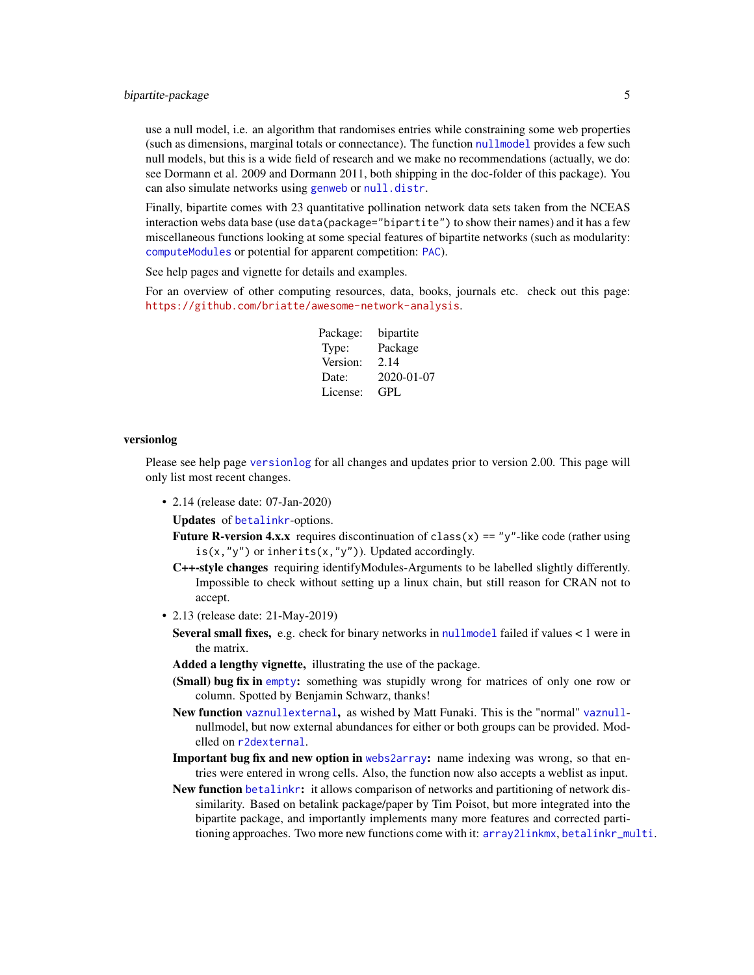# bipartite-package 5

use a null model, i.e. an algorithm that randomises entries while constraining some web properties (such as dimensions, marginal totals or connectance). The function [nullmodel](#page-96-1) provides a few such null models, but this is a wide field of research and we make no recommendations (actually, we do: see Dormann et al. 2009 and Dormann 2011, both shipping in the doc-folder of this package). You can also simulate networks using [genweb](#page-50-1) or [null.distr](#page-93-1).

Finally, bipartite comes with 23 quantitative pollination network data sets taken from the NCEAS interaction webs data base (use data(package="bipartite") to show their names) and it has a few miscellaneous functions looking at some special features of bipartite networks (such as modularity: [computeModules](#page-28-1) or potential for apparent competition: [PAC](#page-101-1)).

See help pages and vignette for details and examples.

For an overview of other computing resources, data, books, journals etc. check out this page: <https://github.com/briatte/awesome-network-analysis>.

> Package: bipartite Type: Package Version: 2.14 Date: 2020-01-07 License: GPL

#### versionlog

Please see help page [versionlog](#page-149-1) for all changes and updates prior to version 2.00. This page will only list most recent changes.

• 2.14 (release date: 07-Jan-2020)

Updates of [betalinkr](#page-17-1)-options.

**Future R-version 4.x.x** requires discontinuation of class(x) == "y"-like code (rather using  $is(x, "y")$  or inherits(x, "y")). Updated accordingly.

- C++-style changes requiring identifyModules-Arguments to be labelled slightly differently. Impossible to check without setting up a linux chain, but still reason for CRAN not to accept.
- 2.13 (release date: 21-May-2019)
	- Several small fixes, e.g. check for binary networks in [nullmodel](#page-96-1) failed if values < 1 were in the matrix.

Added a lengthy vignette, illustrating the use of the package.

- (Small) bug fix in [empty](#page-44-1): something was stupidly wrong for matrices of only one row or column. Spotted by Benjamin Schwarz, thanks!
- New function [vaznullexternal](#page-116-1), as wished by Matt Funaki. This is the "normal" [vaznull](#page-145-1)nullmodel, but now external abundances for either or both groups can be provided. Modelled on [r2dexternal](#page-116-2).
- Important bug fix and new option in [webs2array](#page-162-1): name indexing was wrong, so that entries were entered in wrong cells. Also, the function now also accepts a weblist as input.
- New function [betalinkr](#page-17-1): it allows comparison of networks and partitioning of network dissimilarity. Based on betalink package/paper by Tim Poisot, but more integrated into the bipartite package, and importantly implements many more features and corrected partitioning approaches. Two more new functions come with it: [array2linkmx](#page-12-1), [betalinkr\\_multi](#page-17-2).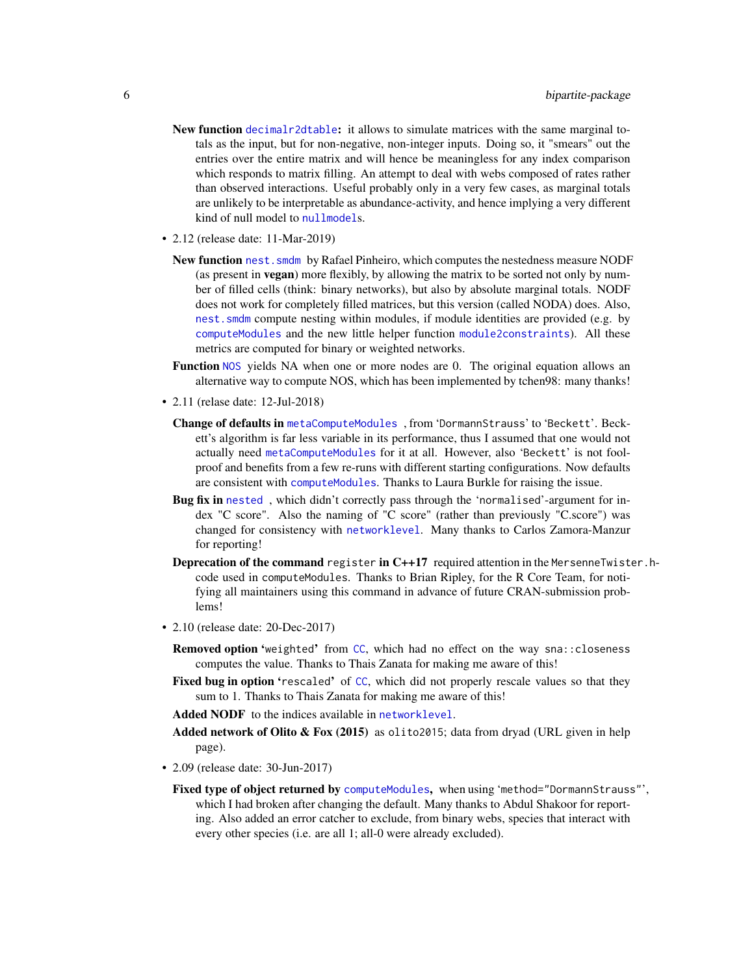- New function [decimalr2dtable](#page-32-1): it allows to simulate matrices with the same marginal totals as the input, but for non-negative, non-integer inputs. Doing so, it "smears" out the entries over the entire matrix and will hence be meaningless for any index comparison which responds to matrix filling. An attempt to deal with webs composed of rates rather than observed interactions. Useful probably only in a very few cases, as marginal totals are unlikely to be interpretable as abundance-activity, and hence implying a very different kind of null model to [nullmodel](#page-96-1)s.
- 2.12 (release date: 11-Mar-2019)
	- New function nest. smdm by Rafael Pinheiro, which computes the nestedness measure NODF (as present in vegan) more flexibly, by allowing the matrix to be sorted not only by number of filled cells (think: binary networks), but also by absolute marginal totals. NODF does not work for completely filled matrices, but this version (called NODA) does. Also, [nest.smdm](#page-71-1) compute nesting within modules, if module identities are provided (e.g. by [computeModules](#page-28-1) and the new little helper function [module2constraints](#page-71-2)). All these metrics are computed for binary or weighted networks.
	- Function [NOS](#page-91-1) yields NA when one or more nodes are 0. The original equation allows an alternative way to compute NOS, which has been implemented by tchen98: many thanks!
- 2.11 (relase date: 12-Jul-2018)
	- Change of defaults in [metaComputeModules](#page-28-2) , from 'DormannStrauss' to 'Beckett'. Beckett's algorithm is far less variable in its performance, thus I assumed that one would not actually need [metaComputeModules](#page-28-2) for it at all. However, also 'Beckett' is not foolproof and benefits from a few re-runs with different starting configurations. Now defaults are consistent with [computeModules](#page-28-1). Thanks to Laura Burkle for raising the issue.
	- Bug fix in [nested](#page-73-1), which didn't correctly pass through the 'normalised'-argument for index "C score". Also the naming of "C score" (rather than previously "C.score") was changed for consistency with [networklevel](#page-80-1). Many thanks to Carlos Zamora-Manzur for reporting!
	- Deprecation of the command register in C++17 required attention in the MersenneTwister.hcode used in computeModules. Thanks to Brian Ripley, for the R Core Team, for notifying all maintainers using this command in advance of future CRAN-submission problems!
- 2.10 (release date: 20-Dec-2017)
	- Removed option 'weighted' from [CC](#page-69-1), which had no effect on the way sna::closeness computes the value. Thanks to Thais Zanata for making me aware of this!
	- Fixed bug in option 'rescaled' of [CC](#page-69-1), which did not properly rescale values so that they sum to 1. Thanks to Thais Zanata for making me aware of this!
	- Added NODF to the indices available in [networklevel](#page-80-1).
	- Added network of Olito  $\&$  Fox (2015) as olito2015; data from dryad (URL given in help page).
- 2.09 (release date: 30-Jun-2017)
	- Fixed type of object returned by [computeModules](#page-28-1), when using 'method="DormannStrauss"', which I had broken after changing the default. Many thanks to Abdul Shakoor for reporting. Also added an error catcher to exclude, from binary webs, species that interact with every other species (i.e. are all 1; all-0 were already excluded).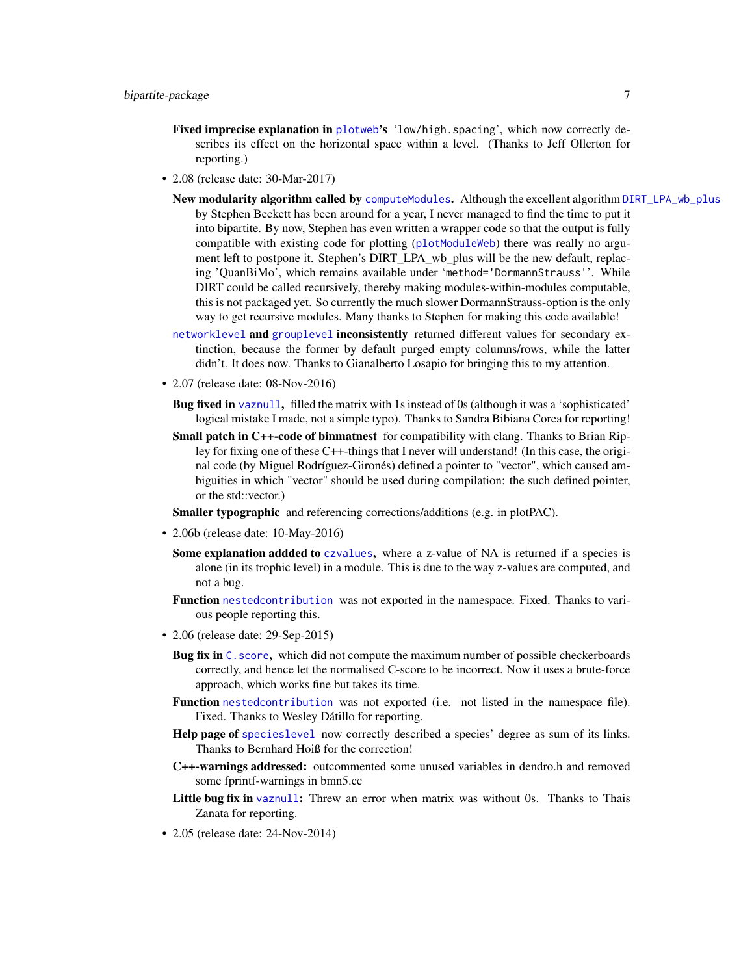- Fixed imprecise explanation in [plotweb](#page-107-1)'s 'low/high.spacing', which now correctly describes its effect on the horizontal space within a level. (Thanks to Jeff Ollerton for reporting.)
- 2.08 (release date: 30-Mar-2017)
	- New modularity algorithm called by [computeModules](#page-28-1). Although the excellent algorithm [DIRT\\_LPA\\_wb\\_plus](#page-38-1) by Stephen Beckett has been around for a year, I never managed to find the time to put it into bipartite. By now, Stephen has even written a wrapper code so that the output is fully compatible with existing code for plotting ([plotModuleWeb](#page-104-1)) there was really no argument left to postpone it. Stephen's DIRT\_LPA\_wb\_plus will be the new default, replacing 'QuanBiMo', which remains available under 'method='DormannStrauss''. While DIRT could be called recursively, thereby making modules-within-modules computable, this is not packaged yet. So currently the much slower DormannStrauss-option is the only way to get recursive modules. Many thanks to Stephen for making this code available!
	- [networklevel](#page-80-1) and [grouplevel](#page-51-1) inconsistently returned different values for secondary extinction, because the former by default purged empty columns/rows, while the latter didn't. It does now. Thanks to Gianalberto Losapio for bringing this to my attention.
- 2.07 (release date: 08-Nov-2016)
	- Bug fixed in [vaznull](#page-145-1), filled the matrix with 1s instead of 0s (although it was a 'sophisticated' logical mistake I made, not a simple typo). Thanks to Sandra Bibiana Corea for reporting!
	- Small patch in C++-code of binmatnest for compatibility with clang. Thanks to Brian Ripley for fixing one of these C++-things that I never will understand! (In this case, the original code (by Miguel Rodríguez-Gironés) defined a pointer to "vector", which caused ambiguities in which "vector" should be used during compilation: the such defined pointer, or the std::vector.)
	- Smaller typographic and referencing corrections/additions (e.g. in plotPAC).
- 2.06b (release date: 10-May-2016)
	- Some explanation addded to [czvalues](#page-30-1), where a z-value of NA is returned if a species is alone (in its trophic level) in a module. This is due to the way z-values are computed, and not a bug.
	- Function [nestedcontribution](#page-75-1) was not exported in the namespace. Fixed. Thanks to various people reporting this.
- 2.06 (release date: 29-Sep-2015)
	- Bug fix in C. score, which did not compute the maximum number of possible checkerboards correctly, and hence let the normalised C-score to be incorrect. Now it uses a brute-force approach, which works fine but takes its time.
	- Function [nestedcontribution](#page-75-1) was not exported (i.e. not listed in the namespace file). Fixed. Thanks to Wesley Dátillo for reporting.
	- Help page of [specieslevel](#page-128-1) now correctly described a species' degree as sum of its links. Thanks to Bernhard Hoiß for the correction!
	- C++-warnings addressed: outcommented some unused variables in dendro.h and removed some fprintf-warnings in bmn5.cc
	- Little bug fix in [vaznull](#page-145-1): Threw an error when matrix was without 0s. Thanks to Thais Zanata for reporting.
- 2.05 (release date: 24-Nov-2014)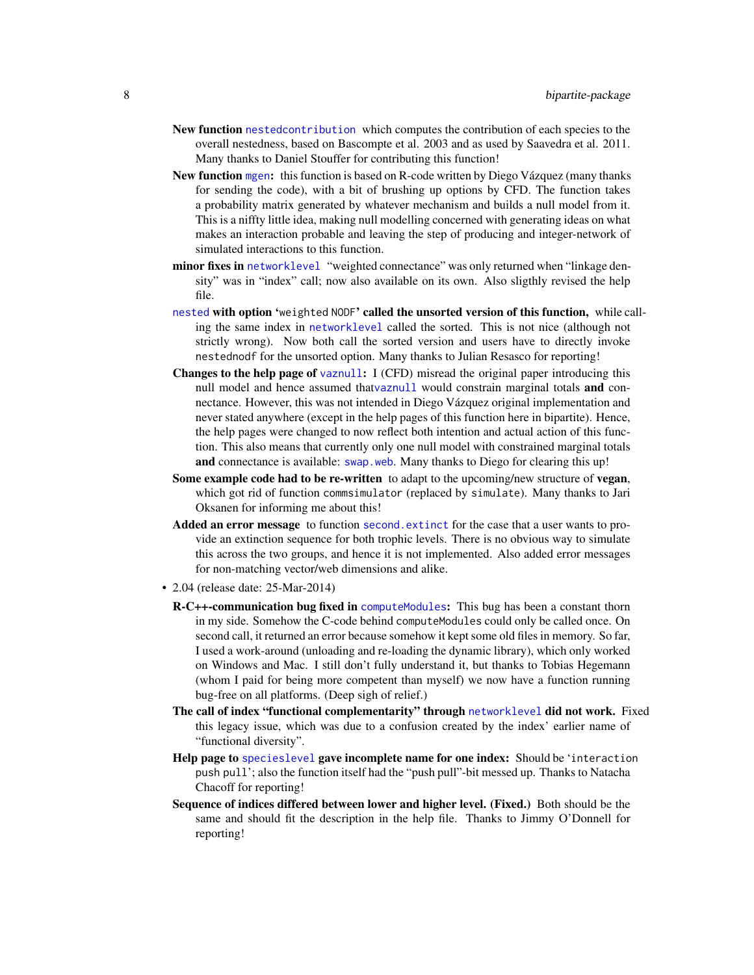- New function [nestedcontribution](#page-75-1) which computes the contribution of each species to the overall nestedness, based on Bascompte et al. 2003 and as used by Saavedra et al. 2011. Many thanks to Daniel Stouffer for contributing this function!
- New function [mgen](#page-64-1): this function is based on R-code written by Diego Vázquez (many thanks for sending the code), with a bit of brushing up options by CFD. The function takes a probability matrix generated by whatever mechanism and builds a null model from it. This is a niffty little idea, making null modelling concerned with generating ideas on what makes an interaction probable and leaving the step of producing and integer-network of simulated interactions to this function.
- minor fixes in [networklevel](#page-80-1) "weighted connectance" was only returned when "linkage density" was in "index" call; now also available on its own. Also sligthly revised the help file.
- [nested](#page-73-1) with option 'weighted NODF' called the unsorted version of this function, while calling the same index in [networklevel](#page-80-1) called the sorted. This is not nice (although not strictly wrong). Now both call the sorted version and users have to directly invoke nestednodf for the unsorted option. Many thanks to Julian Resasco for reporting!
- Changes to the help page of [vaznull](#page-145-1): I (CFD) misread the original paper introducing this null model and hence assumed that[vaznull](#page-145-1) would constrain marginal totals and connectance. However, this was not intended in Diego Vázquez original implementation and never stated anywhere (except in the help pages of this function here in bipartite). Hence, the help pages were changed to now reflect both intention and actual action of this function. This also means that currently only one null model with constrained marginal totals and connectance is available: [swap.web](#page-136-1). Many thanks to Diego for clearing this up!
- Some example code had to be re-written to adapt to the upcoming/new structure of vegan, which got rid of function commsimulator (replaced by simulate). Many thanks to Jari Oksanen for informing me about this!
- Added an error message to function [second.extinct](#page-121-1) for the case that a user wants to provide an extinction sequence for both trophic levels. There is no obvious way to simulate this across the two groups, and hence it is not implemented. Also added error messages for non-matching vector/web dimensions and alike.
- 2.04 (release date: 25-Mar-2014)
	- R-C++-communication bug fixed in [computeModules](#page-28-1): This bug has been a constant thorn in my side. Somehow the C-code behind computeModules could only be called once. On second call, it returned an error because somehow it kept some old files in memory. So far, I used a work-around (unloading and re-loading the dynamic library), which only worked on Windows and Mac. I still don't fully understand it, but thanks to Tobias Hegemann (whom I paid for being more competent than myself) we now have a function running bug-free on all platforms. (Deep sigh of relief.)
	- The call of index "functional complementarity" through [networklevel](#page-80-1) did not work. Fixed this legacy issue, which was due to a confusion created by the index' earlier name of "functional diversity".
	- Help page to [specieslevel](#page-128-1) gave incomplete name for one index: Should be 'interaction push pull'; also the function itself had the "push pull"-bit messed up. Thanks to Natacha Chacoff for reporting!
	- Sequence of indices differed between lower and higher level. (Fixed.) Both should be the same and should fit the description in the help file. Thanks to Jimmy O'Donnell for reporting!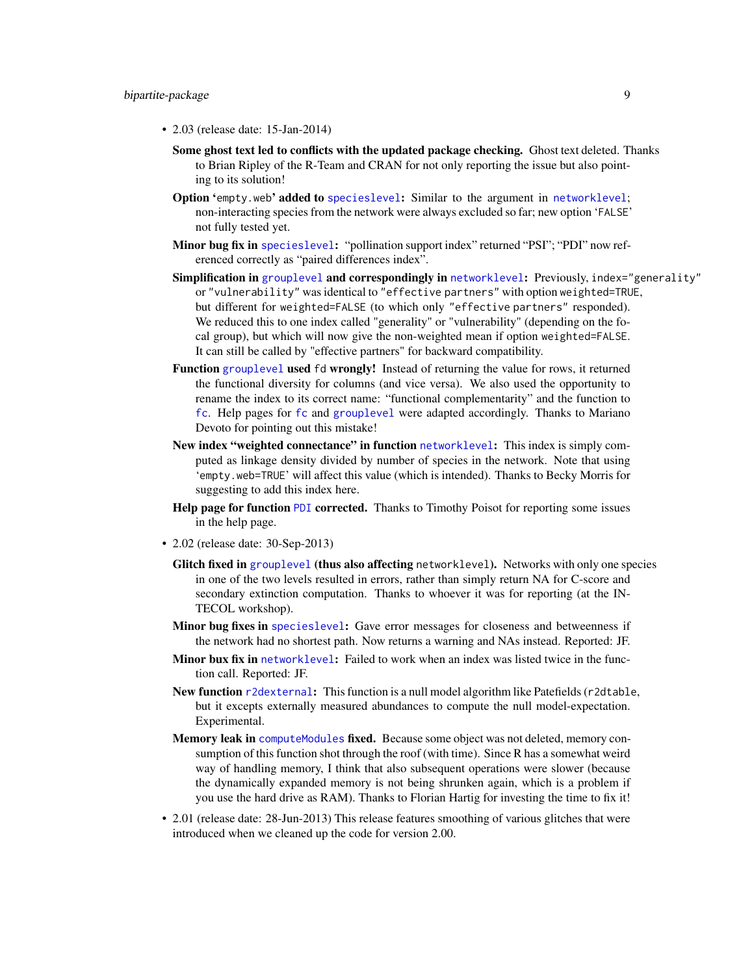- 2.03 (release date: 15-Jan-2014)
	- Some ghost text led to conflicts with the updated package checking. Ghost text deleted. Thanks to Brian Ripley of the R-Team and CRAN for not only reporting the issue but also pointing to its solution!
	- Option 'empty.web' added to [specieslevel](#page-128-1): Similar to the argument in [networklevel](#page-80-1); non-interacting species from the network were always excluded so far; new option 'FALSE' not fully tested yet.
	- Minor bug fix in [specieslevel](#page-128-1): "pollination support index" returned "PSI"; "PDI" now referenced correctly as "paired differences index".
	- Simplification in [grouplevel](#page-51-1) and correspondingly in [networklevel](#page-80-1): Previously, index="generality" or "vulnerability" was identical to "effective partners" with option weighted=TRUE, but different for weighted=FALSE (to which only "effective partners" responded). We reduced this to one index called "generality" or "vulnerability" (depending on the focal group), but which will now give the non-weighted mean if option weighted=FALSE. It can still be called by "effective partners" for backward compatibility.
	- Function [grouplevel](#page-51-1) used fd wrongly! Instead of returning the value for rows, it returned the functional diversity for columns (and vice versa). We also used the opportunity to rename the index to its correct name: "functional complementarity" and the function to [fc](#page-47-1). Help pages for [fc](#page-47-1) and [grouplevel](#page-51-1) were adapted accordingly. Thanks to Mariano Devoto for pointing out this mistake!
	- New index "weighted connectance" in function [networklevel](#page-80-1): This index is simply computed as linkage density divided by number of species in the network. Note that using 'empty.web=TRUE' will affect this value (which is intended). Thanks to Becky Morris for suggesting to add this index here.
	- Help page for function [PDI](#page-103-1) corrected. Thanks to Timothy Poisot for reporting some issues in the help page.
- 2.02 (release date: 30-Sep-2013)
	- Glitch fixed in [grouplevel](#page-51-1) (thus also affecting networklevel). Networks with only one species in one of the two levels resulted in errors, rather than simply return NA for C-score and secondary extinction computation. Thanks to whoever it was for reporting (at the IN-TECOL workshop).
	- **Minor bug fixes in** [specieslevel](#page-128-1): Gave error messages for closeness and betweenness if the network had no shortest path. Now returns a warning and NAs instead. Reported: JF.
	- Minor bux fix in [networklevel](#page-80-1): Failed to work when an index was listed twice in the function call. Reported: JF.
	- New function [r2dexternal](#page-116-2): This function is a null model algorithm like Patefields (r2dtable, but it excepts externally measured abundances to compute the null model-expectation. Experimental.
	- Memory leak in [computeModules](#page-28-1) fixed. Because some object was not deleted, memory consumption of this function shot through the roof (with time). Since R has a somewhat weird way of handling memory, I think that also subsequent operations were slower (because the dynamically expanded memory is not being shrunken again, which is a problem if you use the hard drive as RAM). Thanks to Florian Hartig for investing the time to fix it!
- 2.01 (release date: 28-Jun-2013) This release features smoothing of various glitches that were introduced when we cleaned up the code for version 2.00.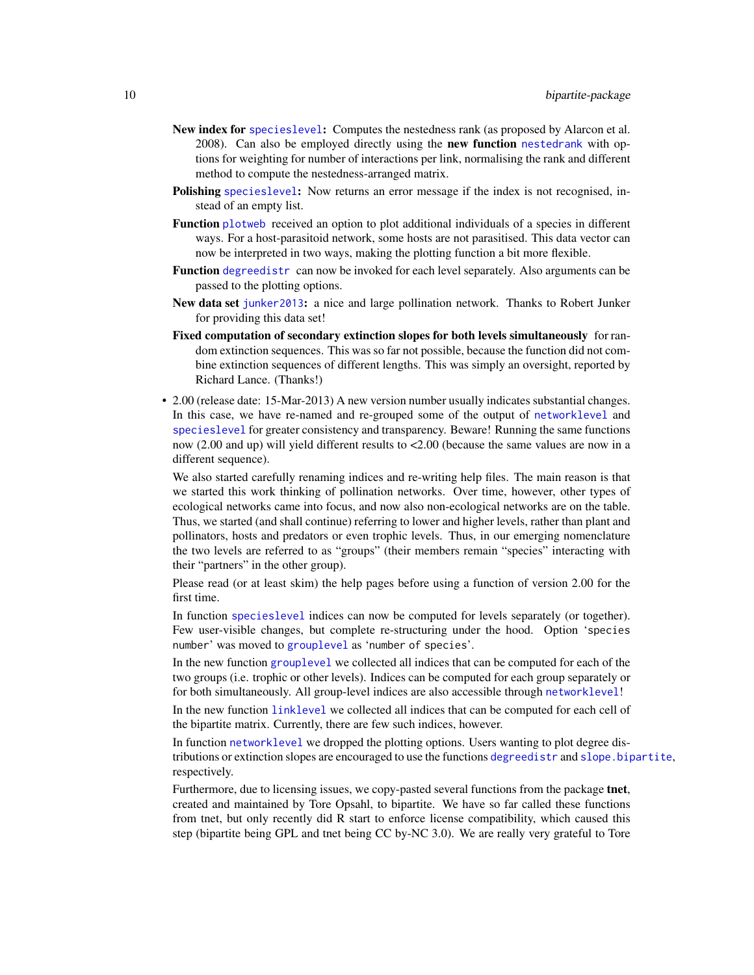- New index for [specieslevel](#page-128-1): Computes the nestedness rank (as proposed by Alarcon et al. 2008). Can also be employed directly using the **new function** [nestedrank](#page-79-1) with options for weighting for number of interactions per link, normalising the rank and different method to compute the nestedness-arranged matrix.
- Polishing [specieslevel](#page-128-1): Now returns an error message if the index is not recognised, instead of an empty list.
- Function [plotweb](#page-107-1) received an option to plot additional individuals of a species in different ways. For a host-parasitoid network, some hosts are not parasitised. This data vector can now be interpreted in two ways, making the plotting function a bit more flexible.
- Function [degreedistr](#page-34-1) can now be invoked for each level separately. Also arguments can be passed to the plotting options.
- New data set [junker2013](#page-59-1): a nice and large pollination network. Thanks to Robert Junker for providing this data set!
- Fixed computation of secondary extinction slopes for both levels simultaneously for random extinction sequences. This was so far not possible, because the function did not combine extinction sequences of different lengths. This was simply an oversight, reported by Richard Lance. (Thanks!)
- 2.00 (release date: 15-Mar-2013) A new version number usually indicates substantial changes. In this case, we have re-named and re-grouped some of the output of [networklevel](#page-80-1) and [specieslevel](#page-128-1) for greater consistency and transparency. Beware! Running the same functions now (2.00 and up) will yield different results to <2.00 (because the same values are now in a different sequence).

We also started carefully renaming indices and re-writing help files. The main reason is that we started this work thinking of pollination networks. Over time, however, other types of ecological networks came into focus, and now also non-ecological networks are on the table. Thus, we started (and shall continue) referring to lower and higher levels, rather than plant and pollinators, hosts and predators or even trophic levels. Thus, in our emerging nomenclature the two levels are referred to as "groups" (their members remain "species" interacting with their "partners" in the other group).

Please read (or at least skim) the help pages before using a function of version 2.00 for the first time.

In function [specieslevel](#page-128-1) indices can now be computed for levels separately (or together). Few user-visible changes, but complete re-structuring under the hood. Option 'species number' was moved to [grouplevel](#page-51-1) as 'number of species'.

In the new function [grouplevel](#page-51-1) we collected all indices that can be computed for each of the two groups (i.e. trophic or other levels). Indices can be computed for each group separately or for both simultaneously. All group-level indices are also accessible through [networklevel](#page-80-1)!

In the new function [linklevel](#page-62-1) we collected all indices that can be computed for each cell of the bipartite matrix. Currently, there are few such indices, however.

In function [networklevel](#page-80-1) we dropped the plotting options. Users wanting to plot degree distributions or extinction slopes are encouraged to use the functions [degreedistr](#page-34-1) and [slope.bipartite](#page-124-1), respectively.

Furthermore, due to licensing issues, we copy-pasted several functions from the package **tnet**, created and maintained by Tore Opsahl, to bipartite. We have so far called these functions from tnet, but only recently did R start to enforce license compatibility, which caused this step (bipartite being GPL and tnet being CC by-NC 3.0). We are really very grateful to Tore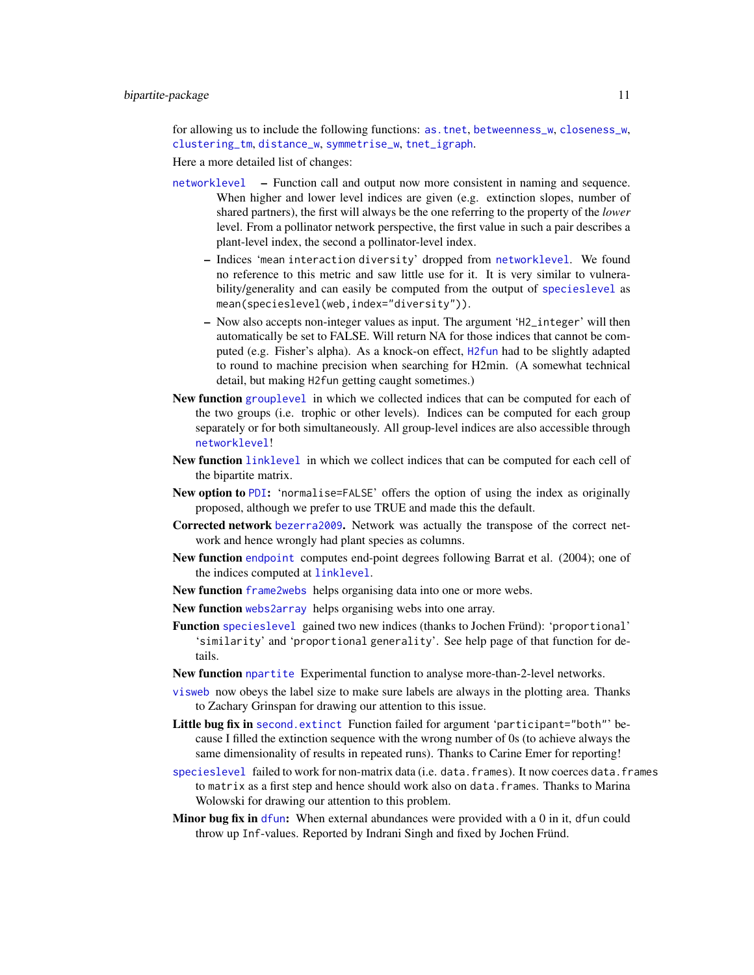for allowing us to include the following functions: [as.tnet](#page-15-1), [betweenness\\_w](#page-21-1), [closeness\\_w](#page-24-1), [clustering\\_tm](#page-26-1), [distance\\_w](#page-42-1), [symmetrise\\_w](#page-138-1), [tnet\\_igraph](#page-139-1).

Here a more detailed list of changes:

- [networklevel](#page-80-1) Function call and output now more consistent in naming and sequence. When higher and lower level indices are given (e.g. extinction slopes, number of shared partners), the first will always be the one referring to the property of the *lower* level. From a pollinator network perspective, the first value in such a pair describes a plant-level index, the second a pollinator-level index.
	- Indices 'mean interaction diversity' dropped from [networklevel](#page-80-1). We found no reference to this metric and saw little use for it. It is very similar to vulnerability/generality and can easily be computed from the output of [specieslevel](#page-128-1) as mean(specieslevel(web,index="diversity")).
	- Now also accepts non-integer values as input. The argument 'H2\_integer' will then automatically be set to FALSE. Will return NA for those indices that cannot be computed (e.g. Fisher's alpha). As a knock-on effect, [H2fun](#page-57-1) had to be slightly adapted to round to machine precision when searching for H2min. (A somewhat technical detail, but making H2fun getting caught sometimes.)
- New function [grouplevel](#page-51-1) in which we collected indices that can be computed for each of the two groups (i.e. trophic or other levels). Indices can be computed for each group separately or for both simultaneously. All group-level indices are also accessible through [networklevel](#page-80-1)!
- New function [linklevel](#page-62-1) in which we collect indices that can be computed for each cell of the bipartite matrix.
- New option to [PDI](#page-103-1): 'normalise=FALSE' offers the option of using the index as originally proposed, although we prefer to use TRUE and made this the default.
- Corrected network [bezerra2009](#page-22-1). Network was actually the transpose of the correct network and hence wrongly had plant species as columns.
- New function [endpoint](#page-45-1) computes end-point degrees following Barrat et al. (2004); one of the indices computed at [linklevel](#page-62-1).
- New function [frame2webs](#page-48-1) helps organising data into one or more webs.
- New function [webs2array](#page-162-1) helps organising webs into one array.
- Function [specieslevel](#page-128-1) gained two new indices (thanks to Jochen Fründ): 'proportional' 'similarity' and 'proportional generality'. See help page of that function for details.
- New function [npartite](#page-92-1) Experimental function to analyse more-than-2-level networks.
- [visweb](#page-158-1) now obeys the label size to make sure labels are always in the plotting area. Thanks to Zachary Grinspan for drawing our attention to this issue.
- Little bug fix in [second.extinct](#page-121-1) Function failed for argument 'participant="both"' because I filled the extinction sequence with the wrong number of 0s (to achieve always the same dimensionality of results in repeated runs). Thanks to Carine Emer for reporting!
- [specieslevel](#page-128-1) failed to work for non-matrix data (i.e. data.frames). It now coerces data.frames to matrix as a first step and hence should work also on data.frames. Thanks to Marina Wolowski for drawing our attention to this problem.
- **Minor bug fix in**  $df$ un: When external abundances were provided with a  $0$  in it, [dfun](#page-36-1) could throw up Inf-values. Reported by Indrani Singh and fixed by Jochen Fründ.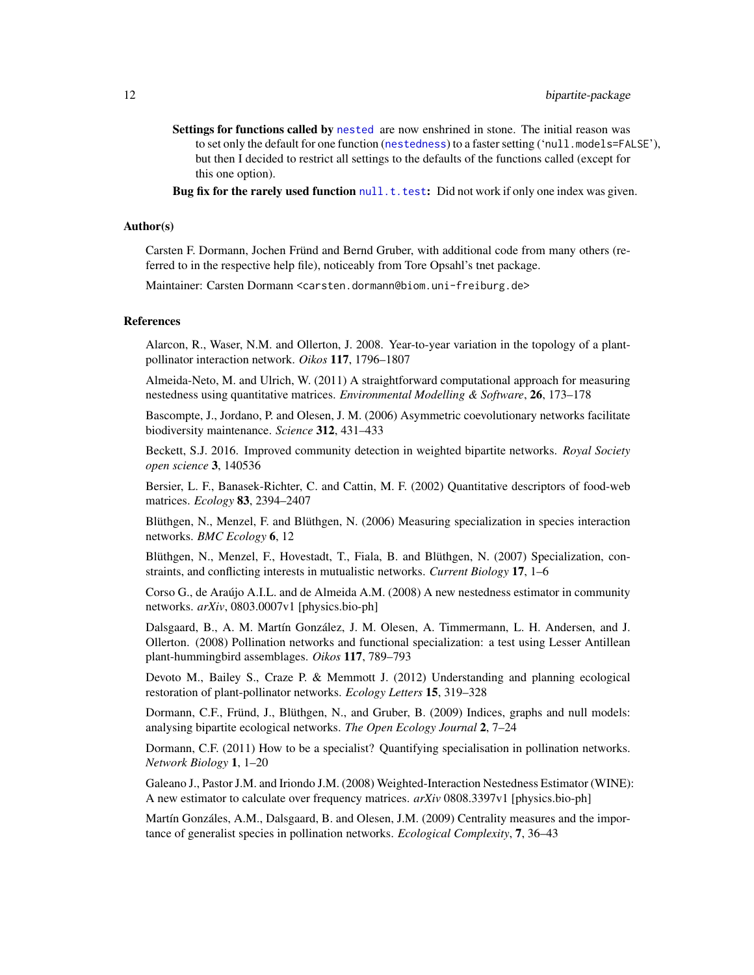Settings for functions called by [nested](#page-73-1) are now enshrined in stone. The initial reason was to set only the default for one function ([nestedness](#page-77-1)) to a faster setting ('null.models=FALSE'), but then I decided to restrict all settings to the defaults of the functions called (except for this one option).

Bug fix for the rarely used function  $null$ .t.test: Did not work if only one index was given.

#### Author(s)

Carsten F. Dormann, Jochen Fründ and Bernd Gruber, with additional code from many others (referred to in the respective help file), noticeably from Tore Opsahl's tnet package.

Maintainer: Carsten Dormann <carsten.dormann@biom.uni-freiburg.de>

#### References

Alarcon, R., Waser, N.M. and Ollerton, J. 2008. Year-to-year variation in the topology of a plantpollinator interaction network. *Oikos* 117, 1796–1807

Almeida-Neto, M. and Ulrich, W. (2011) A straightforward computational approach for measuring nestedness using quantitative matrices. *Environmental Modelling & Software*, 26, 173–178

Bascompte, J., Jordano, P. and Olesen, J. M. (2006) Asymmetric coevolutionary networks facilitate biodiversity maintenance. *Science* 312, 431–433

Beckett, S.J. 2016. Improved community detection in weighted bipartite networks. *Royal Society open science* 3, 140536

Bersier, L. F., Banasek-Richter, C. and Cattin, M. F. (2002) Quantitative descriptors of food-web matrices. *Ecology* 83, 2394–2407

Blüthgen, N., Menzel, F. and Blüthgen, N. (2006) Measuring specialization in species interaction networks. *BMC Ecology* 6, 12

Blüthgen, N., Menzel, F., Hovestadt, T., Fiala, B. and Blüthgen, N. (2007) Specialization, constraints, and conflicting interests in mutualistic networks. *Current Biology* 17, 1–6

Corso G., de Araújo A.I.L. and de Almeida A.M. (2008) A new nestedness estimator in community networks. *arXiv*, 0803.0007v1 [physics.bio-ph]

Dalsgaard, B., A. M. Martín González, J. M. Olesen, A. Timmermann, L. H. Andersen, and J. Ollerton. (2008) Pollination networks and functional specialization: a test using Lesser Antillean plant-hummingbird assemblages. *Oikos* 117, 789–793

Devoto M., Bailey S., Craze P. & Memmott J. (2012) Understanding and planning ecological restoration of plant-pollinator networks. *Ecology Letters* 15, 319–328

Dormann, C.F., Fründ, J., Blüthgen, N., and Gruber, B. (2009) Indices, graphs and null models: analysing bipartite ecological networks. *The Open Ecology Journal* 2, 7–24

Dormann, C.F. (2011) How to be a specialist? Quantifying specialisation in pollination networks. *Network Biology* 1, 1–20

Galeano J., Pastor J.M. and Iriondo J.M. (2008) Weighted-Interaction Nestedness Estimator (WINE): A new estimator to calculate over frequency matrices. *arXiv* 0808.3397v1 [physics.bio-ph]

Martín Gonzáles, A.M., Dalsgaard, B. and Olesen, J.M. (2009) Centrality measures and the importance of generalist species in pollination networks. *Ecological Complexity*, 7, 36–43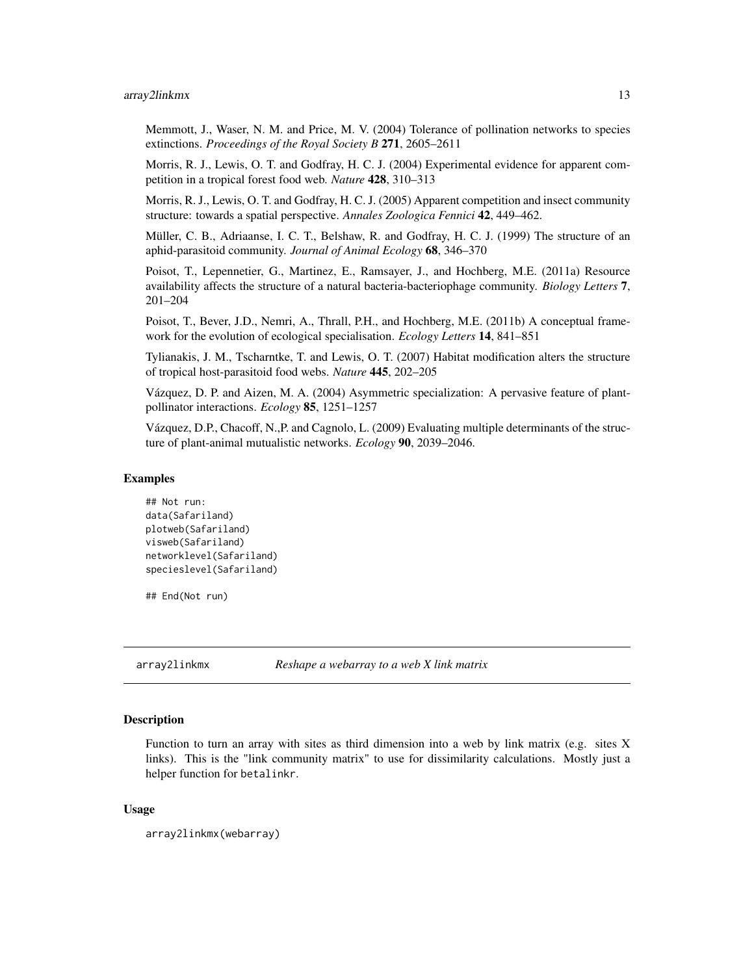#### <span id="page-12-0"></span>array2linkmx 13

Memmott, J., Waser, N. M. and Price, M. V. (2004) Tolerance of pollination networks to species extinctions. *Proceedings of the Royal Society B* 271, 2605–2611

Morris, R. J., Lewis, O. T. and Godfray, H. C. J. (2004) Experimental evidence for apparent competition in a tropical forest food web. *Nature* 428, 310–313

Morris, R. J., Lewis, O. T. and Godfray, H. C. J. (2005) Apparent competition and insect community structure: towards a spatial perspective. *Annales Zoologica Fennici* 42, 449–462.

Müller, C. B., Adriaanse, I. C. T., Belshaw, R. and Godfray, H. C. J. (1999) The structure of an aphid-parasitoid community. *Journal of Animal Ecology* 68, 346–370

Poisot, T., Lepennetier, G., Martinez, E., Ramsayer, J., and Hochberg, M.E. (2011a) Resource availability affects the structure of a natural bacteria-bacteriophage community. *Biology Letters* 7, 201–204

Poisot, T., Bever, J.D., Nemri, A., Thrall, P.H., and Hochberg, M.E. (2011b) A conceptual framework for the evolution of ecological specialisation. *Ecology Letters* 14, 841–851

Tylianakis, J. M., Tscharntke, T. and Lewis, O. T. (2007) Habitat modification alters the structure of tropical host-parasitoid food webs. *Nature* 445, 202–205

Vázquez, D. P. and Aizen, M. A. (2004) Asymmetric specialization: A pervasive feature of plantpollinator interactions. *Ecology* 85, 1251–1257

Vázquez, D.P., Chacoff, N.,P. and Cagnolo, L. (2009) Evaluating multiple determinants of the structure of plant-animal mutualistic networks. *Ecology* 90, 2039–2046.

#### Examples

```
## Not run:
data(Safariland)
plotweb(Safariland)
visweb(Safariland)
networklevel(Safariland)
specieslevel(Safariland)
```
## End(Not run)

<span id="page-12-1"></span>array2linkmx *Reshape a webarray to a web X link matrix*

### **Description**

Function to turn an array with sites as third dimension into a web by link matrix (e.g. sites  $X$ links). This is the "link community matrix" to use for dissimilarity calculations. Mostly just a helper function for betalinkr.

### Usage

```
array2linkmx(webarray)
```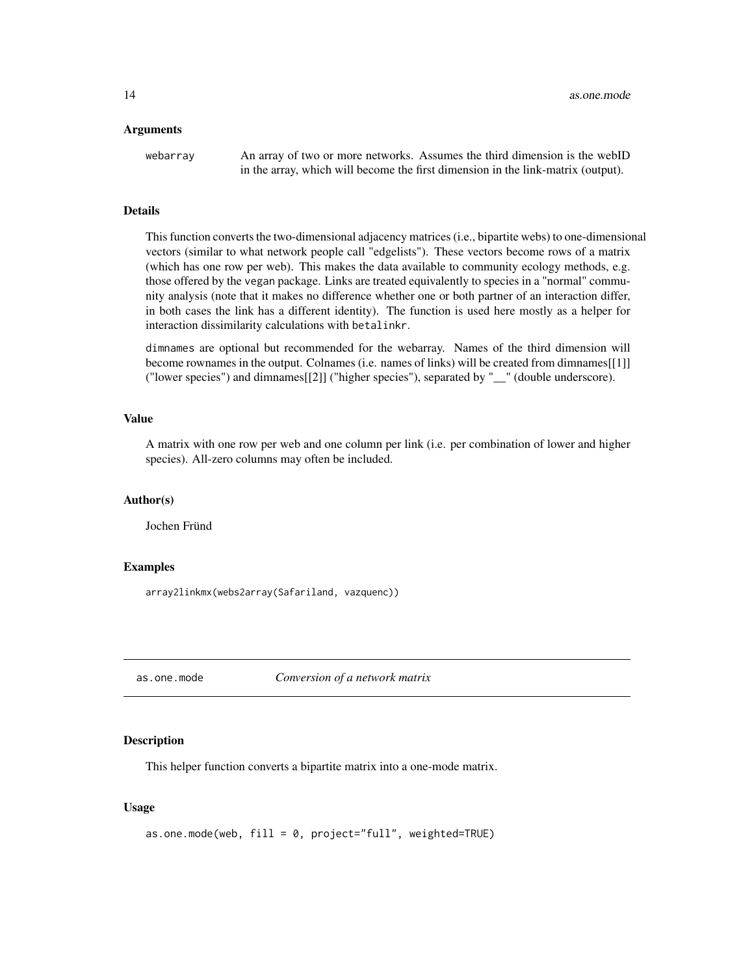#### <span id="page-13-0"></span>Arguments

webarray An array of two or more networks. Assumes the third dimension is the webID in the array, which will become the first dimension in the link-matrix (output).

#### Details

This function converts the two-dimensional adjacency matrices (i.e., bipartite webs) to one-dimensional vectors (similar to what network people call "edgelists"). These vectors become rows of a matrix (which has one row per web). This makes the data available to community ecology methods, e.g. those offered by the vegan package. Links are treated equivalently to species in a "normal" community analysis (note that it makes no difference whether one or both partner of an interaction differ, in both cases the link has a different identity). The function is used here mostly as a helper for interaction dissimilarity calculations with betalinkr.

dimnames are optional but recommended for the webarray. Names of the third dimension will become rownames in the output. Colnames (i.e. names of links) will be created from dimnames[[1]] ("lower species") and dimnames[[2]] ("higher species"), separated by "\_\_" (double underscore).

#### Value

A matrix with one row per web and one column per link (i.e. per combination of lower and higher species). All-zero columns may often be included.

# Author(s)

Jochen Fründ

### Examples

array2linkmx(webs2array(Safariland, vazquenc))

<span id="page-13-1"></span>as.one.mode *Conversion of a network matrix*

# **Description**

This helper function converts a bipartite matrix into a one-mode matrix.

#### Usage

```
as.one.mode(web, fill = 0, project="full", weighted=TRUE)
```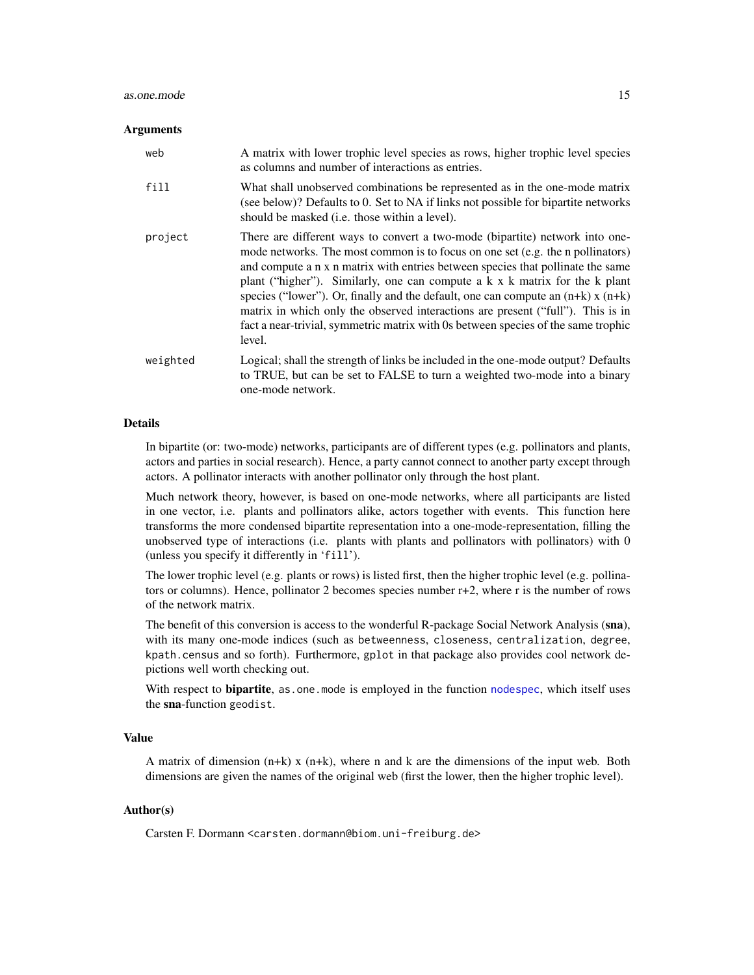#### as.one.mode 15

#### Arguments

| web      | A matrix with lower trophic level species as rows, higher trophic level species<br>as columns and number of interactions as entries.                                                                                                                                                                                                                                                                                                                                                                                                                                                                       |
|----------|------------------------------------------------------------------------------------------------------------------------------------------------------------------------------------------------------------------------------------------------------------------------------------------------------------------------------------------------------------------------------------------------------------------------------------------------------------------------------------------------------------------------------------------------------------------------------------------------------------|
| fill     | What shall unobserved combinations be represented as in the one-mode matrix<br>(see below)? Defaults to 0. Set to NA if links not possible for bipartite networks<br>should be masked <i>(i.e. those within a level)</i> .                                                                                                                                                                                                                                                                                                                                                                                 |
| project  | There are different ways to convert a two-mode (bipartite) network into one-<br>mode networks. The most common is to focus on one set (e.g. the n pollinators)<br>and compute a n x n matrix with entries between species that pollinate the same<br>plant ("higher"). Similarly, one can compute a k x k matrix for the k plant<br>species ("lower"). Or, finally and the default, one can compute an $(n+k)$ x $(n+k)$<br>matrix in which only the observed interactions are present ("full"). This is in<br>fact a near-trivial, symmetric matrix with 0s between species of the same trophic<br>level. |
| weighted | Logical; shall the strength of links be included in the one-mode output? Defaults<br>to TRUE, but can be set to FALSE to turn a weighted two-mode into a binary<br>one-mode network.                                                                                                                                                                                                                                                                                                                                                                                                                       |

# **Details**

In bipartite (or: two-mode) networks, participants are of different types (e.g. pollinators and plants, actors and parties in social research). Hence, a party cannot connect to another party except through actors. A pollinator interacts with another pollinator only through the host plant.

Much network theory, however, is based on one-mode networks, where all participants are listed in one vector, i.e. plants and pollinators alike, actors together with events. This function here transforms the more condensed bipartite representation into a one-mode-representation, filling the unobserved type of interactions (i.e. plants with plants and pollinators with pollinators) with 0 (unless you specify it differently in 'fill').

The lower trophic level (e.g. plants or rows) is listed first, then the higher trophic level (e.g. pollinators or columns). Hence, pollinator 2 becomes species number r+2, where r is the number of rows of the network matrix.

The benefit of this conversion is access to the wonderful R-package Social Network Analysis (sna), with its many one-mode indices (such as betweenness, closeness, centralization, degree, kpath.census and so forth). Furthermore, gplot in that package also provides cool network depictions well worth checking out.

With respect to **bipartite**, as one mode is employed in the function [nodespec](#page-89-1), which itself uses the sna-function geodist.

# Value

A matrix of dimension (n+k) x (n+k), where n and k are the dimensions of the input web. Both dimensions are given the names of the original web (first the lower, then the higher trophic level).

# Author(s)

Carsten F. Dormann <carsten.dormann@biom.uni-freiburg.de>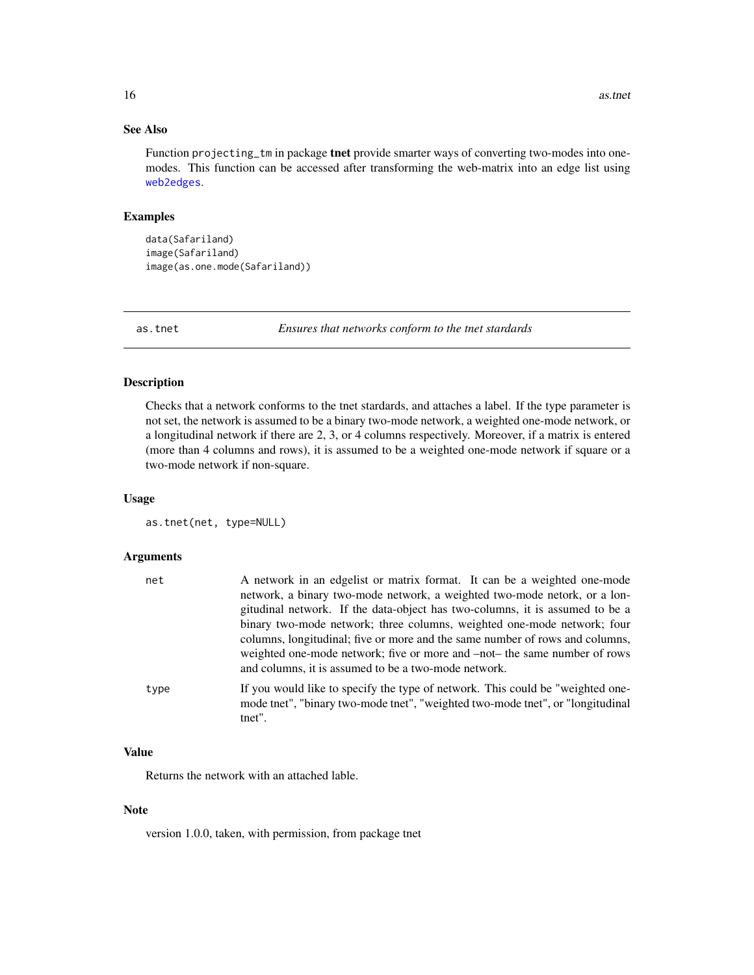# See Also

Function projecting\_tm in package tnet provide smarter ways of converting two-modes into onemodes. This function can be accessed after transforming the web-matrix into an edge list using [web2edges](#page-161-1).

# Examples

```
data(Safariland)
image(Safariland)
image(as.one.mode(Safariland))
```
<span id="page-15-1"></span>as.tnet *Ensures that networks conform to the tnet stardards*

#### Description

Checks that a network conforms to the tnet stardards, and attaches a label. If the type parameter is not set, the network is assumed to be a binary two-mode network, a weighted one-mode network, or a longitudinal network if there are 2, 3, or 4 columns respectively. Moreover, if a matrix is entered (more than 4 columns and rows), it is assumed to be a weighted one-mode network if square or a two-mode network if non-square.

#### Usage

```
as.tnet(net, type=NULL)
```
# Arguments

| net  | A network in an edgelist or matrix format. It can be a weighted one-mode<br>network, a binary two-mode network, a weighted two-mode netork, or a lon-<br>gitudinal network. If the data-object has two-columns, it is assumed to be a<br>binary two-mode network; three columns, weighted one-mode network; four<br>columns, longitudinal; five or more and the same number of rows and columns,<br>weighted one-mode network; five or more and -not- the same number of rows<br>and columns, it is assumed to be a two-mode network. |
|------|---------------------------------------------------------------------------------------------------------------------------------------------------------------------------------------------------------------------------------------------------------------------------------------------------------------------------------------------------------------------------------------------------------------------------------------------------------------------------------------------------------------------------------------|
| type | If you would like to specify the type of network. This could be "weighted one-<br>mode tnet", "binary two-mode tnet", "weighted two-mode tnet", or "longitudinal<br>tnet".                                                                                                                                                                                                                                                                                                                                                            |

# Value

Returns the network with an attached lable.

#### Note

version 1.0.0, taken, with permission, from package tnet

<span id="page-15-0"></span>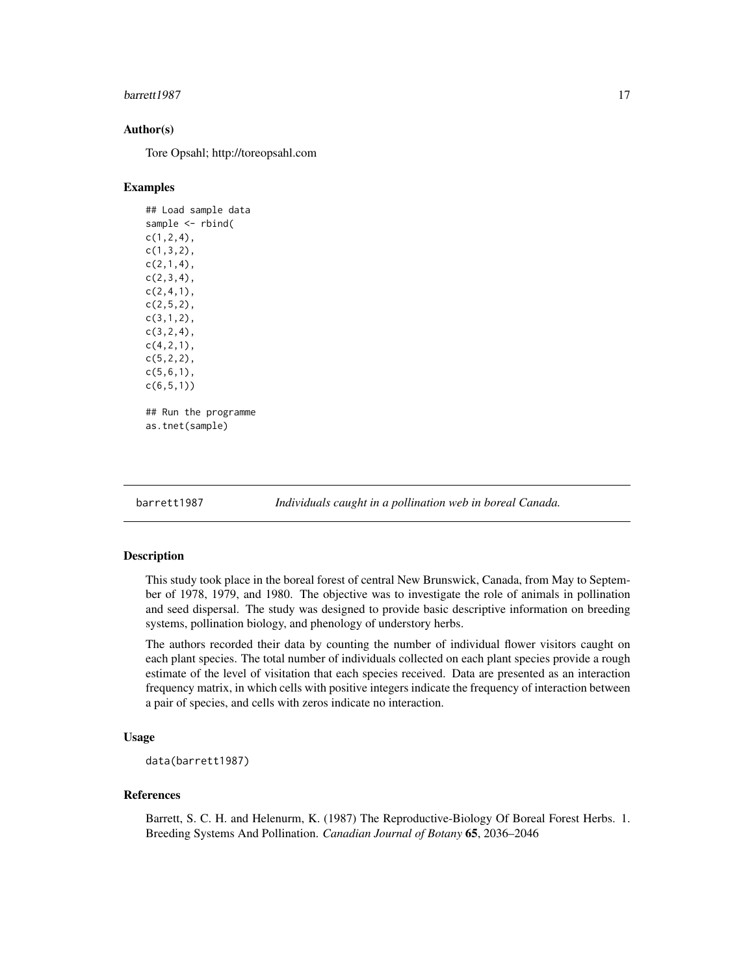#### <span id="page-16-0"></span>barrett 1987 **17**

# Author(s)

Tore Opsahl; http://toreopsahl.com

#### Examples

## Load sample data sample <- rbind(  $c(1,2,4)$ , c(1,3,2),  $c(2,1,4)$ , c(2,3,4), c(2,4,1), c(2,5,2), c(3,1,2),  $c(3, 2, 4)$ , c(4,2,1), c(5,2,2), c(5,6,1), c(6,5,1)) ## Run the programme as.tnet(sample)

barrett1987 *Individuals caught in a pollination web in boreal Canada.*

# Description

This study took place in the boreal forest of central New Brunswick, Canada, from May to September of 1978, 1979, and 1980. The objective was to investigate the role of animals in pollination and seed dispersal. The study was designed to provide basic descriptive information on breeding systems, pollination biology, and phenology of understory herbs.

The authors recorded their data by counting the number of individual flower visitors caught on each plant species. The total number of individuals collected on each plant species provide a rough estimate of the level of visitation that each species received. Data are presented as an interaction frequency matrix, in which cells with positive integers indicate the frequency of interaction between a pair of species, and cells with zeros indicate no interaction.

# Usage

```
data(barrett1987)
```
#### References

Barrett, S. C. H. and Helenurm, K. (1987) The Reproductive-Biology Of Boreal Forest Herbs. 1. Breeding Systems And Pollination. *Canadian Journal of Botany* 65, 2036–2046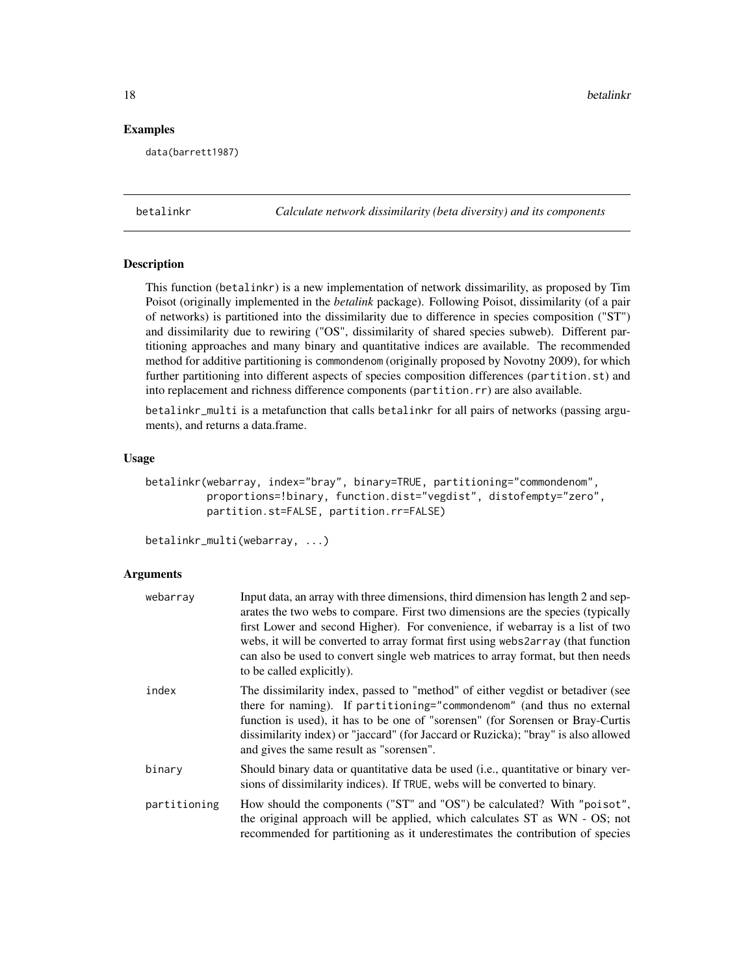### <span id="page-17-0"></span>Examples

data(barrett1987)

<span id="page-17-1"></span>betalinkr *Calculate network dissimilarity (beta diversity) and its components*

# <span id="page-17-2"></span>**Description**

This function (betalinkr) is a new implementation of network dissimarility, as proposed by Tim Poisot (originally implemented in the *betalink* package). Following Poisot, dissimilarity (of a pair of networks) is partitioned into the dissimilarity due to difference in species composition ("ST") and dissimilarity due to rewiring ("OS", dissimilarity of shared species subweb). Different partitioning approaches and many binary and quantitative indices are available. The recommended method for additive partitioning is commondenom (originally proposed by Novotny 2009), for which further partitioning into different aspects of species composition differences (partition.st) and into replacement and richness difference components (partition.rr) are also available.

betalinkr\_multi is a metafunction that calls betalinkr for all pairs of networks (passing arguments), and returns a data.frame.

#### Usage

```
betalinkr(webarray, index="bray", binary=TRUE, partitioning="commondenom",
          proportions=!binary, function.dist="vegdist", distofempty="zero",
          partition.st=FALSE, partition.rr=FALSE)
```
betalinkr\_multi(webarray, ...)

#### Arguments

| webarray     | Input data, an array with three dimensions, third dimension has length 2 and sep-<br>arates the two webs to compare. First two dimensions are the species (typically<br>first Lower and second Higher). For convenience, if webarray is a list of two<br>webs, it will be converted to array format first using webs2array (that function<br>can also be used to convert single web matrices to array format, but then needs<br>to be called explicitly). |
|--------------|-----------------------------------------------------------------------------------------------------------------------------------------------------------------------------------------------------------------------------------------------------------------------------------------------------------------------------------------------------------------------------------------------------------------------------------------------------------|
| index        | The dissimilarity index, passed to "method" of either vegdist or betadiver (see<br>there for naming). If partitioning="commondenom" (and thus no external<br>function is used), it has to be one of "sorensen" (for Sorensen or Bray-Curtis<br>dissimilarity index) or "jaccard" (for Jaccard or Ruzicka); "bray" is also allowed<br>and gives the same result as "sorensen".                                                                             |
| binary       | Should binary data or quantitative data be used (i.e., quantitative or binary ver-<br>sions of dissimilarity indices). If TRUE, webs will be converted to binary.                                                                                                                                                                                                                                                                                         |
| partitioning | How should the components ("ST" and "OS") be calculated? With "poisot",<br>the original approach will be applied, which calculates ST as WN - OS; not<br>recommended for partitioning as it underestimates the contribution of species                                                                                                                                                                                                                    |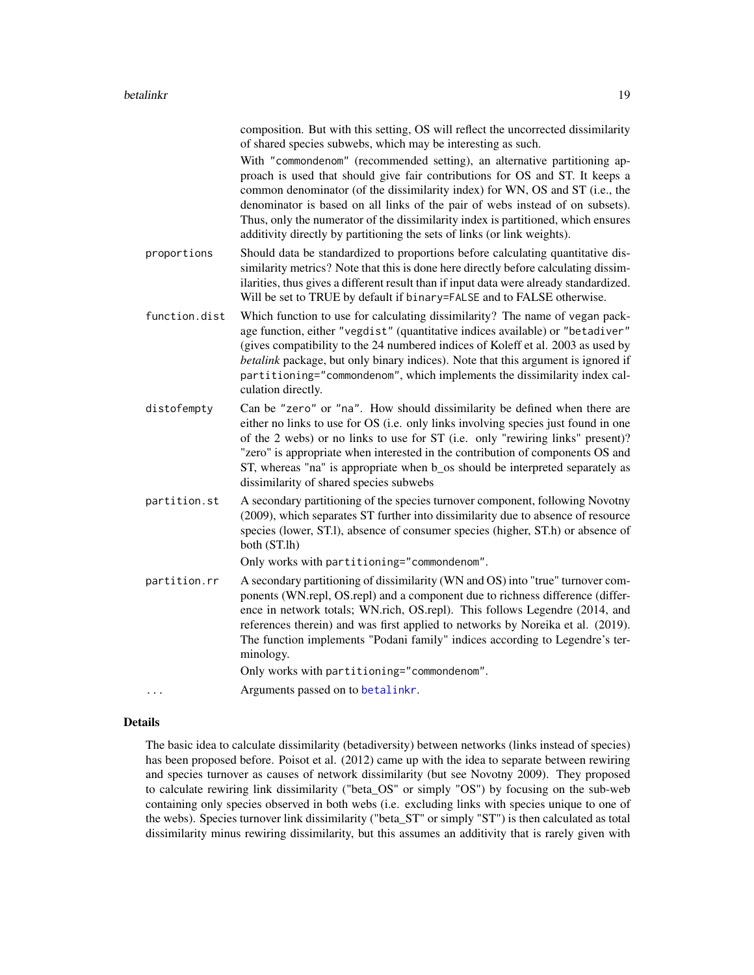composition. But with this setting, OS will reflect the uncorrected dissimilarity of shared species subwebs, which may be interesting as such.

With "commondenom" (recommended setting), an alternative partitioning approach is used that should give fair contributions for OS and ST. It keeps a common denominator (of the dissimilarity index) for WN, OS and ST (i.e., the denominator is based on all links of the pair of webs instead of on subsets). Thus, only the numerator of the dissimilarity index is partitioned, which ensures additivity directly by partitioning the sets of links (or link weights).

proportions Should data be standardized to proportions before calculating quantitative dissimilarity metrics? Note that this is done here directly before calculating dissimilarities, thus gives a different result than if input data were already standardized. Will be set to TRUE by default if binary=FALSE and to FALSE otherwise.

- function.dist Which function to use for calculating dissimilarity? The name of vegan package function, either "vegdist" (quantitative indices available) or "betadiver" (gives compatibility to the 24 numbered indices of Koleff et al. 2003 as used by *betalink* package, but only binary indices). Note that this argument is ignored if partitioning="commondenom", which implements the dissimilarity index calculation directly.
- distofempty Can be "zero" or "na". How should dissimilarity be defined when there are either no links to use for OS (i.e. only links involving species just found in one of the 2 webs) or no links to use for ST (i.e. only "rewiring links" present)? "zero" is appropriate when interested in the contribution of components OS and ST, whereas "na" is appropriate when b\_os should be interpreted separately as dissimilarity of shared species subwebs
- partition.st A secondary partitioning of the species turnover component, following Novotny (2009), which separates ST further into dissimilarity due to absence of resource species (lower, ST.l), absence of consumer species (higher, ST.h) or absence of both (ST.lh)

Only works with partitioning="commondenom".

partition.rr A secondary partitioning of dissimilarity (WN and OS) into "true" turnover components (WN.repl, OS.repl) and a component due to richness difference (difference in network totals; WN.rich, OS.repl). This follows Legendre (2014, and references therein) and was first applied to networks by Noreika et al. (2019). The function implements "Podani family" indices according to Legendre's terminology.

Only works with partitioning="commondenom".

... **Arguments passed on to [betalinkr](#page-17-1).** 

# Details

The basic idea to calculate dissimilarity (betadiversity) between networks (links instead of species) has been proposed before. Poisot et al. (2012) came up with the idea to separate between rewiring and species turnover as causes of network dissimilarity (but see Novotny 2009). They proposed to calculate rewiring link dissimilarity ("beta\_OS" or simply "OS") by focusing on the sub-web containing only species observed in both webs (i.e. excluding links with species unique to one of the webs). Species turnover link dissimilarity ("beta\_ST" or simply "ST") is then calculated as total dissimilarity minus rewiring dissimilarity, but this assumes an additivity that is rarely given with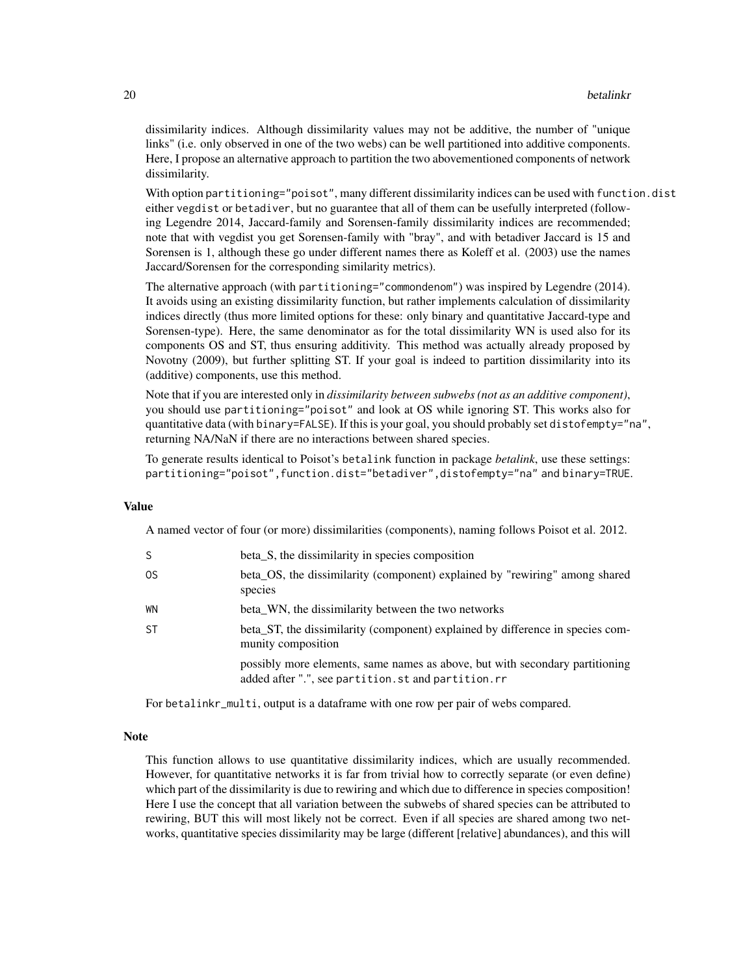dissimilarity indices. Although dissimilarity values may not be additive, the number of "unique links" (i.e. only observed in one of the two webs) can be well partitioned into additive components. Here, I propose an alternative approach to partition the two abovementioned components of network dissimilarity.

With option partitioning="poisot", many different dissimilarity indices can be used with function.dist either vegdist or betadiver, but no guarantee that all of them can be usefully interpreted (following Legendre 2014, Jaccard-family and Sorensen-family dissimilarity indices are recommended; note that with vegdist you get Sorensen-family with "bray", and with betadiver Jaccard is 15 and Sorensen is 1, although these go under different names there as Koleff et al. (2003) use the names Jaccard/Sorensen for the corresponding similarity metrics).

The alternative approach (with partitioning="commondenom") was inspired by Legendre (2014). It avoids using an existing dissimilarity function, but rather implements calculation of dissimilarity indices directly (thus more limited options for these: only binary and quantitative Jaccard-type and Sorensen-type). Here, the same denominator as for the total dissimilarity WN is used also for its components OS and ST, thus ensuring additivity. This method was actually already proposed by Novotny (2009), but further splitting ST. If your goal is indeed to partition dissimilarity into its (additive) components, use this method.

Note that if you are interested only in *dissimilarity between subwebs (not as an additive component)*, you should use partitioning="poisot" and look at OS while ignoring ST. This works also for quantitative data (with binary=FALSE). If this is your goal, you should probably set distofempty="na", returning NA/NaN if there are no interactions between shared species.

To generate results identical to Poisot's betalink function in package *betalink*, use these settings: partitioning="poisot",function.dist="betadiver",distofempty="na" and binary=TRUE.

#### Value

A named vector of four (or more) dissimilarities (components), naming follows Poisot et al. 2012.

| S  | beta_S, the dissimilarity in species composition                                                                                   |
|----|------------------------------------------------------------------------------------------------------------------------------------|
| 0S | beta_OS, the dissimilarity (component) explained by "rewiring" among shared<br>species                                             |
| WN | beta_WN, the dissimilarity between the two networks                                                                                |
| ST | beta_ST, the dissimilarity (component) explained by difference in species com-<br>munity composition                               |
|    | possibly more elements, same names as above, but with secondary partitioning<br>added after ".", see partition.st and partition.rr |

For betalinkr\_multi, output is a dataframe with one row per pair of webs compared.

# Note

This function allows to use quantitative dissimilarity indices, which are usually recommended. However, for quantitative networks it is far from trivial how to correctly separate (or even define) which part of the dissimilarity is due to rewiring and which due to difference in species composition! Here I use the concept that all variation between the subwebs of shared species can be attributed to rewiring, BUT this will most likely not be correct. Even if all species are shared among two networks, quantitative species dissimilarity may be large (different [relative] abundances), and this will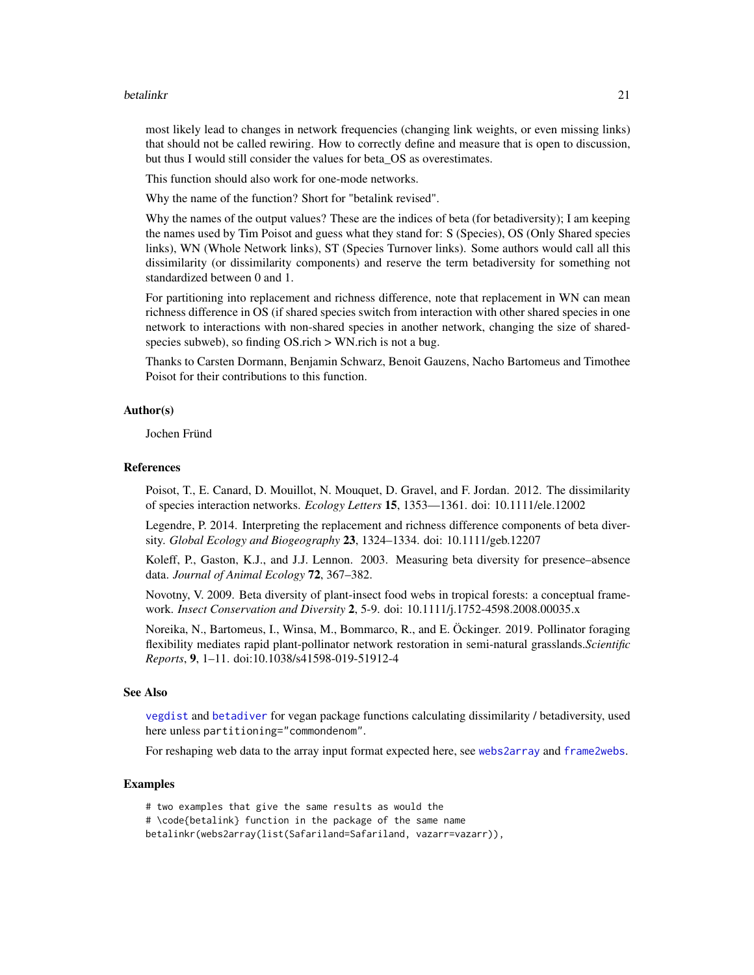#### betalinkr 21

most likely lead to changes in network frequencies (changing link weights, or even missing links) that should not be called rewiring. How to correctly define and measure that is open to discussion, but thus I would still consider the values for beta\_OS as overestimates.

This function should also work for one-mode networks.

Why the name of the function? Short for "betalink revised".

Why the names of the output values? These are the indices of beta (for betadiversity); I am keeping the names used by Tim Poisot and guess what they stand for: S (Species), OS (Only Shared species links), WN (Whole Network links), ST (Species Turnover links). Some authors would call all this dissimilarity (or dissimilarity components) and reserve the term betadiversity for something not standardized between 0 and 1.

For partitioning into replacement and richness difference, note that replacement in WN can mean richness difference in OS (if shared species switch from interaction with other shared species in one network to interactions with non-shared species in another network, changing the size of sharedspecies subweb), so finding OS.rich > WN.rich is not a bug.

Thanks to Carsten Dormann, Benjamin Schwarz, Benoit Gauzens, Nacho Bartomeus and Timothee Poisot for their contributions to this function.

# Author(s)

Jochen Fründ

#### References

Poisot, T., E. Canard, D. Mouillot, N. Mouquet, D. Gravel, and F. Jordan. 2012. The dissimilarity of species interaction networks. *Ecology Letters* 15, 1353—1361. doi: 10.1111/ele.12002

Legendre, P. 2014. Interpreting the replacement and richness difference components of beta diversity. *Global Ecology and Biogeography* 23, 1324–1334. doi: 10.1111/geb.12207

Koleff, P., Gaston, K.J., and J.J. Lennon. 2003. Measuring beta diversity for presence–absence data. *Journal of Animal Ecology* 72, 367–382.

Novotny, V. 2009. Beta diversity of plant-insect food webs in tropical forests: a conceptual framework. *Insect Conservation and Diversity* 2, 5-9. doi: 10.1111/j.1752-4598.2008.00035.x

Noreika, N., Bartomeus, I., Winsa, M., Bommarco, R., and E. Öckinger. 2019. Pollinator foraging flexibility mediates rapid plant-pollinator network restoration in semi-natural grasslands.*Scientific Reports*, 9, 1–11. doi:10.1038/s41598-019-51912-4

#### See Also

[vegdist](#page-0-0) and [betadiver](#page-0-0) for vegan package functions calculating dissimilarity / betadiversity, used here unless partitioning="commondenom".

For reshaping web data to the array input format expected here, see [webs2array](#page-162-1) and [frame2webs](#page-48-1).

#### Examples

# two examples that give the same results as would the # \code{betalink} function in the package of the same name betalinkr(webs2array(list(Safariland=Safariland, vazarr=vazarr)),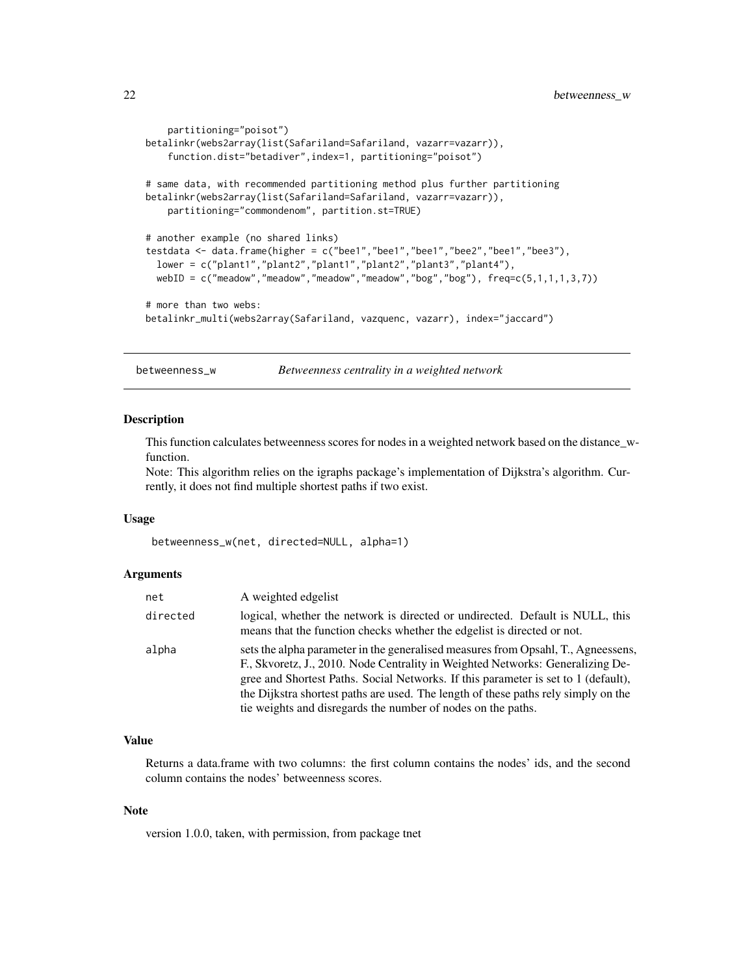```
partitioning="poisot")
betalinkr(webs2array(list(Safariland=Safariland, vazarr=vazarr)),
    function.dist="betadiver",index=1, partitioning="poisot")
# same data, with recommended partitioning method plus further partitioning
betalinkr(webs2array(list(Safariland=Safariland, vazarr=vazarr)),
   partitioning="commondenom", partition.st=TRUE)
# another example (no shared links)
testdata <- data.frame(higher = c("bee1","bee1","bee1","bee2","bee1","bee3"),
  lower = c("plant1","plant2","plant1","plant2","plant3","plant4"),
  webID = c("meadow","meadow","meadow","meadow","bog","bog"), freq=c(5,1,1,1,3,7))
# more than two webs:
betalinkr_multi(webs2array(Safariland, vazquenc, vazarr), index="jaccard")
```
<span id="page-21-1"></span>betweenness\_w *Betweenness centrality in a weighted network*

# Description

This function calculates betweenness scores for nodes in a weighted network based on the distance\_wfunction.

Note: This algorithm relies on the igraphs package's implementation of Dijkstra's algorithm. Currently, it does not find multiple shortest paths if two exist.

#### Usage

```
betweenness_w(net, directed=NULL, alpha=1)
```
#### Arguments

| net      | A weighted edgelist                                                                                                                                                                                                                                                                                                                                                                                            |
|----------|----------------------------------------------------------------------------------------------------------------------------------------------------------------------------------------------------------------------------------------------------------------------------------------------------------------------------------------------------------------------------------------------------------------|
| directed | logical, whether the network is directed or undirected. Default is NULL, this<br>means that the function checks whether the edgelist is directed or not.                                                                                                                                                                                                                                                       |
| alpha    | sets the alpha parameter in the generalised measures from Opsahl, T., Agnessens,<br>F., Skvoretz, J., 2010. Node Centrality in Weighted Networks: Generalizing De-<br>gree and Shortest Paths. Social Networks. If this parameter is set to 1 (default),<br>the Dijkstra shortest paths are used. The length of these paths rely simply on the<br>tie weights and disregards the number of nodes on the paths. |

#### Value

Returns a data.frame with two columns: the first column contains the nodes' ids, and the second column contains the nodes' betweenness scores.

#### Note

version 1.0.0, taken, with permission, from package tnet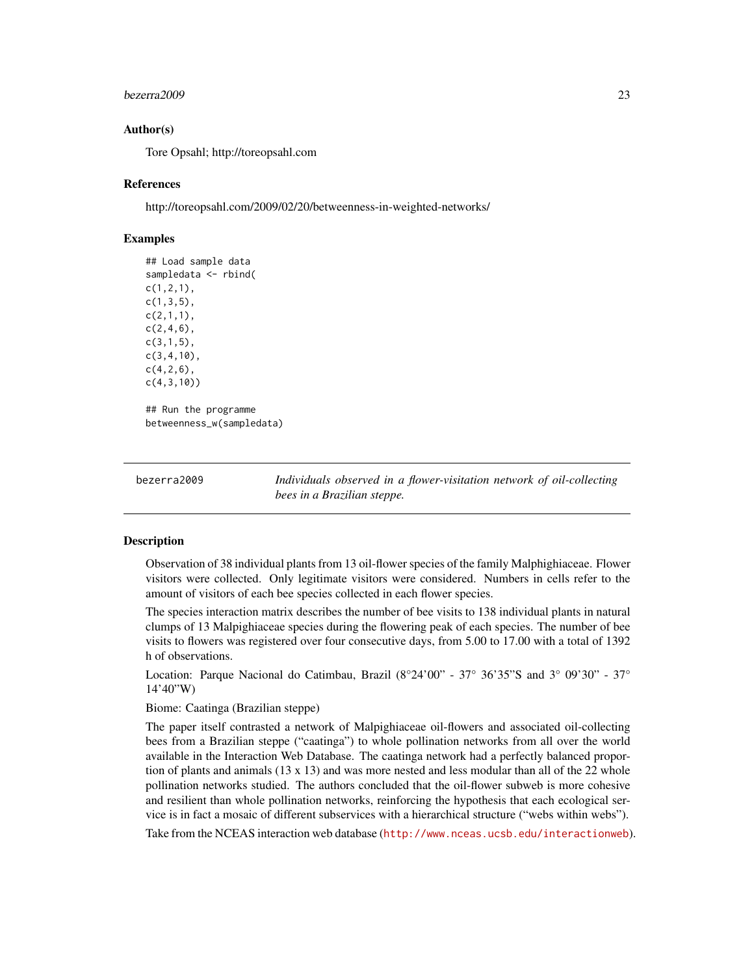#### <span id="page-22-0"></span>bezerra2009 23

# Author(s)

Tore Opsahl; http://toreopsahl.com

#### References

http://toreopsahl.com/2009/02/20/betweenness-in-weighted-networks/

# Examples

```
## Load sample data
sampledata <- rbind(
c(1,2,1),
c(1,3,5),
c(2,1,1),
c(2,4,6),
c(3,1,5),
c(3,4,10),
c(4, 2, 6),
c(4,3,10))
## Run the programme
betweenness_w(sampledata)
```
<span id="page-22-1"></span>bezerra2009 *Individuals observed in a flower-visitation network of oil-collecting bees in a Brazilian steppe.*

# Description

Observation of 38 individual plants from 13 oil-flower species of the family Malphighiaceae. Flower visitors were collected. Only legitimate visitors were considered. Numbers in cells refer to the amount of visitors of each bee species collected in each flower species.

The species interaction matrix describes the number of bee visits to 138 individual plants in natural clumps of 13 Malpighiaceae species during the flowering peak of each species. The number of bee visits to flowers was registered over four consecutive days, from 5.00 to 17.00 with a total of 1392 h of observations.

Location: Parque Nacional do Catimbau, Brazil  $(8^{\circ}24'00'' - 37^{\circ} 36'35''S$  and  $3^{\circ} 09'30'' - 37^{\circ}$ 14'40"W)

Biome: Caatinga (Brazilian steppe)

The paper itself contrasted a network of Malpighiaceae oil-flowers and associated oil-collecting bees from a Brazilian steppe ("caatinga") to whole pollination networks from all over the world available in the Interaction Web Database. The caatinga network had a perfectly balanced proportion of plants and animals (13 x 13) and was more nested and less modular than all of the 22 whole pollination networks studied. The authors concluded that the oil-flower subweb is more cohesive and resilient than whole pollination networks, reinforcing the hypothesis that each ecological service is in fact a mosaic of different subservices with a hierarchical structure ("webs within webs").

Take from the NCEAS interaction web database (<http://www.nceas.ucsb.edu/interactionweb>).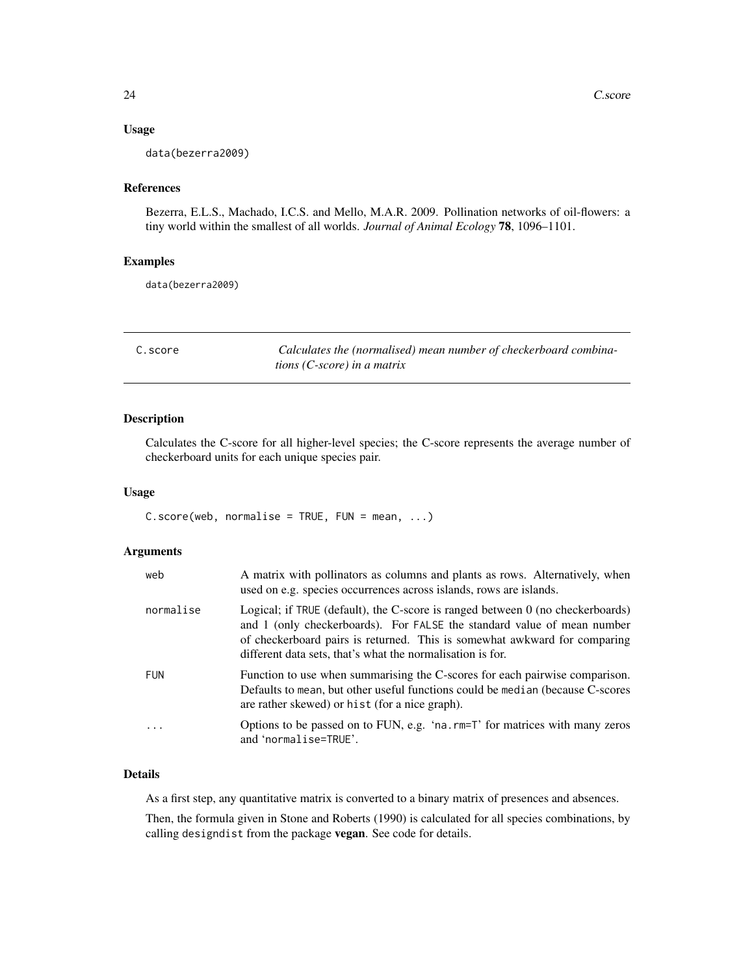# <span id="page-23-0"></span>Usage

data(bezerra2009)

### References

Bezerra, E.L.S., Machado, I.C.S. and Mello, M.A.R. 2009. Pollination networks of oil-flowers: a tiny world within the smallest of all worlds. *Journal of Animal Ecology* 78, 1096–1101.

# Examples

data(bezerra2009)

<span id="page-23-1"></span>

| C.score | Calculates the (normalised) mean number of checkerboard combina- |
|---------|------------------------------------------------------------------|
|         | tions (C-score) in a matrix                                      |

# Description

Calculates the C-score for all higher-level species; the C-score represents the average number of checkerboard units for each unique species pair.

# Usage

 $C.score(web, normalise = TRUE, FUN = mean, ...)$ 

# Arguments

| web        | A matrix with pollinators as columns and plants as rows. Alternatively, when<br>used on e.g. species occurrences across islands, rows are islands.                                                                                                                                                   |
|------------|------------------------------------------------------------------------------------------------------------------------------------------------------------------------------------------------------------------------------------------------------------------------------------------------------|
| normalise  | Logical; if TRUE (default), the C-score is ranged between 0 (no checkerboards)<br>and 1 (only checkerboards). For FALSE the standard value of mean number<br>of checkerboard pairs is returned. This is somewhat awkward for comparing<br>different data sets, that's what the normalisation is for. |
| <b>FUN</b> | Function to use when summarising the C-scores for each pairwise comparison.<br>Defaults to mean, but other useful functions could be median (because C-scores<br>are rather skewed) or hist (for a nice graph).                                                                                      |
|            | Options to be passed on to FUN, e.g. 'na. rm=T' for matrices with many zeros<br>and 'normalise=TRUE'.                                                                                                                                                                                                |

# Details

As a first step, any quantitative matrix is converted to a binary matrix of presences and absences.

Then, the formula given in Stone and Roberts (1990) is calculated for all species combinations, by calling designdist from the package vegan. See code for details.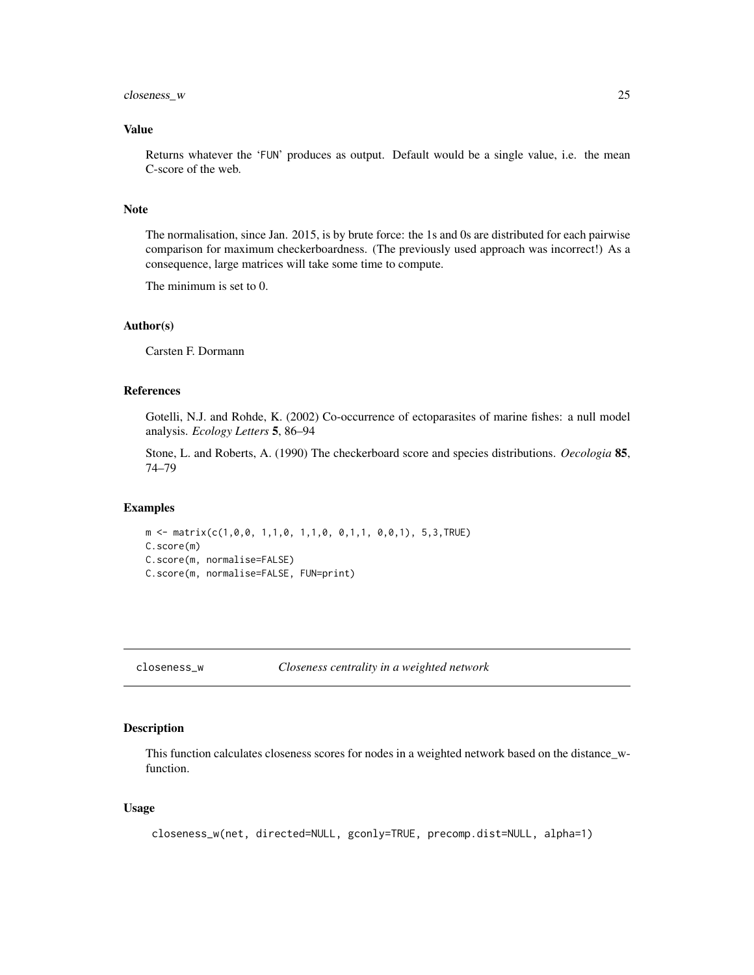# <span id="page-24-0"></span>closeness\_w 25

# Value

Returns whatever the 'FUN' produces as output. Default would be a single value, i.e. the mean C-score of the web.

# Note

The normalisation, since Jan. 2015, is by brute force: the 1s and 0s are distributed for each pairwise comparison for maximum checkerboardness. (The previously used approach was incorrect!) As a consequence, large matrices will take some time to compute.

The minimum is set to 0.

# Author(s)

Carsten F. Dormann

# References

Gotelli, N.J. and Rohde, K. (2002) Co-occurrence of ectoparasites of marine fishes: a null model analysis. *Ecology Letters* 5, 86–94

Stone, L. and Roberts, A. (1990) The checkerboard score and species distributions. *Oecologia* 85, 74–79

# Examples

```
m \le - matrix(c(1,0,0, 1,1,0, 1,1,0, 0,1,1, 0,0,1), 5,3,TRUE)
C.score(m)
C.score(m, normalise=FALSE)
C.score(m, normalise=FALSE, FUN=print)
```
<span id="page-24-1"></span>closeness\_w *Closeness centrality in a weighted network*

#### Description

This function calculates closeness scores for nodes in a weighted network based on the distance\_wfunction.

#### Usage

```
closeness_w(net, directed=NULL, gconly=TRUE, precomp.dist=NULL, alpha=1)
```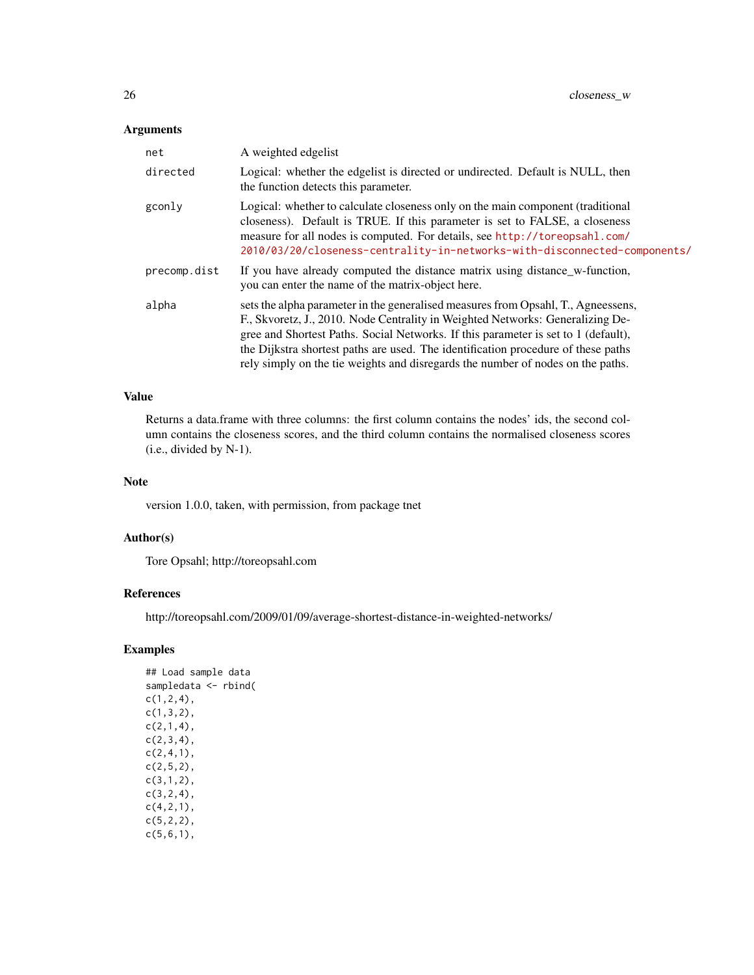# Arguments

| net          | A weighted edgelist                                                                                                                                                                                                                                                                                                                                                                                                              |
|--------------|----------------------------------------------------------------------------------------------------------------------------------------------------------------------------------------------------------------------------------------------------------------------------------------------------------------------------------------------------------------------------------------------------------------------------------|
| directed     | Logical: whether the edgelist is directed or undirected. Default is NULL, then<br>the function detects this parameter.                                                                                                                                                                                                                                                                                                           |
| gconly       | Logical: whether to calculate closeness only on the main component (traditional<br>closeness). Default is TRUE. If this parameter is set to FALSE, a closeness<br>measure for all nodes is computed. For details, see http://toreopsahl.com/<br>2010/03/20/closeness-centrality-in-networks-with-disconnected-components/                                                                                                        |
| precomp.dist | If you have already computed the distance matrix using distance w-function,<br>you can enter the name of the matrix-object here.                                                                                                                                                                                                                                                                                                 |
| alpha        | sets the alpha parameter in the generalised measures from Opsahl, T., Agnessens,<br>F., Skvoretz, J., 2010. Node Centrality in Weighted Networks: Generalizing De-<br>gree and Shortest Paths. Social Networks. If this parameter is set to 1 (default),<br>the Dijkstra shortest paths are used. The identification procedure of these paths<br>rely simply on the tie weights and disregards the number of nodes on the paths. |

# Value

Returns a data.frame with three columns: the first column contains the nodes' ids, the second column contains the closeness scores, and the third column contains the normalised closeness scores (i.e., divided by N-1).

# Note

version 1.0.0, taken, with permission, from package tnet

# Author(s)

Tore Opsahl; http://toreopsahl.com

# References

http://toreopsahl.com/2009/01/09/average-shortest-distance-in-weighted-networks/

# Examples

## Load sample data sampledata <- rbind(  $c(1,2,4)$ , c(1,3,2),  $c(2,1,4)$ ,  $c(2,3,4)$ ,  $c(2,4,1)$ ,  $c(2,5,2)$ , c(3,1,2), c(3,2,4), c(4,2,1), c(5,2,2),  $c(5,6,1)$ ,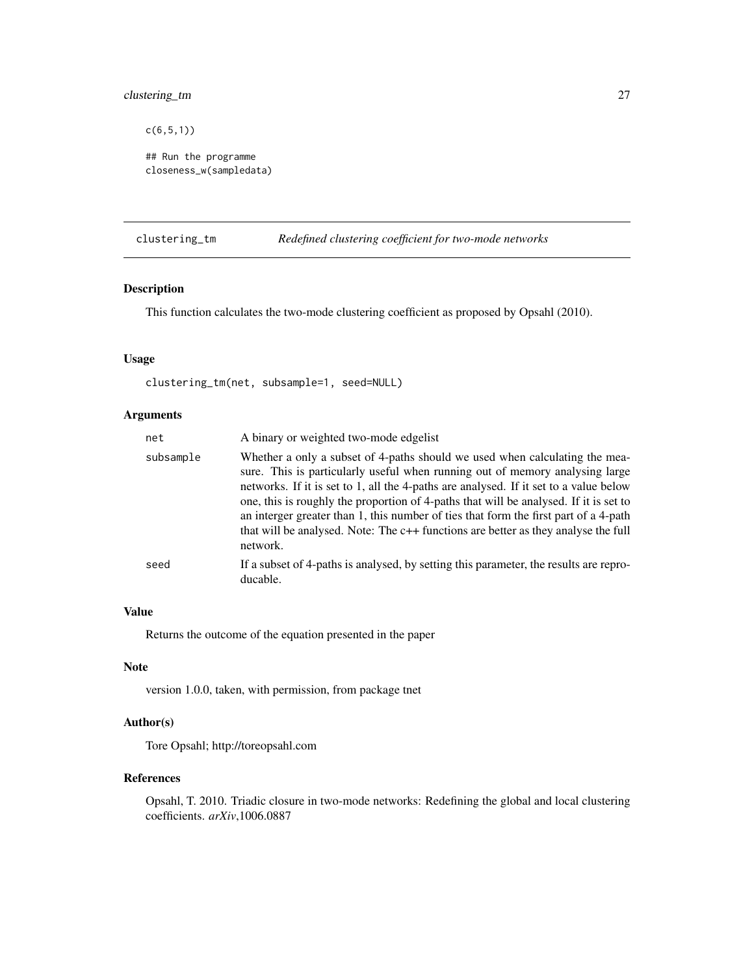# <span id="page-26-0"></span>clustering\_tm 27

c(6,5,1))

```
## Run the programme
closeness_w(sampledata)
```
<span id="page-26-1"></span>clustering\_tm *Redefined clustering coefficient for two-mode networks*

# Description

This function calculates the two-mode clustering coefficient as proposed by Opsahl (2010).

# Usage

```
clustering_tm(net, subsample=1, seed=NULL)
```
# Arguments

| net       | A binary or weighted two-mode edgelist                                                                                                                                                                                                                                                                                                                                                                                                                                                                                                  |
|-----------|-----------------------------------------------------------------------------------------------------------------------------------------------------------------------------------------------------------------------------------------------------------------------------------------------------------------------------------------------------------------------------------------------------------------------------------------------------------------------------------------------------------------------------------------|
| subsample | Whether a only a subset of 4-paths should we used when calculating the mea-<br>sure. This is particularly useful when running out of memory analysing large<br>networks. If it is set to 1, all the 4-paths are analysed. If it set to a value below<br>one, this is roughly the proportion of 4-paths that will be analysed. If it is set to<br>an interger greater than 1, this number of ties that form the first part of a 4-path<br>that will be analysed. Note: The c++ functions are better as they analyse the full<br>network. |
| seed      | If a subset of 4-paths is analysed, by setting this parameter, the results are repro-<br>ducable.                                                                                                                                                                                                                                                                                                                                                                                                                                       |

# Value

Returns the outcome of the equation presented in the paper

# Note

version 1.0.0, taken, with permission, from package tnet

# Author(s)

Tore Opsahl; http://toreopsahl.com

# References

Opsahl, T. 2010. Triadic closure in two-mode networks: Redefining the global and local clustering coefficients. *arXiv*,1006.0887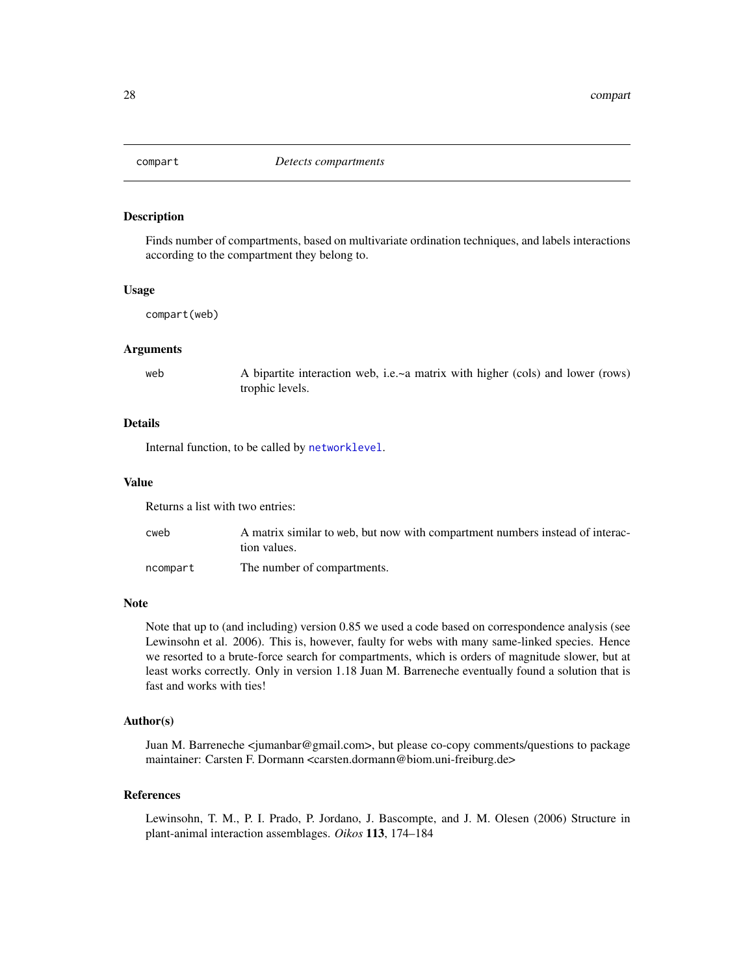<span id="page-27-0"></span>

# Description

Finds number of compartments, based on multivariate ordination techniques, and labels interactions according to the compartment they belong to.

#### Usage

compart(web)

#### Arguments

web  $\blacksquare$  A bipartite interaction web, i.e.~a matrix with higher (cols) and lower (rows) trophic levels.

# Details

Internal function, to be called by [networklevel](#page-80-1).

# Value

Returns a list with two entries:

| cweb     | A matrix similar to web, but now with compartment numbers instead of interac-<br>tion values. |
|----------|-----------------------------------------------------------------------------------------------|
| ncompart | The number of compartments.                                                                   |

#### Note

Note that up to (and including) version 0.85 we used a code based on correspondence analysis (see Lewinsohn et al. 2006). This is, however, faulty for webs with many same-linked species. Hence we resorted to a brute-force search for compartments, which is orders of magnitude slower, but at least works correctly. Only in version 1.18 Juan M. Barreneche eventually found a solution that is fast and works with ties!

# Author(s)

Juan M. Barreneche <jumanbar@gmail.com>, but please co-copy comments/questions to package maintainer: Carsten F. Dormann <carsten.dormann@biom.uni-freiburg.de>

# References

Lewinsohn, T. M., P. I. Prado, P. Jordano, J. Bascompte, and J. M. Olesen (2006) Structure in plant-animal interaction assemblages. *Oikos* 113, 174–184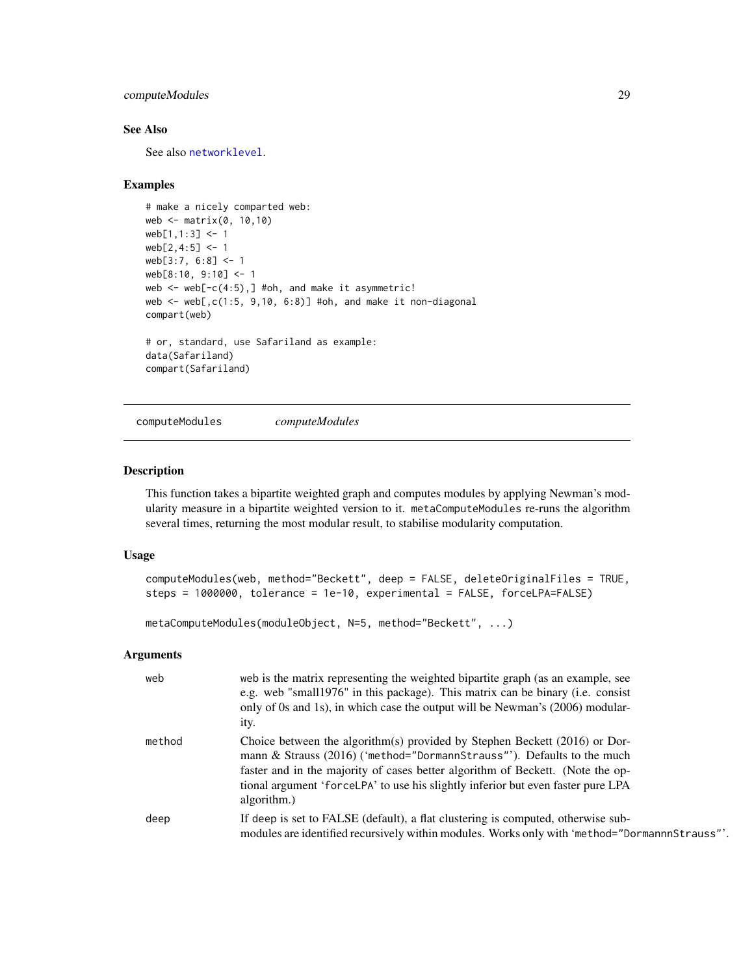# <span id="page-28-0"></span>computeModules 29

# See Also

See also [networklevel](#page-80-1).

### Examples

```
# make a nicely comparted web:
web <- matrix(0, 10,10)
web[1,1:3] < -1web[2,4:5] < -1web[3:7, 6:8] <- 1
web[8:10, 9:10] <- 1
web \leq web[-c(4:5),] #oh, and make it asymmetric!
web \le web[,c(1:5, 9,10, 6:8)] #oh, and make it non-diagonal
compart(web)
# or, standard, use Safariland as example:
data(Safariland)
compart(Safariland)
```
<span id="page-28-1"></span>computeModules *computeModules*

#### <span id="page-28-2"></span>Description

This function takes a bipartite weighted graph and computes modules by applying Newman's modularity measure in a bipartite weighted version to it. metaComputeModules re-runs the algorithm several times, returning the most modular result, to stabilise modularity computation.

# Usage

```
computeModules(web, method="Beckett", deep = FALSE, deleteOriginalFiles = TRUE,
steps = 1000000, tolerance = 1e-10, experimental = FALSE, forceLPA=FALSE)
```

```
metaComputeModules(moduleObject, N=5, method="Beckett", ...)
```
#### Arguments

| web    | web is the matrix representing the weighted bipartite graph (as an example, see<br>e.g. web "small1976" in this package). This matrix can be binary (i.e. consist<br>only of 0s and 1s), in which case the output will be Newman's (2006) modular-<br>ity.                                                                                 |
|--------|--------------------------------------------------------------------------------------------------------------------------------------------------------------------------------------------------------------------------------------------------------------------------------------------------------------------------------------------|
| method | Choice between the algorithm(s) provided by Stephen Beckett (2016) or Dor-<br>mann & Strauss (2016) ('method="DormannStrauss"'). Defaults to the much<br>faster and in the majority of cases better algorithm of Beckett. (Note the op-<br>tional argument 'forceLPA' to use his slightly inferior but even faster pure LPA<br>algorithm.) |
| deep   | If deep is set to FALSE (default), a flat clustering is computed, otherwise sub-<br>modules are identified recursively within modules. Works only with 'method="DormannnStrauss"'.                                                                                                                                                         |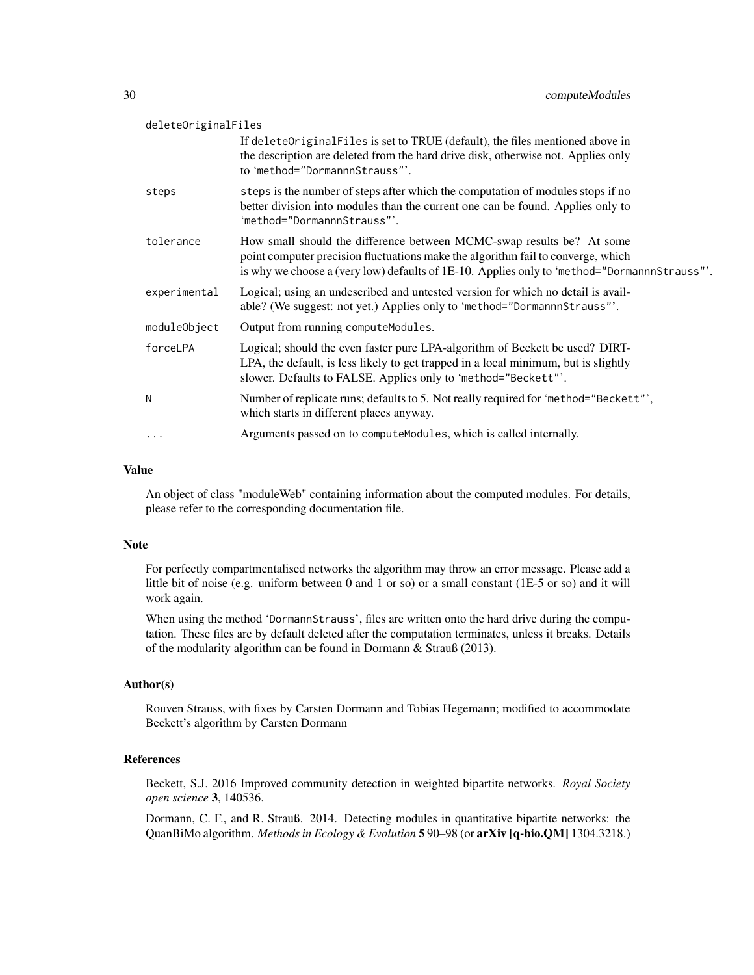| deleteOriginalFiles |                                                                                                                                                                                                                                                           |
|---------------------|-----------------------------------------------------------------------------------------------------------------------------------------------------------------------------------------------------------------------------------------------------------|
|                     | If deleteOriginalFiles is set to TRUE (default), the files mentioned above in<br>the description are deleted from the hard drive disk, otherwise not. Applies only<br>to 'method="DormannnStrauss"'.                                                      |
| steps               | steps is the number of steps after which the computation of modules stops if no<br>better division into modules than the current one can be found. Applies only to<br>'method="DormannnStrauss"'.                                                         |
| tolerance           | How small should the difference between MCMC-swap results be? At some<br>point computer precision fluctuations make the algorithm fail to converge, which<br>is why we choose a (very low) defaults of 1E-10. Applies only to 'method="DormannnStrauss"'. |
| experimental        | Logical; using an undescribed and untested version for which no detail is avail-<br>able? (We suggest: not yet.) Applies only to 'method="DormannnStrauss"'.                                                                                              |
| moduleObject        | Output from running computeModules.                                                                                                                                                                                                                       |
| forceLPA            | Logical; should the even faster pure LPA-algorithm of Beckett be used? DIRT-<br>LPA, the default, is less likely to get trapped in a local minimum, but is slightly<br>slower. Defaults to FALSE. Applies only to 'method="Beckett"'.                     |
| N                   | Number of replicate runs; defaults to 5. Not really required for 'method="Beckett"',<br>which starts in different places anyway.                                                                                                                          |
| $\cdots$            | Arguments passed on to compute Modules, which is called internally.                                                                                                                                                                                       |

### Value

An object of class "moduleWeb" containing information about the computed modules. For details, please refer to the corresponding documentation file.

#### Note

For perfectly compartmentalised networks the algorithm may throw an error message. Please add a little bit of noise (e.g. uniform between 0 and 1 or so) or a small constant (1E-5 or so) and it will work again.

When using the method 'DormannStrauss', files are written onto the hard drive during the computation. These files are by default deleted after the computation terminates, unless it breaks. Details of the modularity algorithm can be found in Dormann & Strauß (2013).

# Author(s)

Rouven Strauss, with fixes by Carsten Dormann and Tobias Hegemann; modified to accommodate Beckett's algorithm by Carsten Dormann

#### References

Beckett, S.J. 2016 Improved community detection in weighted bipartite networks. *Royal Society open science* 3, 140536.

Dormann, C. F., and R. Strauß. 2014. Detecting modules in quantitative bipartite networks: the QuanBiMo algorithm. *Methods in Ecology & Evolution* 5 90–98 (or arXiv [q-bio.QM] 1304.3218.)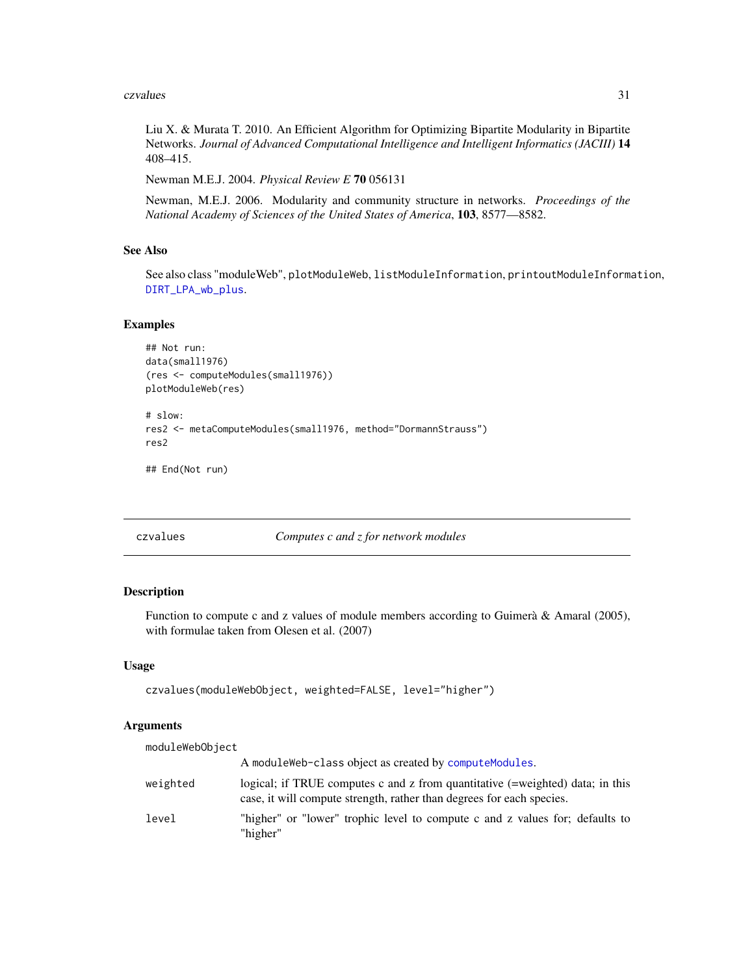#### <span id="page-30-0"></span>czvalues 31

Liu X. & Murata T. 2010. An Efficient Algorithm for Optimizing Bipartite Modularity in Bipartite Networks. *Journal of Advanced Computational Intelligence and Intelligent Informatics (JACIII)* 14 408–415.

Newman M.E.J. 2004. *Physical Review E* 70 056131

Newman, M.E.J. 2006. Modularity and community structure in networks. *Proceedings of the National Academy of Sciences of the United States of America*, 103, 8577—8582.

# See Also

See also class "moduleWeb", plotModuleWeb, listModuleInformation, printoutModuleInformation, [DIRT\\_LPA\\_wb\\_plus](#page-38-1).

# Examples

```
## Not run:
data(small1976)
(res <- computeModules(small1976))
plotModuleWeb(res)
```

```
# slow:
res2 <- metaComputeModules(small1976, method="DormannStrauss")
res2
```

```
## End(Not run)
```
<span id="page-30-1"></span>czvalues *Computes c and z for network modules*

#### Description

Function to compute c and z values of module members according to Guimerà & Amaral (2005), with formulae taken from Olesen et al. (2007)

# Usage

```
czvalues(moduleWebObject, weighted=FALSE, level="higher")
```
# Arguments

| moduleWebObject |                                                                                                                                                        |
|-----------------|--------------------------------------------------------------------------------------------------------------------------------------------------------|
|                 | A module Web-class object as created by compute Modules.                                                                                               |
| weighted        | logical; if TRUE computes c and z from quantitative (=weighted) data; in this<br>case, it will compute strength, rather than degrees for each species. |
| level           | "higher" or "lower" trophic level to compute c and z values for; defaults to<br>"higher"                                                               |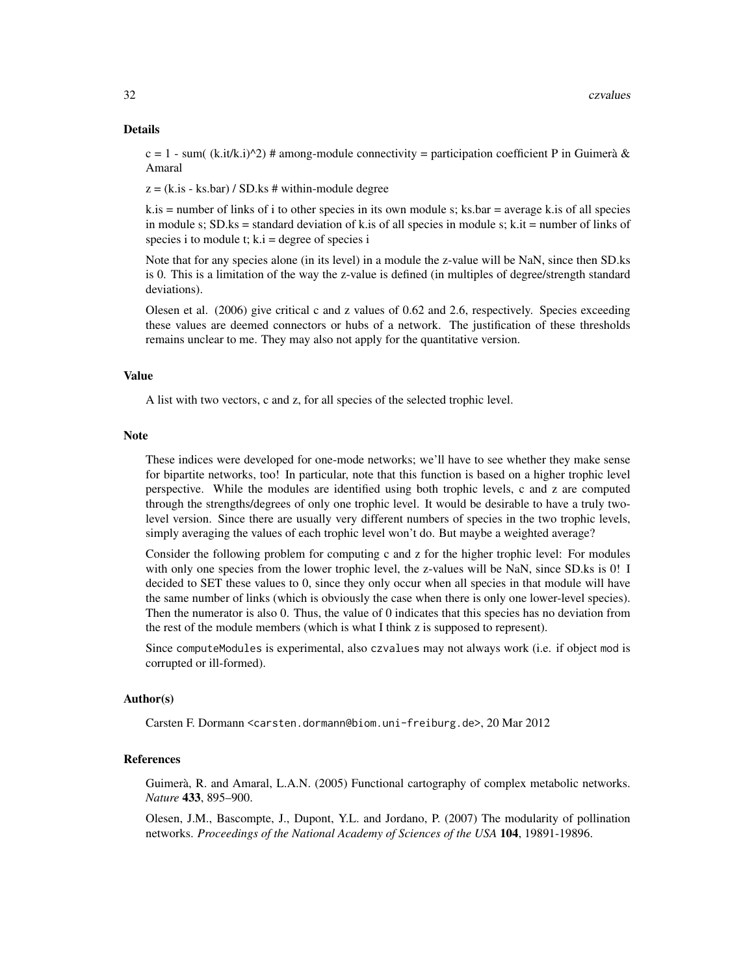#### Details

 $c = 1$  - sum( (k.it/k.i) $\triangle 2$ ) # among-module connectivity = participation coefficient P in Guimerà & Amaral

 $z = (k.is - ks.bar) / SD.ks # within-module degree$ 

 $k.is = number of links of i to other species in its own module s; ks-bar = average k.is of all species$ in module s;  $SD$ , ks = standard deviation of k. is of all species in module s; k. it = number of links of species i to module t;  $k.i = degree of species i$ 

Note that for any species alone (in its level) in a module the z-value will be NaN, since then SD.ks is 0. This is a limitation of the way the z-value is defined (in multiples of degree/strength standard deviations).

Olesen et al. (2006) give critical c and z values of 0.62 and 2.6, respectively. Species exceeding these values are deemed connectors or hubs of a network. The justification of these thresholds remains unclear to me. They may also not apply for the quantitative version.

### Value

A list with two vectors, c and z, for all species of the selected trophic level.

#### Note

These indices were developed for one-mode networks; we'll have to see whether they make sense for bipartite networks, too! In particular, note that this function is based on a higher trophic level perspective. While the modules are identified using both trophic levels, c and z are computed through the strengths/degrees of only one trophic level. It would be desirable to have a truly twolevel version. Since there are usually very different numbers of species in the two trophic levels, simply averaging the values of each trophic level won't do. But maybe a weighted average?

Consider the following problem for computing c and z for the higher trophic level: For modules with only one species from the lower trophic level, the z-values will be NaN, since SD.ks is 0! I decided to SET these values to 0, since they only occur when all species in that module will have the same number of links (which is obviously the case when there is only one lower-level species). Then the numerator is also 0. Thus, the value of 0 indicates that this species has no deviation from the rest of the module members (which is what I think z is supposed to represent).

Since computeModules is experimental, also czvalues may not always work (i.e. if object mod is corrupted or ill-formed).

#### Author(s)

Carsten F. Dormann <carsten.dormann@biom.uni-freiburg.de>, 20 Mar 2012

# References

Guimerà, R. and Amaral, L.A.N. (2005) Functional cartography of complex metabolic networks. *Nature* 433, 895–900.

Olesen, J.M., Bascompte, J., Dupont, Y.L. and Jordano, P. (2007) The modularity of pollination networks. *Proceedings of the National Academy of Sciences of the USA* 104, 19891-19896.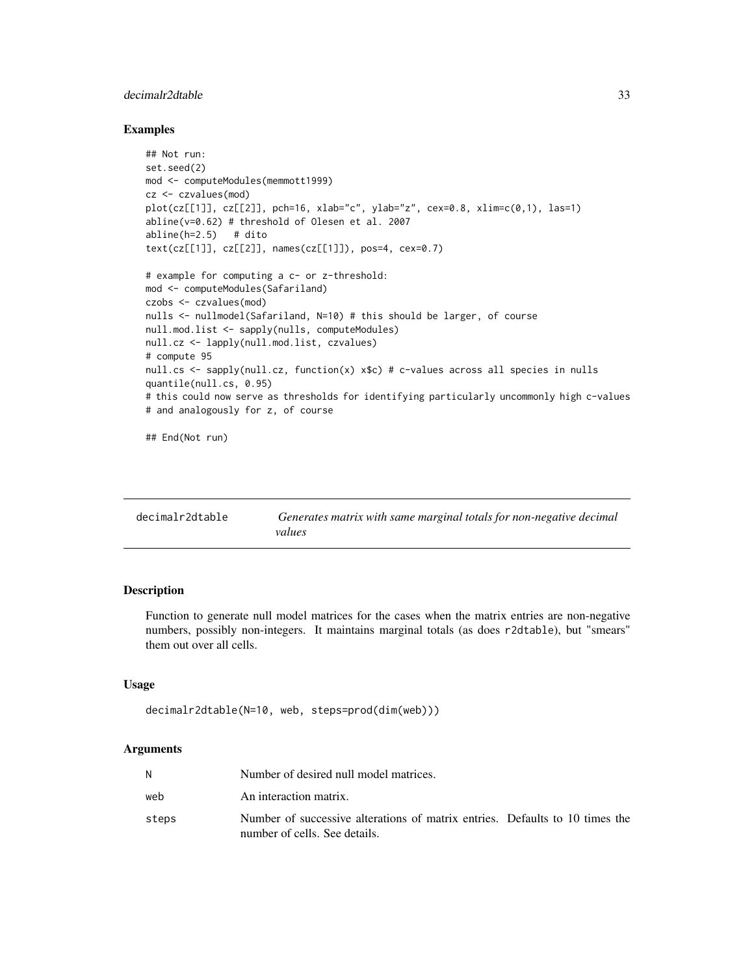# <span id="page-32-0"></span>decimalr2dtable 33

#### Examples

```
## Not run:
set.seed(2)
mod <- computeModules(memmott1999)
cz <- czvalues(mod)
plot(cz[[1]], cz[[2]], pch=16, xlab="c", ylab="z", cex=0.8, xlim=c(0,1), las=1)
abline(v=0.62) # threshold of Olesen et al. 2007
abline(h=2.5) # dito
text(cz[[1]], cz[[2]], names(cz[[1]]), pos=4, cex=0.7)
# example for computing a c- or z-threshold:
mod <- computeModules(Safariland)
czobs <- czvalues(mod)
nulls <- nullmodel(Safariland, N=10) # this should be larger, of course
null.mod.list <- sapply(nulls, computeModules)
null.cz <- lapply(null.mod.list, czvalues)
# compute 95
null.cs <- sapply(null.cz, function(x) x$c) # c-values across all species in nulls
quantile(null.cs, 0.95)
# this could now serve as thresholds for identifying particularly uncommonly high c-values
# and analogously for z, of course
## End(Not run)
```
<span id="page-32-1"></span>

| decimalr2dtable | Generates matrix with same marginal totals for non-negative decimal |
|-----------------|---------------------------------------------------------------------|
|                 | values                                                              |

# Description

Function to generate null model matrices for the cases when the matrix entries are non-negative numbers, possibly non-integers. It maintains marginal totals (as does r2dtable), but "smears" them out over all cells.

# Usage

```
decimalr2dtable(N=10, web, steps=prod(dim(web)))
```
#### Arguments

|       | Number of desired null model matrices.                                                                        |
|-------|---------------------------------------------------------------------------------------------------------------|
| web   | An interaction matrix.                                                                                        |
| steps | Number of successive alterations of matrix entries. Defaults to 10 times the<br>number of cells. See details. |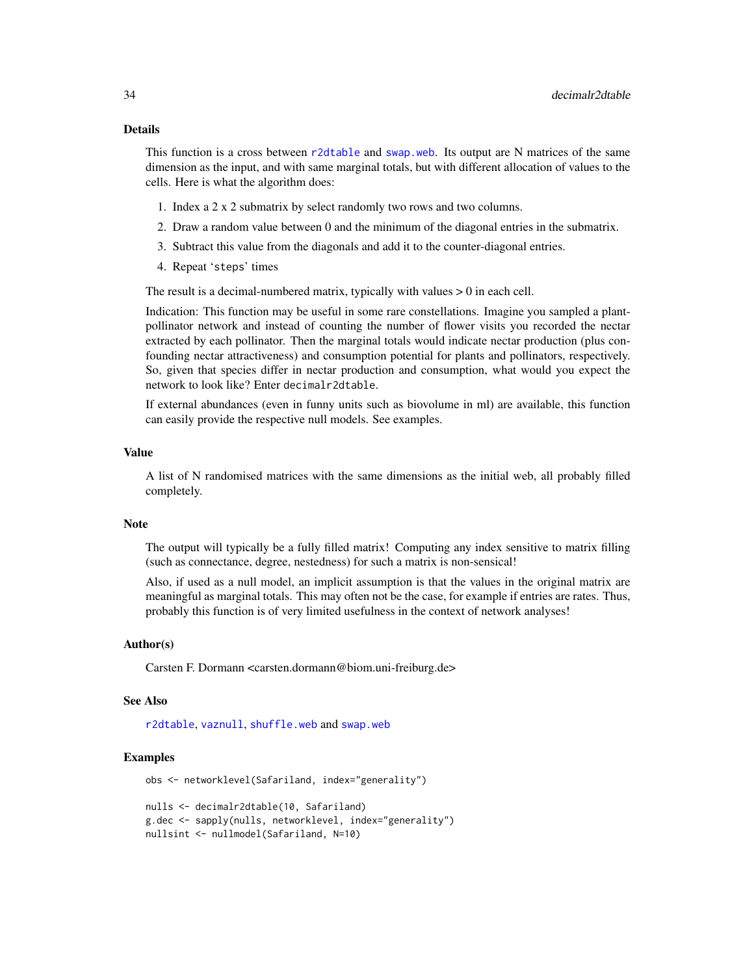#### Details

This function is a cross between [r2dtable](#page-0-0) and [swap.web](#page-136-1). Its output are N matrices of the same dimension as the input, and with same marginal totals, but with different allocation of values to the cells. Here is what the algorithm does:

- 1. Index a 2 x 2 submatrix by select randomly two rows and two columns.
- 2. Draw a random value between 0 and the minimum of the diagonal entries in the submatrix.
- 3. Subtract this value from the diagonals and add it to the counter-diagonal entries.
- 4. Repeat 'steps' times

The result is a decimal-numbered matrix, typically with values > 0 in each cell.

Indication: This function may be useful in some rare constellations. Imagine you sampled a plantpollinator network and instead of counting the number of flower visits you recorded the nectar extracted by each pollinator. Then the marginal totals would indicate nectar production (plus confounding nectar attractiveness) and consumption potential for plants and pollinators, respectively. So, given that species differ in nectar production and consumption, what would you expect the network to look like? Enter decimalr2dtable.

If external abundances (even in funny units such as biovolume in ml) are available, this function can easily provide the respective null models. See examples.

# Value

A list of N randomised matrices with the same dimensions as the initial web, all probably filled completely.

#### **Note**

The output will typically be a fully filled matrix! Computing any index sensitive to matrix filling (such as connectance, degree, nestedness) for such a matrix is non-sensical!

Also, if used as a null model, an implicit assumption is that the values in the original matrix are meaningful as marginal totals. This may often not be the case, for example if entries are rates. Thus, probably this function is of very limited usefulness in the context of network analyses!

# Author(s)

Carsten F. Dormann <carsten.dormann@biom.uni-freiburg.de>

#### See Also

[r2dtable](#page-0-0), [vaznull](#page-145-1), [shuffle.web](#page-123-1) and [swap.web](#page-136-1)

# Examples

```
obs <- networklevel(Safariland, index="generality")
```

```
nulls <- decimalr2dtable(10, Safariland)
g.dec <- sapply(nulls, networklevel, index="generality")
nullsint <- nullmodel(Safariland, N=10)
```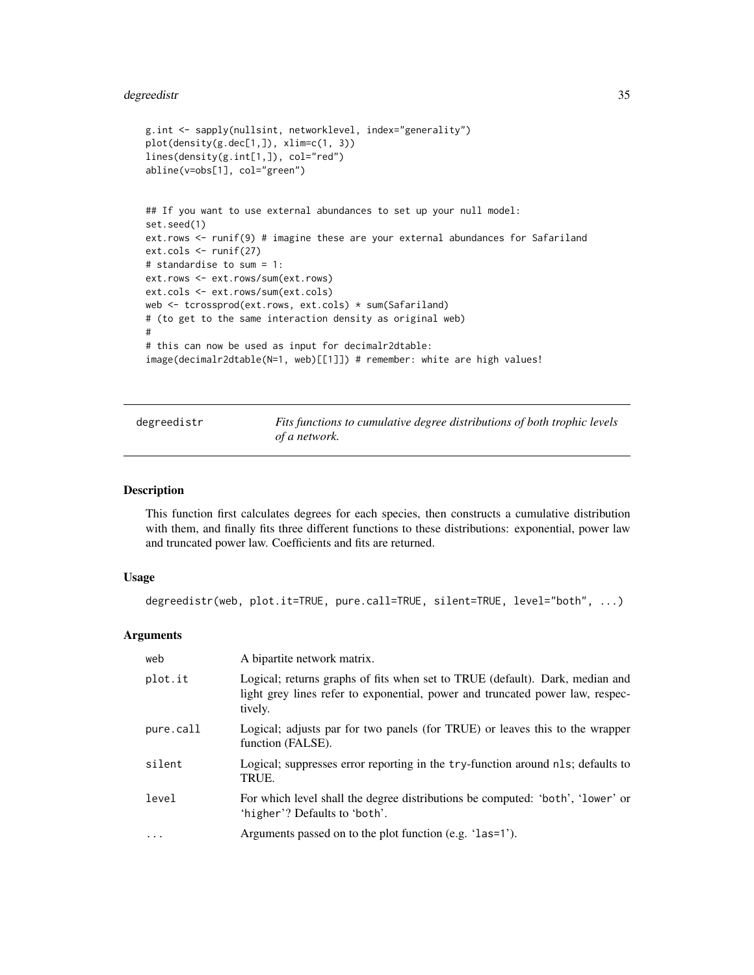# <span id="page-34-0"></span>degreedistr 35

```
g.int <- sapply(nullsint, networklevel, index="generality")
plot(density(g.dec[1,]), xlim=c(1, 3))
lines(density(g.int[1,]), col="red")
abline(v=obs[1], col="green")
## If you want to use external abundances to set up your null model:
set.seed(1)
ext.rows <- runif(9) # imagine these are your external abundances for Safariland
ext.cols <- runif(27)
# standardise to sum = 1:
ext.rows <- ext.rows/sum(ext.rows)
ext.cols <- ext.rows/sum(ext.cols)
web <- tcrossprod(ext.rows, ext.cols) * sum(Safariland)
# (to get to the same interaction density as original web)
#
# this can now be used as input for decimalr2dtable:
image(decimalr2dtable(N=1, web)[[1]]) # remember: white are high values!
```
<span id="page-34-1"></span>degreedistr *Fits functions to cumulative degree distributions of both trophic levels of a network.*

#### Description

This function first calculates degrees for each species, then constructs a cumulative distribution with them, and finally fits three different functions to these distributions: exponential, power law and truncated power law. Coefficients and fits are returned.

#### Usage

```
degreedistr(web, plot.it=TRUE, pure.call=TRUE, silent=TRUE, level="both", ...)
```
# **Arguments**

| web       | A bipartite network matrix.                                                                                                                                              |
|-----------|--------------------------------------------------------------------------------------------------------------------------------------------------------------------------|
| plot.it   | Logical; returns graphs of fits when set to TRUE (default). Dark, median and<br>light grey lines refer to exponential, power and truncated power law, respec-<br>tively. |
| pure.call | Logical; adjusts par for two panels (for TRUE) or leaves this to the wrapper<br>function (FALSE).                                                                        |
| silent    | Logical; suppresses error reporting in the try-function around nls; defaults to<br>TRUE.                                                                                 |
| level     | For which level shall the degree distributions be computed: 'both', 'lower' or<br>'higher'? Defaults to 'both'.                                                          |
| $\ddotsc$ | Arguments passed on to the plot function (e.g. 'las=1').                                                                                                                 |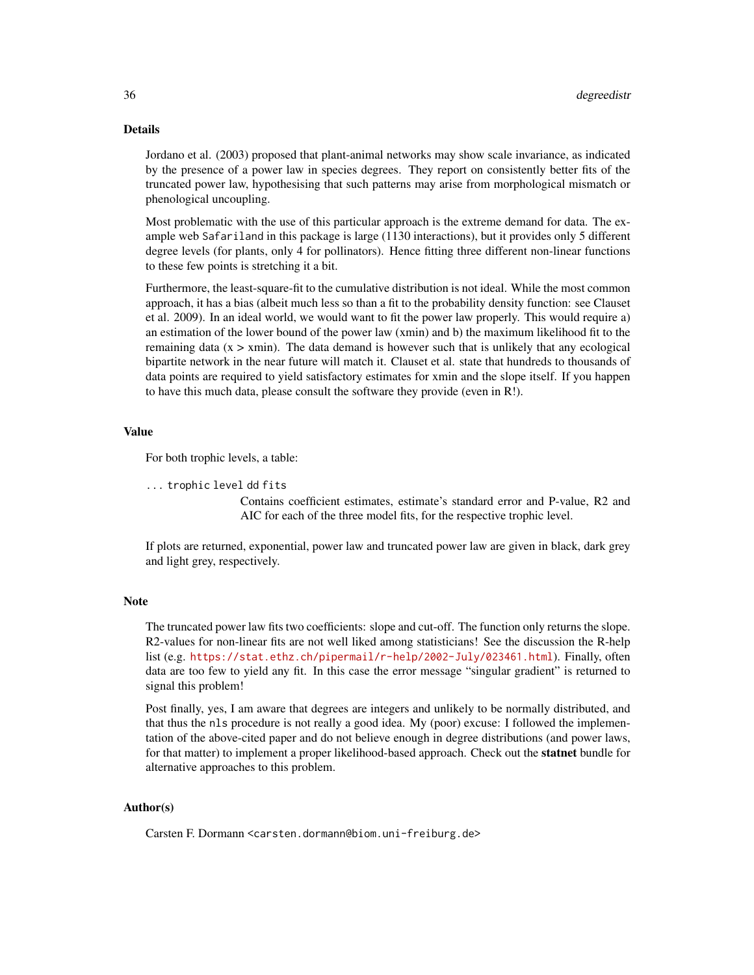#### Details

Jordano et al. (2003) proposed that plant-animal networks may show scale invariance, as indicated by the presence of a power law in species degrees. They report on consistently better fits of the truncated power law, hypothesising that such patterns may arise from morphological mismatch or phenological uncoupling.

Most problematic with the use of this particular approach is the extreme demand for data. The example web Safariland in this package is large (1130 interactions), but it provides only 5 different degree levels (for plants, only 4 for pollinators). Hence fitting three different non-linear functions to these few points is stretching it a bit.

Furthermore, the least-square-fit to the cumulative distribution is not ideal. While the most common approach, it has a bias (albeit much less so than a fit to the probability density function: see Clauset et al. 2009). In an ideal world, we would want to fit the power law properly. This would require a) an estimation of the lower bound of the power law (xmin) and b) the maximum likelihood fit to the remaining data  $(x > xmin)$ . The data demand is however such that is unlikely that any ecological bipartite network in the near future will match it. Clauset et al. state that hundreds to thousands of data points are required to yield satisfactory estimates for xmin and the slope itself. If you happen to have this much data, please consult the software they provide (even in R!).

# Value

For both trophic levels, a table:

```
... trophic level dd fits
```
Contains coefficient estimates, estimate's standard error and P-value, R2 and AIC for each of the three model fits, for the respective trophic level.

If plots are returned, exponential, power law and truncated power law are given in black, dark grey and light grey, respectively.

# **Note**

The truncated power law fits two coefficients: slope and cut-off. The function only returns the slope. R2-values for non-linear fits are not well liked among statisticians! See the discussion the R-help list (e.g. <https://stat.ethz.ch/pipermail/r-help/2002-July/023461.html>). Finally, often data are too few to yield any fit. In this case the error message "singular gradient" is returned to signal this problem!

Post finally, yes, I am aware that degrees are integers and unlikely to be normally distributed, and that thus the nls procedure is not really a good idea. My (poor) excuse: I followed the implementation of the above-cited paper and do not believe enough in degree distributions (and power laws, for that matter) to implement a proper likelihood-based approach. Check out the **statnet** bundle for alternative approaches to this problem.

# Author(s)

Carsten F. Dormann <carsten.dormann@biom.uni-freiburg.de>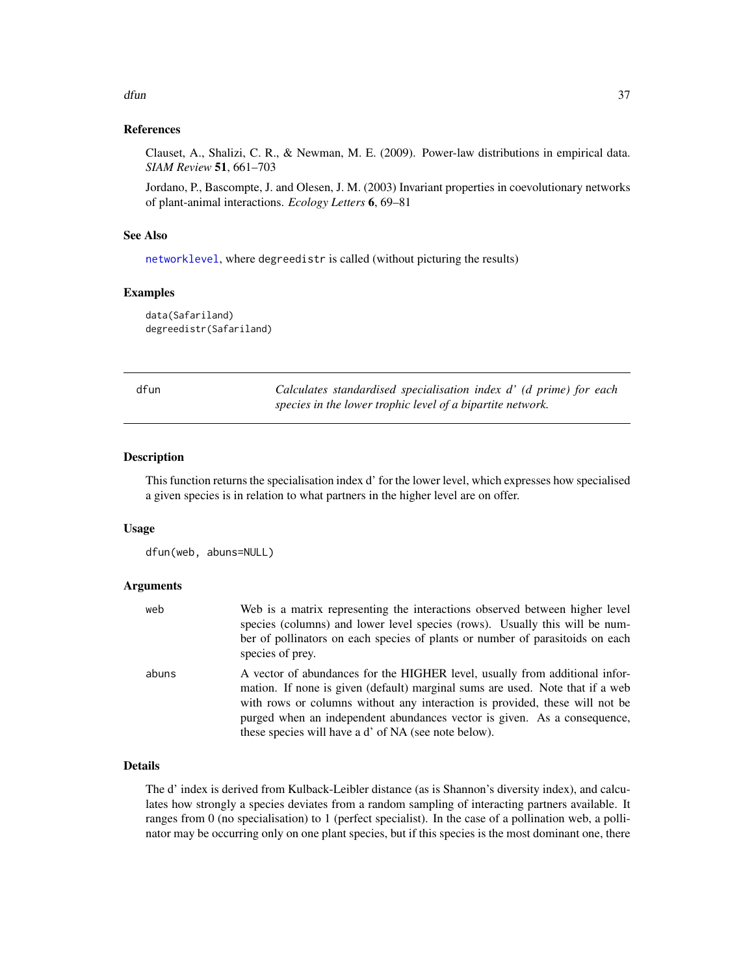#### $d$ fun  $37$

## References

Clauset, A., Shalizi, C. R., & Newman, M. E. (2009). Power-law distributions in empirical data. *SIAM Review* 51, 661–703

Jordano, P., Bascompte, J. and Olesen, J. M. (2003) Invariant properties in coevolutionary networks of plant-animal interactions. *Ecology Letters* 6, 69–81

## See Also

[networklevel](#page-80-0), where degreedistr is called (without picturing the results)

#### Examples

data(Safariland) degreedistr(Safariland)

<span id="page-36-0"></span>

| $\sim$ | . .<br>× |  |
|--------|----------|--|

dfun *Calculates standardised specialisation index d' (d prime) for each species in the lower trophic level of a bipartite network.*

#### Description

This function returns the specialisation index d' for the lower level, which expresses how specialised a given species is in relation to what partners in the higher level are on offer.

#### Usage

dfun(web, abuns=NULL)

#### Arguments

| web   | Web is a matrix representing the interactions observed between higher level<br>species (columns) and lower level species (rows). Usually this will be num-<br>ber of pollinators on each species of plants or number of parasitoids on each<br>species of prey.                                                                                                                 |
|-------|---------------------------------------------------------------------------------------------------------------------------------------------------------------------------------------------------------------------------------------------------------------------------------------------------------------------------------------------------------------------------------|
| abuns | A vector of abundances for the HIGHER level, usually from additional infor-<br>mation. If none is given (default) marginal sums are used. Note that if a web<br>with rows or columns without any interaction is provided, these will not be<br>purged when an independent abundances vector is given. As a consequence,<br>these species will have a d' of NA (see note below). |

## Details

The d' index is derived from Kulback-Leibler distance (as is Shannon's diversity index), and calculates how strongly a species deviates from a random sampling of interacting partners available. It ranges from 0 (no specialisation) to 1 (perfect specialist). In the case of a pollination web, a pollinator may be occurring only on one plant species, but if this species is the most dominant one, there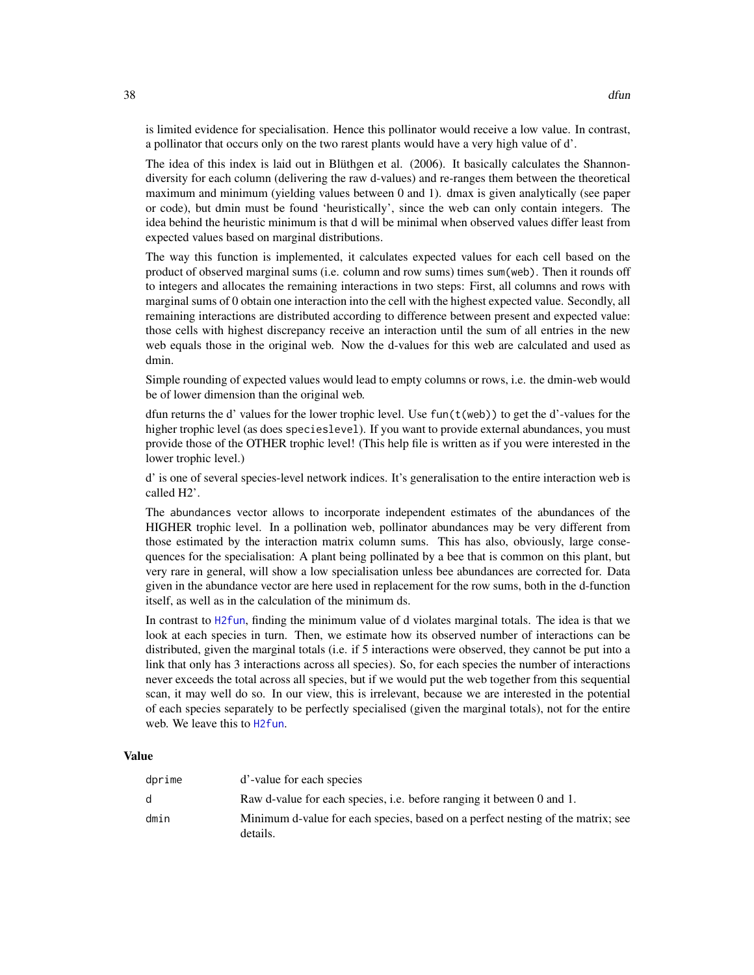is limited evidence for specialisation. Hence this pollinator would receive a low value. In contrast, a pollinator that occurs only on the two rarest plants would have a very high value of d'.

The idea of this index is laid out in Blüthgen et al. (2006). It basically calculates the Shannondiversity for each column (delivering the raw d-values) and re-ranges them between the theoretical maximum and minimum (yielding values between 0 and 1). dmax is given analytically (see paper or code), but dmin must be found 'heuristically', since the web can only contain integers. The idea behind the heuristic minimum is that d will be minimal when observed values differ least from expected values based on marginal distributions.

The way this function is implemented, it calculates expected values for each cell based on the product of observed marginal sums (i.e. column and row sums) times sum(web). Then it rounds off to integers and allocates the remaining interactions in two steps: First, all columns and rows with marginal sums of 0 obtain one interaction into the cell with the highest expected value. Secondly, all remaining interactions are distributed according to difference between present and expected value: those cells with highest discrepancy receive an interaction until the sum of all entries in the new web equals those in the original web. Now the d-values for this web are calculated and used as dmin.

Simple rounding of expected values would lead to empty columns or rows, i.e. the dmin-web would be of lower dimension than the original web.

dfun returns the d' values for the lower trophic level. Use  $fun(t(web))$  to get the d'-values for the higher trophic level (as does specieslevel). If you want to provide external abundances, you must provide those of the OTHER trophic level! (This help file is written as if you were interested in the lower trophic level.)

d' is one of several species-level network indices. It's generalisation to the entire interaction web is called H2'.

The abundances vector allows to incorporate independent estimates of the abundances of the HIGHER trophic level. In a pollination web, pollinator abundances may be very different from those estimated by the interaction matrix column sums. This has also, obviously, large consequences for the specialisation: A plant being pollinated by a bee that is common on this plant, but very rare in general, will show a low specialisation unless bee abundances are corrected for. Data given in the abundance vector are here used in replacement for the row sums, both in the d-function itself, as well as in the calculation of the minimum ds.

In contrast to [H2fun](#page-57-0), finding the minimum value of d violates marginal totals. The idea is that we look at each species in turn. Then, we estimate how its observed number of interactions can be distributed, given the marginal totals (i.e. if 5 interactions were observed, they cannot be put into a link that only has 3 interactions across all species). So, for each species the number of interactions never exceeds the total across all species, but if we would put the web together from this sequential scan, it may well do so. In our view, this is irrelevant, because we are interested in the potential of each species separately to be perfectly specialised (given the marginal totals), not for the entire web. We leave this to [H2fun](#page-57-0).

## Value

| dprime | d'-value for each species                                                                   |
|--------|---------------------------------------------------------------------------------------------|
| d.     | Raw d-value for each species, i.e. before ranging it between 0 and 1.                       |
| dmin   | Minimum d-value for each species, based on a perfect nesting of the matrix; see<br>details. |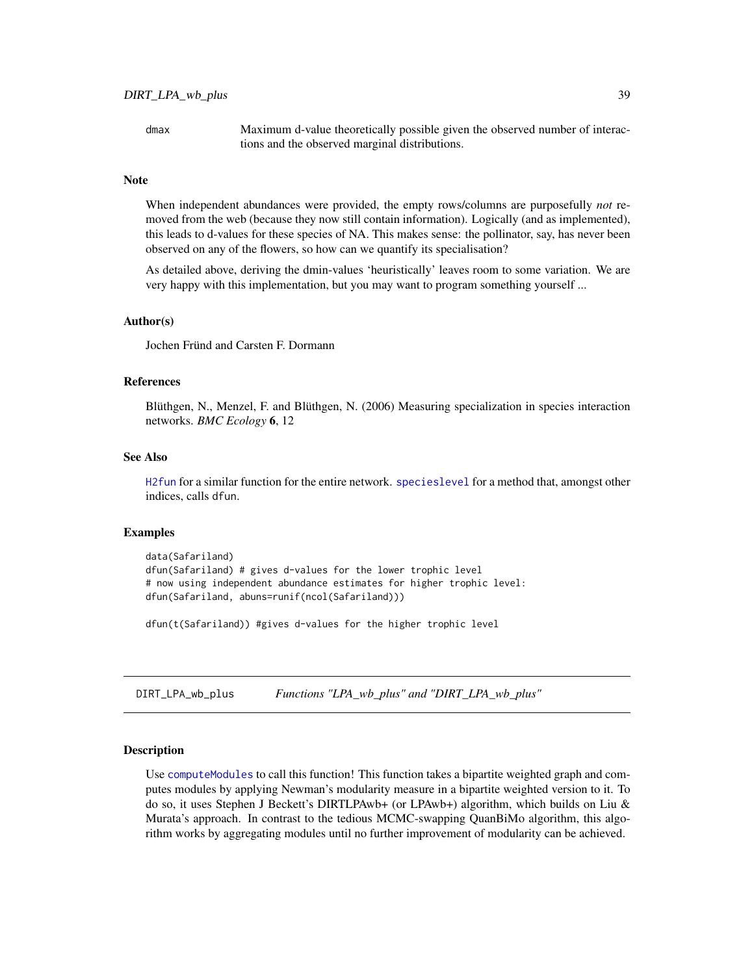dmax Maximum d-value theoretically possible given the observed number of interactions and the observed marginal distributions.

#### **Note**

When independent abundances were provided, the empty rows/columns are purposefully *not* removed from the web (because they now still contain information). Logically (and as implemented), this leads to d-values for these species of NA. This makes sense: the pollinator, say, has never been observed on any of the flowers, so how can we quantify its specialisation?

As detailed above, deriving the dmin-values 'heuristically' leaves room to some variation. We are very happy with this implementation, but you may want to program something yourself ...

#### Author(s)

Jochen Fründ and Carsten F. Dormann

#### References

Blüthgen, N., Menzel, F. and Blüthgen, N. (2006) Measuring specialization in species interaction networks. *BMC Ecology* 6, 12

#### See Also

[H2fun](#page-57-0) for a similar function for the entire network. [specieslevel](#page-128-0) for a method that, amongst other indices, calls dfun.

#### Examples

```
data(Safariland)
dfun(Safariland) # gives d-values for the lower trophic level
# now using independent abundance estimates for higher trophic level:
dfun(Safariland, abuns=runif(ncol(Safariland)))
```
dfun(t(Safariland)) #gives d-values for the higher trophic level

DIRT\_LPA\_wb\_plus *Functions "LPA\_wb\_plus" and "DIRT\_LPA\_wb\_plus"*

#### Description

Use [computeModules](#page-28-0) to call this function! This function takes a bipartite weighted graph and computes modules by applying Newman's modularity measure in a bipartite weighted version to it. To do so, it uses Stephen J Beckett's DIRTLPAwb+ (or LPAwb+) algorithm, which builds on Liu & Murata's approach. In contrast to the tedious MCMC-swapping QuanBiMo algorithm, this algorithm works by aggregating modules until no further improvement of modularity can be achieved.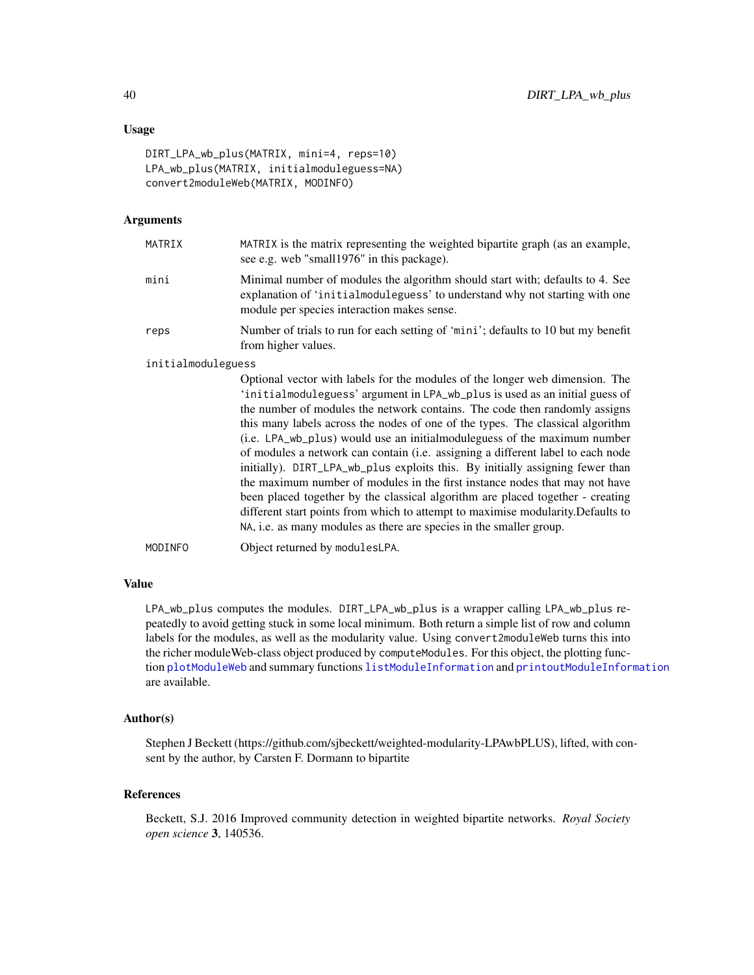## Usage

```
DIRT_LPA_wb_plus(MATRIX, mini=4, reps=10)
LPA_wb_plus(MATRIX, initialmoduleguess=NA)
convert2moduleWeb(MATRIX, MODINFO)
```
#### Arguments

| MATRIX             | MATRIX is the matrix representing the weighted bipartite graph (as an example,<br>see e.g. web "small 1976" in this package).                                                                                 |
|--------------------|---------------------------------------------------------------------------------------------------------------------------------------------------------------------------------------------------------------|
| mini               | Minimal number of modules the algorithm should start with; defaults to 4. See<br>explanation of 'initial module guess' to understand why not starting with one<br>module per species interaction makes sense. |
| reps               | Number of trials to run for each setting of 'mini'; defaults to 10 but my benefit<br>from higher values.                                                                                                      |
| initialmoduleguess |                                                                                                                                                                                                               |
|                    | Optional vector with labels for the modules of the longer web dimension. The                                                                                                                                  |

Optional vector with labels for the modules of the longer web dimension. The 'initialmoduleguess' argument in LPA\_wb\_plus is used as an initial guess of the number of modules the network contains. The code then randomly assigns this many labels across the nodes of one of the types. The classical algorithm (i.e. LPA\_wb\_plus) would use an initialmoduleguess of the maximum number of modules a network can contain (i.e. assigning a different label to each node initially). DIRT\_LPA\_wb\_plus exploits this. By initially assigning fewer than the maximum number of modules in the first instance nodes that may not have been placed together by the classical algorithm are placed together - creating different start points from which to attempt to maximise modularity.Defaults to NA, i.e. as many modules as there are species in the smaller group. MODINFO Object returned by modulesLPA.

#### Value

LPA\_wb\_plus computes the modules. DIRT\_LPA\_wb\_plus is a wrapper calling LPA\_wb\_plus repeatedly to avoid getting stuck in some local minimum. Both return a simple list of row and column labels for the modules, as well as the modularity value. Using convert2moduleWeb turns this into the richer moduleWeb-class object produced by computeModules. For this object, the plotting function [plotModuleWeb](#page-104-0) and summary functions [listModuleInformation](#page-63-0) and [printoutModuleInformation](#page-114-0) are available.

## Author(s)

Stephen J Beckett (https://github.com/sjbeckett/weighted-modularity-LPAwbPLUS), lifted, with consent by the author, by Carsten F. Dormann to bipartite

#### References

Beckett, S.J. 2016 Improved community detection in weighted bipartite networks. *Royal Society open science* 3, 140536.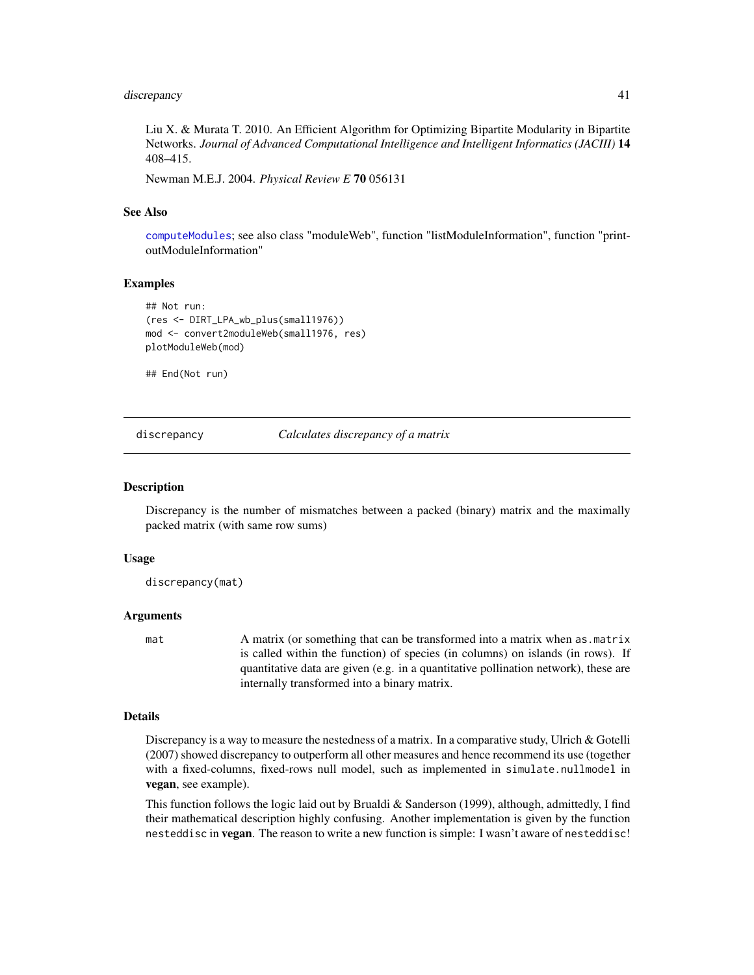#### discrepancy 41

Liu X. & Murata T. 2010. An Efficient Algorithm for Optimizing Bipartite Modularity in Bipartite Networks. *Journal of Advanced Computational Intelligence and Intelligent Informatics (JACIII)* 14 408–415.

Newman M.E.J. 2004. *Physical Review E* 70 056131

#### See Also

[computeModules](#page-28-0); see also class "moduleWeb", function "listModuleInformation", function "printoutModuleInformation"

## Examples

```
## Not run:
(res <- DIRT_LPA_wb_plus(small1976))
mod <- convert2moduleWeb(small1976, res)
plotModuleWeb(mod)
```
## End(Not run)

<span id="page-40-0"></span>discrepancy *Calculates discrepancy of a matrix*

#### Description

Discrepancy is the number of mismatches between a packed (binary) matrix and the maximally packed matrix (with same row sums)

#### Usage

discrepancy(mat)

#### Arguments

mat A matrix (or something that can be transformed into a matrix when as matrix is called within the function) of species (in columns) on islands (in rows). If quantitative data are given (e.g. in a quantitative pollination network), these are internally transformed into a binary matrix.

#### Details

Discrepancy is a way to measure the nestedness of a matrix. In a comparative study, Ulrich & Gotelli (2007) showed discrepancy to outperform all other measures and hence recommend its use (together with a fixed-columns, fixed-rows null model, such as implemented in simulate.nullmodel in vegan, see example).

This function follows the logic laid out by Brualdi & Sanderson (1999), although, admittedly, I find their mathematical description highly confusing. Another implementation is given by the function nesteddisc in vegan. The reason to write a new function is simple: I wasn't aware of nesteddisc!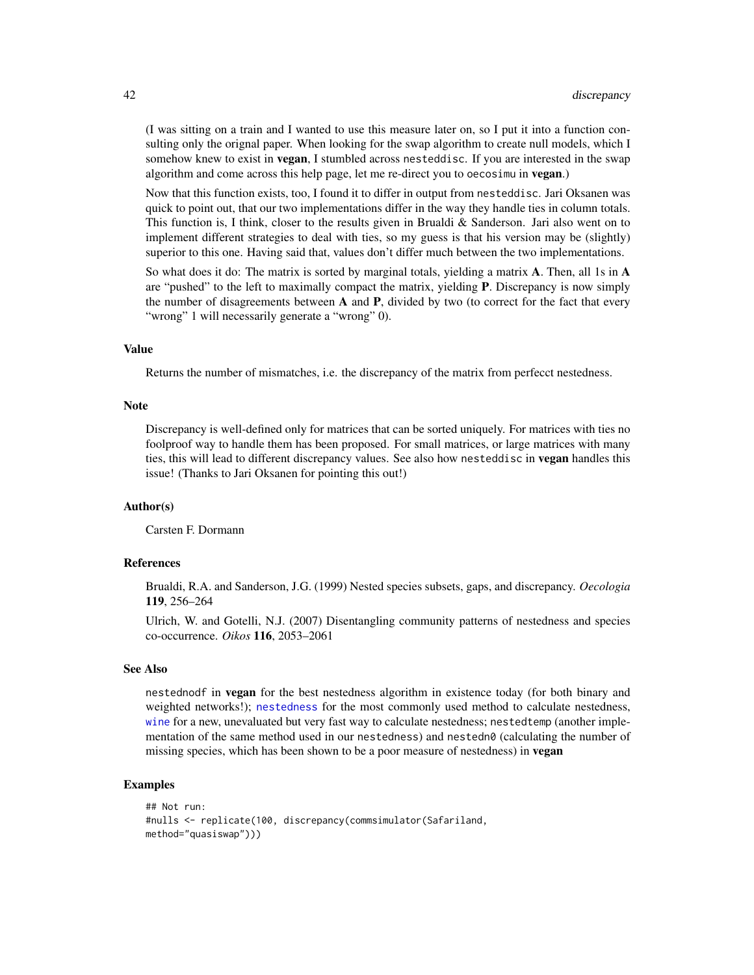(I was sitting on a train and I wanted to use this measure later on, so I put it into a function consulting only the orignal paper. When looking for the swap algorithm to create null models, which I somehow knew to exist in **vegan**, I stumbled across nesteddisc. If you are interested in the swap algorithm and come across this help page, let me re-direct you to oecosimu in vegan.)

Now that this function exists, too, I found it to differ in output from nesteddisc. Jari Oksanen was quick to point out, that our two implementations differ in the way they handle ties in column totals. This function is, I think, closer to the results given in Brualdi & Sanderson. Jari also went on to implement different strategies to deal with ties, so my guess is that his version may be (slightly) superior to this one. Having said that, values don't differ much between the two implementations.

So what does it do: The matrix is sorted by marginal totals, yielding a matrix  $\bf{A}$ . Then, all 1s in  $\bf{A}$ are "pushed" to the left to maximally compact the matrix, yielding **P**. Discrepancy is now simply the number of disagreements between  $A$  and  $P$ , divided by two (to correct for the fact that every "wrong" 1 will necessarily generate a "wrong" 0).

#### Value

Returns the number of mismatches, i.e. the discrepancy of the matrix from perfecct nestedness.

#### Note

Discrepancy is well-defined only for matrices that can be sorted uniquely. For matrices with ties no foolproof way to handle them has been proposed. For small matrices, or large matrices with many ties, this will lead to different discrepancy values. See also how nesteddisc in vegan handles this issue! (Thanks to Jari Oksanen for pointing this out!)

#### Author(s)

Carsten F. Dormann

## References

Brualdi, R.A. and Sanderson, J.G. (1999) Nested species subsets, gaps, and discrepancy. *Oecologia* 119, 256–264

Ulrich, W. and Gotelli, N.J. (2007) Disentangling community patterns of nestedness and species co-occurrence. *Oikos* 116, 2053–2061

#### See Also

nestednodf in **vegan** for the best nestedness algorithm in existence today (for both binary and weighted networks!); [nestedness](#page-77-0) for the most commonly used method to calculate nestedness, [wine](#page-163-0) for a new, unevaluated but very fast way to calculate nestedness; nestedtemp (another implementation of the same method used in our nestedness) and nestedn0 (calculating the number of missing species, which has been shown to be a poor measure of nestedness) in vegan

#### Examples

```
## Not run:
#nulls <- replicate(100, discrepancy(commsimulator(Safariland,
method="quasiswap")))
```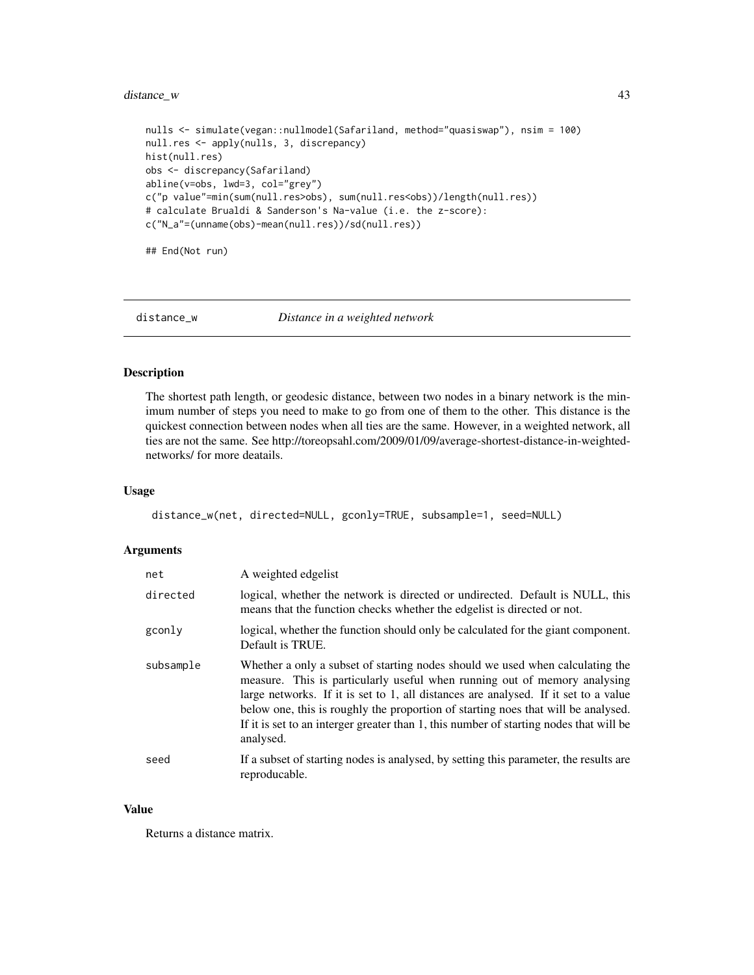## distance\_w 43

```
nulls <- simulate(vegan::nullmodel(Safariland, method="quasiswap"), nsim = 100)
null.res <- apply(nulls, 3, discrepancy)
hist(null.res)
obs <- discrepancy(Safariland)
abline(v=obs, lwd=3, col="grey")
c("p value"=min(sum(null.res>obs), sum(null.res<obs))/length(null.res))
# calculate Brualdi & Sanderson's Na-value (i.e. the z-score):
c("N_a"=(unname(obs)-mean(null.res))/sd(null.res))
```
## End(Not run)

#### distance\_w *Distance in a weighted network*

## Description

The shortest path length, or geodesic distance, between two nodes in a binary network is the minimum number of steps you need to make to go from one of them to the other. This distance is the quickest connection between nodes when all ties are the same. However, in a weighted network, all ties are not the same. See http://toreopsahl.com/2009/01/09/average-shortest-distance-in-weightednetworks/ for more deatails.

#### Usage

```
distance_w(net, directed=NULL, gconly=TRUE, subsample=1, seed=NULL)
```
## Arguments

| net       | A weighted edgelist                                                                                                                                                                                                                                                                                                                                                                                                                           |
|-----------|-----------------------------------------------------------------------------------------------------------------------------------------------------------------------------------------------------------------------------------------------------------------------------------------------------------------------------------------------------------------------------------------------------------------------------------------------|
| directed  | logical, whether the network is directed or undirected. Default is NULL, this<br>means that the function checks whether the edgelist is directed or not.                                                                                                                                                                                                                                                                                      |
| gconly    | logical, whether the function should only be calculated for the giant component.<br>Default is TRUE.                                                                                                                                                                                                                                                                                                                                          |
| subsample | Whether a only a subset of starting nodes should we used when calculating the<br>measure. This is particularly useful when running out of memory analysing<br>large networks. If it is set to 1, all distances are analysed. If it set to a value<br>below one, this is roughly the proportion of starting noes that will be analysed.<br>If it is set to an interger greater than 1, this number of starting nodes that will be<br>analysed. |
| seed      | If a subset of starting nodes is analysed, by setting this parameter, the results are<br>reproducable.                                                                                                                                                                                                                                                                                                                                        |

#### Value

Returns a distance matrix.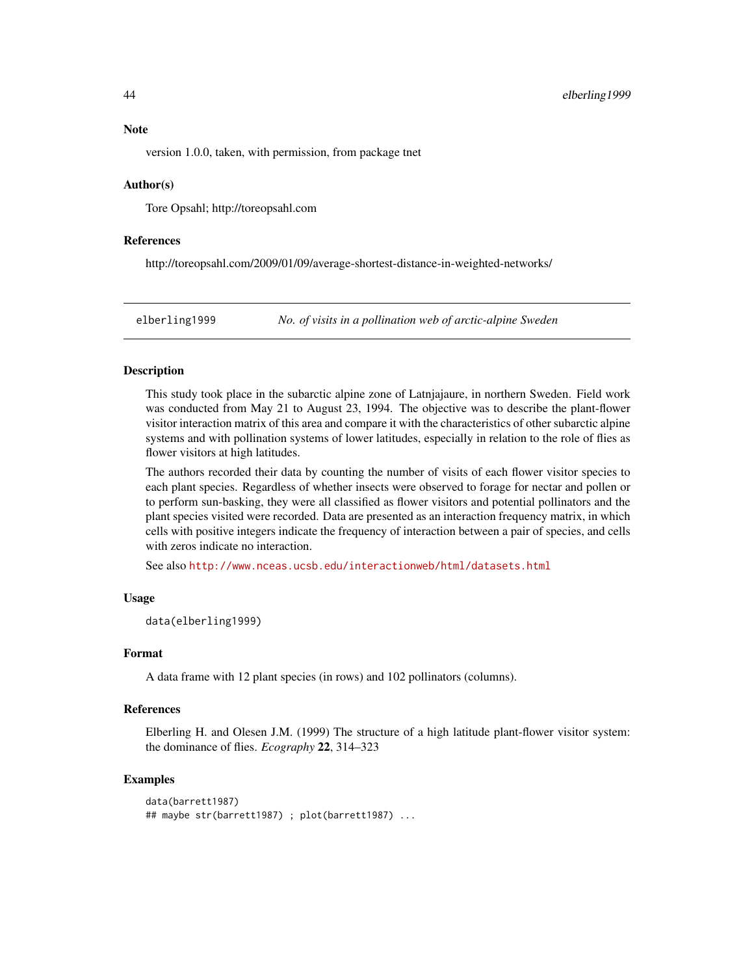#### **Note**

version 1.0.0, taken, with permission, from package tnet

#### Author(s)

Tore Opsahl; http://toreopsahl.com

## References

http://toreopsahl.com/2009/01/09/average-shortest-distance-in-weighted-networks/

elberling1999 *No. of visits in a pollination web of arctic-alpine Sweden*

#### **Description**

This study took place in the subarctic alpine zone of Latnjajaure, in northern Sweden. Field work was conducted from May 21 to August 23, 1994. The objective was to describe the plant-flower visitor interaction matrix of this area and compare it with the characteristics of other subarctic alpine systems and with pollination systems of lower latitudes, especially in relation to the role of flies as flower visitors at high latitudes.

The authors recorded their data by counting the number of visits of each flower visitor species to each plant species. Regardless of whether insects were observed to forage for nectar and pollen or to perform sun-basking, they were all classified as flower visitors and potential pollinators and the plant species visited were recorded. Data are presented as an interaction frequency matrix, in which cells with positive integers indicate the frequency of interaction between a pair of species, and cells with zeros indicate no interaction.

See also <http://www.nceas.ucsb.edu/interactionweb/html/datasets.html>

#### Usage

data(elberling1999)

#### Format

A data frame with 12 plant species (in rows) and 102 pollinators (columns).

#### References

Elberling H. and Olesen J.M. (1999) The structure of a high latitude plant-flower visitor system: the dominance of flies. *Ecography* 22, 314–323

#### Examples

```
data(barrett1987)
## maybe str(barrett1987) ; plot(barrett1987) ...
```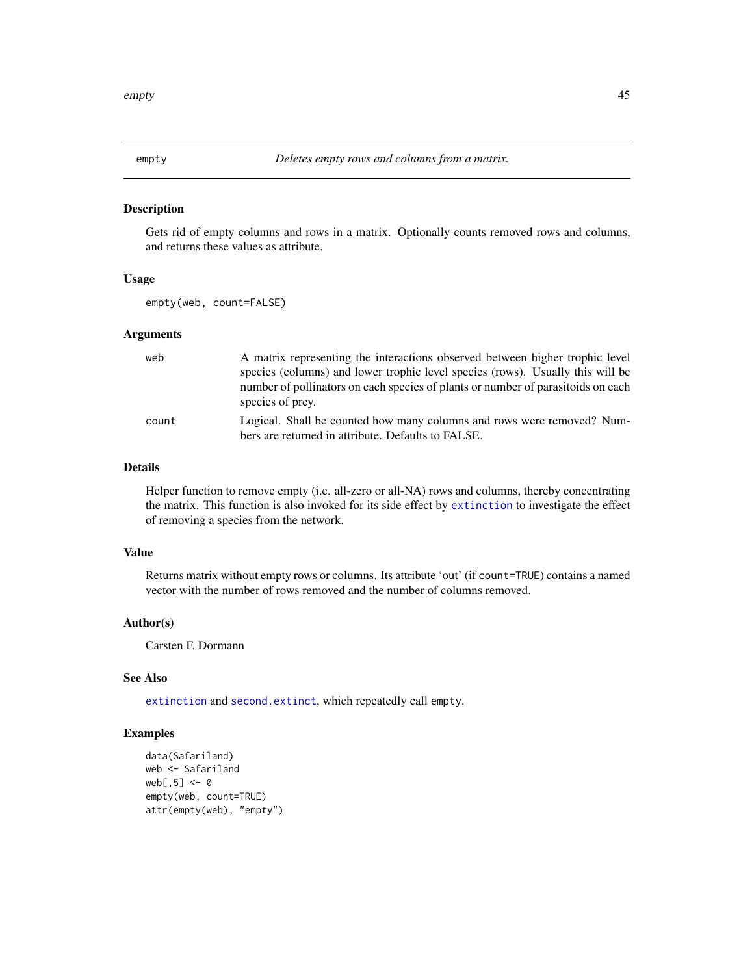<span id="page-44-0"></span>

## Description

Gets rid of empty columns and rows in a matrix. Optionally counts removed rows and columns, and returns these values as attribute.

#### Usage

empty(web, count=FALSE)

## Arguments

| web   | A matrix representing the interactions observed between higher trophic level     |
|-------|----------------------------------------------------------------------------------|
|       | species (columns) and lower trophic level species (rows). Usually this will be   |
|       | number of pollinators on each species of plants or number of parasitoids on each |
|       | species of prey.                                                                 |
| count | Logical. Shall be counted how many columns and rows were removed? Num-           |
|       | bers are returned in attribute. Defaults to FALSE.                               |

## Details

Helper function to remove empty (i.e. all-zero or all-NA) rows and columns, thereby concentrating the matrix. This function is also invoked for its side effect by [extinction](#page-46-0) to investigate the effect of removing a species from the network.

#### Value

Returns matrix without empty rows or columns. Its attribute 'out' (if count=TRUE) contains a named vector with the number of rows removed and the number of columns removed.

## Author(s)

Carsten F. Dormann

## See Also

[extinction](#page-46-0) and [second.extinct](#page-121-0), which repeatedly call empty.

## Examples

```
data(Safariland)
web <- Safariland
web[, 5] < -0empty(web, count=TRUE)
attr(empty(web), "empty")
```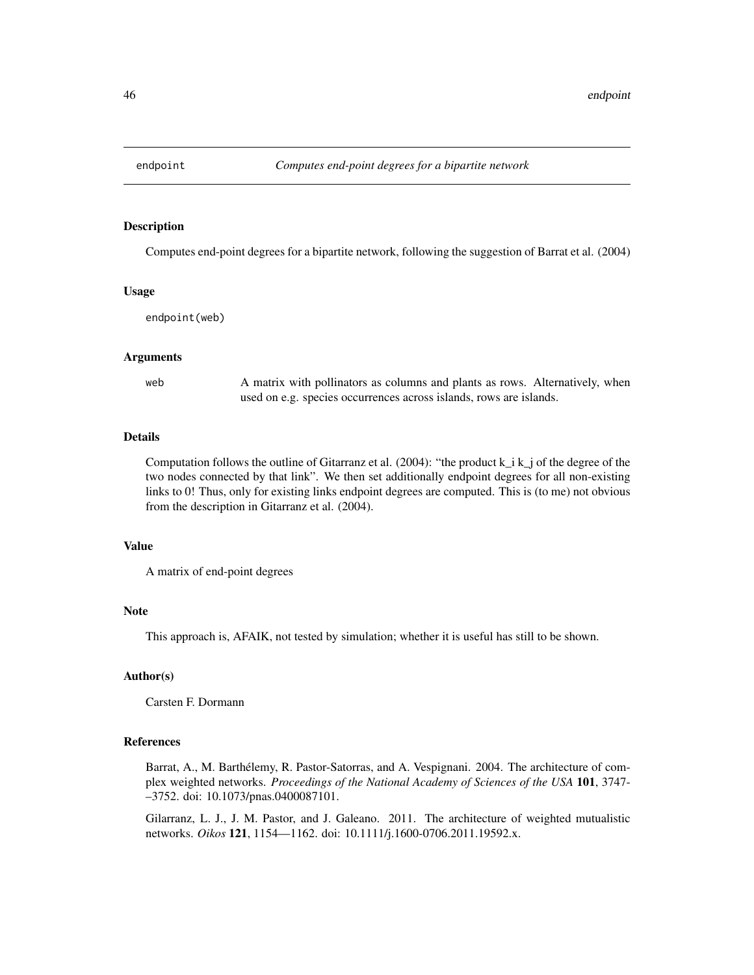<span id="page-45-0"></span>

#### Description

Computes end-point degrees for a bipartite network, following the suggestion of Barrat et al. (2004)

#### Usage

endpoint(web)

#### Arguments

web A matrix with pollinators as columns and plants as rows. Alternatively, when used on e.g. species occurrences across islands, rows are islands.

## Details

Computation follows the outline of Gitarranz et al. (2004): "the product  $k_i$   $k_i$  of the degree of the two nodes connected by that link". We then set additionally endpoint degrees for all non-existing links to 0! Thus, only for existing links endpoint degrees are computed. This is (to me) not obvious from the description in Gitarranz et al. (2004).

#### Value

A matrix of end-point degrees

#### Note

This approach is, AFAIK, not tested by simulation; whether it is useful has still to be shown.

## Author(s)

Carsten F. Dormann

#### References

Barrat, A., M. Barthélemy, R. Pastor-Satorras, and A. Vespignani. 2004. The architecture of complex weighted networks. *Proceedings of the National Academy of Sciences of the USA* 101, 3747- –3752. doi: 10.1073/pnas.0400087101.

Gilarranz, L. J., J. M. Pastor, and J. Galeano. 2011. The architecture of weighted mutualistic networks. *Oikos* 121, 1154—1162. doi: 10.1111/j.1600-0706.2011.19592.x.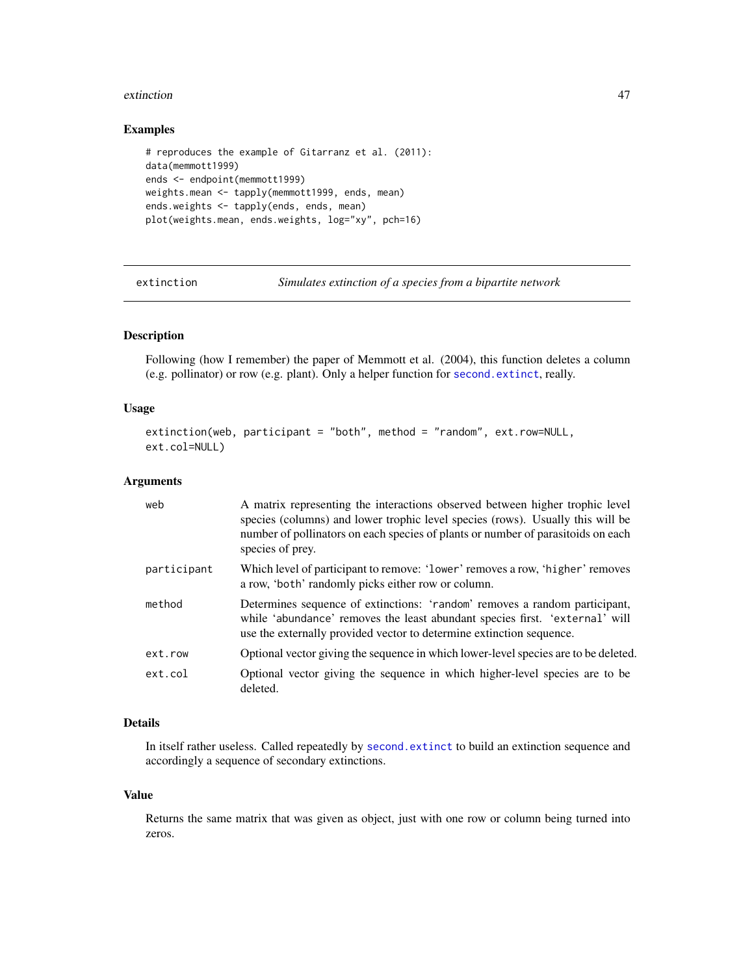#### extinction and the settlement of the settlement of the settlement of the settlement of the settlement of the set

#### Examples

```
# reproduces the example of Gitarranz et al. (2011):
data(memmott1999)
ends <- endpoint(memmott1999)
weights.mean <- tapply(memmott1999, ends, mean)
ends.weights <- tapply(ends, ends, mean)
plot(weights.mean, ends.weights, log="xy", pch=16)
```
<span id="page-46-0"></span>extinction *Simulates extinction of a species from a bipartite network*

## Description

Following (how I remember) the paper of Memmott et al. (2004), this function deletes a column (e.g. pollinator) or row (e.g. plant). Only a helper function for [second.extinct](#page-121-0), really.

#### Usage

```
extinction(web, participant = "both", method = "random", ext.row=NULL,
ext.col=NULL)
```
## Arguments

| web         | A matrix representing the interactions observed between higher trophic level<br>species (columns) and lower trophic level species (rows). Usually this will be<br>number of pollinators on each species of plants or number of parasitoids on each<br>species of prey. |
|-------------|------------------------------------------------------------------------------------------------------------------------------------------------------------------------------------------------------------------------------------------------------------------------|
| participant | Which level of participant to remove: 'lower' removes a row, 'higher' removes<br>a row, 'both' randomly picks either row or column.                                                                                                                                    |
| method      | Determines sequence of extinctions: 'random' removes a random participant,<br>while 'abundance' removes the least abundant species first. 'external' will<br>use the externally provided vector to determine extinction sequence.                                      |
| ext.row     | Optional vector giving the sequence in which lower-level species are to be deleted.                                                                                                                                                                                    |
| ext.col     | Optional vector giving the sequence in which higher-level species are to be<br>deleted.                                                                                                                                                                                |

## Details

In itself rather useless. Called repeatedly by [second.extinct](#page-121-0) to build an extinction sequence and accordingly a sequence of secondary extinctions.

#### Value

Returns the same matrix that was given as object, just with one row or column being turned into zeros.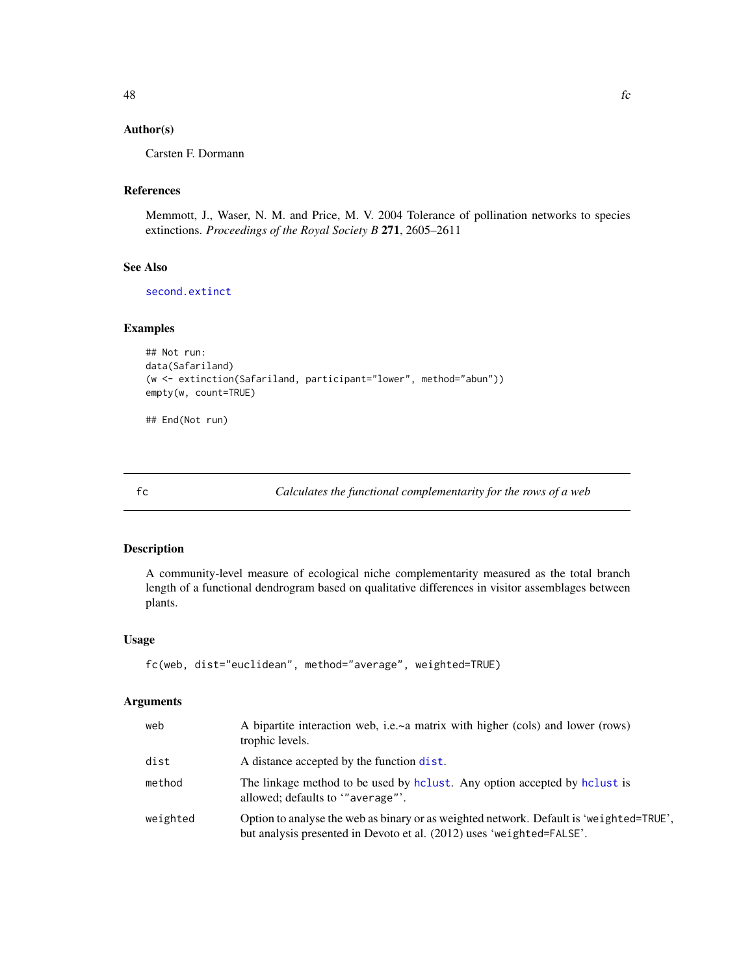## Author(s)

Carsten F. Dormann

## References

Memmott, J., Waser, N. M. and Price, M. V. 2004 Tolerance of pollination networks to species extinctions. *Proceedings of the Royal Society B* 271, 2605–2611

## See Also

[second.extinct](#page-121-0)

### Examples

```
## Not run:
data(Safariland)
(w <- extinction(Safariland, participant="lower", method="abun"))
empty(w, count=TRUE)
```
## End(Not run)

<span id="page-47-0"></span>

fc *Calculates the functional complementarity for the rows of a web*

## Description

A community-level measure of ecological niche complementarity measured as the total branch length of a functional dendrogram based on qualitative differences in visitor assemblages between plants.

#### Usage

```
fc(web, dist="euclidean", method="average", weighted=TRUE)
```
#### Arguments

| web      | A bipartite interaction web, i.e.~a matrix with higher (cols) and lower (rows)<br>trophic levels.                                                                |
|----------|------------------------------------------------------------------------------------------------------------------------------------------------------------------|
| dist     | A distance accepted by the function dist.                                                                                                                        |
| method   | The linkage method to be used by holiest. Any option accepted by holiest is<br>allowed; defaults to "average"'.                                                  |
| weighted | Option to analyse the web as binary or as weighted network. Default is 'weighted=TRUE',<br>but analysis presented in Devoto et al. (2012) uses 'weighted=FALSE'. |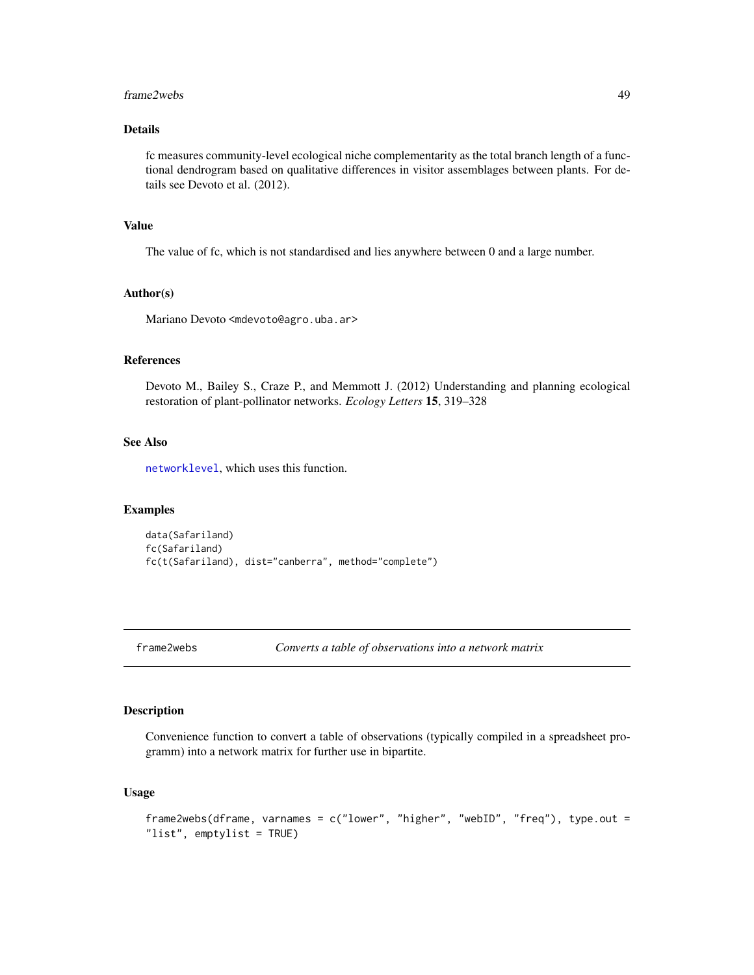#### frame2webs 49

## Details

fc measures community-level ecological niche complementarity as the total branch length of a functional dendrogram based on qualitative differences in visitor assemblages between plants. For details see Devoto et al. (2012).

## Value

The value of fc, which is not standardised and lies anywhere between 0 and a large number.

## Author(s)

Mariano Devoto <mdevoto@agro.uba.ar>

#### References

Devoto M., Bailey S., Craze P., and Memmott J. (2012) Understanding and planning ecological restoration of plant-pollinator networks. *Ecology Letters* 15, 319–328

## See Also

[networklevel](#page-80-0), which uses this function.

#### Examples

```
data(Safariland)
fc(Safariland)
fc(t(Safariland), dist="canberra", method="complete")
```
frame2webs *Converts a table of observations into a network matrix*

## Description

Convenience function to convert a table of observations (typically compiled in a spreadsheet programm) into a network matrix for further use in bipartite.

#### Usage

```
frame2webs(dframe, varnames = c("lower", "higher", "webID", "freq"), type.out =
"list", emptylist = TRUE)
```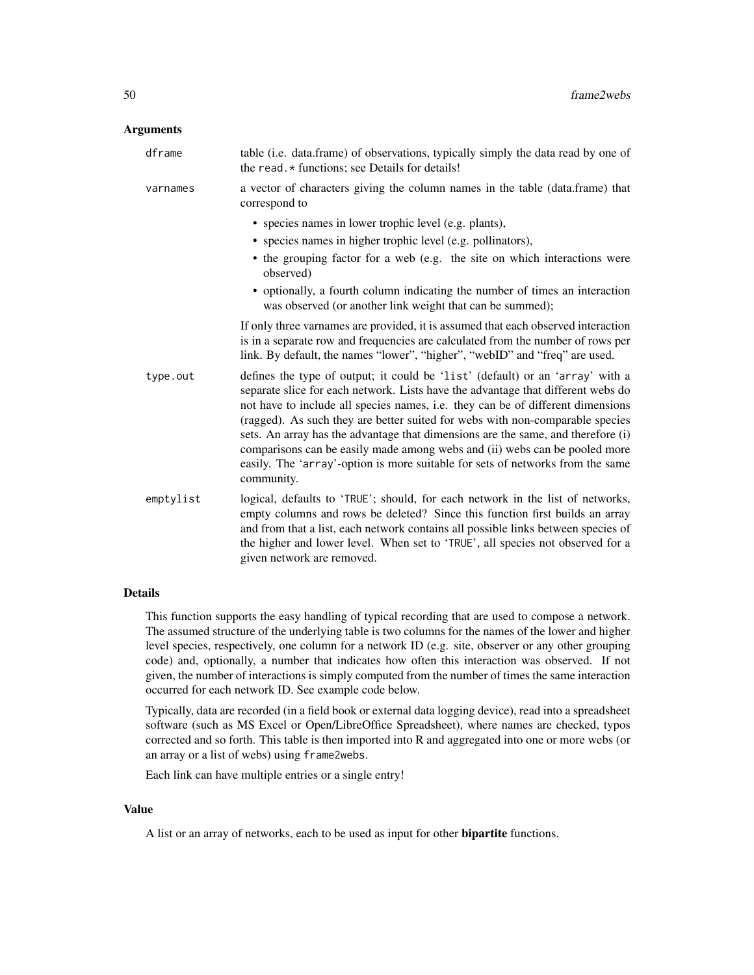#### **Arguments**

| dframe    | table (i.e. data.frame) of observations, typically simply the data read by one of<br>the read. * functions; see Details for details!                                                                                                                                                                                                                                                                                                                                                                                                                                                                    |
|-----------|---------------------------------------------------------------------------------------------------------------------------------------------------------------------------------------------------------------------------------------------------------------------------------------------------------------------------------------------------------------------------------------------------------------------------------------------------------------------------------------------------------------------------------------------------------------------------------------------------------|
| varnames  | a vector of characters giving the column names in the table (data.frame) that<br>correspond to                                                                                                                                                                                                                                                                                                                                                                                                                                                                                                          |
|           | • species names in lower trophic level (e.g. plants),                                                                                                                                                                                                                                                                                                                                                                                                                                                                                                                                                   |
|           | • species names in higher trophic level (e.g. pollinators),                                                                                                                                                                                                                                                                                                                                                                                                                                                                                                                                             |
|           | • the grouping factor for a web (e.g. the site on which interactions were<br>observed)                                                                                                                                                                                                                                                                                                                                                                                                                                                                                                                  |
|           | • optionally, a fourth column indicating the number of times an interaction<br>was observed (or another link weight that can be summed);                                                                                                                                                                                                                                                                                                                                                                                                                                                                |
|           | If only three varnames are provided, it is assumed that each observed interaction<br>is in a separate row and frequencies are calculated from the number of rows per<br>link. By default, the names "lower", "higher", "webID" and "freq" are used.                                                                                                                                                                                                                                                                                                                                                     |
| type.out  | defines the type of output; it could be 'list' (default) or an 'array' with a<br>separate slice for each network. Lists have the advantage that different webs do<br>not have to include all species names, i.e. they can be of different dimensions<br>(ragged). As such they are better suited for webs with non-comparable species<br>sets. An array has the advantage that dimensions are the same, and therefore (i)<br>comparisons can be easily made among webs and (ii) webs can be pooled more<br>easily. The 'array'-option is more suitable for sets of networks from the same<br>community. |
| emptylist | logical, defaults to 'TRUE'; should, for each network in the list of networks,<br>empty columns and rows be deleted? Since this function first builds an array<br>and from that a list, each network contains all possible links between species of<br>the higher and lower level. When set to 'TRUE', all species not observed for a<br>given network are removed.                                                                                                                                                                                                                                     |

## Details

This function supports the easy handling of typical recording that are used to compose a network. The assumed structure of the underlying table is two columns for the names of the lower and higher level species, respectively, one column for a network ID (e.g. site, observer or any other grouping code) and, optionally, a number that indicates how often this interaction was observed. If not given, the number of interactions is simply computed from the number of times the same interaction occurred for each network ID. See example code below.

Typically, data are recorded (in a field book or external data logging device), read into a spreadsheet software (such as MS Excel or Open/LibreOffice Spreadsheet), where names are checked, typos corrected and so forth. This table is then imported into R and aggregated into one or more webs (or an array or a list of webs) using frame2webs.

Each link can have multiple entries or a single entry!

#### Value

A list or an array of networks, each to be used as input for other bipartite functions.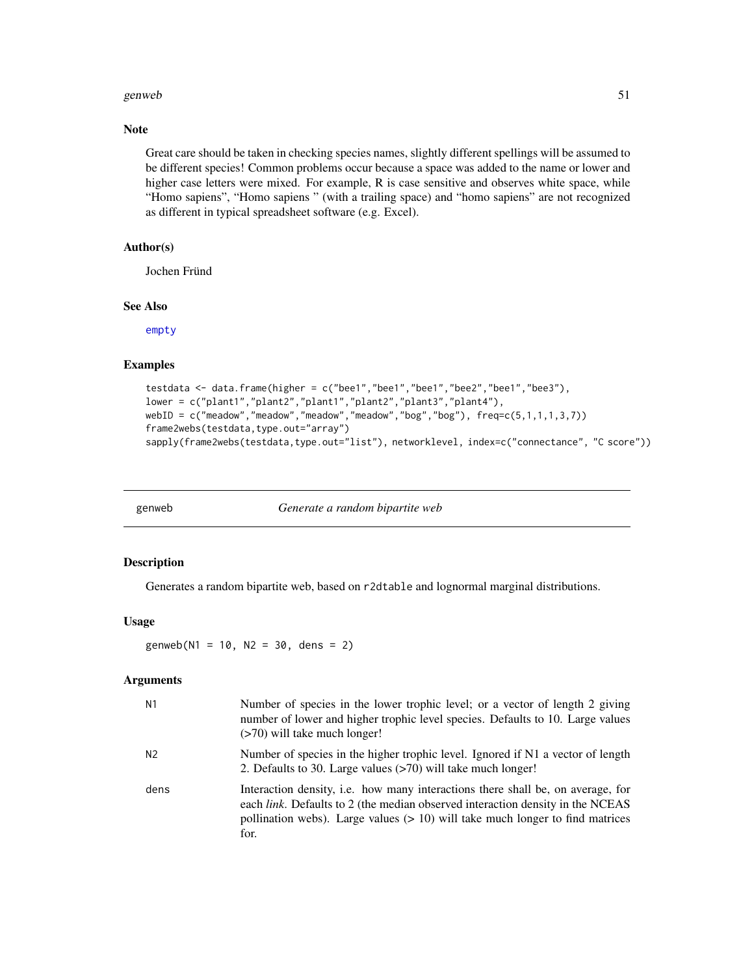#### genweb 51

## Note

Great care should be taken in checking species names, slightly different spellings will be assumed to be different species! Common problems occur because a space was added to the name or lower and higher case letters were mixed. For example, R is case sensitive and observes white space, while "Homo sapiens", "Homo sapiens " (with a trailing space) and "homo sapiens" are not recognized as different in typical spreadsheet software (e.g. Excel).

## Author(s)

Jochen Fründ

### See Also

[empty](#page-44-0)

#### Examples

```
testdata <- data.frame(higher = c("bee1","bee1","bee1","bee2","bee1","bee3"),
lower = c("plant1","plant2","plant1","plant2","plant3","plant4"),
webID = c("meadow","meadow","meadow","meadow","bog","bog"), freq=c(5,1,1,1,3,7))
frame2webs(testdata,type.out="array")
sapply(frame2webs(testdata,type.out="list"), networklevel, index=c("connectance", "C score"))
```
genweb *Generate a random bipartite web*

#### Description

Generates a random bipartite web, based on r2dtable and lognormal marginal distributions.

#### Usage

genweb( $N1 = 10$ ,  $N2 = 30$ , dens = 2)

## Arguments

| N <sub>1</sub> | Number of species in the lower trophic level; or a vector of length 2 giving<br>number of lower and higher trophic level species. Defaults to 10. Large values<br>$($ >70) will take much longer!                                                            |
|----------------|--------------------------------------------------------------------------------------------------------------------------------------------------------------------------------------------------------------------------------------------------------------|
| N <sub>2</sub> | Number of species in the higher trophic level. Ignored if N1 a vector of length<br>2. Defaults to 30. Large values (>70) will take much longer!                                                                                                              |
| dens           | Interaction density, i.e. how many interactions there shall be, on average, for<br>each link. Defaults to 2 (the median observed interaction density in the NCEAS<br>pollination webs). Large values $(> 10)$ will take much longer to find matrices<br>for. |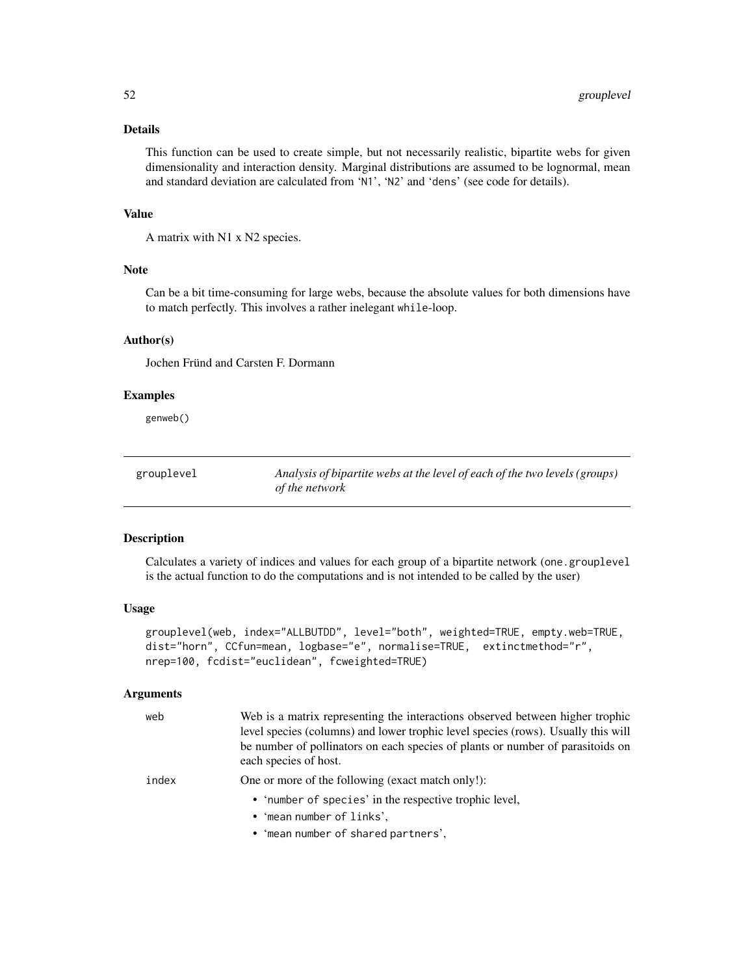## Details

This function can be used to create simple, but not necessarily realistic, bipartite webs for given dimensionality and interaction density. Marginal distributions are assumed to be lognormal, mean and standard deviation are calculated from 'N1', 'N2' and 'dens' (see code for details).

#### Value

A matrix with N1 x N2 species.

## Note

Can be a bit time-consuming for large webs, because the absolute values for both dimensions have to match perfectly. This involves a rather inelegant while-loop.

#### Author(s)

Jochen Fründ and Carsten F. Dormann

#### Examples

genweb()

| grouplevel | Analysis of bipartite webs at the level of each of the two levels (groups) |
|------------|----------------------------------------------------------------------------|
|            | of the network                                                             |

#### Description

Calculates a variety of indices and values for each group of a bipartite network (one.grouplevel is the actual function to do the computations and is not intended to be called by the user)

## Usage

```
grouplevel(web, index="ALLBUTDD", level="both", weighted=TRUE, empty.web=TRUE,
dist="horn", CCfun=mean, logbase="e", normalise=TRUE, extinctmethod="r",
nrep=100, fcdist="euclidean", fcweighted=TRUE)
```
#### Arguments

| web   | Web is a matrix representing the interactions observed between higher trophic<br>level species (columns) and lower trophic level species (rows). Usually this will<br>be number of pollinators on each species of plants or number of parasitoids on<br>each species of host. |
|-------|-------------------------------------------------------------------------------------------------------------------------------------------------------------------------------------------------------------------------------------------------------------------------------|
| index | One or more of the following (exact match only!):                                                                                                                                                                                                                             |
|       | • 'number of species' in the respective trophic level,                                                                                                                                                                                                                        |
|       | • 'mean number of links',                                                                                                                                                                                                                                                     |
|       | • 'mean number of shared partners',                                                                                                                                                                                                                                           |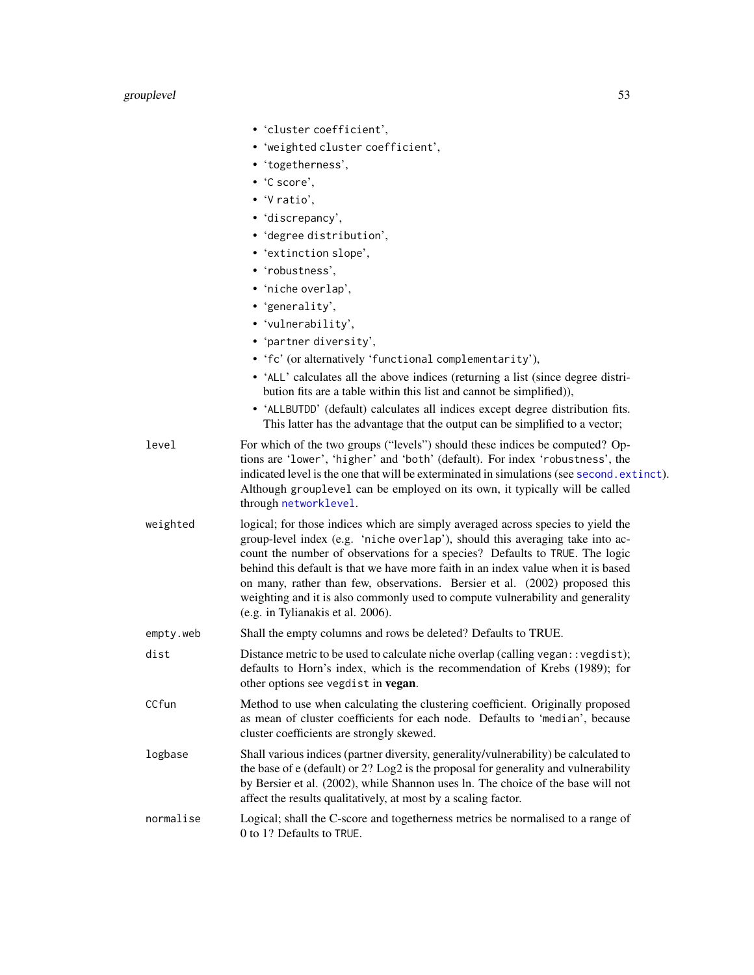# grouplevel 53

|           | • 'cluster coefficient',                                                                                                                                                                                                                                                                                                                                                                                                                                                                                                                    |
|-----------|---------------------------------------------------------------------------------------------------------------------------------------------------------------------------------------------------------------------------------------------------------------------------------------------------------------------------------------------------------------------------------------------------------------------------------------------------------------------------------------------------------------------------------------------|
|           | • 'weighted cluster coefficient',                                                                                                                                                                                                                                                                                                                                                                                                                                                                                                           |
|           | • 'togetherness',                                                                                                                                                                                                                                                                                                                                                                                                                                                                                                                           |
|           | $\cdot$ 'C score'.                                                                                                                                                                                                                                                                                                                                                                                                                                                                                                                          |
|           | $\bullet$ 'V ratio',                                                                                                                                                                                                                                                                                                                                                                                                                                                                                                                        |
|           | • 'discrepancy',                                                                                                                                                                                                                                                                                                                                                                                                                                                                                                                            |
|           | • 'degree distribution',                                                                                                                                                                                                                                                                                                                                                                                                                                                                                                                    |
|           | • 'extinction slope',                                                                                                                                                                                                                                                                                                                                                                                                                                                                                                                       |
|           | • 'robustness',                                                                                                                                                                                                                                                                                                                                                                                                                                                                                                                             |
|           | • 'niche overlap',                                                                                                                                                                                                                                                                                                                                                                                                                                                                                                                          |
|           | • 'generality',                                                                                                                                                                                                                                                                                                                                                                                                                                                                                                                             |
|           | • 'vulnerability',                                                                                                                                                                                                                                                                                                                                                                                                                                                                                                                          |
|           | • 'partner diversity',                                                                                                                                                                                                                                                                                                                                                                                                                                                                                                                      |
|           | • 'fc' (or alternatively 'functional complementarity'),                                                                                                                                                                                                                                                                                                                                                                                                                                                                                     |
|           | • 'ALL' calculates all the above indices (returning a list (since degree distri-<br>bution fits are a table within this list and cannot be simplified)),                                                                                                                                                                                                                                                                                                                                                                                    |
|           | • 'ALLBUTDD' (default) calculates all indices except degree distribution fits.<br>This latter has the advantage that the output can be simplified to a vector;                                                                                                                                                                                                                                                                                                                                                                              |
| level     | For which of the two groups ("levels") should these indices be computed? Op-<br>tions are 'lower', 'higher' and 'both' (default). For index 'robustness', the<br>indicated level is the one that will be exterminated in simulations (see second. extinct).<br>Although grouplevel can be employed on its own, it typically will be called<br>through networklevel.                                                                                                                                                                         |
| weighted  | logical; for those indices which are simply averaged across species to yield the<br>group-level index (e.g. 'niche overlap'), should this averaging take into ac-<br>count the number of observations for a species? Defaults to TRUE. The logic<br>behind this default is that we have more faith in an index value when it is based<br>on many, rather than few, observations. Bersier et al. (2002) proposed this<br>weighting and it is also commonly used to compute vulnerability and generality<br>(e.g. in Tylianakis et al. 2006). |
| empty.web | Shall the empty columns and rows be deleted? Defaults to TRUE.                                                                                                                                                                                                                                                                                                                                                                                                                                                                              |
| dist      | Distance metric to be used to calculate niche overlap (calling vegan::vegdist);<br>defaults to Horn's index, which is the recommendation of Krebs (1989); for<br>other options see vegdist in vegan.                                                                                                                                                                                                                                                                                                                                        |
| CCfun     | Method to use when calculating the clustering coefficient. Originally proposed<br>as mean of cluster coefficients for each node. Defaults to 'median', because<br>cluster coefficients are strongly skewed.                                                                                                                                                                                                                                                                                                                                 |
| logbase   | Shall various indices (partner diversity, generality/vulnerability) be calculated to<br>the base of e (default) or 2? Log2 is the proposal for generality and vulnerability<br>by Bersier et al. (2002), while Shannon uses ln. The choice of the base will not<br>affect the results qualitatively, at most by a scaling factor.                                                                                                                                                                                                           |
| normalise | Logical; shall the C-score and togetherness metrics be normalised to a range of<br>0 to 1? Defaults to TRUE.                                                                                                                                                                                                                                                                                                                                                                                                                                |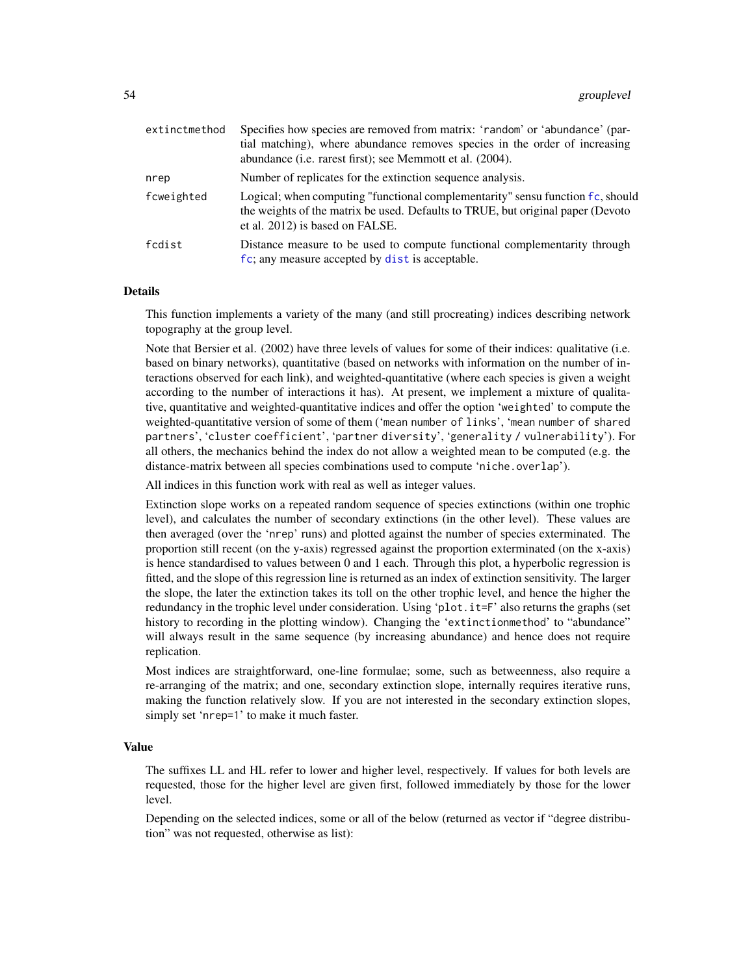| extinctmethod | Specifies how species are removed from matrix: 'random' or 'abundance' (par-<br>tial matching), where abundance removes species in the order of increasing<br>abundance (i.e. rarest first); see Memmott et al. (2004). |  |
|---------------|-------------------------------------------------------------------------------------------------------------------------------------------------------------------------------------------------------------------------|--|
| nrep          | Number of replicates for the extinction sequence analysis.                                                                                                                                                              |  |
| fcweighted    | Logical; when computing "functional complementarity" sensu function fc, should<br>the weights of the matrix be used. Defaults to TRUE, but original paper (Devoto<br>et al. 2012) is based on FALSE.                    |  |
| fcdist        | Distance measure to be used to compute functional complementarity through<br>fc; any measure accepted by dist is acceptable.                                                                                            |  |

#### Details

This function implements a variety of the many (and still procreating) indices describing network topography at the group level.

Note that Bersier et al. (2002) have three levels of values for some of their indices: qualitative (i.e. based on binary networks), quantitative (based on networks with information on the number of interactions observed for each link), and weighted-quantitative (where each species is given a weight according to the number of interactions it has). At present, we implement a mixture of qualitative, quantitative and weighted-quantitative indices and offer the option 'weighted' to compute the weighted-quantitative version of some of them ('mean number of links', 'mean number of shared partners', 'cluster coefficient', 'partner diversity', 'generality / vulnerability'). For all others, the mechanics behind the index do not allow a weighted mean to be computed (e.g. the distance-matrix between all species combinations used to compute 'niche.overlap').

All indices in this function work with real as well as integer values.

Extinction slope works on a repeated random sequence of species extinctions (within one trophic level), and calculates the number of secondary extinctions (in the other level). These values are then averaged (over the 'nrep' runs) and plotted against the number of species exterminated. The proportion still recent (on the y-axis) regressed against the proportion exterminated (on the x-axis) is hence standardised to values between 0 and 1 each. Through this plot, a hyperbolic regression is fitted, and the slope of this regression line is returned as an index of extinction sensitivity. The larger the slope, the later the extinction takes its toll on the other trophic level, and hence the higher the redundancy in the trophic level under consideration. Using 'plot.it=F' also returns the graphs (set history to recording in the plotting window). Changing the 'extinctionmethod' to "abundance" will always result in the same sequence (by increasing abundance) and hence does not require replication.

Most indices are straightforward, one-line formulae; some, such as betweenness, also require a re-arranging of the matrix; and one, secondary extinction slope, internally requires iterative runs, making the function relatively slow. If you are not interested in the secondary extinction slopes, simply set 'nrep=1' to make it much faster.

#### Value

The suffixes LL and HL refer to lower and higher level, respectively. If values for both levels are requested, those for the higher level are given first, followed immediately by those for the lower level.

Depending on the selected indices, some or all of the below (returned as vector if "degree distribution" was not requested, otherwise as list):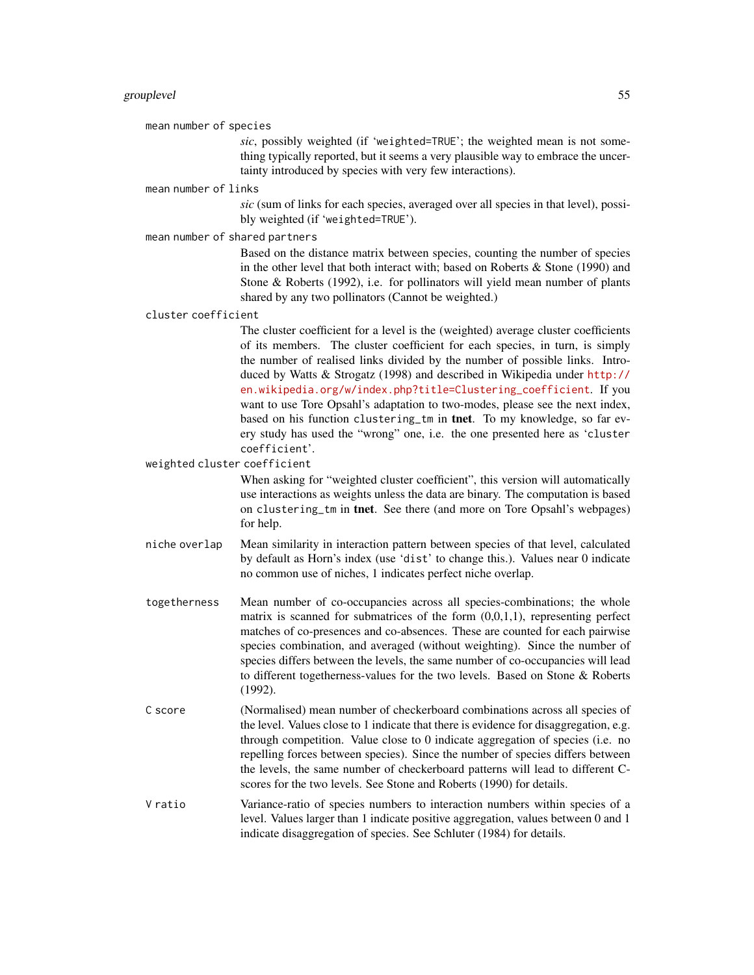mean number of species

*sic*, possibly weighted (if 'weighted=TRUE'; the weighted mean is not something typically reported, but it seems a very plausible way to embrace the uncertainty introduced by species with very few interactions).

mean number of links

*sic* (sum of links for each species, averaged over all species in that level), possibly weighted (if 'weighted=TRUE').

mean number of shared partners

Based on the distance matrix between species, counting the number of species in the other level that both interact with; based on Roberts & Stone (1990) and Stone & Roberts (1992), i.e. for pollinators will yield mean number of plants shared by any two pollinators (Cannot be weighted.)

cluster coefficient

The cluster coefficient for a level is the (weighted) average cluster coefficients of its members. The cluster coefficient for each species, in turn, is simply the number of realised links divided by the number of possible links. Introduced by Watts & Strogatz (1998) and described in Wikipedia under [http://](http://en.wikipedia.org/w/index.php?title=Clustering_coefficient) [en.wikipedia.org/w/index.php?title=Clustering\\_coefficient](http://en.wikipedia.org/w/index.php?title=Clustering_coefficient). If you want to use Tore Opsahl's adaptation to two-modes, please see the next index, based on his function clustering\_tm in tnet. To my knowledge, so far every study has used the "wrong" one, i.e. the one presented here as 'cluster coefficient'.

weighted cluster coefficient

When asking for "weighted cluster coefficient", this version will automatically use interactions as weights unless the data are binary. The computation is based on clustering\_tm in tnet. See there (and more on Tore Opsahl's webpages) for help.

- niche overlap Mean similarity in interaction pattern between species of that level, calculated by default as Horn's index (use 'dist' to change this.). Values near 0 indicate no common use of niches, 1 indicates perfect niche overlap.
- togetherness Mean number of co-occupancies across all species-combinations; the whole matrix is scanned for submatrices of the form  $(0,0,1,1)$ , representing perfect matches of co-presences and co-absences. These are counted for each pairwise species combination, and averaged (without weighting). Since the number of species differs between the levels, the same number of co-occupancies will lead to different togetherness-values for the two levels. Based on Stone & Roberts (1992).
- C score (Normalised) mean number of checkerboard combinations across all species of the level. Values close to 1 indicate that there is evidence for disaggregation, e.g. through competition. Value close to 0 indicate aggregation of species (i.e. no repelling forces between species). Since the number of species differs between the levels, the same number of checkerboard patterns will lead to different Cscores for the two levels. See Stone and Roberts (1990) for details.
- V ratio Variance-ratio of species numbers to interaction numbers within species of a level. Values larger than 1 indicate positive aggregation, values between 0 and 1 indicate disaggregation of species. See Schluter (1984) for details.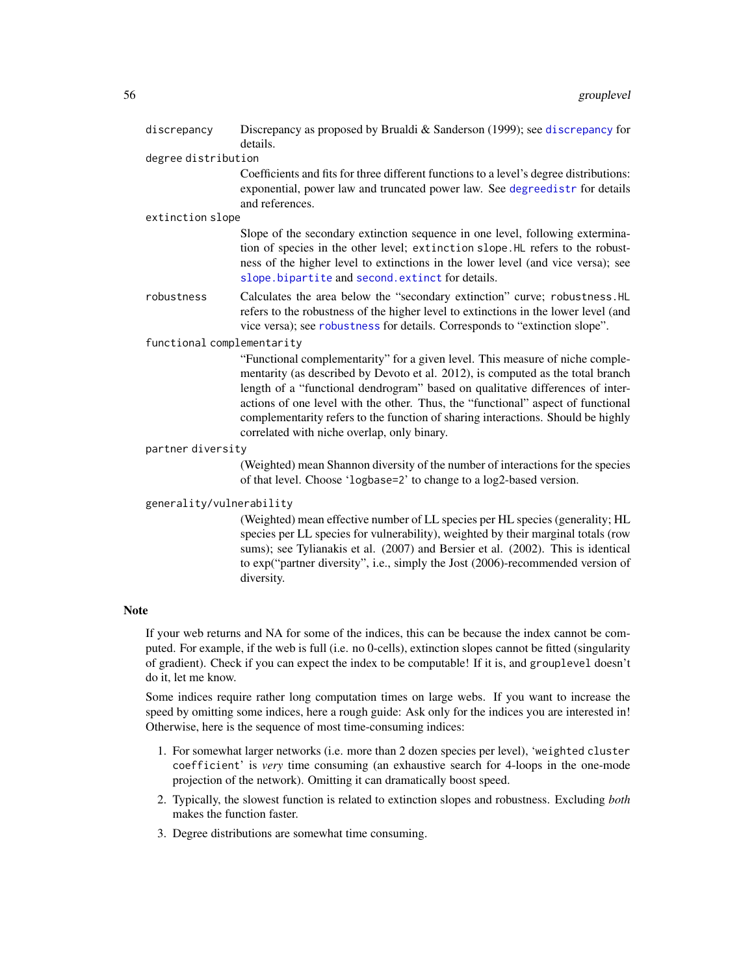| discrepancy                | Discrepancy as proposed by Brualdi & Sanderson (1999); see discrepancy for<br>details.                                                                                                                                                                                                                                                                                                                                                                                    |  |
|----------------------------|---------------------------------------------------------------------------------------------------------------------------------------------------------------------------------------------------------------------------------------------------------------------------------------------------------------------------------------------------------------------------------------------------------------------------------------------------------------------------|--|
| degree distribution        |                                                                                                                                                                                                                                                                                                                                                                                                                                                                           |  |
|                            | Coefficients and fits for three different functions to a level's degree distributions:<br>exponential, power law and truncated power law. See degreedistr for details<br>and references.                                                                                                                                                                                                                                                                                  |  |
| extinction slope           |                                                                                                                                                                                                                                                                                                                                                                                                                                                                           |  |
|                            | Slope of the secondary extinction sequence in one level, following extermina-<br>tion of species in the other level; extinction slope. HL refers to the robust-<br>ness of the higher level to extinctions in the lower level (and vice versa); see<br>slope.bipartite and second.extinct for details.                                                                                                                                                                    |  |
| robustness                 | Calculates the area below the "secondary extinction" curve; robustness. HL<br>refers to the robustness of the higher level to extinctions in the lower level (and<br>vice versa); see robustness for details. Corresponds to "extinction slope".                                                                                                                                                                                                                          |  |
| functional complementarity |                                                                                                                                                                                                                                                                                                                                                                                                                                                                           |  |
|                            | "Functional complementarity" for a given level. This measure of niche comple-<br>mentarity (as described by Devoto et al. 2012), is computed as the total branch<br>length of a "functional dendrogram" based on qualitative differences of inter-<br>actions of one level with the other. Thus, the "functional" aspect of functional<br>complementarity refers to the function of sharing interactions. Should be highly<br>correlated with niche overlap, only binary. |  |
| partner diversity          |                                                                                                                                                                                                                                                                                                                                                                                                                                                                           |  |
|                            | (Weighted) mean Shannon diversity of the number of interactions for the species<br>of that level. Choose 'logbase=2' to change to a log2-based version.                                                                                                                                                                                                                                                                                                                   |  |
| generality/vulnerability   |                                                                                                                                                                                                                                                                                                                                                                                                                                                                           |  |
|                            | (Weighted) mean effective number of LL species per HL species (generality; HL<br>species per LL species for vulnerability), weighted by their marginal totals (row<br>sums); see Tylianakis et al. (2007) and Bersier et al. (2002). This is identical<br>to exp("partner diversity", i.e., simply the Jost (2006)-recommended version of<br>diversity.                                                                                                                   |  |

#### Note

If your web returns and NA for some of the indices, this can be because the index cannot be computed. For example, if the web is full (i.e. no 0-cells), extinction slopes cannot be fitted (singularity of gradient). Check if you can expect the index to be computable! If it is, and grouplevel doesn't do it, let me know.

Some indices require rather long computation times on large webs. If you want to increase the speed by omitting some indices, here a rough guide: Ask only for the indices you are interested in! Otherwise, here is the sequence of most time-consuming indices:

- 1. For somewhat larger networks (i.e. more than 2 dozen species per level), 'weighted cluster coefficient' is *very* time consuming (an exhaustive search for 4-loops in the one-mode projection of the network). Omitting it can dramatically boost speed.
- 2. Typically, the slowest function is related to extinction slopes and robustness. Excluding *both* makes the function faster.
- 3. Degree distributions are somewhat time consuming.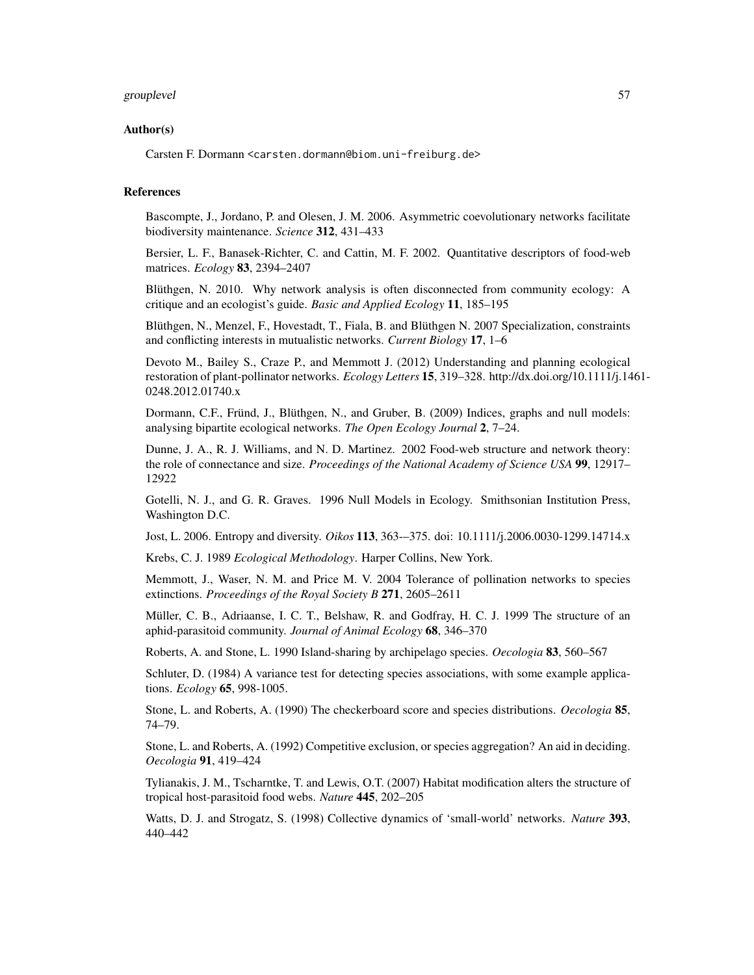#### grouplevel 57 and 50 minutes of the state of the state of the state of the state of the state of the state of the state of the state of the state of the state of the state of the state of the state of the state of the stat

#### Author(s)

Carsten F. Dormann <carsten.dormann@biom.uni-freiburg.de>

#### References

Bascompte, J., Jordano, P. and Olesen, J. M. 2006. Asymmetric coevolutionary networks facilitate biodiversity maintenance. *Science* 312, 431–433

Bersier, L. F., Banasek-Richter, C. and Cattin, M. F. 2002. Quantitative descriptors of food-web matrices. *Ecology* 83, 2394–2407

Blüthgen, N. 2010. Why network analysis is often disconnected from community ecology: A critique and an ecologist's guide. *Basic and Applied Ecology* 11, 185–195

Blüthgen, N., Menzel, F., Hovestadt, T., Fiala, B. and Blüthgen N. 2007 Specialization, constraints and conflicting interests in mutualistic networks. *Current Biology* 17, 1–6

Devoto M., Bailey S., Craze P., and Memmott J. (2012) Understanding and planning ecological restoration of plant-pollinator networks. *Ecology Letters* 15, 319–328. http://dx.doi.org/10.1111/j.1461- 0248.2012.01740.x

Dormann, C.F., Fründ, J., Blüthgen, N., and Gruber, B. (2009) Indices, graphs and null models: analysing bipartite ecological networks. *The Open Ecology Journal* 2, 7–24.

Dunne, J. A., R. J. Williams, and N. D. Martinez. 2002 Food-web structure and network theory: the role of connectance and size. *Proceedings of the National Academy of Science USA* 99, 12917– 12922

Gotelli, N. J., and G. R. Graves. 1996 Null Models in Ecology. Smithsonian Institution Press, Washington D.C.

Jost, L. 2006. Entropy and diversity. *Oikos* 113, 363-–375. doi: 10.1111/j.2006.0030-1299.14714.x

Krebs, C. J. 1989 *Ecological Methodology*. Harper Collins, New York.

Memmott, J., Waser, N. M. and Price M. V. 2004 Tolerance of pollination networks to species extinctions. *Proceedings of the Royal Society B* 271, 2605–2611

Müller, C. B., Adriaanse, I. C. T., Belshaw, R. and Godfray, H. C. J. 1999 The structure of an aphid-parasitoid community. *Journal of Animal Ecology* 68, 346–370

Roberts, A. and Stone, L. 1990 Island-sharing by archipelago species. *Oecologia* 83, 560–567

Schluter, D. (1984) A variance test for detecting species associations, with some example applications. *Ecology* 65, 998-1005.

Stone, L. and Roberts, A. (1990) The checkerboard score and species distributions. *Oecologia* 85, 74–79.

Stone, L. and Roberts, A. (1992) Competitive exclusion, or species aggregation? An aid in deciding. *Oecologia* 91, 419–424

Tylianakis, J. M., Tscharntke, T. and Lewis, O.T. (2007) Habitat modification alters the structure of tropical host-parasitoid food webs. *Nature* 445, 202–205

Watts, D. J. and Strogatz, S. (1998) Collective dynamics of 'small-world' networks. *Nature* 393, 440–442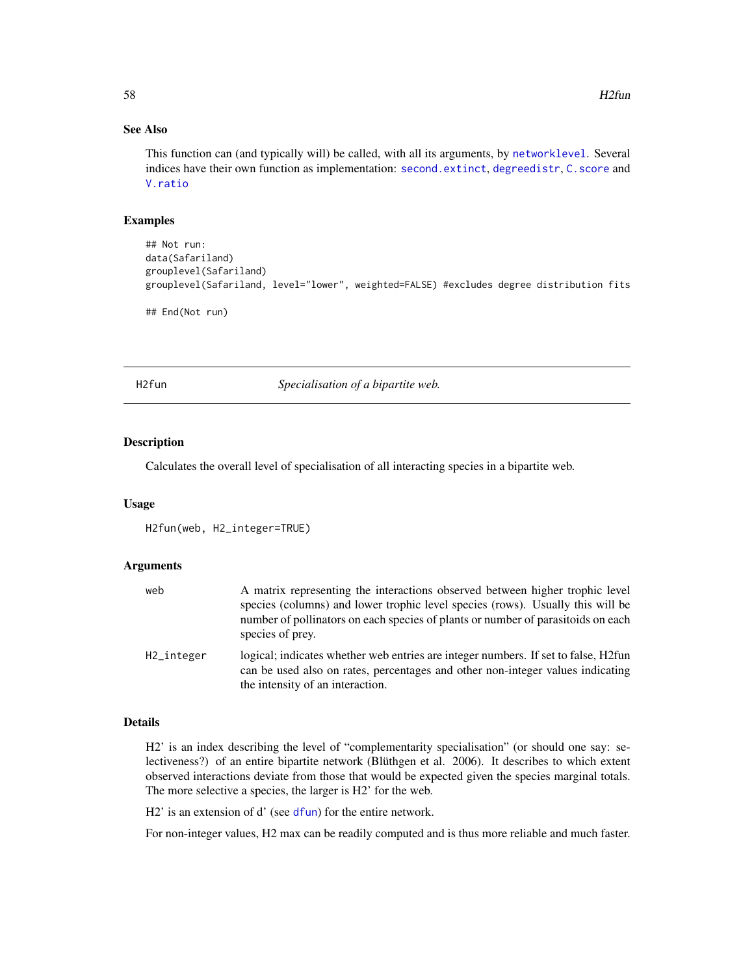## See Also

This function can (and typically will) be called, with all its arguments, by [networklevel](#page-80-0). Several indices have their own function as implementation: [second.extinct](#page-121-0), [degreedistr](#page-34-0), [C.score](#page-23-0) and [V.ratio](#page-141-0)

#### Examples

```
## Not run:
data(Safariland)
grouplevel(Safariland)
grouplevel(Safariland, level="lower", weighted=FALSE) #excludes degree distribution fits
## End(Not run)
```
<span id="page-57-0"></span>H2fun *Specialisation of a bipartite web.*

#### Description

Calculates the overall level of specialisation of all interacting species in a bipartite web.

#### Usage

```
H2fun(web, H2_integer=TRUE)
```
#### Arguments

| web        | A matrix representing the interactions observed between higher trophic level<br>species (columns) and lower trophic level species (rows). Usually this will be<br>number of pollinators on each species of plants or number of parasitoids on each<br>species of prey. |
|------------|------------------------------------------------------------------------------------------------------------------------------------------------------------------------------------------------------------------------------------------------------------------------|
| H2_integer | logical; indicates whether web entries are integer numbers. If set to false, H2fun<br>can be used also on rates, percentages and other non-integer values indicating<br>the intensity of an interaction.                                                               |

#### Details

H2' is an index describing the level of "complementarity specialisation" (or should one say: selectiveness?) of an entire bipartite network (Blüthgen et al. 2006). It describes to which extent observed interactions deviate from those that would be expected given the species marginal totals. The more selective a species, the larger is H2' for the web.

H2' is an extension of d' (see [dfun](#page-36-0)) for the entire network.

For non-integer values, H2 max can be readily computed and is thus more reliable and much faster.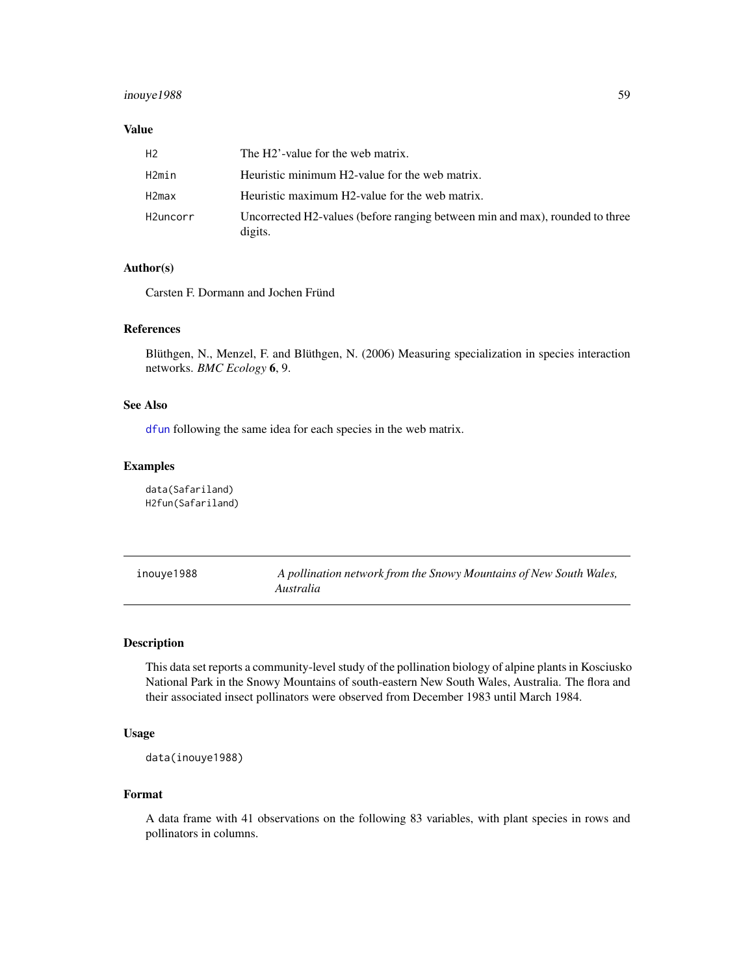## inouye1988 59

#### Value

| H <sub>2</sub> | The H2'-value for the web matrix.                                                       |
|----------------|-----------------------------------------------------------------------------------------|
| H2min          | Heuristic minimum H2-value for the web matrix.                                          |
| H2max          | Heuristic maximum H2-value for the web matrix.                                          |
| H2uncorr       | Uncorrected H2-values (before ranging between min and max), rounded to three<br>digits. |

## Author(s)

Carsten F. Dormann and Jochen Fründ

## References

Blüthgen, N., Menzel, F. and Blüthgen, N. (2006) Measuring specialization in species interaction networks. *BMC Ecology* 6, 9.

## See Also

[dfun](#page-36-0) following the same idea for each species in the web matrix.

## Examples

data(Safariland) H2fun(Safariland)

| inouye1988 | A pollination network from the Snowy Mountains of New South Wales, |
|------------|--------------------------------------------------------------------|
|            | Australia                                                          |

## Description

This data set reports a community-level study of the pollination biology of alpine plants in Kosciusko National Park in the Snowy Mountains of south-eastern New South Wales, Australia. The flora and their associated insect pollinators were observed from December 1983 until March 1984.

#### Usage

```
data(inouye1988)
```
#### Format

A data frame with 41 observations on the following 83 variables, with plant species in rows and pollinators in columns.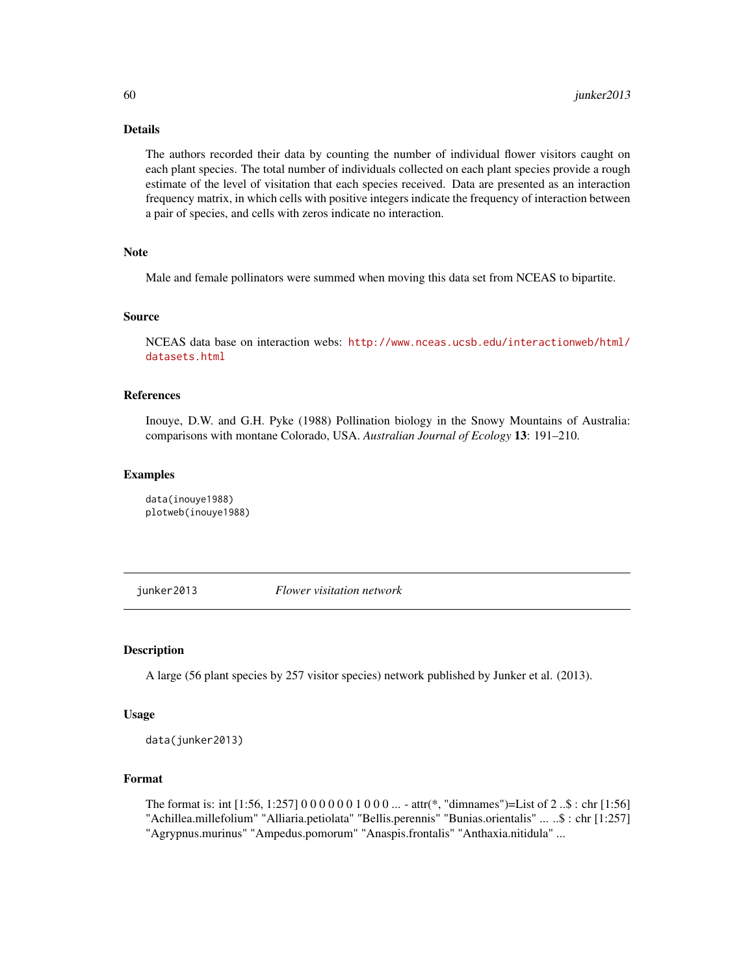## Details

The authors recorded their data by counting the number of individual flower visitors caught on each plant species. The total number of individuals collected on each plant species provide a rough estimate of the level of visitation that each species received. Data are presented as an interaction frequency matrix, in which cells with positive integers indicate the frequency of interaction between a pair of species, and cells with zeros indicate no interaction.

## Note

Male and female pollinators were summed when moving this data set from NCEAS to bipartite.

#### Source

NCEAS data base on interaction webs: [http://www.nceas.ucsb.edu/interactionweb/html/](http://www.nceas.ucsb.edu/interactionweb/html/datasets.html) [datasets.html](http://www.nceas.ucsb.edu/interactionweb/html/datasets.html)

#### References

Inouye, D.W. and G.H. Pyke (1988) Pollination biology in the Snowy Mountains of Australia: comparisons with montane Colorado, USA. *Australian Journal of Ecology* 13: 191–210.

#### Examples

data(inouye1988) plotweb(inouye1988)

junker2013 *Flower visitation network*

## **Description**

A large (56 plant species by 257 visitor species) network published by Junker et al. (2013).

#### Usage

data(junker2013)

## Format

The format is: int [1:56, 1:257] 0 0 0 0 0 0 1 0 0 0 ... - attr(\*, "dimnames")=List of 2 ..\$ : chr [1:56] "Achillea.millefolium" "Alliaria.petiolata" "Bellis.perennis" "Bunias.orientalis" ... ..\$ : chr [1:257] "Agrypnus.murinus" "Ampedus.pomorum" "Anaspis.frontalis" "Anthaxia.nitidula" ...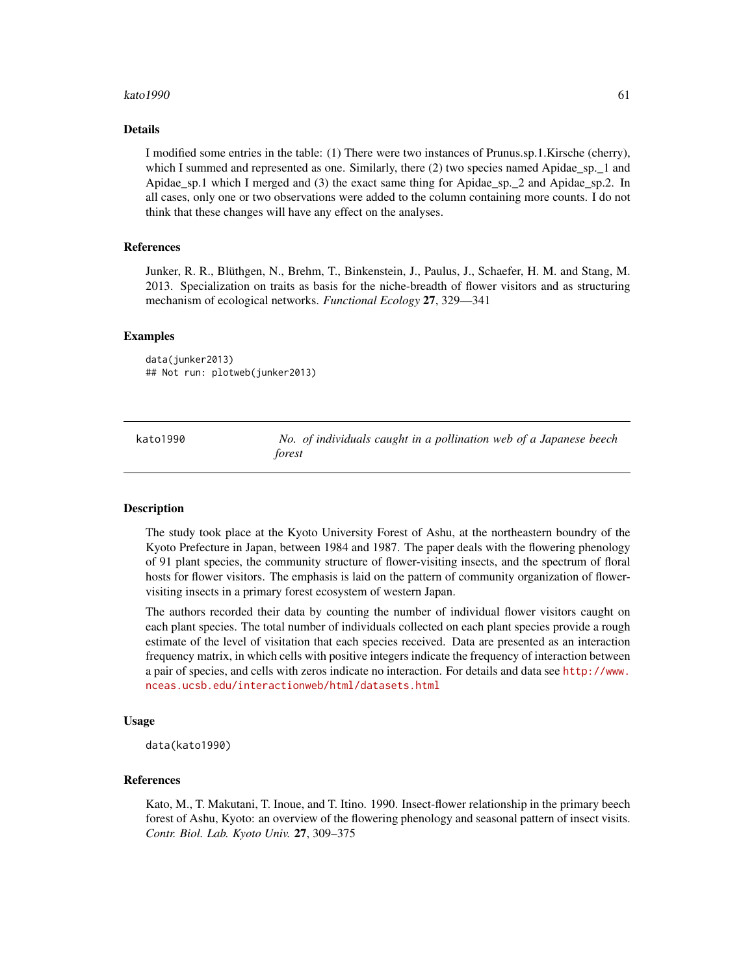#### kato 1990 **61**

#### Details

I modified some entries in the table: (1) There were two instances of Prunus.sp.1.Kirsche (cherry), which I summed and represented as one. Similarly, there (2) two species named Apidae\_sp. 1 and Apidae\_sp.1 which I merged and (3) the exact same thing for Apidae\_sp.\_2 and Apidae\_sp.2. In all cases, only one or two observations were added to the column containing more counts. I do not think that these changes will have any effect on the analyses.

#### References

Junker, R. R., Blüthgen, N., Brehm, T., Binkenstein, J., Paulus, J., Schaefer, H. M. and Stang, M. 2013. Specialization on traits as basis for the niche-breadth of flower visitors and as structuring mechanism of ecological networks. *Functional Ecology* 27, 329—341

#### Examples

data(junker2013) ## Not run: plotweb(junker2013)

kato1990 *No. of individuals caught in a pollination web of a Japanese beech forest*

#### Description

The study took place at the Kyoto University Forest of Ashu, at the northeastern boundry of the Kyoto Prefecture in Japan, between 1984 and 1987. The paper deals with the flowering phenology of 91 plant species, the community structure of flower-visiting insects, and the spectrum of floral hosts for flower visitors. The emphasis is laid on the pattern of community organization of flowervisiting insects in a primary forest ecosystem of western Japan.

The authors recorded their data by counting the number of individual flower visitors caught on each plant species. The total number of individuals collected on each plant species provide a rough estimate of the level of visitation that each species received. Data are presented as an interaction frequency matrix, in which cells with positive integers indicate the frequency of interaction between a pair of species, and cells with zeros indicate no interaction. For details and data see [http://www.](http://www.nceas.ucsb.edu/interactionweb/html/datasets.html) [nceas.ucsb.edu/interactionweb/html/datasets.html](http://www.nceas.ucsb.edu/interactionweb/html/datasets.html)

#### Usage

data(kato1990)

#### References

Kato, M., T. Makutani, T. Inoue, and T. Itino. 1990. Insect-flower relationship in the primary beech forest of Ashu, Kyoto: an overview of the flowering phenology and seasonal pattern of insect visits. *Contr. Biol. Lab. Kyoto Univ.* 27, 309–375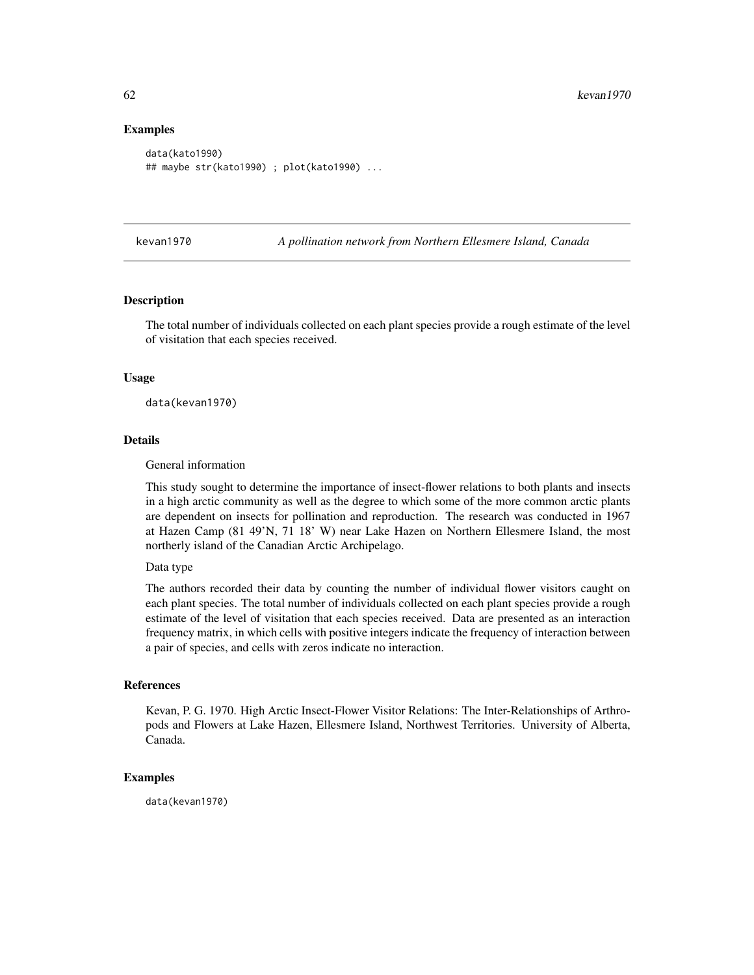#### Examples

```
data(kato1990)
## maybe str(kato1990) ; plot(kato1990) ...
```
kevan1970 *A pollination network from Northern Ellesmere Island, Canada*

#### Description

The total number of individuals collected on each plant species provide a rough estimate of the level of visitation that each species received.

#### Usage

data(kevan1970)

#### Details

General information

This study sought to determine the importance of insect-flower relations to both plants and insects in a high arctic community as well as the degree to which some of the more common arctic plants are dependent on insects for pollination and reproduction. The research was conducted in 1967 at Hazen Camp (81 49'N, 71 18' W) near Lake Hazen on Northern Ellesmere Island, the most northerly island of the Canadian Arctic Archipelago.

#### Data type

The authors recorded their data by counting the number of individual flower visitors caught on each plant species. The total number of individuals collected on each plant species provide a rough estimate of the level of visitation that each species received. Data are presented as an interaction frequency matrix, in which cells with positive integers indicate the frequency of interaction between a pair of species, and cells with zeros indicate no interaction.

#### References

Kevan, P. G. 1970. High Arctic Insect-Flower Visitor Relations: The Inter-Relationships of Arthropods and Flowers at Lake Hazen, Ellesmere Island, Northwest Territories. University of Alberta, Canada.

## Examples

data(kevan1970)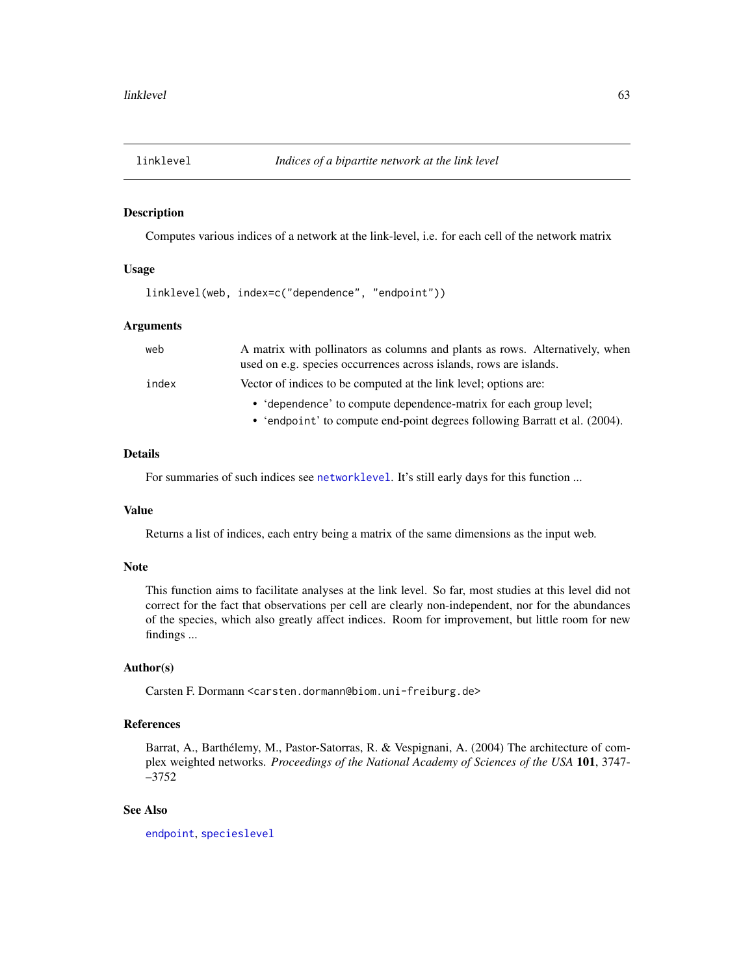## Description

Computes various indices of a network at the link-level, i.e. for each cell of the network matrix

## Usage

linklevel(web, index=c("dependence", "endpoint"))

## Arguments

| web   | A matrix with pollinators as columns and plants as rows. Alternatively, when<br>used on e.g. species occurrences across islands, rows are islands. |
|-------|----------------------------------------------------------------------------------------------------------------------------------------------------|
|       |                                                                                                                                                    |
| index | Vector of indices to be computed at the link level; options are:                                                                                   |
|       | • 'dependence' to compute dependence-matrix for each group level;                                                                                  |
|       | • 'endpoint' to compute end-point degrees following Barratt et al. (2004).                                                                         |

## Details

For summaries of such indices see [networklevel](#page-80-0). It's still early days for this function ...

#### Value

Returns a list of indices, each entry being a matrix of the same dimensions as the input web.

#### Note

This function aims to facilitate analyses at the link level. So far, most studies at this level did not correct for the fact that observations per cell are clearly non-independent, nor for the abundances of the species, which also greatly affect indices. Room for improvement, but little room for new findings ...

## Author(s)

Carsten F. Dormann <carsten.dormann@biom.uni-freiburg.de>

### References

Barrat, A., Barthélemy, M., Pastor-Satorras, R. & Vespignani, A. (2004) The architecture of complex weighted networks. *Proceedings of the National Academy of Sciences of the USA* 101, 3747- –3752

## See Also

[endpoint](#page-45-0), [specieslevel](#page-128-0)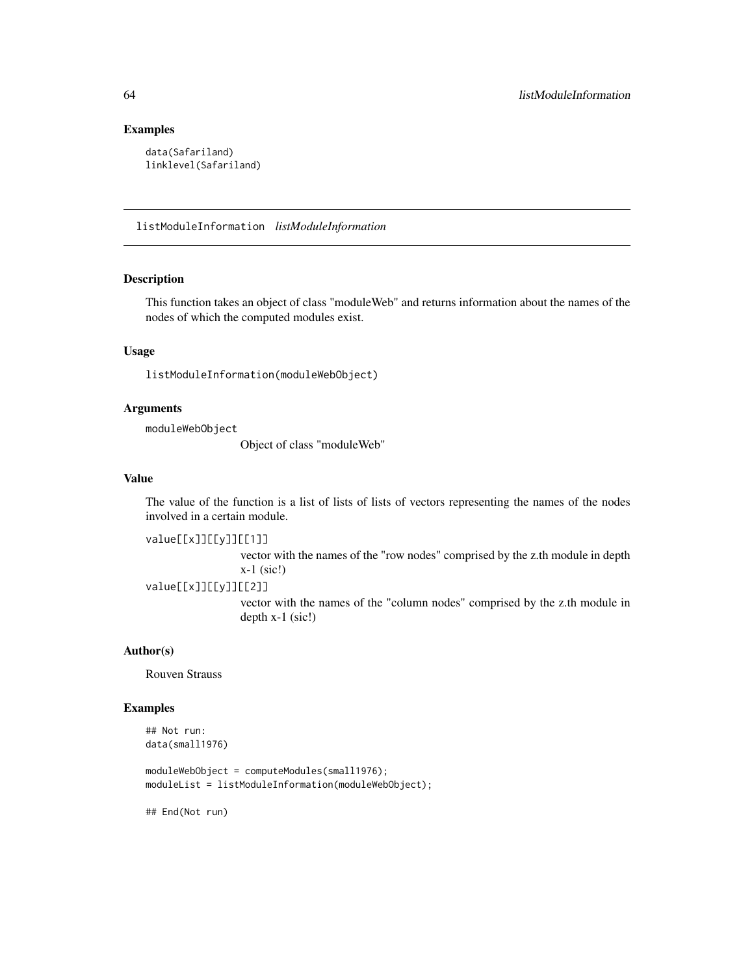## Examples

```
data(Safariland)
linklevel(Safariland)
```
<span id="page-63-0"></span>listModuleInformation *listModuleInformation*

## Description

This function takes an object of class "moduleWeb" and returns information about the names of the nodes of which the computed modules exist.

## Usage

listModuleInformation(moduleWebObject)

#### Arguments

moduleWebObject

Object of class "moduleWeb"

## Value

The value of the function is a list of lists of lists of vectors representing the names of the nodes involved in a certain module.

value[[x]][[y]][[1]]

vector with the names of the "row nodes" comprised by the z.th module in depth x-1 (sic!)

value[[x]][[y]][[2]]

vector with the names of the "column nodes" comprised by the z.th module in depth x-1 (sic!)

## Author(s)

Rouven Strauss

#### Examples

## Not run: data(small1976)

moduleWebObject = computeModules(small1976); moduleList = listModuleInformation(moduleWebObject);

## End(Not run)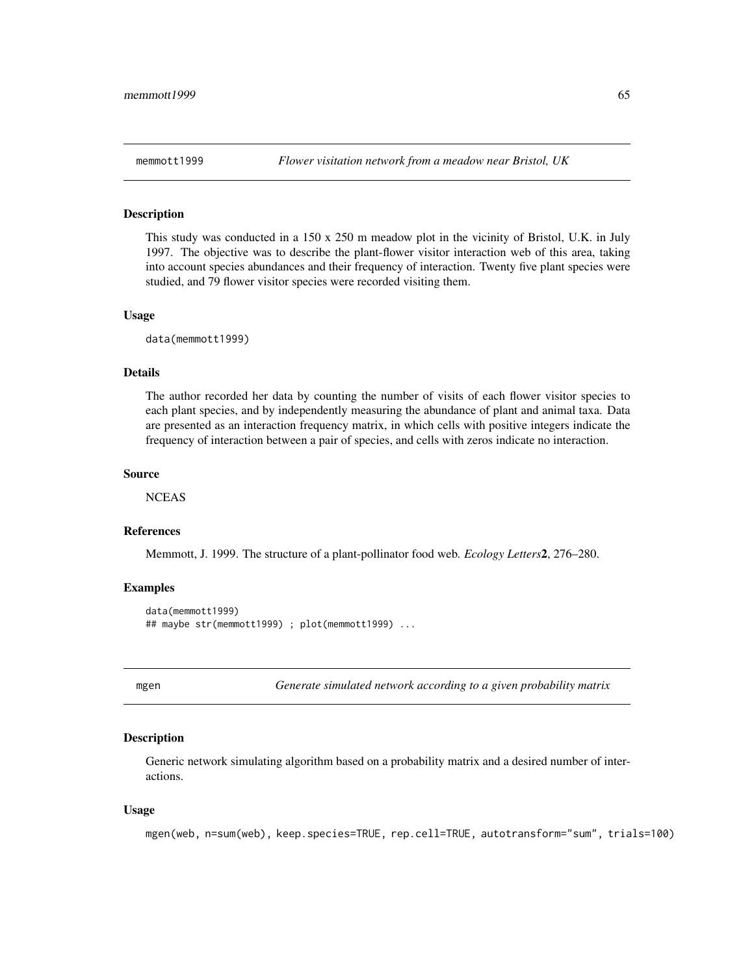#### Description

This study was conducted in a 150 x 250 m meadow plot in the vicinity of Bristol, U.K. in July 1997. The objective was to describe the plant-flower visitor interaction web of this area, taking into account species abundances and their frequency of interaction. Twenty five plant species were studied, and 79 flower visitor species were recorded visiting them.

#### Usage

data(memmott1999)

## Details

The author recorded her data by counting the number of visits of each flower visitor species to each plant species, and by independently measuring the abundance of plant and animal taxa. Data are presented as an interaction frequency matrix, in which cells with positive integers indicate the frequency of interaction between a pair of species, and cells with zeros indicate no interaction.

#### Source

**NCEAS** 

## References

Memmott, J. 1999. The structure of a plant-pollinator food web. *Ecology Letters*2, 276–280.

#### Examples

```
data(memmott1999)
## maybe str(memmott1999) ; plot(memmott1999) ...
```
mgen *Generate simulated network according to a given probability matrix*

## **Description**

Generic network simulating algorithm based on a probability matrix and a desired number of interactions.

#### Usage

```
mgen(web, n=sum(web), keep.species=TRUE, rep.cell=TRUE, autotransform="sum", trials=100)
```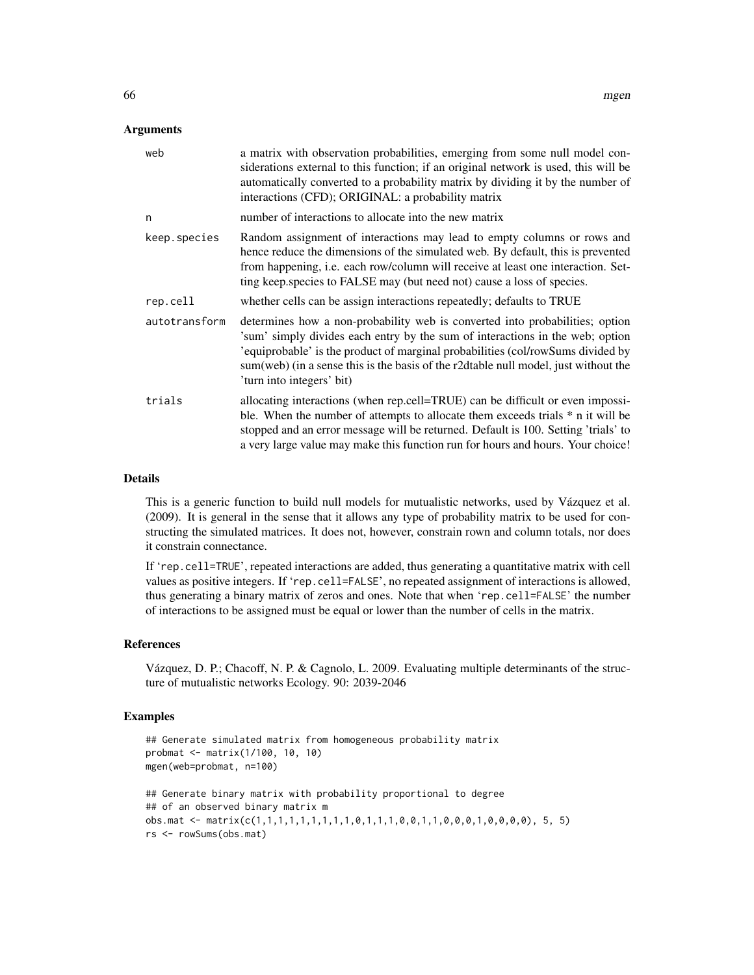#### **Arguments**

| web           | a matrix with observation probabilities, emerging from some null model con-<br>siderations external to this function; if an original network is used, this will be<br>automatically converted to a probability matrix by dividing it by the number of<br>interactions (CFD); ORIGINAL: a probability matrix                                                          |
|---------------|----------------------------------------------------------------------------------------------------------------------------------------------------------------------------------------------------------------------------------------------------------------------------------------------------------------------------------------------------------------------|
| n             | number of interactions to allocate into the new matrix                                                                                                                                                                                                                                                                                                               |
| keep.species  | Random assignment of interactions may lead to empty columns or rows and<br>hence reduce the dimensions of the simulated web. By default, this is prevented<br>from happening, i.e. each row/column will receive at least one interaction. Set-<br>ting keep.species to FALSE may (but need not) cause a loss of species.                                             |
| rep.cell      | whether cells can be assign interactions repeatedly; defaults to TRUE                                                                                                                                                                                                                                                                                                |
| autotransform | determines how a non-probability web is converted into probabilities; option<br>'sum' simply divides each entry by the sum of interactions in the web; option<br>'equiprobable' is the product of marginal probabilities (col/rowSums divided by<br>sum(web) (in a sense this is the basis of the r2dtable null model, just without the<br>'turn into integers' bit) |
| trials        | allocating interactions (when rep.cell=TRUE) can be difficult or even impossi-<br>ble. When the number of attempts to allocate them exceeds trials * n it will be<br>stopped and an error message will be returned. Default is 100. Setting 'trials' to<br>a very large value may make this function run for hours and hours. Your choice!                           |
|               |                                                                                                                                                                                                                                                                                                                                                                      |

## Details

This is a generic function to build null models for mutualistic networks, used by Vázquez et al. (2009). It is general in the sense that it allows any type of probability matrix to be used for constructing the simulated matrices. It does not, however, constrain rown and column totals, nor does it constrain connectance.

If 'rep.cell=TRUE', repeated interactions are added, thus generating a quantitative matrix with cell values as positive integers. If 'rep.cell=FALSE', no repeated assignment of interactions is allowed, thus generating a binary matrix of zeros and ones. Note that when 'rep.cell=FALSE' the number of interactions to be assigned must be equal or lower than the number of cells in the matrix.

#### References

Vázquez, D. P.; Chacoff, N. P. & Cagnolo, L. 2009. Evaluating multiple determinants of the structure of mutualistic networks Ecology. 90: 2039-2046

#### Examples

```
## Generate simulated matrix from homogeneous probability matrix
probmat <- matrix(1/100, 10, 10)
mgen(web=probmat, n=100)
## Generate binary matrix with probability proportional to degree
## of an observed binary matrix m
obs.mat <- matrix(c(1,1,1,1,1,1,1,1,1,0,1,1,1,0,0,1,1,0,0,0,1,0,0,0,0), 5, 5)
rs <- rowSums(obs.mat)
```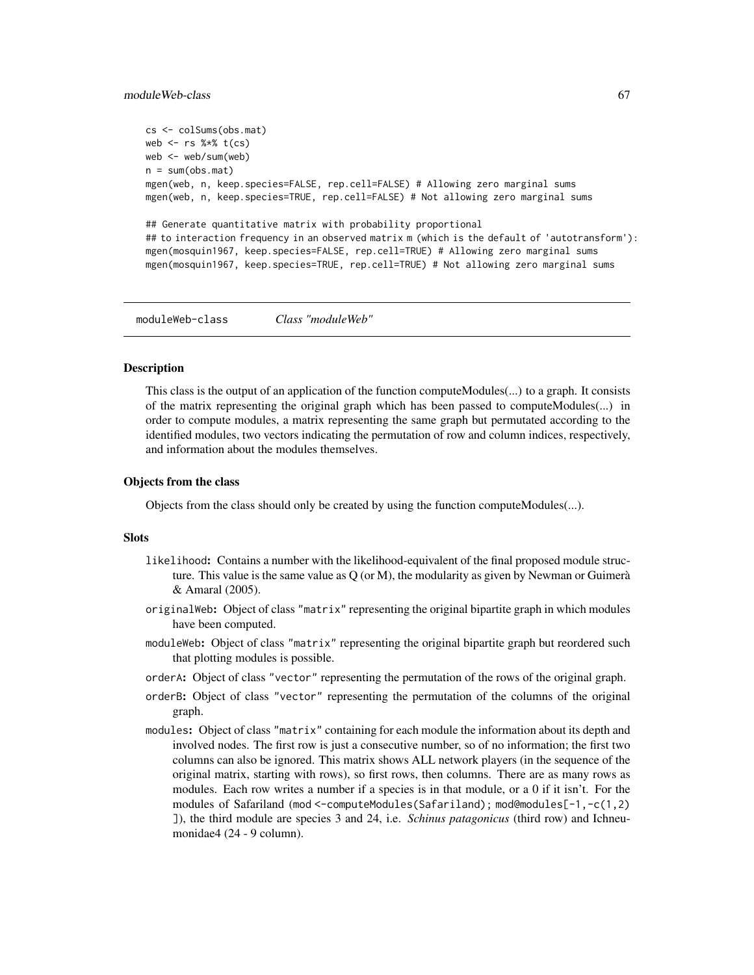#### moduleWeb-class 67

```
cs <- colSums(obs.mat)
web \leq rs %*% t(cs)
web <- web/sum(web)
n = sum(obs.max)mgen(web, n, keep.species=FALSE, rep.cell=FALSE) # Allowing zero marginal sums
mgen(web, n, keep.species=TRUE, rep.cell=FALSE) # Not allowing zero marginal sums
## Generate quantitative matrix with probability proportional
## to interaction frequency in an observed matrix m (which is the default of 'autotransform'):
mgen(mosquin1967, keep.species=FALSE, rep.cell=TRUE) # Allowing zero marginal sums
mgen(mosquin1967, keep.species=TRUE, rep.cell=TRUE) # Not allowing zero marginal sums
```
moduleWeb-class *Class "moduleWeb"*

#### Description

This class is the output of an application of the function computeModules(...) to a graph. It consists of the matrix representing the original graph which has been passed to computeModules(...) in order to compute modules, a matrix representing the same graph but permutated according to the identified modules, two vectors indicating the permutation of row and column indices, respectively, and information about the modules themselves.

#### Objects from the class

Objects from the class should only be created by using the function computeModules(...).

#### Slots

- likelihood: Contains a number with the likelihood-equivalent of the final proposed module structure. This value is the same value as  $Q$  (or M), the modularity as given by Newman or Guimerà & Amaral (2005).
- originalWeb: Object of class "matrix" representing the original bipartite graph in which modules have been computed.
- moduleWeb: Object of class "matrix" representing the original bipartite graph but reordered such that plotting modules is possible.
- orderA: Object of class "vector" representing the permutation of the rows of the original graph.
- orderB: Object of class "vector" representing the permutation of the columns of the original graph.
- modules: Object of class "matrix" containing for each module the information about its depth and involved nodes. The first row is just a consecutive number, so of no information; the first two columns can also be ignored. This matrix shows ALL network players (in the sequence of the original matrix, starting with rows), so first rows, then columns. There are as many rows as modules. Each row writes a number if a species is in that module, or a 0 if it isn't. For the modules of Safariland (mod <-computeModules(Safariland); mod@modules[-1,-c(1,2) ]), the third module are species 3 and 24, i.e. *Schinus patagonicus* (third row) and Ichneumonidae4 (24 - 9 column).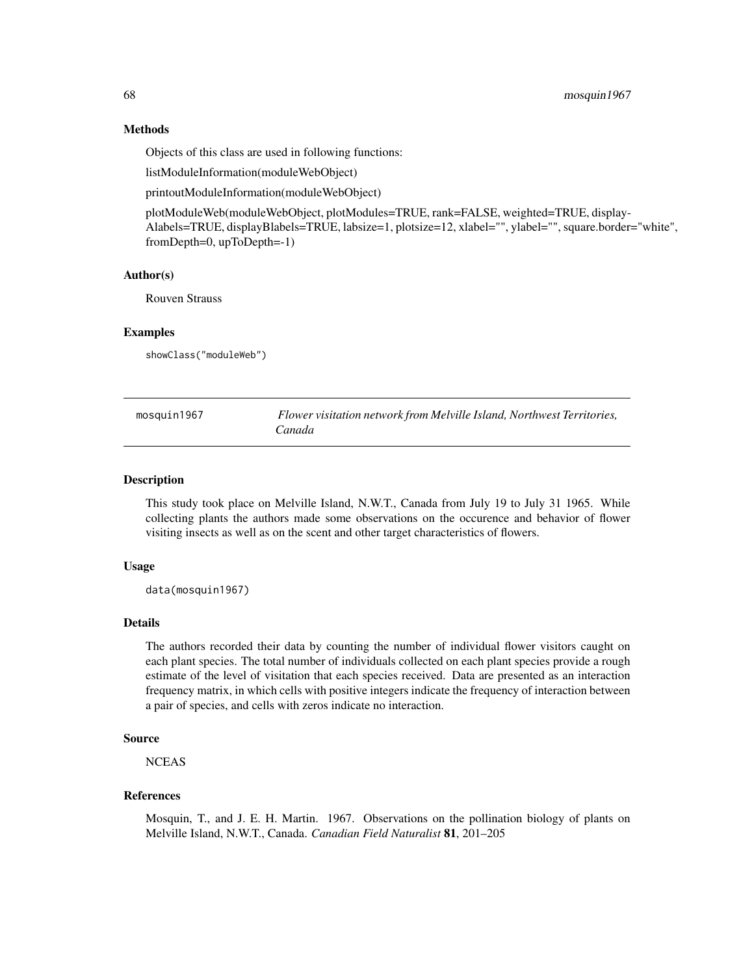## Methods

Objects of this class are used in following functions:

listModuleInformation(moduleWebObject)

printoutModuleInformation(moduleWebObject)

plotModuleWeb(moduleWebObject, plotModules=TRUE, rank=FALSE, weighted=TRUE, display-Alabels=TRUE, displayBlabels=TRUE, labsize=1, plotsize=12, xlabel="", ylabel="", square.border="white", fromDepth=0, upToDepth=-1)

#### Author(s)

Rouven Strauss

## **Examples**

showClass("moduleWeb")

| mosquin1967 | Flower visitation network from Melville Island, Northwest Territories, |
|-------------|------------------------------------------------------------------------|
|             | Canada                                                                 |

## **Description**

This study took place on Melville Island, N.W.T., Canada from July 19 to July 31 1965. While collecting plants the authors made some observations on the occurence and behavior of flower visiting insects as well as on the scent and other target characteristics of flowers.

#### Usage

data(mosquin1967)

## Details

The authors recorded their data by counting the number of individual flower visitors caught on each plant species. The total number of individuals collected on each plant species provide a rough estimate of the level of visitation that each species received. Data are presented as an interaction frequency matrix, in which cells with positive integers indicate the frequency of interaction between a pair of species, and cells with zeros indicate no interaction.

## Source

**NCEAS** 

#### References

Mosquin, T., and J. E. H. Martin. 1967. Observations on the pollination biology of plants on Melville Island, N.W.T., Canada. *Canadian Field Naturalist* 81, 201–205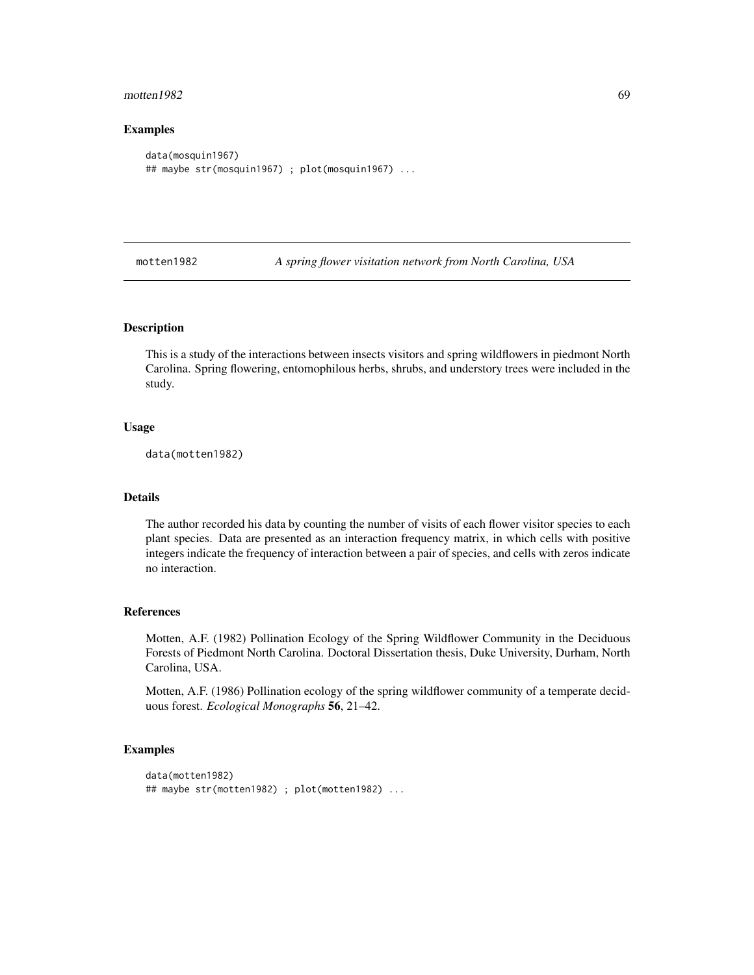#### motten1982 69 and the set of the set of the set of the set of the set of the set of the set of the set of the set of the set of the set of the set of the set of the set of the set of the set of the set of the set of the se

#### Examples

```
data(mosquin1967)
## maybe str(mosquin1967) ; plot(mosquin1967) ...
```
motten1982 *A spring flower visitation network from North Carolina, USA*

#### Description

This is a study of the interactions between insects visitors and spring wildflowers in piedmont North Carolina. Spring flowering, entomophilous herbs, shrubs, and understory trees were included in the study.

## Usage

data(motten1982)

#### Details

The author recorded his data by counting the number of visits of each flower visitor species to each plant species. Data are presented as an interaction frequency matrix, in which cells with positive integers indicate the frequency of interaction between a pair of species, and cells with zeros indicate no interaction.

#### References

Motten, A.F. (1982) Pollination Ecology of the Spring Wildflower Community in the Deciduous Forests of Piedmont North Carolina. Doctoral Dissertation thesis, Duke University, Durham, North Carolina, USA.

Motten, A.F. (1986) Pollination ecology of the spring wildflower community of a temperate deciduous forest. *Ecological Monographs* 56, 21–42.

#### Examples

```
data(motten1982)
## maybe str(motten1982) ; plot(motten1982) ...
```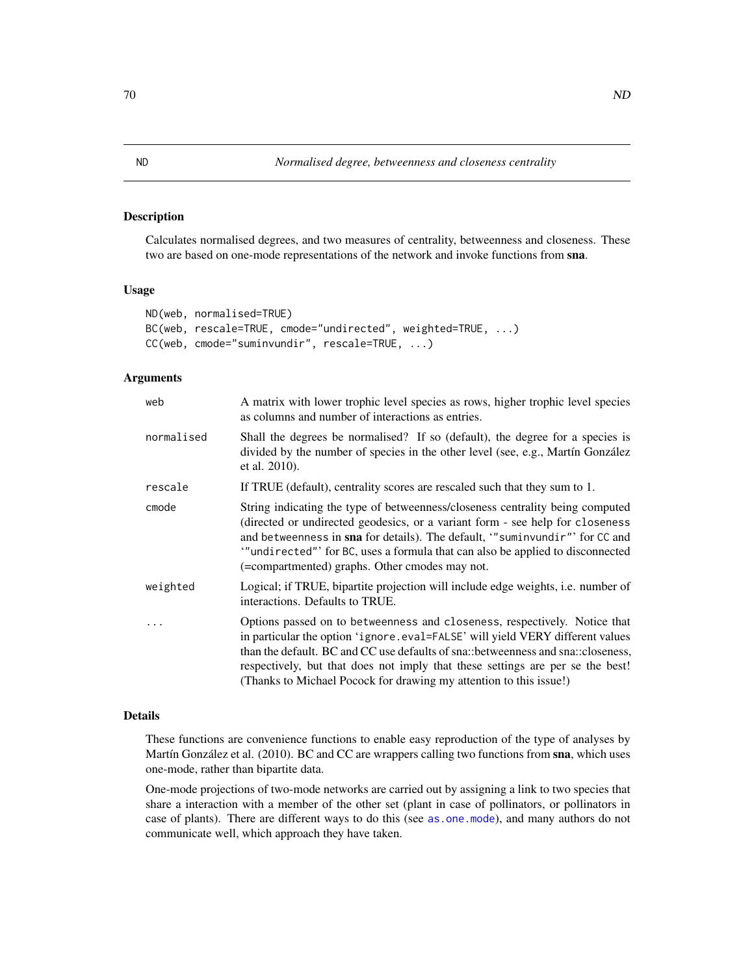## Description

Calculates normalised degrees, and two measures of centrality, betweenness and closeness. These two are based on one-mode representations of the network and invoke functions from sna.

#### Usage

```
ND(web, normalised=TRUE)
BC(web, rescale=TRUE, cmode="undirected", weighted=TRUE, ...)
CC(web, cmode="suminvundir", rescale=TRUE, ...)
```
## Arguments

| web        | A matrix with lower trophic level species as rows, higher trophic level species<br>as columns and number of interactions as entries.                                                                                                                                                                                                                                                                   |  |
|------------|--------------------------------------------------------------------------------------------------------------------------------------------------------------------------------------------------------------------------------------------------------------------------------------------------------------------------------------------------------------------------------------------------------|--|
| normalised | Shall the degrees be normalised? If so (default), the degree for a species is<br>divided by the number of species in the other level (see, e.g., Martín González<br>et al. 2010).                                                                                                                                                                                                                      |  |
| rescale    | If TRUE (default), centrality scores are rescaled such that they sum to 1.                                                                                                                                                                                                                                                                                                                             |  |
| cmode      | String indicating the type of betweenness/closeness centrality being computed<br>(directed or undirected geodesics, or a variant form - see help for closeness<br>and betweenness in sna for details). The default, "suminvundir" for CC and<br>"undirected" for BC, uses a formula that can also be applied to disconnected<br>(=compartmented) graphs. Other cmodes may not.                         |  |
| weighted   | Logical; if TRUE, bipartite projection will include edge weights, <i>i.e.</i> number of<br>interactions. Defaults to TRUE.                                                                                                                                                                                                                                                                             |  |
|            | Options passed on to betweenness and closeness, respectively. Notice that<br>in particular the option 'ignore.eval=FALSE' will yield VERY different values<br>than the default. BC and CC use defaults of sna::betweenness and sna::closeness,<br>respectively, but that does not imply that these settings are per se the best!<br>(Thanks to Michael Pocock for drawing my attention to this issue!) |  |

#### Details

These functions are convenience functions to enable easy reproduction of the type of analyses by Martín González et al. (2010). BC and CC are wrappers calling two functions from sna, which uses one-mode, rather than bipartite data.

One-mode projections of two-mode networks are carried out by assigning a link to two species that share a interaction with a member of the other set (plant in case of pollinators, or pollinators in case of plants). There are different ways to do this (see [as.one.mode](#page-13-0)), and many authors do not communicate well, which approach they have taken.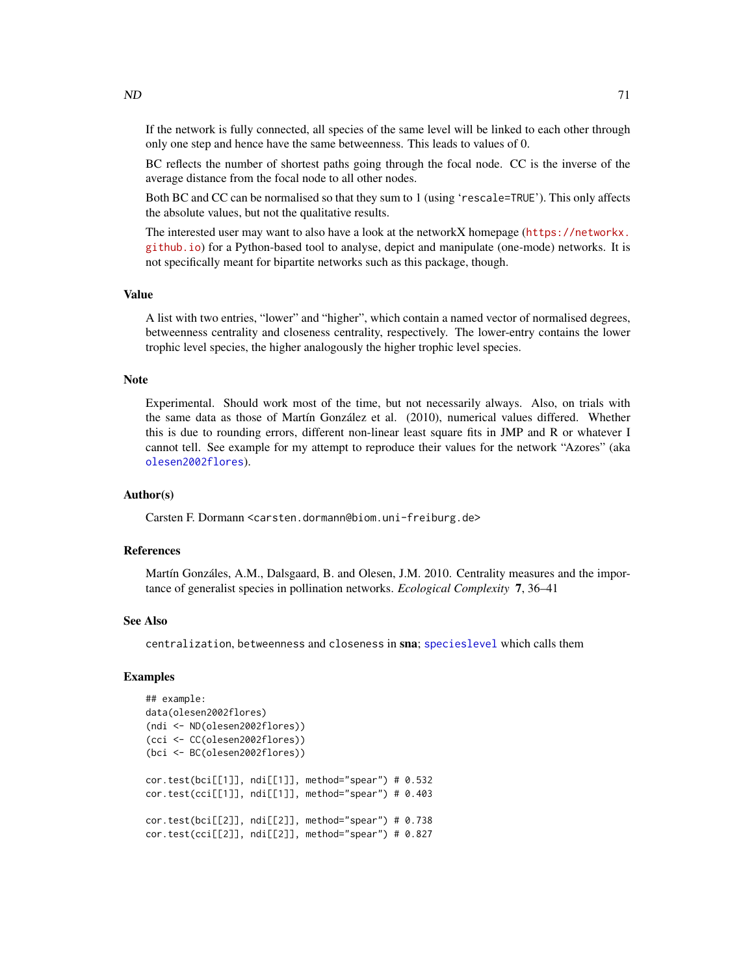If the network is fully connected, all species of the same level will be linked to each other through only one step and hence have the same betweenness. This leads to values of 0.

BC reflects the number of shortest paths going through the focal node. CC is the inverse of the average distance from the focal node to all other nodes.

Both BC and CC can be normalised so that they sum to 1 (using 'rescale=TRUE'). This only affects the absolute values, but not the qualitative results.

The interested user may want to also have a look at the networkX homepage ([https://networkx.](https://networkx.github.io) [github.io](https://networkx.github.io)) for a Python-based tool to analyse, depict and manipulate (one-mode) networks. It is not specifically meant for bipartite networks such as this package, though.

#### Value

A list with two entries, "lower" and "higher", which contain a named vector of normalised degrees, betweenness centrality and closeness centrality, respectively. The lower-entry contains the lower trophic level species, the higher analogously the higher trophic level species.

#### Note

Experimental. Should work most of the time, but not necessarily always. Also, on trials with the same data as those of Martín González et al. (2010), numerical values differed. Whether this is due to rounding errors, different non-linear least square fits in JMP and R or whatever I cannot tell. See example for my attempt to reproduce their values for the network "Azores" (aka [olesen2002flores](#page-99-0)).

#### Author(s)

Carsten F. Dormann <carsten.dormann@biom.uni-freiburg.de>

#### References

Martín Gonzáles, A.M., Dalsgaard, B. and Olesen, J.M. 2010. Centrality measures and the importance of generalist species in pollination networks. *Ecological Complexity* 7, 36–41

#### See Also

centralization, betweenness and closeness in sna; [specieslevel](#page-128-0) which calls them

#### Examples

```
## example:
data(olesen2002flores)
(ndi <- ND(olesen2002flores))
(cci <- CC(olesen2002flores))
(bci <- BC(olesen2002flores))
cor.test(bci[[1]], ndi[[1]], method="spear") # 0.532
cor.test(cci[[1]], ndi[[1]], method="spear") # 0.403
cor.test(bci[[2]], ndi[[2]], method="spear") # 0.738
cor.test(cci[[2]], ndi[[2]], method="spear") # 0.827
```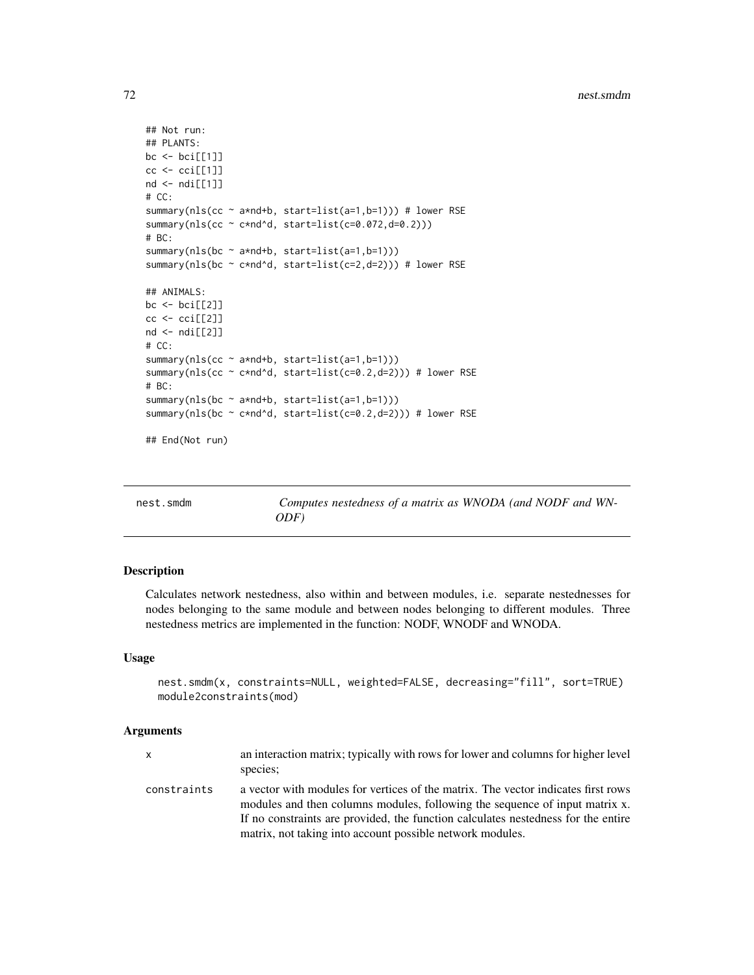```
## Not run:
## PLANTS:
bc <- bci[[1]]
cc <- cci[[1]]
nd \leftarrow ndi[[1]]# CC:
summary(nls(cc ~ a*nd+b, start=list(a=1,b=1))) # lower RSE
summary(nls(cc ~ c*nd^d, start=list(c=0.072,d=0.2)))
# BC:
summary(nls(bc ~ a*nd+b, start=list(a=1,b=1)))
summary(nls(bc ~ c*nd^d, start=list(c=2,d=2))) # lower RSE
## ANIMALS:
bc <- bci[[2]]
cc < -cc [2]nd \leftarrow ndi[[2]]# CC:
summary(nls(cc ~ a*nd+b, start=list(a=1,b=1)))
summary(nls(cc ~ c*nd^d, start=list(c=0.2,d=2))) # lower RSE
# BC:
summary(nls(bc ~ a*nd+b, start=list(a=1,b=1)))
summary(nls(bc ~ c*nd^d, start=list(c=0.2,d=2))) # lower RSE
## End(Not run)
```

| nest.smdm | Computes nestedness of a matrix as WNODA (and NODF and WN- |
|-----------|------------------------------------------------------------|
|           | ODF)                                                       |

#### Description

Calculates network nestedness, also within and between modules, i.e. separate nestednesses for nodes belonging to the same module and between nodes belonging to different modules. Three nestedness metrics are implemented in the function: NODF, WNODF and WNODA.

## Usage

```
nest.smdm(x, constraints=NULL, weighted=FALSE, decreasing="fill", sort=TRUE)
module2constraints(mod)
```
#### Arguments

| X           | an interaction matrix; typically with rows for lower and columns for higher level<br>species:                                                                                                                                                                                                                      |
|-------------|--------------------------------------------------------------------------------------------------------------------------------------------------------------------------------------------------------------------------------------------------------------------------------------------------------------------|
| constraints | a vector with modules for vertices of the matrix. The vector indicates first rows<br>modules and then columns modules, following the sequence of input matrix x.<br>If no constraints are provided, the function calculates nestedness for the entire<br>matrix, not taking into account possible network modules. |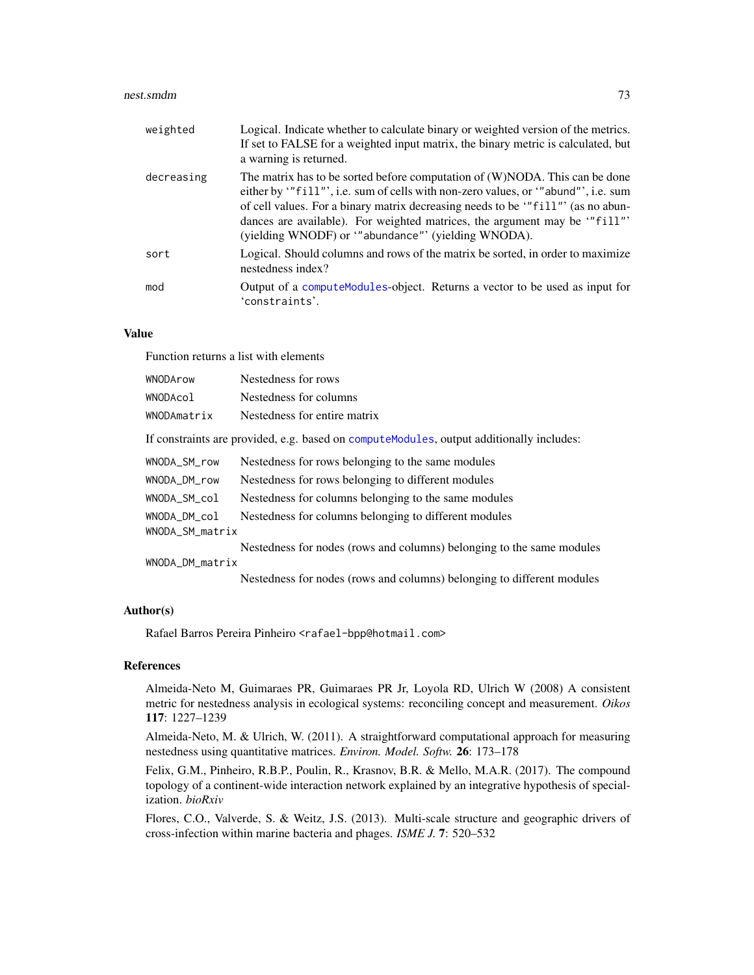#### nest.smdm 33

| weighted   | Logical. Indicate whether to calculate binary or weighted version of the metrics.<br>If set to FALSE for a weighted input matrix, the binary metric is calculated, but<br>a warning is returned.                                                                                                                                                                                      |
|------------|---------------------------------------------------------------------------------------------------------------------------------------------------------------------------------------------------------------------------------------------------------------------------------------------------------------------------------------------------------------------------------------|
| decreasing | The matrix has to be sorted before computation of (W)NODA. This can be done<br>either by ""fill"', i.e. sum of cells with non-zero values, or ""abund"', i.e. sum<br>of cell values. For a binary matrix decreasing needs to be "fill" (as no abun-<br>dances are available). For weighted matrices, the argument may be "fill"<br>(yielding WNODF) or "abundance"' (yielding WNODA). |
| sort       | Logical. Should columns and rows of the matrix be sorted, in order to maximize<br>nestedness index?                                                                                                                                                                                                                                                                                   |
| mod        | Output of a compute Modules-object. Returns a vector to be used as input for<br>'constraints'.                                                                                                                                                                                                                                                                                        |

# Value

Function returns a list with elements

| WNODArow        | Nestedness for rows                                                                       |
|-----------------|-------------------------------------------------------------------------------------------|
| WNODAcol        | Nestedness for columns                                                                    |
| WNODAmatrix     | Nestedness for entire matrix                                                              |
|                 | If constraints are provided, e.g. based on compute Modules, output additionally includes: |
| WNODA_SM_row    | Nestedness for rows belonging to the same modules                                         |
| WNODA_DM_row    | Nestedness for rows belonging to different modules                                        |
| WNODA_SM_col    | Nestedness for columns belonging to the same modules                                      |
| WNODA DM col    | Nestedness for columns belonging to different modules                                     |
| WNODA_SM_matrix |                                                                                           |
|                 | Nestedness for nodes (rows and columns) belonging to the same modules                     |
| WNODA_DM_matrix |                                                                                           |
|                 | Nestedness for nodes (rows and columns) belonging to different modules                    |

## Author(s)

Rafael Barros Pereira Pinheiro <rafael-bpp@hotmail.com>

#### References

Almeida-Neto M, Guimaraes PR, Guimaraes PR Jr, Loyola RD, Ulrich W (2008) A consistent metric for nestedness analysis in ecological systems: reconciling concept and measurement. *Oikos* 117: 1227–1239

Almeida-Neto, M. & Ulrich, W. (2011). A straightforward computational approach for measuring nestedness using quantitative matrices. *Environ. Model. Softw.* 26: 173–178

Felix, G.M., Pinheiro, R.B.P., Poulin, R., Krasnov, B.R. & Mello, M.A.R. (2017). The compound topology of a continent-wide interaction network explained by an integrative hypothesis of specialization. *bioRxiv*

Flores, C.O., Valverde, S. & Weitz, J.S. (2013). Multi-scale structure and geographic drivers of cross-infection within marine bacteria and phages. *ISME J.* 7: 520–532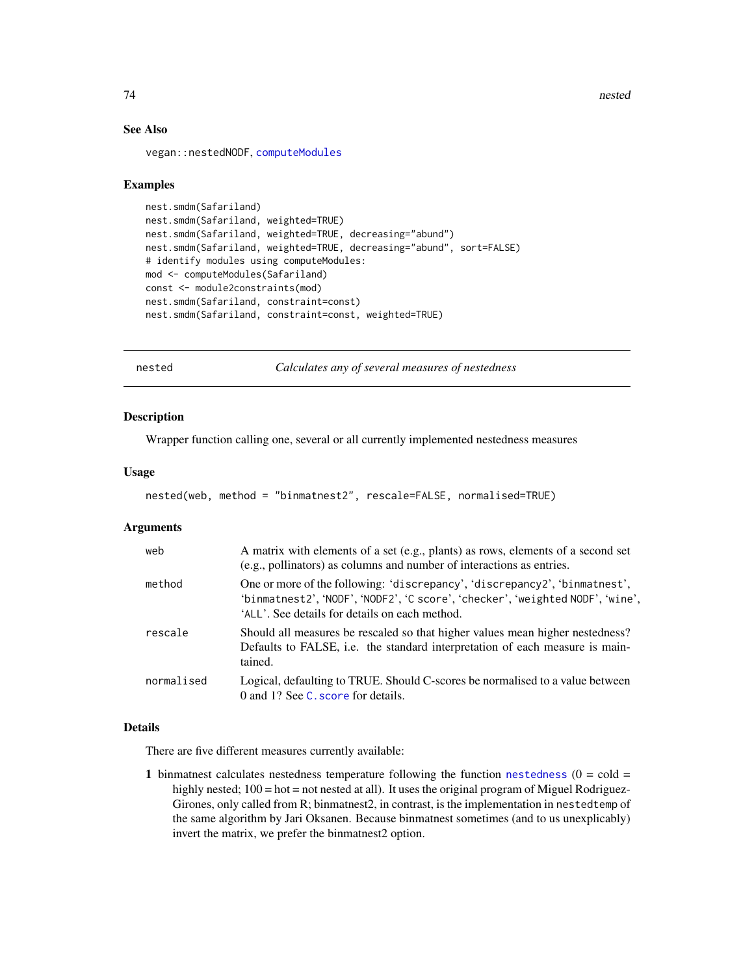74 nested

## See Also

vegan::nestedNODF, [computeModules](#page-28-0)

## Examples

```
nest.smdm(Safariland)
nest.smdm(Safariland, weighted=TRUE)
nest.smdm(Safariland, weighted=TRUE, decreasing="abund")
nest.smdm(Safariland, weighted=TRUE, decreasing="abund", sort=FALSE)
# identify modules using computeModules:
mod <- computeModules(Safariland)
const <- module2constraints(mod)
nest.smdm(Safariland, constraint=const)
nest.smdm(Safariland, constraint=const, weighted=TRUE)
```
<span id="page-73-0"></span>nested *Calculates any of several measures of nestedness*

#### Description

Wrapper function calling one, several or all currently implemented nestedness measures

## Usage

```
nested(web, method = "binmatnest2", rescale=FALSE, normalised=TRUE)
```
# Arguments

| web        | A matrix with elements of a set (e.g., plants) as rows, elements of a second set<br>(e.g., pollinators) as columns and number of interactions as entries.                                                      |
|------------|----------------------------------------------------------------------------------------------------------------------------------------------------------------------------------------------------------------|
| method     | One or more of the following: 'discrepancy', 'discrepancy2', 'binmatnest',<br>'binmatnest2', 'NODF', 'NODF2', 'C score', 'checker', 'weighted NODF', 'wine',<br>'ALL'. See details for details on each method. |
| rescale    | Should all measures be rescaled so that higher values mean higher nestedness?<br>Defaults to FALSE, i.e. the standard interpretation of each measure is main-<br>tained.                                       |
| normalised | Logical, defaulting to TRUE. Should C-scores be normalised to a value between<br>0 and 1? See C, score for details.                                                                                            |

#### Details

There are five different measures currently available:

1 binmatnest calculates [nestedness](#page-77-0) temperature following the function nestedness  $(0 = cold =$ highly nested;  $100 = \text{hot} = \text{not}$  nested at all). It uses the original program of Miguel Rodriguez-Girones, only called from R; binmatnest2, in contrast, is the implementation in nestedtemp of the same algorithm by Jari Oksanen. Because binmatnest sometimes (and to us unexplicably) invert the matrix, we prefer the binmatnest2 option.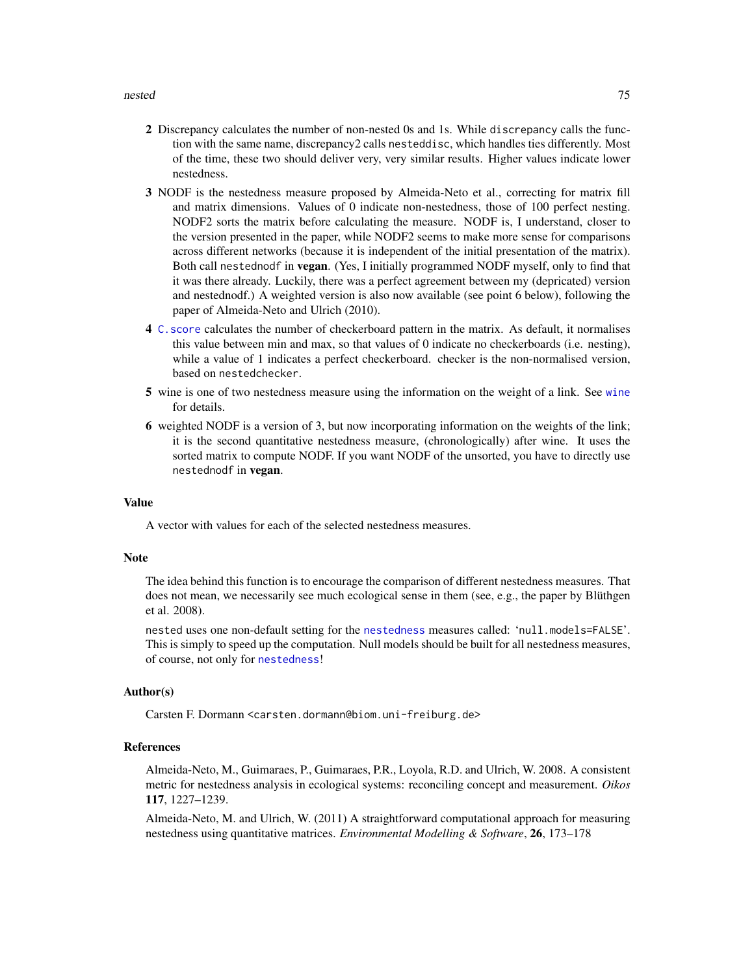- 2 Discrepancy calculates the number of non-nested 0s and 1s. While discrepancy calls the function with the same name, discrepancy2 calls nesteddisc, which handles ties differently. Most of the time, these two should deliver very, very similar results. Higher values indicate lower nestedness.
- 3 NODF is the nestedness measure proposed by Almeida-Neto et al., correcting for matrix fill and matrix dimensions. Values of 0 indicate non-nestedness, those of 100 perfect nesting. NODF2 sorts the matrix before calculating the measure. NODF is, I understand, closer to the version presented in the paper, while NODF2 seems to make more sense for comparisons across different networks (because it is independent of the initial presentation of the matrix). Both call nestednodf in vegan. (Yes, I initially programmed NODF myself, only to find that it was there already. Luckily, there was a perfect agreement between my (depricated) version and nestednodf.) A weighted version is also now available (see point 6 below), following the paper of Almeida-Neto and Ulrich (2010).
- 4 [C.score](#page-23-0) calculates the number of checkerboard pattern in the matrix. As default, it normalises this value between min and max, so that values of 0 indicate no checkerboards (i.e. nesting), while a value of 1 indicates a perfect checkerboard. checker is the non-normalised version, based on nestedchecker.
- 5 wine is one of two nestedness measure using the information on the weight of a link. See [wine](#page-163-0) for details.
- 6 weighted NODF is a version of 3, but now incorporating information on the weights of the link; it is the second quantitative nestedness measure, (chronologically) after wine. It uses the sorted matrix to compute NODF. If you want NODF of the unsorted, you have to directly use nestednodf in vegan.

## Value

A vector with values for each of the selected nestedness measures.

#### Note

The idea behind this function is to encourage the comparison of different nestedness measures. That does not mean, we necessarily see much ecological sense in them (see, e.g., the paper by Blüthgen et al. 2008).

nested uses one non-default setting for the [nestedness](#page-77-0) measures called: 'null.models=FALSE'. This is simply to speed up the computation. Null models should be built for all nestedness measures, of course, not only for [nestedness](#page-77-0)!

#### Author(s)

Carsten F. Dormann <carsten.dormann@biom.uni-freiburg.de>

#### References

Almeida-Neto, M., Guimaraes, P., Guimaraes, P.R., Loyola, R.D. and Ulrich, W. 2008. A consistent metric for nestedness analysis in ecological systems: reconciling concept and measurement. *Oikos* 117, 1227–1239.

Almeida-Neto, M. and Ulrich, W. (2011) A straightforward computational approach for measuring nestedness using quantitative matrices. *Environmental Modelling & Software*, 26, 173–178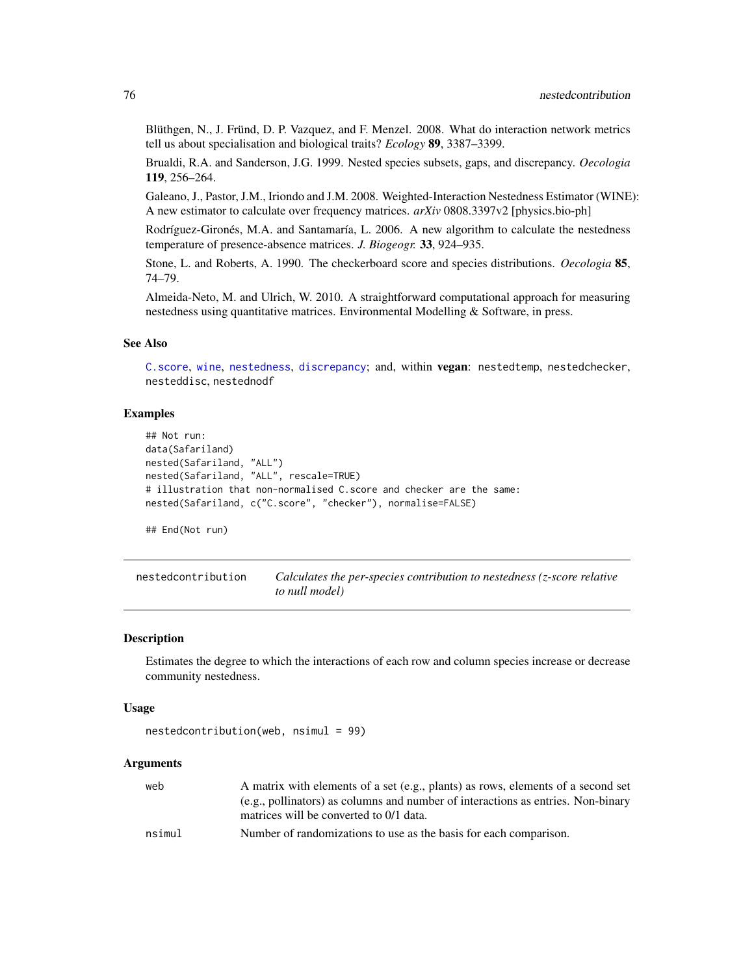Blüthgen, N., J. Fründ, D. P. Vazquez, and F. Menzel. 2008. What do interaction network metrics tell us about specialisation and biological traits? *Ecology* 89, 3387–3399.

Brualdi, R.A. and Sanderson, J.G. 1999. Nested species subsets, gaps, and discrepancy. *Oecologia* 119, 256–264.

Galeano, J., Pastor, J.M., Iriondo and J.M. 2008. Weighted-Interaction Nestedness Estimator (WINE): A new estimator to calculate over frequency matrices. *arXiv* 0808.3397v2 [physics.bio-ph]

Rodríguez-Gironés, M.A. and Santamaría, L. 2006. A new algorithm to calculate the nestedness temperature of presence-absence matrices. *J. Biogeogr.* 33, 924–935.

Stone, L. and Roberts, A. 1990. The checkerboard score and species distributions. *Oecologia* 85, 74–79.

Almeida-Neto, M. and Ulrich, W. 2010. A straightforward computational approach for measuring nestedness using quantitative matrices. Environmental Modelling & Software, in press.

# See Also

[C.score](#page-23-0), [wine](#page-163-0), [nestedness](#page-77-0), [discrepancy](#page-40-0); and, within vegan: nestedtemp, nestedchecker, nesteddisc, nestednodf

# Examples

```
## Not run:
data(Safariland)
nested(Safariland, "ALL")
nested(Safariland, "ALL", rescale=TRUE)
# illustration that non-normalised C.score and checker are the same:
nested(Safariland, c("C.score", "checker"), normalise=FALSE)
```
## End(Not run)

nestedcontribution *Calculates the per-species contribution to nestedness (z-score relative to null model)*

#### **Description**

Estimates the degree to which the interactions of each row and column species increase or decrease community nestedness.

#### Usage

```
nestedcontribution(web, nsimul = 99)
```
## Arguments

| web    | A matrix with elements of a set (e.g., plants) as rows, elements of a second set |
|--------|----------------------------------------------------------------------------------|
|        | (e.g., pollinators) as columns and number of interactions as entries. Non-binary |
|        | matrices will be converted to 0/1 data.                                          |
| nsimul | Number of randomizations to use as the basis for each comparison.                |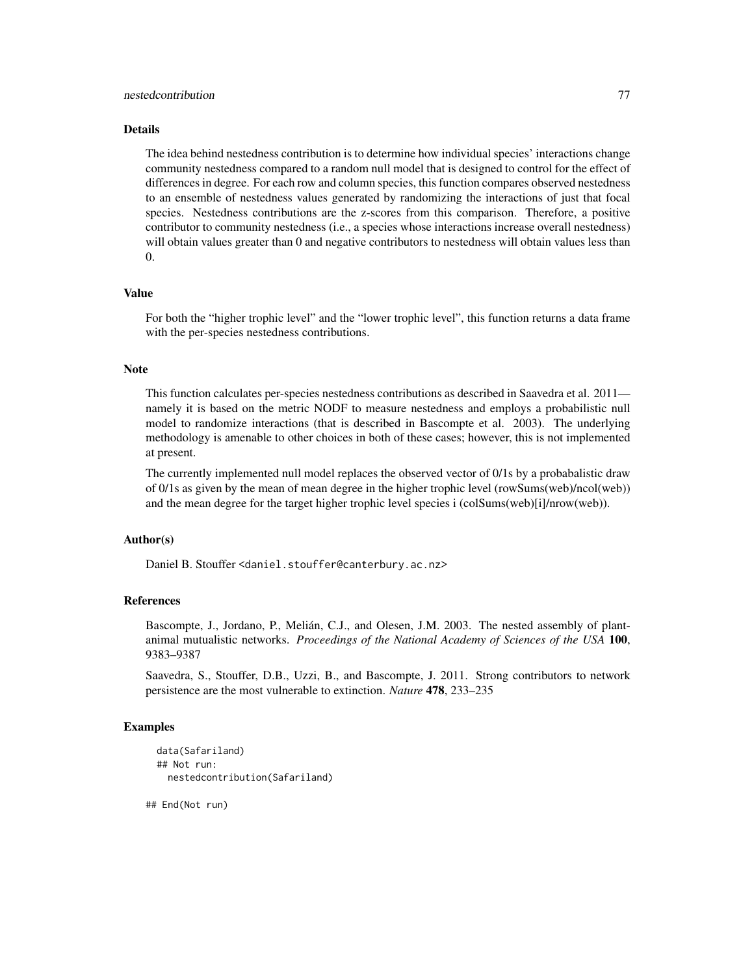#### Details

The idea behind nestedness contribution is to determine how individual species' interactions change community nestedness compared to a random null model that is designed to control for the effect of differences in degree. For each row and column species, this function compares observed nestedness to an ensemble of nestedness values generated by randomizing the interactions of just that focal species. Nestedness contributions are the z-scores from this comparison. Therefore, a positive contributor to community nestedness (i.e., a species whose interactions increase overall nestedness) will obtain values greater than 0 and negative contributors to nestedness will obtain values less than 0.

# Value

For both the "higher trophic level" and the "lower trophic level", this function returns a data frame with the per-species nestedness contributions.

#### **Note**

This function calculates per-species nestedness contributions as described in Saavedra et al. 2011 namely it is based on the metric NODF to measure nestedness and employs a probabilistic null model to randomize interactions (that is described in Bascompte et al. 2003). The underlying methodology is amenable to other choices in both of these cases; however, this is not implemented at present.

The currently implemented null model replaces the observed vector of 0/1s by a probabalistic draw of 0/1s as given by the mean of mean degree in the higher trophic level (rowSums(web)/ncol(web)) and the mean degree for the target higher trophic level species i (colSums(web)[i]/nrow(web)).

# Author(s)

Daniel B. Stouffer <daniel.stouffer@canterbury.ac.nz>

## References

Bascompte, J., Jordano, P., Melián, C.J., and Olesen, J.M. 2003. The nested assembly of plantanimal mutualistic networks. *Proceedings of the National Academy of Sciences of the USA* 100, 9383–9387

Saavedra, S., Stouffer, D.B., Uzzi, B., and Bascompte, J. 2011. Strong contributors to network persistence are the most vulnerable to extinction. *Nature* 478, 233–235

## Examples

```
data(Safariland)
## Not run:
  nestedcontribution(Safariland)
```
## End(Not run)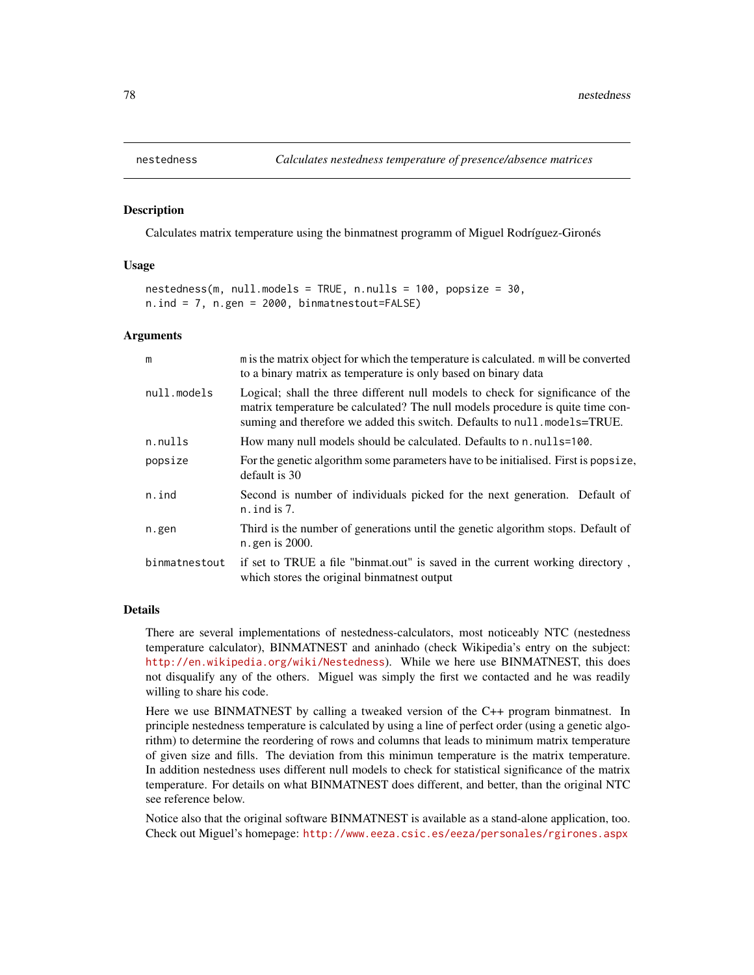<span id="page-77-0"></span>

## Description

Calculates matrix temperature using the binmatnest programm of Miguel Rodríguez-Gironés

## Usage

```
nestedness(m, null.models = TRUE, n.nulls = 100, popsize = 30,
n.ind = 7, n.gen = 2000, binmatnestout=FALSE)
```
#### Arguments

| m             | m is the matrix object for which the temperature is calculated. m will be converted<br>to a binary matrix as temperature is only based on binary data                                                                                         |
|---------------|-----------------------------------------------------------------------------------------------------------------------------------------------------------------------------------------------------------------------------------------------|
| null.models   | Logical; shall the three different null models to check for significance of the<br>matrix temperature be calculated? The null models procedure is quite time con-<br>suming and therefore we added this switch. Defaults to null.models=TRUE. |
| n.nulls       | How many null models should be calculated. Defaults to n. nulls=100.                                                                                                                                                                          |
| popsize       | For the genetic algorithm some parameters have to be initialised. First is popsize,<br>default is 30                                                                                                                                          |
| n.ind         | Second is number of individuals picked for the next generation. Default of<br>$n$ . ind is 7.                                                                                                                                                 |
| n.gen         | Third is the number of generations until the genetic algorithm stops. Default of<br>n. gen is 2000.                                                                                                                                           |
| binmatnestout | if set to TRUE a file "binmat.out" is saved in the current working directory,<br>which stores the original binmatnest output                                                                                                                  |
|               |                                                                                                                                                                                                                                               |

# Details

There are several implementations of nestedness-calculators, most noticeably NTC (nestedness temperature calculator), BINMATNEST and aninhado (check Wikipedia's entry on the subject: <http://en.wikipedia.org/wiki/Nestedness>). While we here use BINMATNEST, this does not disqualify any of the others. Miguel was simply the first we contacted and he was readily willing to share his code.

Here we use BINMATNEST by calling a tweaked version of the C++ program binmatnest. In principle nestedness temperature is calculated by using a line of perfect order (using a genetic algorithm) to determine the reordering of rows and columns that leads to minimum matrix temperature of given size and fills. The deviation from this minimun temperature is the matrix temperature. In addition nestedness uses different null models to check for statistical significance of the matrix temperature. For details on what BINMATNEST does different, and better, than the original NTC see reference below.

Notice also that the original software BINMATNEST is available as a stand-alone application, too. Check out Miguel's homepage: <http://www.eeza.csic.es/eeza/personales/rgirones.aspx>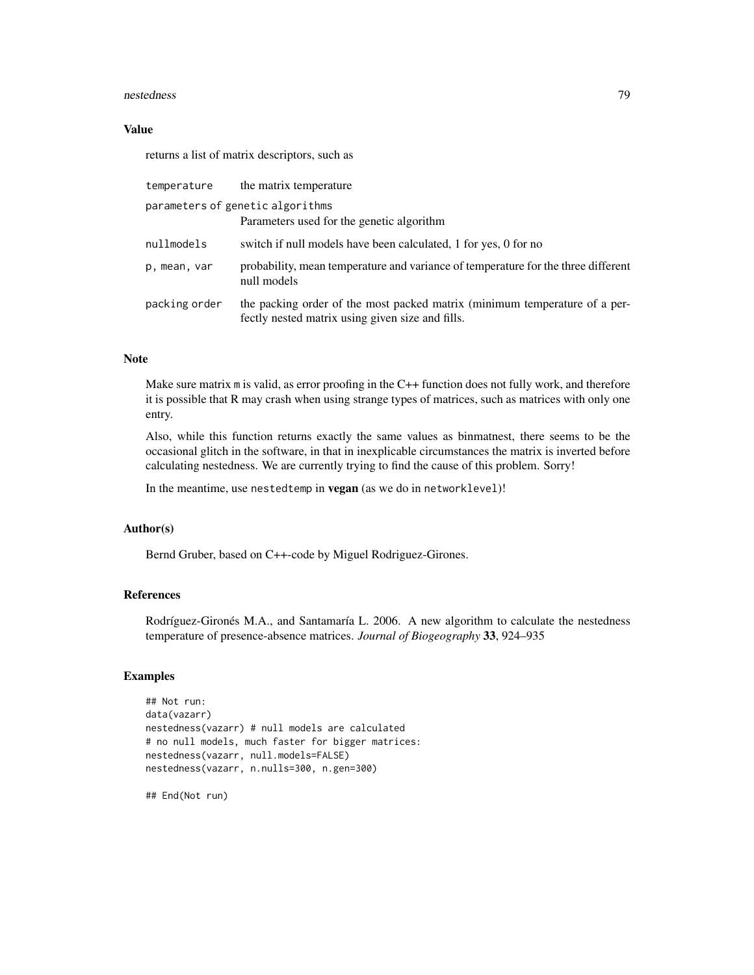#### nestedness 79

## Value

returns a list of matrix descriptors, such as

| temperature                      | the matrix temperature                                                                                                         |  |
|----------------------------------|--------------------------------------------------------------------------------------------------------------------------------|--|
| parameters of genetic algorithms |                                                                                                                                |  |
|                                  | Parameters used for the genetic algorithm                                                                                      |  |
| nullmodels                       | switch if null models have been calculated, 1 for yes, 0 for no                                                                |  |
| p, mean, var                     | probability, mean temperature and variance of temperature for the three different<br>null models                               |  |
| packing order                    | the packing order of the most packed matrix (minimum temperature of a per-<br>fectly nested matrix using given size and fills. |  |

# Note

Make sure matrix m is valid, as error proofing in the C++ function does not fully work, and therefore it is possible that R may crash when using strange types of matrices, such as matrices with only one entry.

Also, while this function returns exactly the same values as binmatnest, there seems to be the occasional glitch in the software, in that in inexplicable circumstances the matrix is inverted before calculating nestedness. We are currently trying to find the cause of this problem. Sorry!

In the meantime, use nestedtemp in vegan (as we do in networklevel)!

# Author(s)

Bernd Gruber, based on C++-code by Miguel Rodriguez-Girones.

# References

Rodríguez-Gironés M.A., and Santamaría L. 2006. A new algorithm to calculate the nestedness temperature of presence-absence matrices. *Journal of Biogeography* 33, 924–935

# Examples

```
## Not run:
data(vazarr)
nestedness(vazarr) # null models are calculated
# no null models, much faster for bigger matrices:
nestedness(vazarr, null.models=FALSE)
nestedness(vazarr, n.nulls=300, n.gen=300)
```
## End(Not run)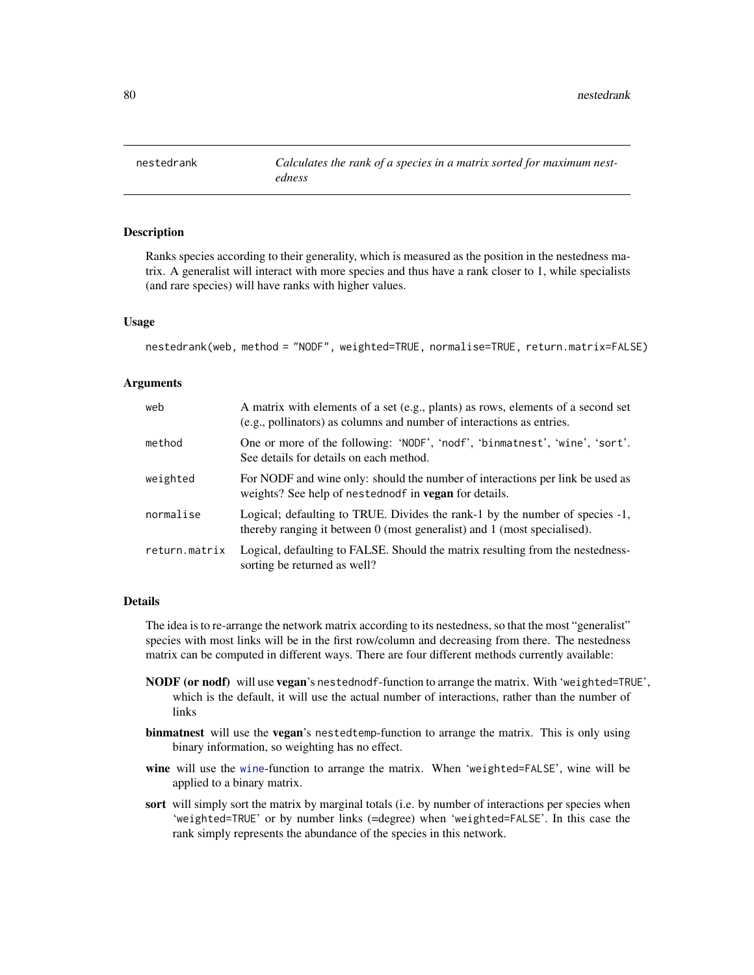<span id="page-79-0"></span>

## Description

Ranks species according to their generality, which is measured as the position in the nestedness matrix. A generalist will interact with more species and thus have a rank closer to 1, while specialists (and rare species) will have ranks with higher values.

#### Usage

```
nestedrank(web, method = "NODF", weighted=TRUE, normalise=TRUE, return.matrix=FALSE)
```
#### Arguments

| web           | A matrix with elements of a set (e.g., plants) as rows, elements of a second set<br>(e.g., pollinators) as columns and number of interactions as entries. |
|---------------|-----------------------------------------------------------------------------------------------------------------------------------------------------------|
| method        | One or more of the following: 'NODF', 'nodf', 'binmatnest', 'wine', 'sort'.<br>See details for details on each method.                                    |
| weighted      | For NODF and wine only: should the number of interactions per link be used as<br>weights? See help of nested node in <b>vegan</b> for details.            |
| normalise     | Logical; defaulting to TRUE. Divides the rank-1 by the number of species -1,<br>thereby ranging it between 0 (most generalist) and 1 (most specialised).  |
| return.matrix | Logical, defaulting to FALSE. Should the matrix resulting from the nestedness-<br>sorting be returned as well?                                            |

#### Details

The idea is to re-arrange the network matrix according to its nestedness, so that the most "generalist" species with most links will be in the first row/column and decreasing from there. The nestedness matrix can be computed in different ways. There are four different methods currently available:

- NODF (or nodf) will use vegan's nestednodf-function to arrange the matrix. With 'weighted=TRUE', which is the default, it will use the actual number of interactions, rather than the number of links
- binmatnest will use the vegan's nestedtemp-function to arrange the matrix. This is only using binary information, so weighting has no effect.
- [wine](#page-163-0) will use the wine-function to arrange the matrix. When 'weighted=FALSE', wine will be applied to a binary matrix.
- sort will simply sort the matrix by marginal totals (i.e. by number of interactions per species when 'weighted=TRUE' or by number links (=degree) when 'weighted=FALSE'. In this case the rank simply represents the abundance of the species in this network.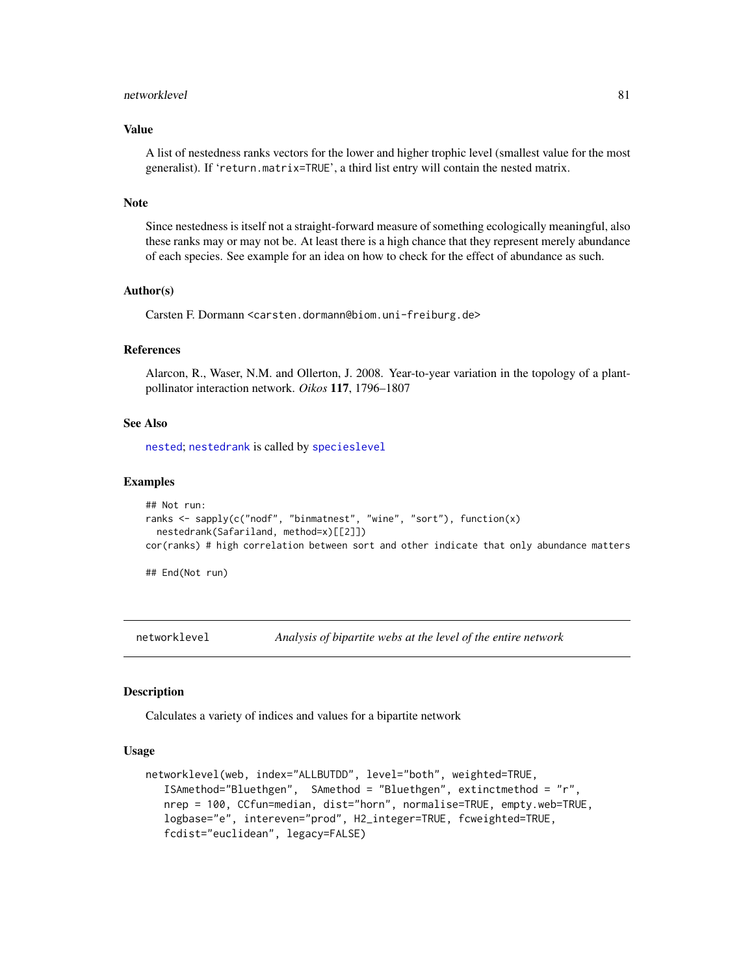#### networklevel 81

#### Value

A list of nestedness ranks vectors for the lower and higher trophic level (smallest value for the most generalist). If 'return.matrix=TRUE', a third list entry will contain the nested matrix.

# Note

Since nestedness is itself not a straight-forward measure of something ecologically meaningful, also these ranks may or may not be. At least there is a high chance that they represent merely abundance of each species. See example for an idea on how to check for the effect of abundance as such.

## Author(s)

Carsten F. Dormann <carsten.dormann@biom.uni-freiburg.de>

## References

Alarcon, R., Waser, N.M. and Ollerton, J. 2008. Year-to-year variation in the topology of a plantpollinator interaction network. *Oikos* 117, 1796–1807

# See Also

[nested](#page-73-0); [nestedrank](#page-79-0) is called by [specieslevel](#page-128-0)

#### Examples

```
## Not run:
ranks <- sapply(c("nodf", "binmatnest", "wine", "sort"), function(x)
 nestedrank(Safariland, method=x)[[2]])
cor(ranks) # high correlation between sort and other indicate that only abundance matters
```
## End(Not run)

<span id="page-80-0"></span>networklevel *Analysis of bipartite webs at the level of the entire network*

#### **Description**

Calculates a variety of indices and values for a bipartite network

## Usage

```
networklevel(web, index="ALLBUTDD", level="both", weighted=TRUE,
   ISAmethod="Bluethgen", SAmethod = "Bluethgen", extinctmethod = "r",
   nrep = 100, CCfun=median, dist="horn", normalise=TRUE, empty.web=TRUE,
   logbase="e", intereven="prod", H2_integer=TRUE, fcweighted=TRUE,
   fcdist="euclidean", legacy=FALSE)
```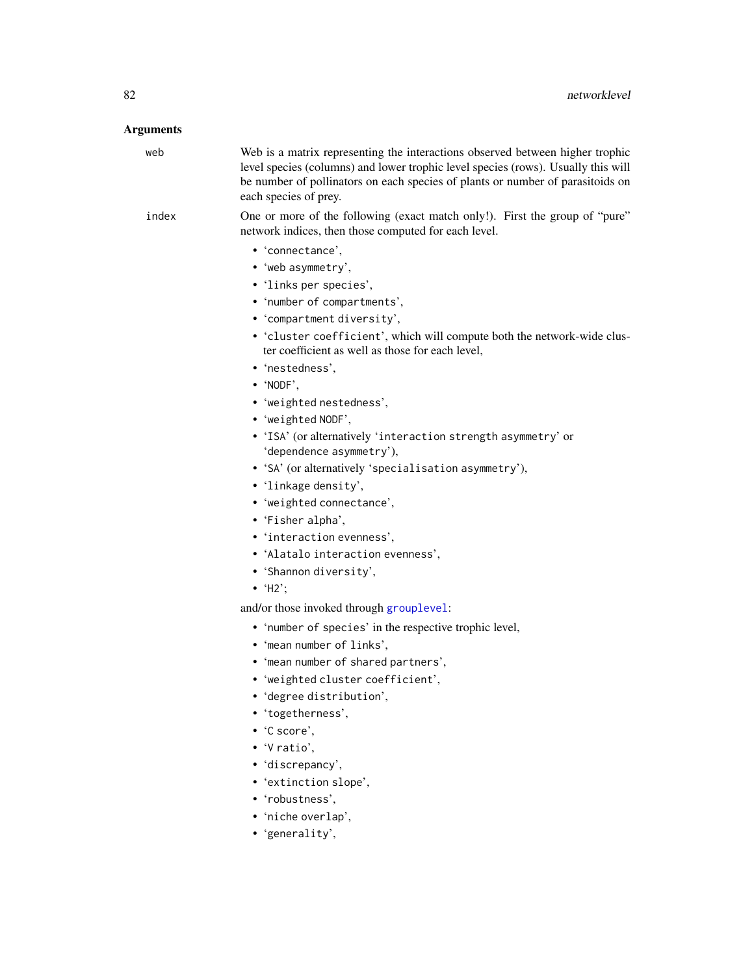# Arguments

| web   | Web is a matrix representing the interactions observed between higher trophic<br>level species (columns) and lower trophic level species (rows). Usually this will<br>be number of pollinators on each species of plants or number of parasitoids on<br>each species of prey. |
|-------|-------------------------------------------------------------------------------------------------------------------------------------------------------------------------------------------------------------------------------------------------------------------------------|
| index | One or more of the following (exact match only!). First the group of "pure"<br>network indices, then those computed for each level.                                                                                                                                           |
|       | • 'connectance',                                                                                                                                                                                                                                                              |
|       | • 'web asymmetry',                                                                                                                                                                                                                                                            |
|       | • 'links per species',                                                                                                                                                                                                                                                        |
|       | • 'number of compartments',                                                                                                                                                                                                                                                   |
|       | • 'compartment diversity',                                                                                                                                                                                                                                                    |
|       | • 'cluster coefficient', which will compute both the network-wide clus-                                                                                                                                                                                                       |
|       | ter coefficient as well as those for each level,                                                                                                                                                                                                                              |
|       | • 'nestedness',                                                                                                                                                                                                                                                               |
|       | $\bullet$ 'NODF',                                                                                                                                                                                                                                                             |
|       | • 'weighted nestedness',                                                                                                                                                                                                                                                      |
|       | • 'weighted NODF',                                                                                                                                                                                                                                                            |
|       | • 'ISA' (or alternatively 'interaction strength asymmetry' or                                                                                                                                                                                                                 |
|       | 'dependence asymmetry'),                                                                                                                                                                                                                                                      |
|       | • 'SA' (or alternatively 'specialisation asymmetry'),                                                                                                                                                                                                                         |
|       | • 'linkage density',                                                                                                                                                                                                                                                          |
|       | • 'weighted connectance',                                                                                                                                                                                                                                                     |
|       | • 'Fisher alpha',                                                                                                                                                                                                                                                             |
|       | • 'interaction evenness',                                                                                                                                                                                                                                                     |
|       | • 'Alatalo interaction evenness',                                                                                                                                                                                                                                             |
|       | • 'Shannon diversity',                                                                                                                                                                                                                                                        |
|       | $\bullet$ 'H2';                                                                                                                                                                                                                                                               |
|       | and/or those invoked through grouplevel:                                                                                                                                                                                                                                      |
|       | • 'number of species' in the respective trophic level,                                                                                                                                                                                                                        |
|       | • 'mean number of links',                                                                                                                                                                                                                                                     |
|       | • 'mean number of shared partners',                                                                                                                                                                                                                                           |
|       | • 'weighted cluster coefficient',                                                                                                                                                                                                                                             |
|       | • 'degree distribution',                                                                                                                                                                                                                                                      |
|       | • 'togetherness',                                                                                                                                                                                                                                                             |
|       | $\cdot$ 'C score',                                                                                                                                                                                                                                                            |
|       | $\bullet$ 'V ratio',                                                                                                                                                                                                                                                          |
|       | • 'discrepancy',                                                                                                                                                                                                                                                              |
|       | • 'extinction slope',                                                                                                                                                                                                                                                         |
|       | • 'robustness',                                                                                                                                                                                                                                                               |
|       | • 'niche overlap',                                                                                                                                                                                                                                                            |

• 'generality',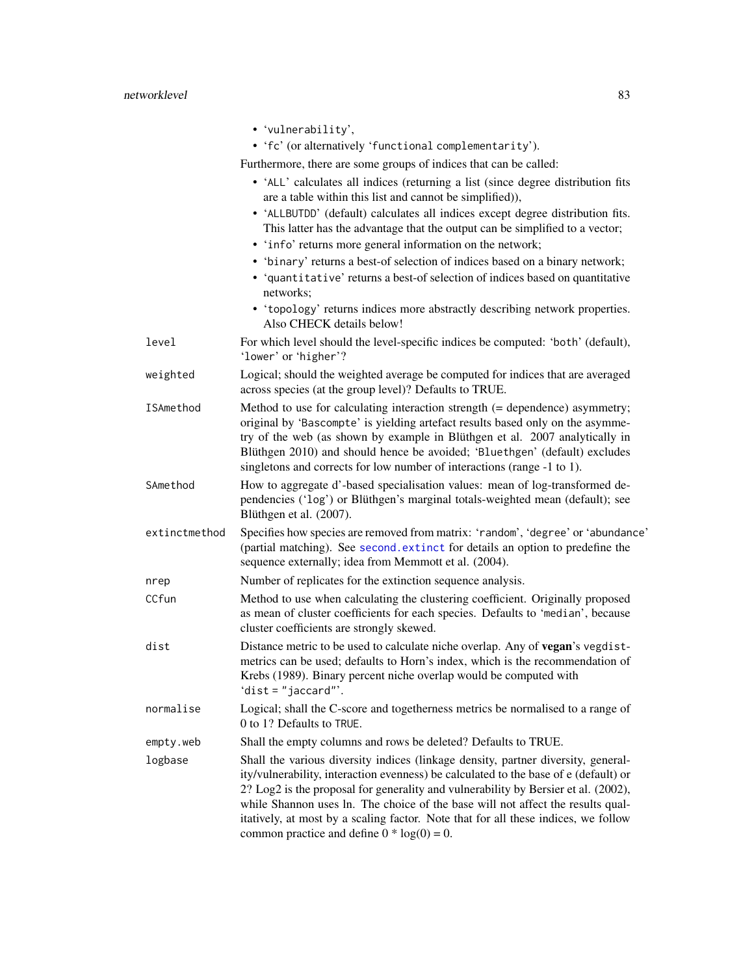|               | • 'vulnerability',                                                                                                                                                                                                                                                                                                                                                                                                                                                                        |
|---------------|-------------------------------------------------------------------------------------------------------------------------------------------------------------------------------------------------------------------------------------------------------------------------------------------------------------------------------------------------------------------------------------------------------------------------------------------------------------------------------------------|
|               | • 'fc' (or alternatively 'functional complementarity').                                                                                                                                                                                                                                                                                                                                                                                                                                   |
|               | Furthermore, there are some groups of indices that can be called:                                                                                                                                                                                                                                                                                                                                                                                                                         |
|               | • 'ALL' calculates all indices (returning a list (since degree distribution fits<br>are a table within this list and cannot be simplified)),                                                                                                                                                                                                                                                                                                                                              |
|               | • 'ALLBUTDD' (default) calculates all indices except degree distribution fits.<br>This latter has the advantage that the output can be simplified to a vector;                                                                                                                                                                                                                                                                                                                            |
|               | • 'info' returns more general information on the network;                                                                                                                                                                                                                                                                                                                                                                                                                                 |
|               | • 'binary' returns a best-of selection of indices based on a binary network;<br>• 'quantitative' returns a best-of selection of indices based on quantitative<br>networks;                                                                                                                                                                                                                                                                                                                |
|               | • 'topology' returns indices more abstractly describing network properties.<br>Also CHECK details below!                                                                                                                                                                                                                                                                                                                                                                                  |
| level         | For which level should the level-specific indices be computed: 'both' (default),<br>'lower' or 'higher'?                                                                                                                                                                                                                                                                                                                                                                                  |
| weighted      | Logical; should the weighted average be computed for indices that are averaged<br>across species (at the group level)? Defaults to TRUE.                                                                                                                                                                                                                                                                                                                                                  |
| ISAmethod     | Method to use for calculating interaction strength $(=$ dependence) asymmetry;<br>original by 'Bascompte' is yielding artefact results based only on the asymme-<br>try of the web (as shown by example in Blüthgen et al. 2007 analytically in<br>Blüthgen 2010) and should hence be avoided; 'Bluethgen' (default) excludes<br>singletons and corrects for low number of interactions (range -1 to 1).                                                                                  |
| SAmethod      | How to aggregate d'-based specialisation values: mean of log-transformed de-<br>pendencies ('log') or Blüthgen's marginal totals-weighted mean (default); see<br>Blüthgen et al. (2007).                                                                                                                                                                                                                                                                                                  |
| extinctmethod | Specifies how species are removed from matrix: 'random', 'degree' or 'abundance'<br>(partial matching). See second. extinct for details an option to predefine the<br>sequence externally; idea from Memmott et al. (2004).                                                                                                                                                                                                                                                               |
| nrep          | Number of replicates for the extinction sequence analysis.                                                                                                                                                                                                                                                                                                                                                                                                                                |
| CCfun         | Method to use when calculating the clustering coefficient. Originally proposed<br>as mean of cluster coefficients for each species. Defaults to 'median', because<br>cluster coefficients are strongly skewed.                                                                                                                                                                                                                                                                            |
| dist          | Distance metric to be used to calculate niche overlap. Any of vegan's vegdist-<br>metrics can be used; defaults to Horn's index, which is the recommendation of<br>Krebs (1989). Binary percent niche overlap would be computed with<br>'dist = $"jaccard"$ .                                                                                                                                                                                                                             |
| normalise     | Logical; shall the C-score and togetherness metrics be normalised to a range of<br>0 to 1? Defaults to TRUE.                                                                                                                                                                                                                                                                                                                                                                              |
| empty.web     | Shall the empty columns and rows be deleted? Defaults to TRUE.                                                                                                                                                                                                                                                                                                                                                                                                                            |
| logbase       | Shall the various diversity indices (linkage density, partner diversity, general-<br>ity/vulnerability, interaction evenness) be calculated to the base of e (default) or<br>2? Log2 is the proposal for generality and vulnerability by Bersier et al. (2002),<br>while Shannon uses ln. The choice of the base will not affect the results qual-<br>itatively, at most by a scaling factor. Note that for all these indices, we follow<br>common practice and define $0 * log(0) = 0$ . |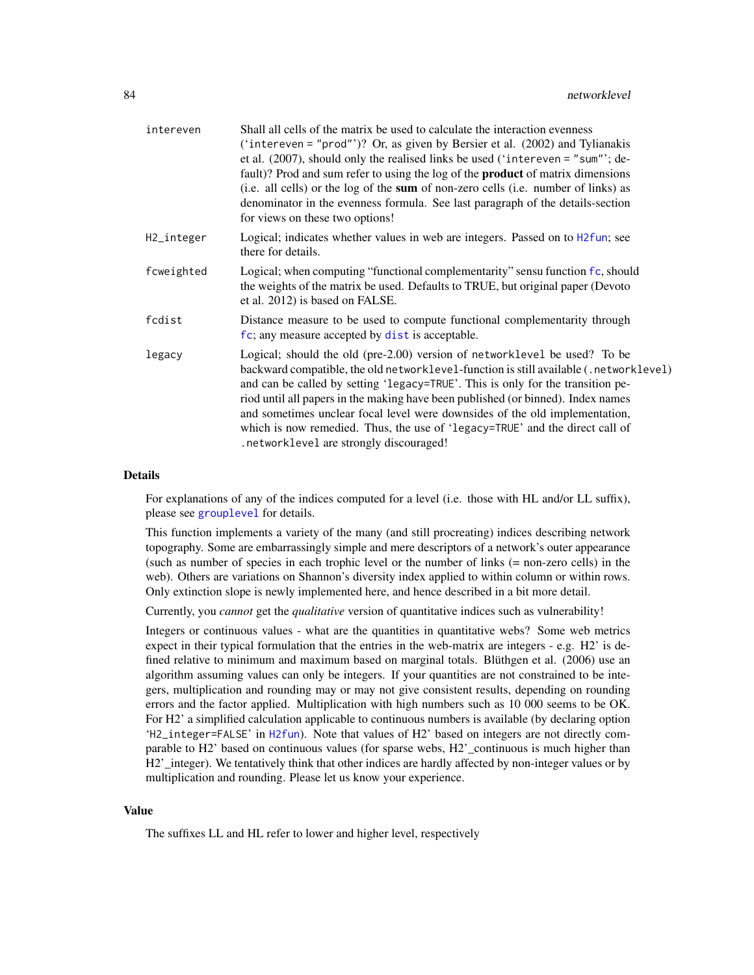| intereven  | Shall all cells of the matrix be used to calculate the interaction evenness<br>('intereven = "prod"')? Or, as given by Bersier et al. (2002) and Tylianakis<br>et al. (2007), should only the realised links be used ('intereven = "sum"'; de-<br>fault)? Prod and sum refer to using the log of the <b>product</b> of matrix dimensions<br>(i.e. all cells) or the log of the sum of non-zero cells (i.e. number of links) as<br>denominator in the evenness formula. See last paragraph of the details-section<br>for views on these two options!   |
|------------|-------------------------------------------------------------------------------------------------------------------------------------------------------------------------------------------------------------------------------------------------------------------------------------------------------------------------------------------------------------------------------------------------------------------------------------------------------------------------------------------------------------------------------------------------------|
| H2_integer | Logical; indicates whether values in web are integers. Passed on to H2fun; see<br>there for details.                                                                                                                                                                                                                                                                                                                                                                                                                                                  |
| fcweighted | Logical; when computing "functional complementarity" sensu function fc, should<br>the weights of the matrix be used. Defaults to TRUE, but original paper (Devoto<br>et al. 2012) is based on FALSE.                                                                                                                                                                                                                                                                                                                                                  |
| fcdist     | Distance measure to be used to compute functional complementarity through<br>fc; any measure accepted by dist is acceptable.                                                                                                                                                                                                                                                                                                                                                                                                                          |
| legacy     | Logical; should the old (pre-2.00) version of networklevel be used? To be<br>backward compatible, the old networklevel-function is still available (. networklevel)<br>and can be called by setting 'legacy=TRUE'. This is only for the transition pe-<br>riod until all papers in the making have been published (or binned). Index names<br>and sometimes unclear focal level were downsides of the old implementation,<br>which is now remedied. Thus, the use of 'legacy=TRUE' and the direct call of<br>. networklevel are strongly discouraged! |

## Details

For explanations of any of the indices computed for a level (i.e. those with HL and/or LL suffix), please see [grouplevel](#page-51-0) for details.

This function implements a variety of the many (and still procreating) indices describing network topography. Some are embarrassingly simple and mere descriptors of a network's outer appearance (such as number of species in each trophic level or the number of links (= non-zero cells) in the web). Others are variations on Shannon's diversity index applied to within column or within rows. Only extinction slope is newly implemented here, and hence described in a bit more detail.

Currently, you *cannot* get the *qualitative* version of quantitative indices such as vulnerability!

Integers or continuous values - what are the quantities in quantitative webs? Some web metrics expect in their typical formulation that the entries in the web-matrix are integers - e.g. H2' is defined relative to minimum and maximum based on marginal totals. Blüthgen et al. (2006) use an algorithm assuming values can only be integers. If your quantities are not constrained to be integers, multiplication and rounding may or may not give consistent results, depending on rounding errors and the factor applied. Multiplication with high numbers such as 10 000 seems to be OK. For H2' a simplified calculation applicable to continuous numbers is available (by declaring option 'H2\_integer=FALSE' in [H2fun](#page-57-0)). Note that values of H2' based on integers are not directly comparable to H2' based on continuous values (for sparse webs, H2'\_continuous is much higher than H2' integer). We tentatively think that other indices are hardly affected by non-integer values or by multiplication and rounding. Please let us know your experience.

## Value

The suffixes LL and HL refer to lower and higher level, respectively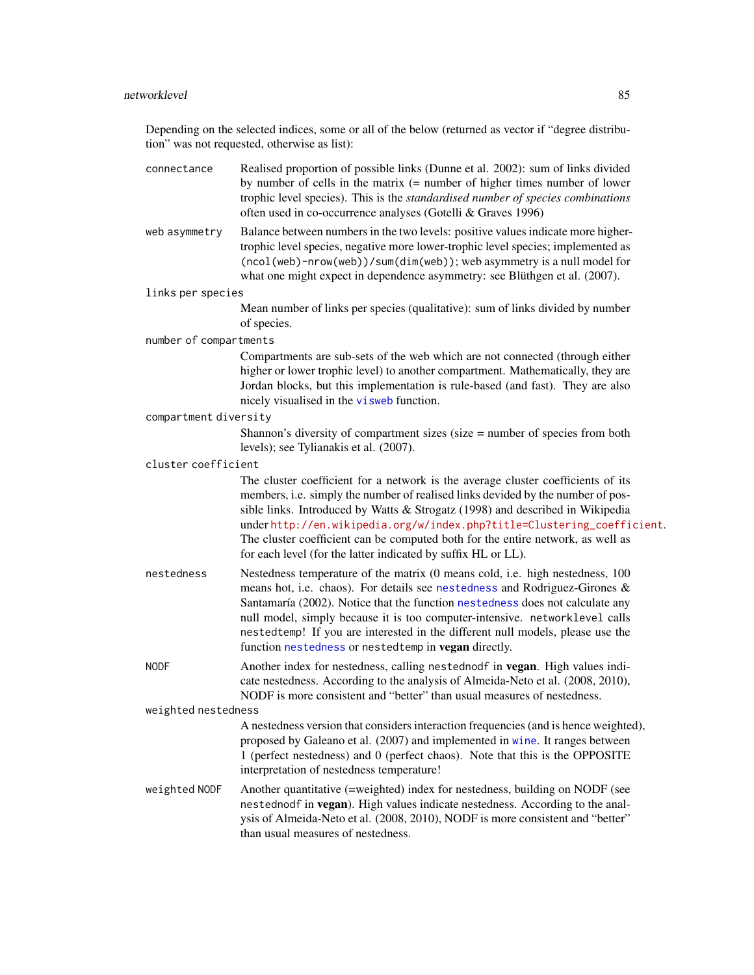Depending on the selected indices, some or all of the below (returned as vector if "degree distribution" was not requested, otherwise as list):

- connectance Realised proportion of possible links (Dunne et al. 2002): sum of links divided by number of cells in the matrix (= number of higher times number of lower trophic level species). This is the *standardised number of species combinations* often used in co-occurrence analyses (Gotelli & Graves 1996)
- web asymmetry Balance between numbers in the two levels: positive values indicate more highertrophic level species, negative more lower-trophic level species; implemented as (ncol(web)-nrow(web))/sum(dim(web)); web asymmetry is a null model for what one might expect in dependence asymmetry: see Blüthgen et al. (2007).

links per species

Mean number of links per species (qualitative): sum of links divided by number of species.

number of compartments

Compartments are sub-sets of the web which are not connected (through either higher or lower trophic level) to another compartment. Mathematically, they are Jordan blocks, but this implementation is rule-based (and fast). They are also nicely visualised in the [visweb](#page-158-0) function.

compartment diversity

Shannon's diversity of compartment sizes (size = number of species from both levels); see Tylianakis et al. (2007).

cluster coefficient

The cluster coefficient for a network is the average cluster coefficients of its members, i.e. simply the number of realised links devided by the number of possible links. Introduced by Watts & Strogatz (1998) and described in Wikipedia under [http://en.wikipedia.org/w/index.php?title=Clustering\\_coefficient](http://en.wikipedia.org/w/index.php?title=Clustering_coefficient). The cluster coefficient can be computed both for the entire network, as well as for each level (for the latter indicated by suffix HL or LL).

nestedness Nestedness temperature of the matrix (0 means cold, i.e. high nestedness, 100 means hot, i.e. chaos). For details see [nestedness](#page-77-0) and Rodriguez-Girones & Santamaría (2002). Notice that the function [nestedness](#page-77-0) does not calculate any null model, simply because it is too computer-intensive. networklevel calls nestedtemp! If you are interested in the different null models, please use the function [nestedness](#page-77-0) or nestedtemp in vegan directly.

NODF Another index for nestedness, calling nestednodf in **vegan**. High values indicate nestedness. According to the analysis of Almeida-Neto et al. (2008, 2010), NODF is more consistent and "better" than usual measures of nestedness.

weighted nestedness

A nestedness version that considers interaction frequencies (and is hence weighted), proposed by Galeano et al. (2007) and implemented in [wine](#page-163-0). It ranges between 1 (perfect nestedness) and 0 (perfect chaos). Note that this is the OPPOSITE interpretation of nestedness temperature!

weighted NODF Another quantitative (=weighted) index for nestedness, building on NODF (see nestednodf in vegan). High values indicate nestedness. According to the analysis of Almeida-Neto et al. (2008, 2010), NODF is more consistent and "better" than usual measures of nestedness.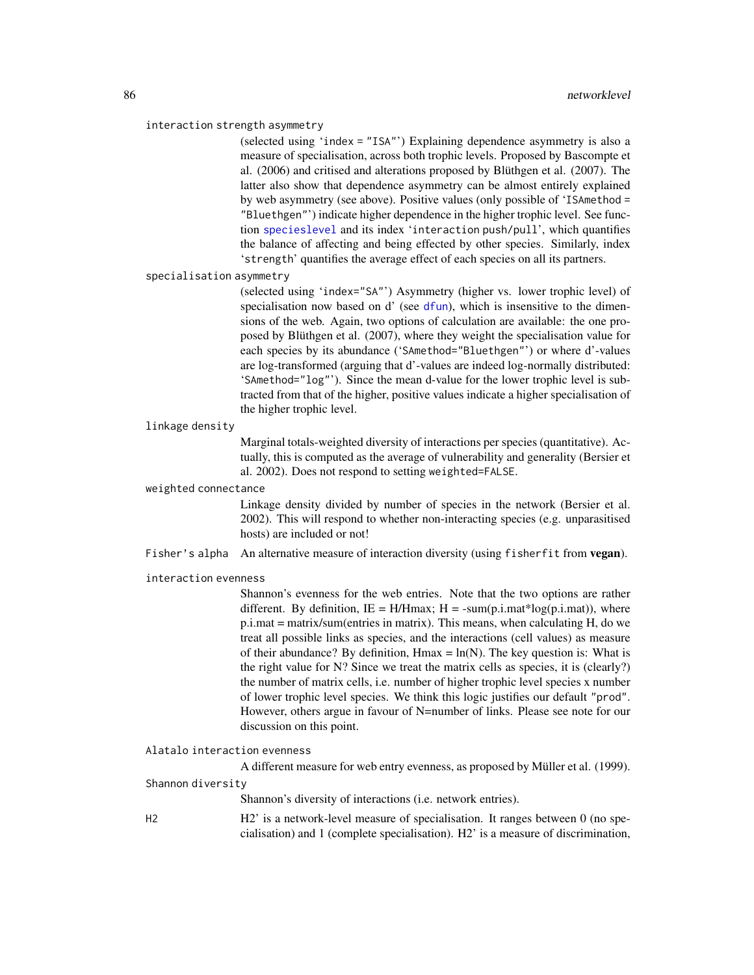#### interaction strength asymmetry

(selected using 'index = "ISA"') Explaining dependence asymmetry is also a measure of specialisation, across both trophic levels. Proposed by Bascompte et al. (2006) and critised and alterations proposed by Blüthgen et al. (2007). The latter also show that dependence asymmetry can be almost entirely explained by web asymmetry (see above). Positive values (only possible of 'ISAmethod = "Bluethgen"') indicate higher dependence in the higher trophic level. See function [specieslevel](#page-128-0) and its index 'interaction push/pull', which quantifies the balance of affecting and being effected by other species. Similarly, index 'strength' quantifies the average effect of each species on all its partners.

#### specialisation asymmetry

(selected using 'index="SA"') Asymmetry (higher vs. lower trophic level) of specialisation now based on d' (see [dfun](#page-36-0)), which is insensitive to the dimensions of the web. Again, two options of calculation are available: the one proposed by Blüthgen et al. (2007), where they weight the specialisation value for each species by its abundance ('SAmethod="Bluethgen"') or where d'-values are log-transformed (arguing that d'-values are indeed log-normally distributed: 'SAmethod="log"'). Since the mean d-value for the lower trophic level is subtracted from that of the higher, positive values indicate a higher specialisation of the higher trophic level.

## linkage density

Marginal totals-weighted diversity of interactions per species (quantitative). Actually, this is computed as the average of vulnerability and generality (Bersier et al. 2002). Does not respond to setting weighted=FALSE.

## weighted connectance

Linkage density divided by number of species in the network (Bersier et al. 2002). This will respond to whether non-interacting species (e.g. unparasitised hosts) are included or not!

Fisher's alpha An alternative measure of interaction diversity (using fisherfit from vegan).

#### interaction evenness

Shannon's evenness for the web entries. Note that the two options are rather different. By definition,  $IE = H/H$ max;  $H = -sum(p.i.math*)log(p.i.math))$ , where p.i.mat = matrix/sum(entries in matrix). This means, when calculating H, do we treat all possible links as species, and the interactions (cell values) as measure of their abundance? By definition,  $Hmax = ln(N)$ . The key question is: What is the right value for N? Since we treat the matrix cells as species, it is (clearly?) the number of matrix cells, i.e. number of higher trophic level species x number of lower trophic level species. We think this logic justifies our default "prod". However, others argue in favour of N=number of links. Please see note for our discussion on this point.

## Alatalo interaction evenness

A different measure for web entry evenness, as proposed by Müller et al. (1999).

## Shannon diversity

Shannon's diversity of interactions (i.e. network entries).

H2 H2' is a network-level measure of specialisation. It ranges between 0 (no specialisation) and 1 (complete specialisation). H2' is a measure of discrimination,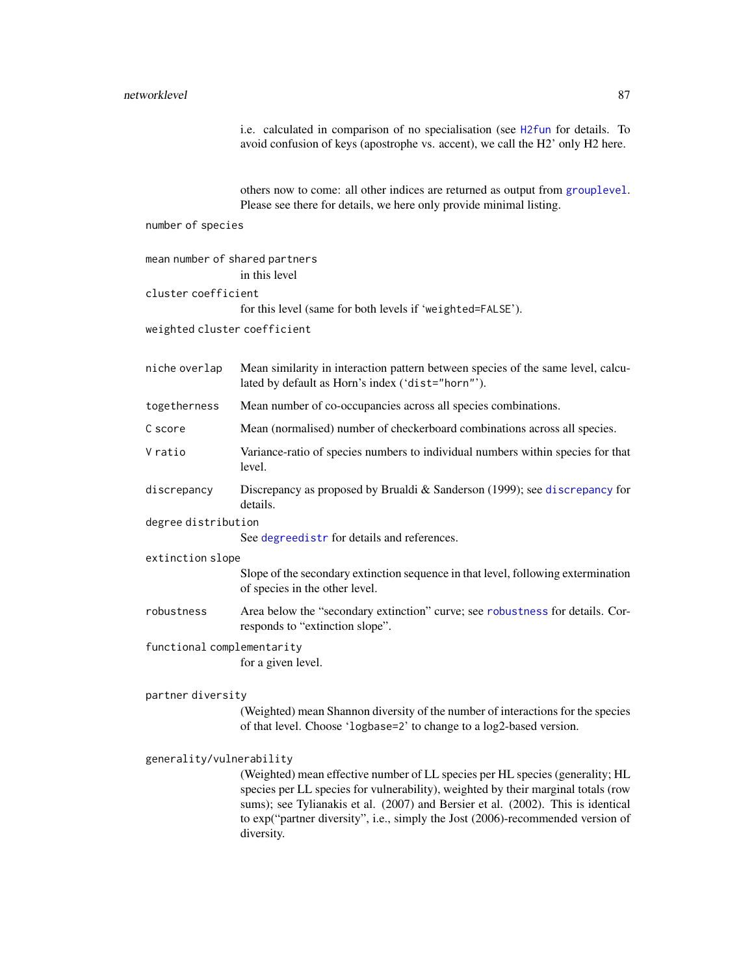# networklevel 87

i.e. calculated in comparison of no specialisation (see [H2fun](#page-57-0) for details. To avoid confusion of keys (apostrophe vs. accent), we call the H2' only H2 here.

others now to come: all other indices are returned as output from [grouplevel](#page-51-0). Please see there for details, we here only provide minimal listing.

number of species

mean number of shared partners

|                              | in this level                                                                                                                                                                                                                                                                                                                                           |
|------------------------------|---------------------------------------------------------------------------------------------------------------------------------------------------------------------------------------------------------------------------------------------------------------------------------------------------------------------------------------------------------|
| cluster coefficient          |                                                                                                                                                                                                                                                                                                                                                         |
|                              | for this level (same for both levels if 'weighted=FALSE').                                                                                                                                                                                                                                                                                              |
| weighted cluster coefficient |                                                                                                                                                                                                                                                                                                                                                         |
|                              |                                                                                                                                                                                                                                                                                                                                                         |
| niche overlap                | Mean similarity in interaction pattern between species of the same level, calcu-<br>lated by default as Horn's index ('dist="horn"').                                                                                                                                                                                                                   |
| togetherness                 | Mean number of co-occupancies across all species combinations.                                                                                                                                                                                                                                                                                          |
| C score                      | Mean (normalised) number of checkerboard combinations across all species.                                                                                                                                                                                                                                                                               |
| V ratio                      | Variance-ratio of species numbers to individual numbers within species for that<br>level.                                                                                                                                                                                                                                                               |
| discrepancy                  | Discrepancy as proposed by Brualdi & Sanderson (1999); see discrepancy for<br>details.                                                                                                                                                                                                                                                                  |
| degree distribution          |                                                                                                                                                                                                                                                                                                                                                         |
|                              | See degreedistr for details and references.                                                                                                                                                                                                                                                                                                             |
| extinction slope             |                                                                                                                                                                                                                                                                                                                                                         |
|                              | Slope of the secondary extinction sequence in that level, following extermination<br>of species in the other level.                                                                                                                                                                                                                                     |
| robustness                   | Area below the "secondary extinction" curve; see robustness for details. Cor-<br>responds to "extinction slope".                                                                                                                                                                                                                                        |
| functional complementarity   |                                                                                                                                                                                                                                                                                                                                                         |
|                              | for a given level.                                                                                                                                                                                                                                                                                                                                      |
| partner diversity            |                                                                                                                                                                                                                                                                                                                                                         |
|                              | (Weighted) mean Shannon diversity of the number of interactions for the species<br>of that level. Choose 'logbase=2' to change to a log2-based version.                                                                                                                                                                                                 |
| generality/vulnerability     |                                                                                                                                                                                                                                                                                                                                                         |
|                              | (Weighted) mean effective number of LL species per HL species (generality; HL<br>species per LL species for vulnerability), weighted by their marginal totals (row<br>sums); see Tylianakis et al. (2007) and Bersier et al. (2002). This is identical<br>to exp("partner diversity", i.e., simply the Jost (2006)-recommended version of<br>diversity. |
|                              |                                                                                                                                                                                                                                                                                                                                                         |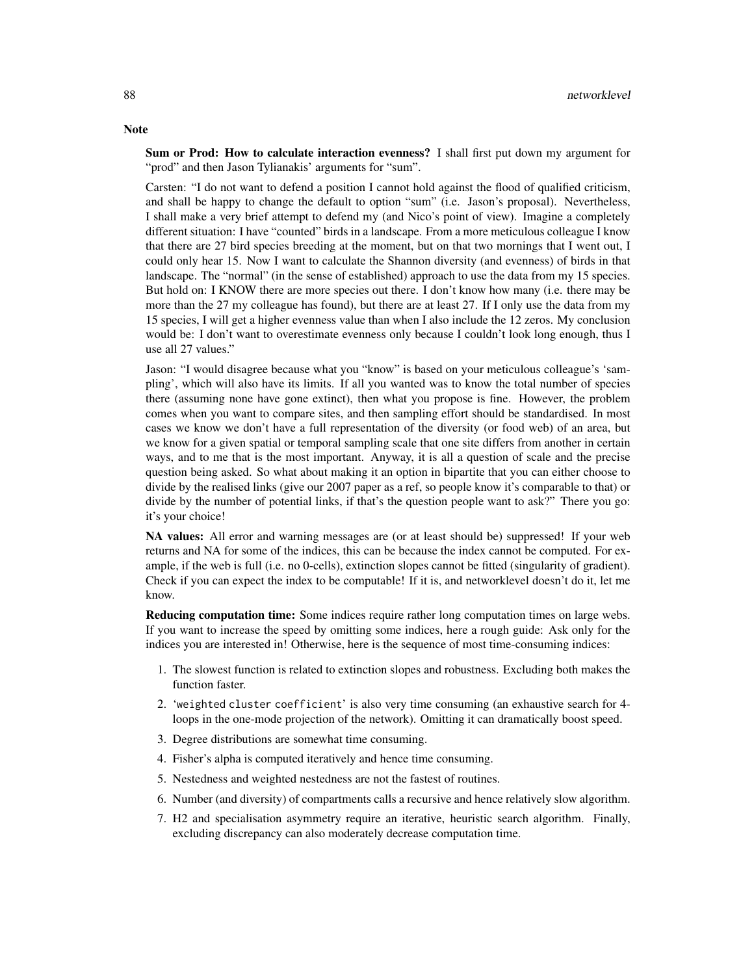Sum or Prod: How to calculate interaction evenness? I shall first put down my argument for "prod" and then Jason Tylianakis' arguments for "sum".

Carsten: "I do not want to defend a position I cannot hold against the flood of qualified criticism, and shall be happy to change the default to option "sum" (i.e. Jason's proposal). Nevertheless, I shall make a very brief attempt to defend my (and Nico's point of view). Imagine a completely different situation: I have "counted" birds in a landscape. From a more meticulous colleague I know that there are 27 bird species breeding at the moment, but on that two mornings that I went out, I could only hear 15. Now I want to calculate the Shannon diversity (and evenness) of birds in that landscape. The "normal" (in the sense of established) approach to use the data from my 15 species. But hold on: I KNOW there are more species out there. I don't know how many (i.e. there may be more than the 27 my colleague has found), but there are at least 27. If I only use the data from my 15 species, I will get a higher evenness value than when I also include the 12 zeros. My conclusion would be: I don't want to overestimate evenness only because I couldn't look long enough, thus I use all 27 values."

Jason: "I would disagree because what you "know" is based on your meticulous colleague's 'sampling', which will also have its limits. If all you wanted was to know the total number of species there (assuming none have gone extinct), then what you propose is fine. However, the problem comes when you want to compare sites, and then sampling effort should be standardised. In most cases we know we don't have a full representation of the diversity (or food web) of an area, but we know for a given spatial or temporal sampling scale that one site differs from another in certain ways, and to me that is the most important. Anyway, it is all a question of scale and the precise question being asked. So what about making it an option in bipartite that you can either choose to divide by the realised links (give our 2007 paper as a ref, so people know it's comparable to that) or divide by the number of potential links, if that's the question people want to ask?" There you go: it's your choice!

NA values: All error and warning messages are (or at least should be) suppressed! If your web returns and NA for some of the indices, this can be because the index cannot be computed. For example, if the web is full (i.e. no 0-cells), extinction slopes cannot be fitted (singularity of gradient). Check if you can expect the index to be computable! If it is, and networklevel doesn't do it, let me know.

Reducing computation time: Some indices require rather long computation times on large webs. If you want to increase the speed by omitting some indices, here a rough guide: Ask only for the indices you are interested in! Otherwise, here is the sequence of most time-consuming indices:

- 1. The slowest function is related to extinction slopes and robustness. Excluding both makes the function faster.
- 2. 'weighted cluster coefficient' is also very time consuming (an exhaustive search for 4 loops in the one-mode projection of the network). Omitting it can dramatically boost speed.
- 3. Degree distributions are somewhat time consuming.
- 4. Fisher's alpha is computed iteratively and hence time consuming.
- 5. Nestedness and weighted nestedness are not the fastest of routines.
- 6. Number (and diversity) of compartments calls a recursive and hence relatively slow algorithm.
- 7. H2 and specialisation asymmetry require an iterative, heuristic search algorithm. Finally, excluding discrepancy can also moderately decrease computation time.

# **Note**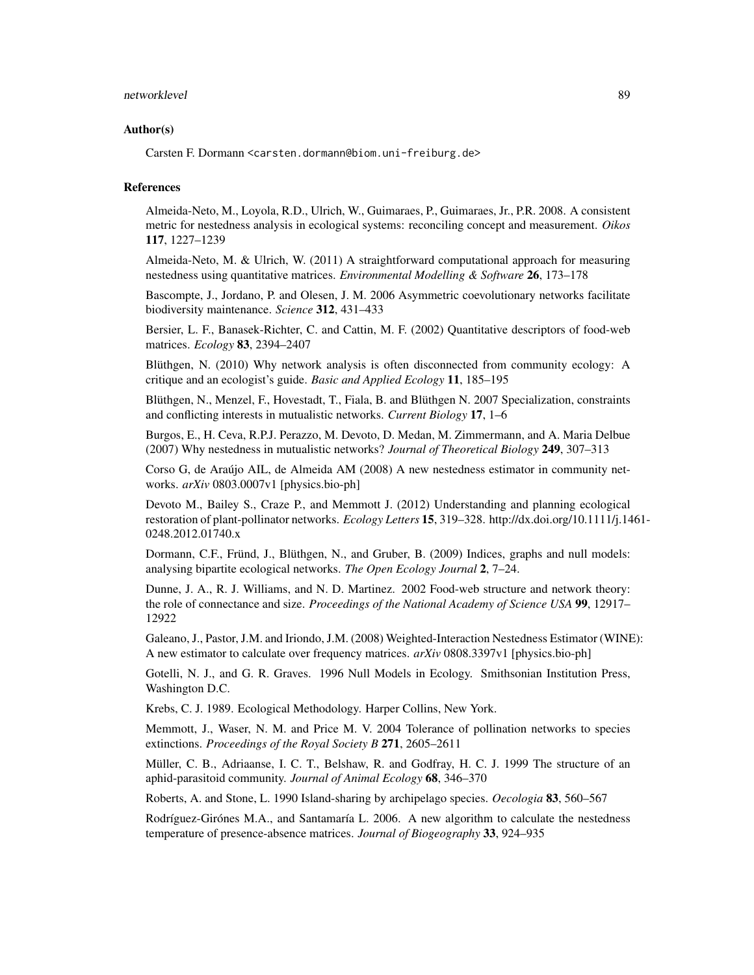#### networklevel 89

#### Author(s)

Carsten F. Dormann <carsten.dormann@biom.uni-freiburg.de>

#### References

Almeida-Neto, M., Loyola, R.D., Ulrich, W., Guimaraes, P., Guimaraes, Jr., P.R. 2008. A consistent metric for nestedness analysis in ecological systems: reconciling concept and measurement. *Oikos* 117, 1227–1239

Almeida-Neto, M. & Ulrich, W. (2011) A straightforward computational approach for measuring nestedness using quantitative matrices. *Environmental Modelling & Software* 26, 173–178

Bascompte, J., Jordano, P. and Olesen, J. M. 2006 Asymmetric coevolutionary networks facilitate biodiversity maintenance. *Science* 312, 431–433

Bersier, L. F., Banasek-Richter, C. and Cattin, M. F. (2002) Quantitative descriptors of food-web matrices. *Ecology* 83, 2394–2407

Blüthgen, N. (2010) Why network analysis is often disconnected from community ecology: A critique and an ecologist's guide. *Basic and Applied Ecology* 11, 185–195

Blüthgen, N., Menzel, F., Hovestadt, T., Fiala, B. and Blüthgen N. 2007 Specialization, constraints and conflicting interests in mutualistic networks. *Current Biology* 17, 1–6

Burgos, E., H. Ceva, R.P.J. Perazzo, M. Devoto, D. Medan, M. Zimmermann, and A. Maria Delbue (2007) Why nestedness in mutualistic networks? *Journal of Theoretical Biology* 249, 307–313

Corso G, de Araújo AIL, de Almeida AM (2008) A new nestedness estimator in community networks. *arXiv* 0803.0007v1 [physics.bio-ph]

Devoto M., Bailey S., Craze P., and Memmott J. (2012) Understanding and planning ecological restoration of plant-pollinator networks. *Ecology Letters* 15, 319–328. http://dx.doi.org/10.1111/j.1461- 0248.2012.01740.x

Dormann, C.F., Fründ, J., Blüthgen, N., and Gruber, B. (2009) Indices, graphs and null models: analysing bipartite ecological networks. *The Open Ecology Journal* 2, 7–24.

Dunne, J. A., R. J. Williams, and N. D. Martinez. 2002 Food-web structure and network theory: the role of connectance and size. *Proceedings of the National Academy of Science USA* 99, 12917– 12922

Galeano, J., Pastor, J.M. and Iriondo, J.M. (2008) Weighted-Interaction Nestedness Estimator (WINE): A new estimator to calculate over frequency matrices. *arXiv* 0808.3397v1 [physics.bio-ph]

Gotelli, N. J., and G. R. Graves. 1996 Null Models in Ecology. Smithsonian Institution Press, Washington D.C.

Krebs, C. J. 1989. Ecological Methodology. Harper Collins, New York.

Memmott, J., Waser, N. M. and Price M. V. 2004 Tolerance of pollination networks to species extinctions. *Proceedings of the Royal Society B* 271, 2605–2611

Müller, C. B., Adriaanse, I. C. T., Belshaw, R. and Godfray, H. C. J. 1999 The structure of an aphid-parasitoid community. *Journal of Animal Ecology* 68, 346–370

Roberts, A. and Stone, L. 1990 Island-sharing by archipelago species. *Oecologia* 83, 560–567

Rodríguez-Girónes M.A., and Santamaría L. 2006. A new algorithm to calculate the nestedness temperature of presence-absence matrices. *Journal of Biogeography* 33, 924–935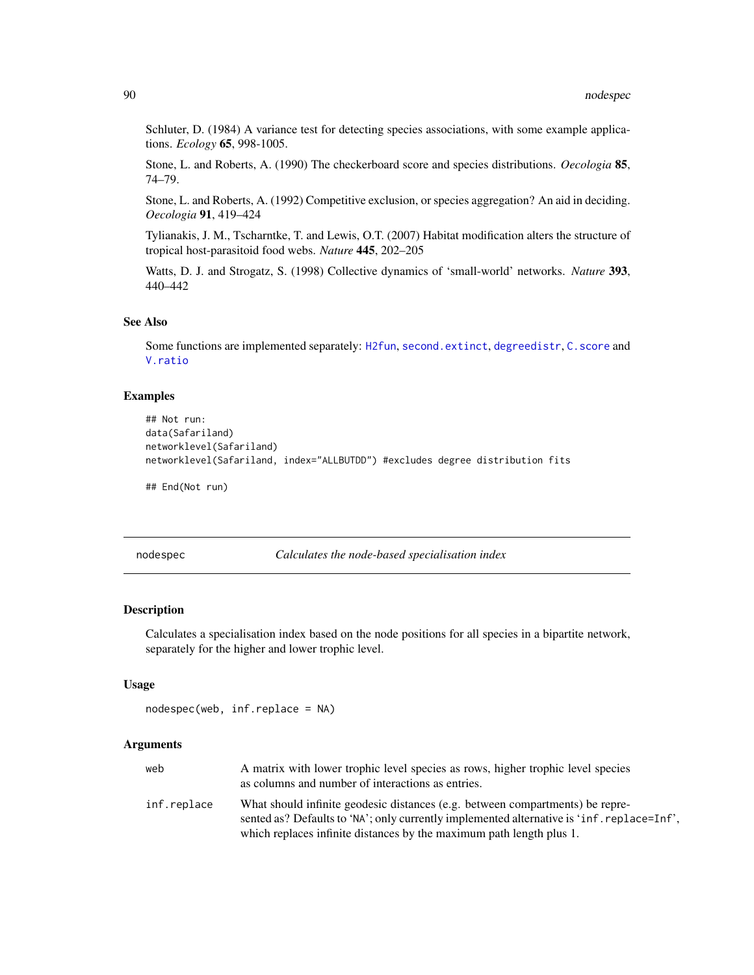Schluter, D. (1984) A variance test for detecting species associations, with some example applications. *Ecology* 65, 998-1005.

Stone, L. and Roberts, A. (1990) The checkerboard score and species distributions. *Oecologia* 85, 74–79.

Stone, L. and Roberts, A. (1992) Competitive exclusion, or species aggregation? An aid in deciding. *Oecologia* 91, 419–424

Tylianakis, J. M., Tscharntke, T. and Lewis, O.T. (2007) Habitat modification alters the structure of tropical host-parasitoid food webs. *Nature* 445, 202–205

Watts, D. J. and Strogatz, S. (1998) Collective dynamics of 'small-world' networks. *Nature* 393, 440–442

## See Also

Some functions are implemented separately: [H2fun](#page-57-0), [second.extinct](#page-121-0), [degreedistr](#page-34-0), [C.score](#page-23-0) and [V.ratio](#page-141-0)

## Examples

```
## Not run:
data(Safariland)
networklevel(Safariland)
networklevel(Safariland, index="ALLBUTDD") #excludes degree distribution fits
```
## End(Not run)

nodespec *Calculates the node-based specialisation index*

## **Description**

Calculates a specialisation index based on the node positions for all species in a bipartite network, separately for the higher and lower trophic level.

## Usage

```
nodespec(web, inf.replace = NA)
```
## Arguments

| web         | A matrix with lower trophic level species as rows, higher trophic level species<br>as columns and number of interactions as entries.                                                                                                                |
|-------------|-----------------------------------------------------------------------------------------------------------------------------------------------------------------------------------------------------------------------------------------------------|
| inf.replace | What should infinite geodesic distances (e.g. between compartments) be repre-<br>sented as? Defaults to 'NA'; only currently implemented alternative is 'inf. replace=Inf',<br>which replaces infinite distances by the maximum path length plus 1. |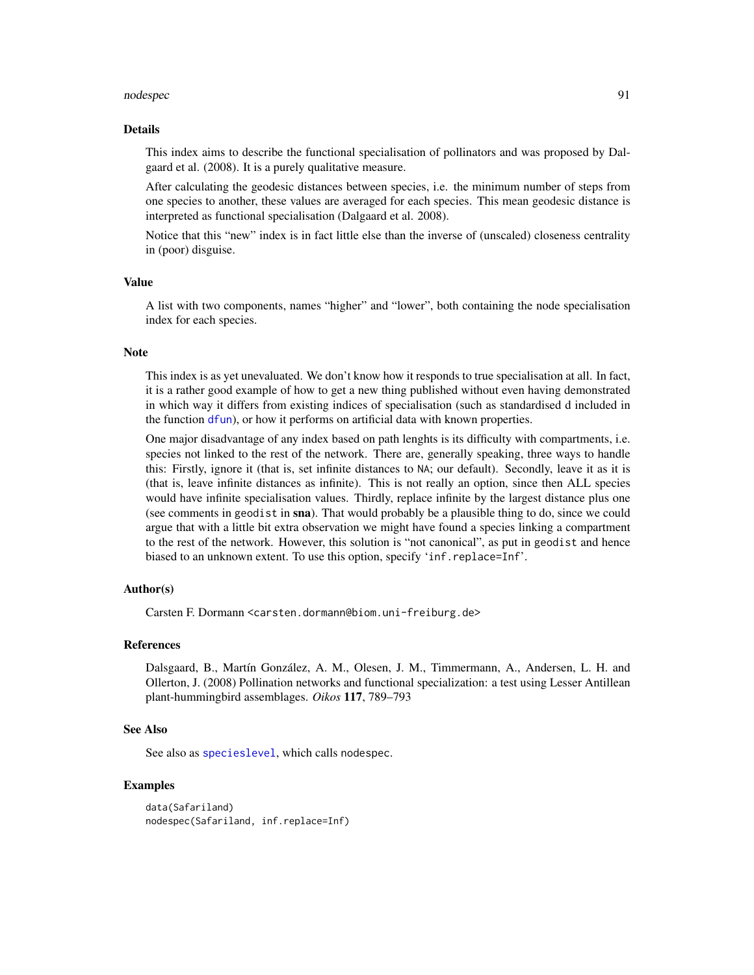#### nodespec 91

#### Details

This index aims to describe the functional specialisation of pollinators and was proposed by Dalgaard et al. (2008). It is a purely qualitative measure.

After calculating the geodesic distances between species, i.e. the minimum number of steps from one species to another, these values are averaged for each species. This mean geodesic distance is interpreted as functional specialisation (Dalgaard et al. 2008).

Notice that this "new" index is in fact little else than the inverse of (unscaled) closeness centrality in (poor) disguise.

## Value

A list with two components, names "higher" and "lower", both containing the node specialisation index for each species.

## **Note**

This index is as yet unevaluated. We don't know how it responds to true specialisation at all. In fact, it is a rather good example of how to get a new thing published without even having demonstrated in which way it differs from existing indices of specialisation (such as standardised d included in the function [dfun](#page-36-0)), or how it performs on artificial data with known properties.

One major disadvantage of any index based on path lenghts is its difficulty with compartments, i.e. species not linked to the rest of the network. There are, generally speaking, three ways to handle this: Firstly, ignore it (that is, set infinite distances to NA; our default). Secondly, leave it as it is (that is, leave infinite distances as infinite). This is not really an option, since then ALL species would have infinite specialisation values. Thirdly, replace infinite by the largest distance plus one (see comments in geodist in sna). That would probably be a plausible thing to do, since we could argue that with a little bit extra observation we might have found a species linking a compartment to the rest of the network. However, this solution is "not canonical", as put in geodist and hence biased to an unknown extent. To use this option, specify 'inf.replace=Inf'.

## Author(s)

Carsten F. Dormann <carsten.dormann@biom.uni-freiburg.de>

## References

Dalsgaard, B., Martín González, A. M., Olesen, J. M., Timmermann, A., Andersen, L. H. and Ollerton, J. (2008) Pollination networks and functional specialization: a test using Lesser Antillean plant-hummingbird assemblages. *Oikos* 117, 789–793

## See Also

See also as [specieslevel](#page-128-0), which calls nodespec.

# Examples

data(Safariland) nodespec(Safariland, inf.replace=Inf)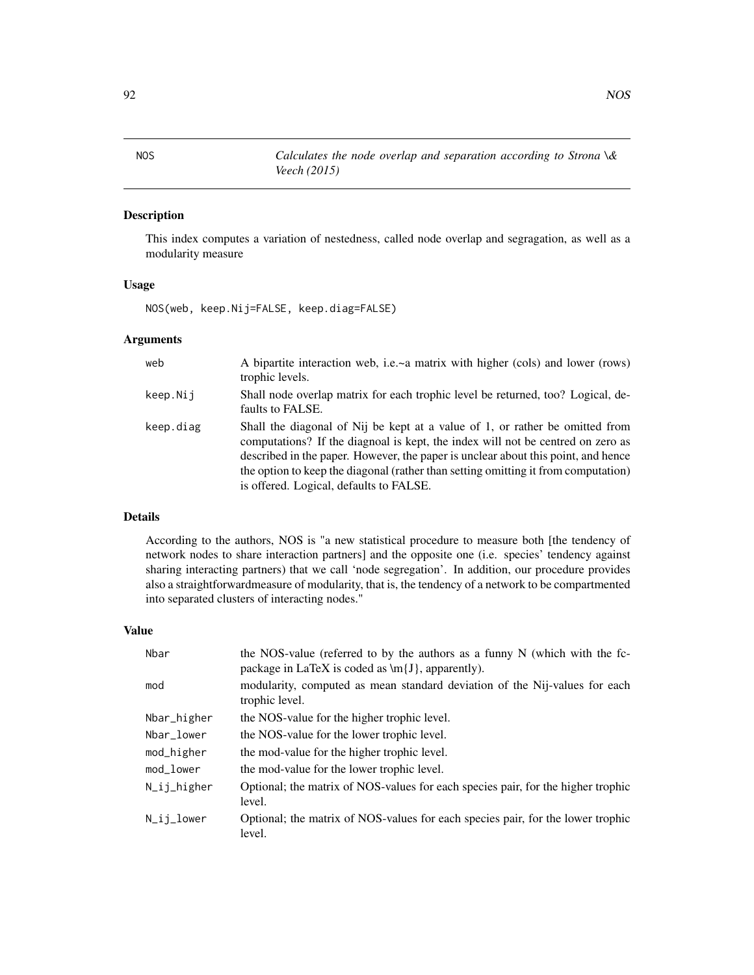# Description

This index computes a variation of nestedness, called node overlap and segragation, as well as a modularity measure

# Usage

NOS(web, keep.Nij=FALSE, keep.diag=FALSE)

# Arguments

| web       | A bipartite interaction web, i.e.~a matrix with higher (cols) and lower (rows)<br>trophic levels.                                                                                                                                                                                                                                                                                     |
|-----------|---------------------------------------------------------------------------------------------------------------------------------------------------------------------------------------------------------------------------------------------------------------------------------------------------------------------------------------------------------------------------------------|
| keep.Nij  | Shall node overlap matrix for each trophic level be returned, too? Logical, de-<br>faults to FALSE.                                                                                                                                                                                                                                                                                   |
| keep.diag | Shall the diagonal of Nij be kept at a value of 1, or rather be omitted from<br>computations? If the diagnoal is kept, the index will not be centred on zero as<br>described in the paper. However, the paper is unclear about this point, and hence<br>the option to keep the diagonal (rather than setting omitting it from computation)<br>is offered. Logical, defaults to FALSE. |

# Details

According to the authors, NOS is "a new statistical procedure to measure both [the tendency of network nodes to share interaction partners] and the opposite one (i.e. species' tendency against sharing interacting partners) that we call 'node segregation'. In addition, our procedure provides also a straightforwardmeasure of modularity, that is, the tendency of a network to be compartmented into separated clusters of interacting nodes."

## Value

| Nbar           | the NOS-value (referred to by the authors as a funny $N$ (which with the fc-<br>package in LaTeX is coded as $\{J\}$ , apparently). |
|----------------|-------------------------------------------------------------------------------------------------------------------------------------|
| mod            | modularity, computed as mean standard deviation of the Nij-values for each<br>trophic level.                                        |
| Nbar_higher    | the NOS-value for the higher trophic level.                                                                                         |
| Nbar_lower     | the NOS-value for the lower trophic level.                                                                                          |
| mod_higher     | the mod-value for the higher trophic level.                                                                                         |
| mod lower      | the mod-value for the lower trophic level.                                                                                          |
| N_ij_higher    | Optional; the matrix of NOS-values for each species pair, for the higher trophic<br>level.                                          |
| $N_i$ ij_lower | Optional; the matrix of NOS-values for each species pair, for the lower trophic<br>level.                                           |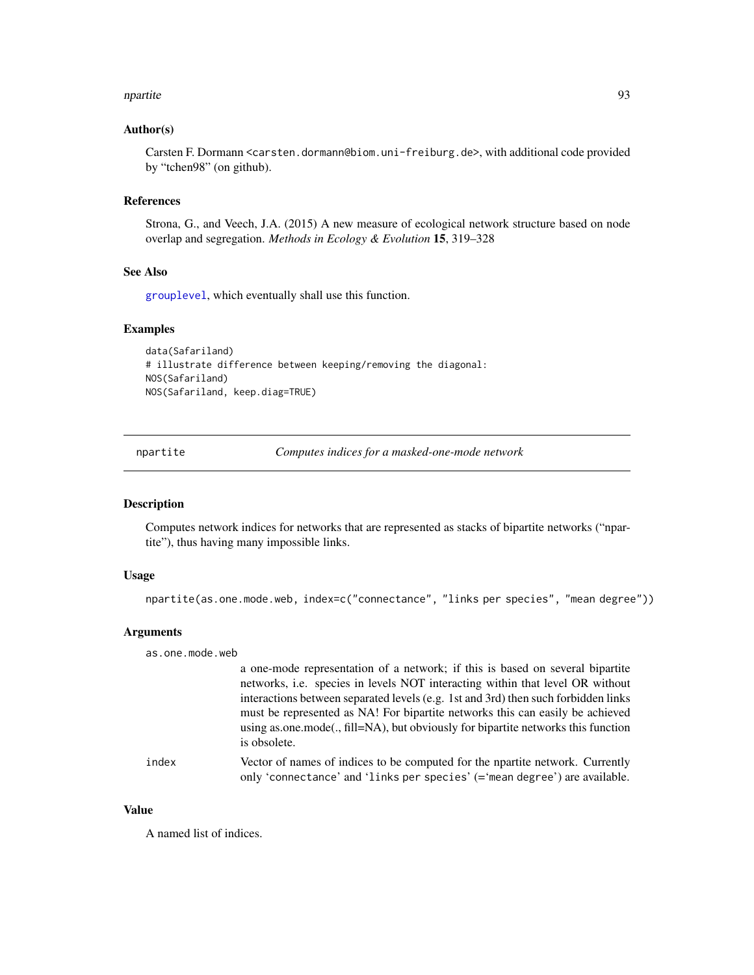#### npartite 93

## Author(s)

Carsten F. Dormann <carsten.dormann@biom.uni-freiburg.de>, with additional code provided by "tchen98" (on github).

#### References

Strona, G., and Veech, J.A. (2015) A new measure of ecological network structure based on node overlap and segregation. *Methods in Ecology & Evolution* 15, 319–328

# See Also

[grouplevel](#page-51-0), which eventually shall use this function.

#### Examples

```
data(Safariland)
# illustrate difference between keeping/removing the diagonal:
NOS(Safariland)
NOS(Safariland, keep.diag=TRUE)
```
npartite *Computes indices for a masked-one-mode network*

#### **Description**

Computes network indices for networks that are represented as stacks of bipartite networks ("npartite"), thus having many impossible links.

## Usage

npartite(as.one.mode.web, index=c("connectance", "links per species", "mean degree"))

#### Arguments

as.one.mode.web

a one-mode representation of a network; if this is based on several bipartite networks, i.e. species in levels NOT interacting within that level OR without interactions between separated levels (e.g. 1st and 3rd) then such forbidden links must be represented as NA! For bipartite networks this can easily be achieved using as.one.mode(., fill=NA), but obviously for bipartite networks this function is obsolete.

index Vector of names of indices to be computed for the npartite network. Currently only 'connectance' and 'links per species' (='mean degree') are available.

#### Value

A named list of indices.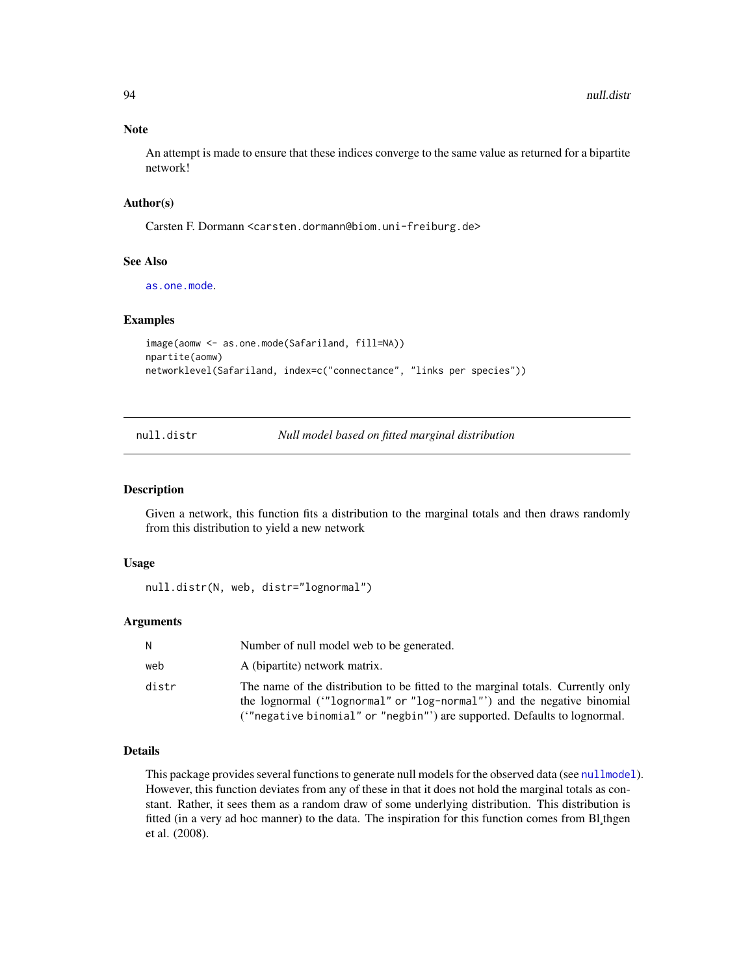#### Note

An attempt is made to ensure that these indices converge to the same value as returned for a bipartite network!

# Author(s)

Carsten F. Dormann <carsten.dormann@biom.uni-freiburg.de>

#### See Also

[as.one.mode](#page-13-0).

## Examples

```
image(aomw <- as.one.mode(Safariland, fill=NA))
npartite(aomw)
networklevel(Safariland, index=c("connectance", "links per species"))
```
null.distr *Null model based on fitted marginal distribution*

#### Description

Given a network, this function fits a distribution to the marginal totals and then draws randomly from this distribution to yield a new network

#### Usage

```
null.distr(N, web, distr="lognormal")
```
## Arguments

| N     | Number of null model web to be generated.                                                                                                                                                                                              |
|-------|----------------------------------------------------------------------------------------------------------------------------------------------------------------------------------------------------------------------------------------|
| web   | A (bipartite) network matrix.                                                                                                                                                                                                          |
| distr | The name of the distribution to be fitted to the marginal totals. Currently only<br>the lognormal ("lognormal" or "log-normal"") and the negative binomial<br>("negative binomial" or "negbin"') are supported. Defaults to lognormal. |

# Details

This package provides several functions to generate null models for the observed data (see [nullmodel](#page-96-0)). However, this function deviates from any of these in that it does not hold the marginal totals as constant. Rather, it sees them as a random draw of some underlying distribution. This distribution is fitted (in a very ad hoc manner) to the data. The inspiration for this function comes from Bl¸thgen et al. (2008).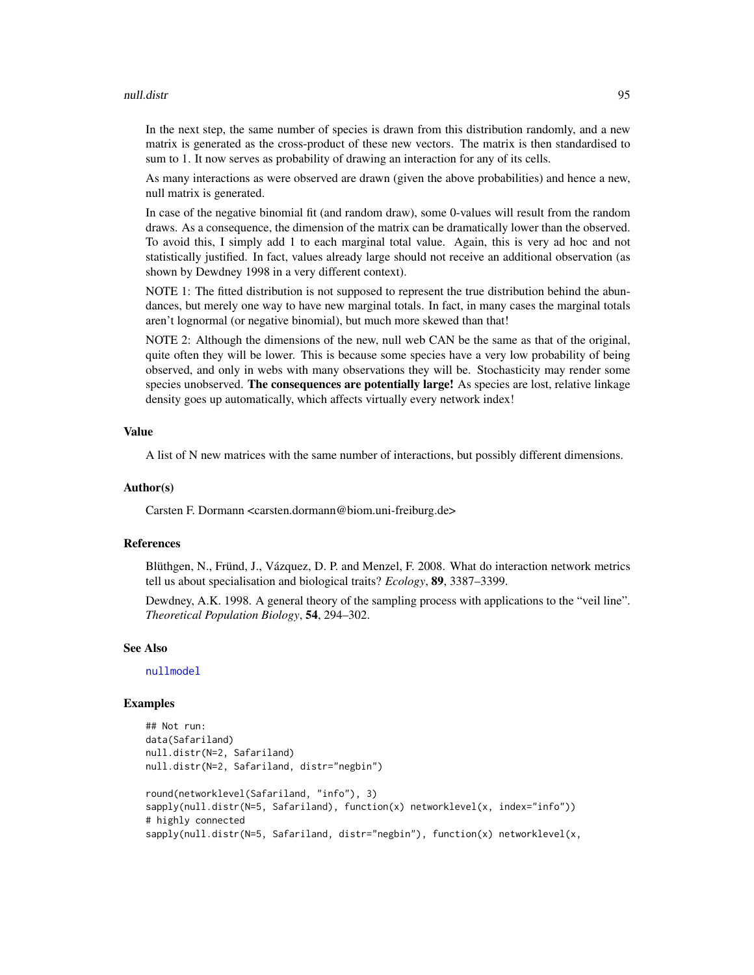#### null.distr 95

In the next step, the same number of species is drawn from this distribution randomly, and a new matrix is generated as the cross-product of these new vectors. The matrix is then standardised to sum to 1. It now serves as probability of drawing an interaction for any of its cells.

As many interactions as were observed are drawn (given the above probabilities) and hence a new, null matrix is generated.

In case of the negative binomial fit (and random draw), some 0-values will result from the random draws. As a consequence, the dimension of the matrix can be dramatically lower than the observed. To avoid this, I simply add 1 to each marginal total value. Again, this is very ad hoc and not statistically justified. In fact, values already large should not receive an additional observation (as shown by Dewdney 1998 in a very different context).

NOTE 1: The fitted distribution is not supposed to represent the true distribution behind the abundances, but merely one way to have new marginal totals. In fact, in many cases the marginal totals aren't lognormal (or negative binomial), but much more skewed than that!

NOTE 2: Although the dimensions of the new, null web CAN be the same as that of the original, quite often they will be lower. This is because some species have a very low probability of being observed, and only in webs with many observations they will be. Stochasticity may render some species unobserved. The consequences are potentially large! As species are lost, relative linkage density goes up automatically, which affects virtually every network index!

#### Value

A list of N new matrices with the same number of interactions, but possibly different dimensions.

## Author(s)

Carsten F. Dormann <carsten.dormann@biom.uni-freiburg.de>

#### References

Blüthgen, N., Fründ, J., Vázquez, D. P. and Menzel, F. 2008. What do interaction network metrics tell us about specialisation and biological traits? *Ecology*, 89, 3387–3399.

Dewdney, A.K. 1998. A general theory of the sampling process with applications to the "veil line". *Theoretical Population Biology*, 54, 294–302.

# See Also

[nullmodel](#page-96-0)

## Examples

```
## Not run:
data(Safariland)
null.distr(N=2, Safariland)
null.distr(N=2, Safariland, distr="negbin")
round(networklevel(Safariland, "info"), 3)
sapply(null.distr(N=5, Safariland), function(x) networklevel(x, index="info"))
# highly connected
sapply(null.distr(N=5, Safariland, distr="negbin"), function(x) networklevel(x,
```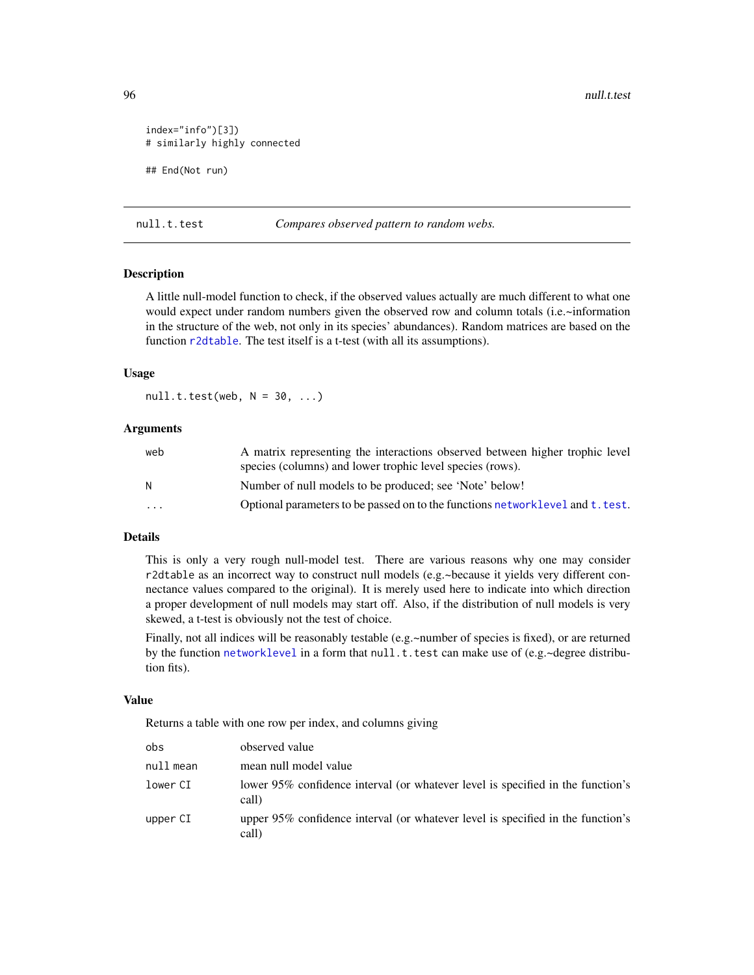96 null.t.test and the contract of the contract of the contract of the contract of the contract of the contract of the contract of the contract of the contract of the contract of the contract of the contract of the contrac

```
index="info")[3])
# similarly highly connected
## End(Not run)
```
null.t.test *Compares observed pattern to random webs.*

## Description

A little null-model function to check, if the observed values actually are much different to what one would expect under random numbers given the observed row and column totals (i.e.~information in the structure of the web, not only in its species' abundances). Random matrices are based on the function [r2dtable](#page-0-0). The test itself is a t-test (with all its assumptions).

#### Usage

 $null.t.test(web, N = 30, ...)$ 

## Arguments

| web                     | A matrix representing the interactions observed between higher trophic level   |
|-------------------------|--------------------------------------------------------------------------------|
|                         | species (columns) and lower trophic level species (rows).                      |
| N                       | Number of null models to be produced; see 'Note' below!                        |
| $\cdot$ $\cdot$ $\cdot$ | Optional parameters to be passed on to the functions networklevel and t. test. |
|                         |                                                                                |

# Details

This is only a very rough null-model test. There are various reasons why one may consider r2dtable as an incorrect way to construct null models (e.g.~because it yields very different connectance values compared to the original). It is merely used here to indicate into which direction a proper development of null models may start off. Also, if the distribution of null models is very skewed, a t-test is obviously not the test of choice.

Finally, not all indices will be reasonably testable (e.g.~number of species is fixed), or are returned by the function [networklevel](#page-80-0) in a form that null.t.test can make use of (e.g.~degree distribution fits).

#### Value

Returns a table with one row per index, and columns giving

| obs       | observed value                                                                           |
|-----------|------------------------------------------------------------------------------------------|
| null mean | mean null model value                                                                    |
| lower CI  | lower 95% confidence interval (or whatever level is specified in the function's<br>call) |
| upper CI  | upper 95% confidence interval (or whatever level is specified in the function's<br>call) |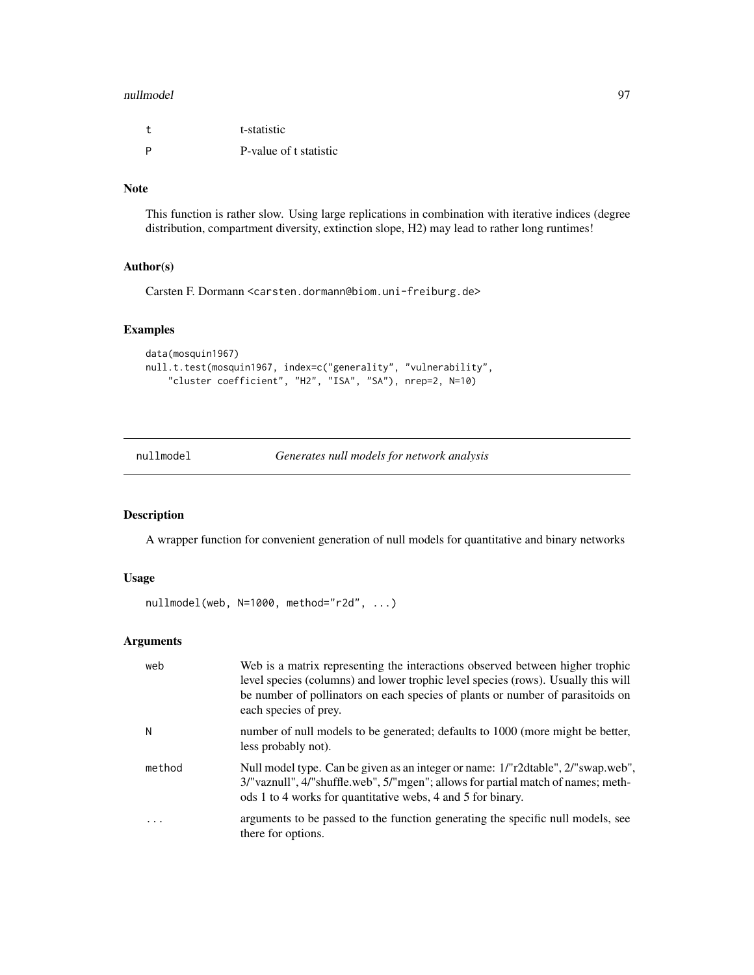#### nullmodel 97

| $^{+}$ | t-statistic            |
|--------|------------------------|
| - P    | P-value of t statistic |

# Note

This function is rather slow. Using large replications in combination with iterative indices (degree distribution, compartment diversity, extinction slope, H2) may lead to rather long runtimes!

# Author(s)

Carsten F. Dormann <carsten.dormann@biom.uni-freiburg.de>

# Examples

```
data(mosquin1967)
null.t.test(mosquin1967, index=c("generality", "vulnerability",
    "cluster coefficient", "H2", "ISA", "SA"), nrep=2, N=10)
```
<span id="page-96-0"></span>nullmodel *Generates null models for network analysis*

# Description

A wrapper function for convenient generation of null models for quantitative and binary networks

# Usage

```
nullmodel(web, N=1000, method="r2d", ...)
```
# Arguments

| web                     | Web is a matrix representing the interactions observed between higher trophic<br>level species (columns) and lower trophic level species (rows). Usually this will<br>be number of pollinators on each species of plants or number of parasitoids on<br>each species of prey. |
|-------------------------|-------------------------------------------------------------------------------------------------------------------------------------------------------------------------------------------------------------------------------------------------------------------------------|
| N                       | number of null models to be generated; defaults to 1000 (more might be better,<br>less probably not).                                                                                                                                                                         |
| method                  | Null model type. Can be given as an integer or name: 1/"r2dtable", 2/"swap.web",<br>3/"vaznull", 4/"shuffle.web", 5/"mgen"; allows for partial match of names; meth-<br>ods 1 to 4 works for quantitative webs, 4 and 5 for binary.                                           |
| $\cdot$ $\cdot$ $\cdot$ | arguments to be passed to the function generating the specific null models, see<br>there for options.                                                                                                                                                                         |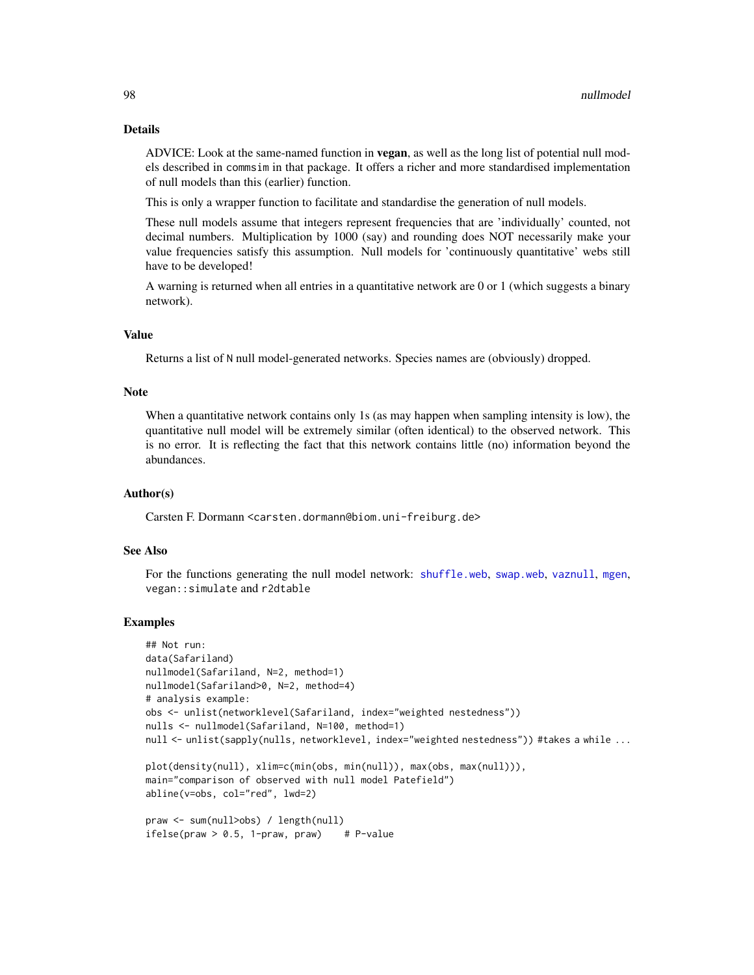#### Details

ADVICE: Look at the same-named function in **vegan**, as well as the long list of potential null models described in commsim in that package. It offers a richer and more standardised implementation of null models than this (earlier) function.

This is only a wrapper function to facilitate and standardise the generation of null models.

These null models assume that integers represent frequencies that are 'individually' counted, not decimal numbers. Multiplication by 1000 (say) and rounding does NOT necessarily make your value frequencies satisfy this assumption. Null models for 'continuously quantitative' webs still have to be developed!

A warning is returned when all entries in a quantitative network are 0 or 1 (which suggests a binary network).

## Value

Returns a list of N null model-generated networks. Species names are (obviously) dropped.

#### Note

When a quantitative network contains only 1s (as may happen when sampling intensity is low), the quantitative null model will be extremely similar (often identical) to the observed network. This is no error. It is reflecting the fact that this network contains little (no) information beyond the abundances.

## Author(s)

Carsten F. Dormann <carsten.dormann@biom.uni-freiburg.de>

#### See Also

For the functions generating the null model network: [shuffle.web](#page-123-0), [swap.web](#page-136-0), [vaznull](#page-145-0), [mgen](#page-64-0), vegan::simulate and r2dtable

#### Examples

```
## Not run:
data(Safariland)
nullmodel(Safariland, N=2, method=1)
nullmodel(Safariland>0, N=2, method=4)
# analysis example:
obs <- unlist(networklevel(Safariland, index="weighted nestedness"))
nulls <- nullmodel(Safariland, N=100, method=1)
null <- unlist(sapply(nulls, networklevel, index="weighted nestedness")) #takes a while ...
plot(density(null), xlim=c(min(obs, min(null)), max(obs, max(null))),
main="comparison of observed with null model Patefield")
abline(v=obs, col="red", lwd=2)
praw <- sum(null>obs) / length(null)
ifelse(praw > 0.5, 1-praw, praw) # P-value
```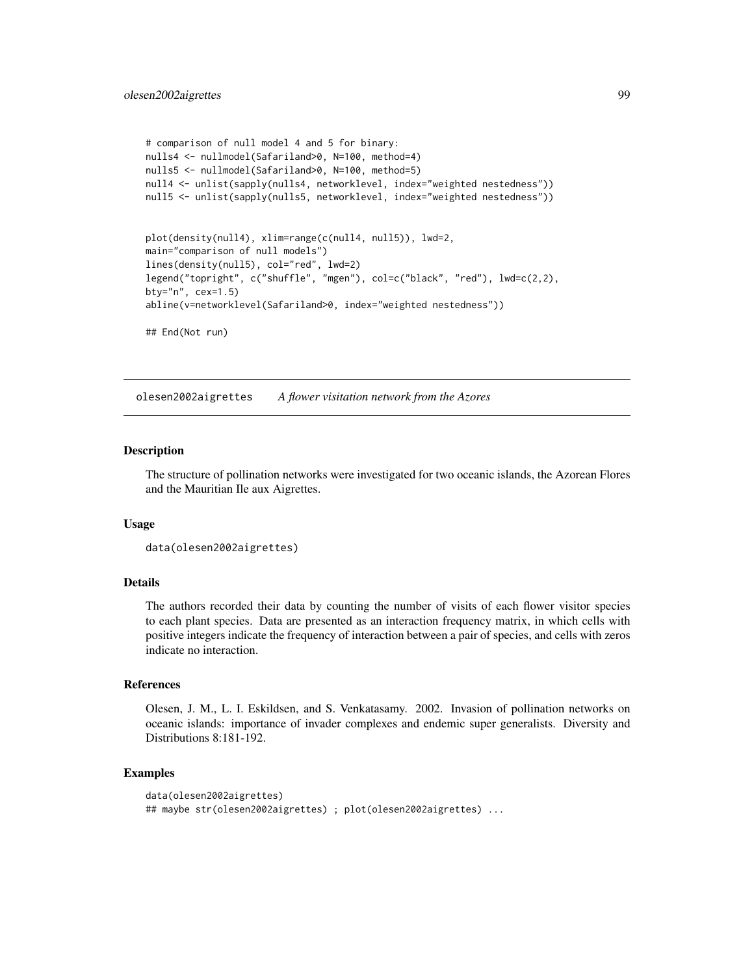```
# comparison of null model 4 and 5 for binary:
nulls4 <- nullmodel(Safariland>0, N=100, method=4)
nulls5 <- nullmodel(Safariland>0, N=100, method=5)
null4 <- unlist(sapply(nulls4, networklevel, index="weighted nestedness"))
null5 <- unlist(sapply(nulls5, networklevel, index="weighted nestedness"))
plot(density(null4), xlim=range(c(null4, null5)), lwd=2,
main="comparison of null models")
lines(density(null5), col="red", lwd=2)
legend("topright", c("shuffle", "mgen"), col=c("black", "red"), lwd=c(2,2),
bty="n", cex=1.5)
abline(v=networklevel(Safariland>0, index="weighted nestedness"))
## End(Not run)
```
olesen2002aigrettes *A flower visitation network from the Azores*

#### Description

The structure of pollination networks were investigated for two oceanic islands, the Azorean Flores and the Mauritian Ile aux Aigrettes.

#### Usage

```
data(olesen2002aigrettes)
```
# Details

The authors recorded their data by counting the number of visits of each flower visitor species to each plant species. Data are presented as an interaction frequency matrix, in which cells with positive integers indicate the frequency of interaction between a pair of species, and cells with zeros indicate no interaction.

## References

Olesen, J. M., L. I. Eskildsen, and S. Venkatasamy. 2002. Invasion of pollination networks on oceanic islands: importance of invader complexes and endemic super generalists. Diversity and Distributions 8:181-192.

#### Examples

```
data(olesen2002aigrettes)
## maybe str(olesen2002aigrettes) ; plot(olesen2002aigrettes) ...
```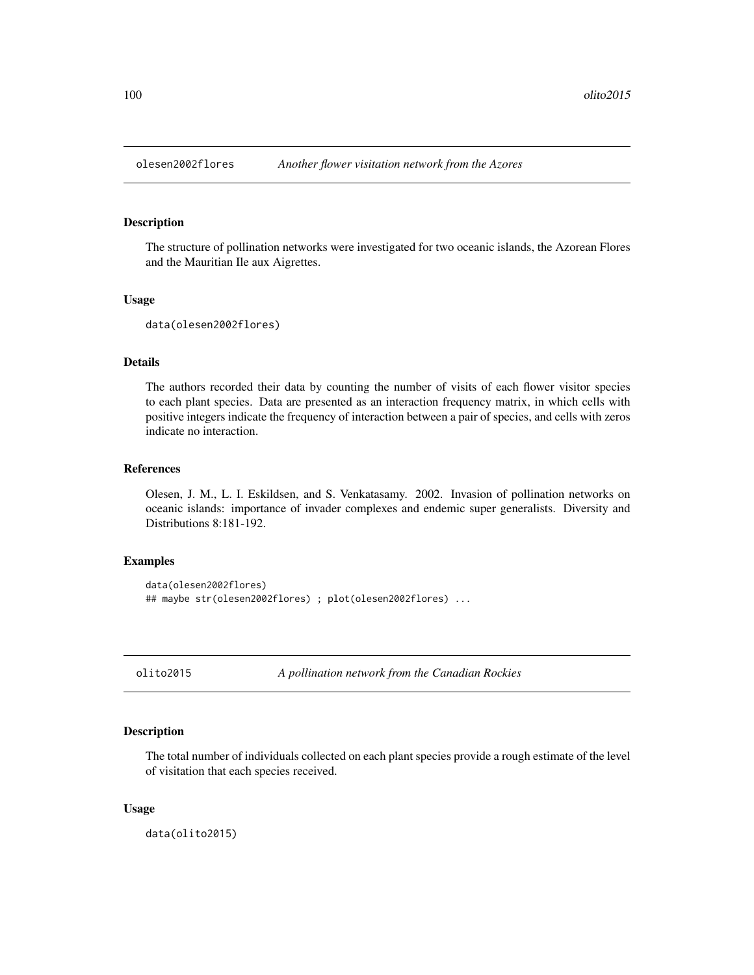# Description

The structure of pollination networks were investigated for two oceanic islands, the Azorean Flores and the Mauritian Ile aux Aigrettes.

#### Usage

```
data(olesen2002flores)
```
# Details

The authors recorded their data by counting the number of visits of each flower visitor species to each plant species. Data are presented as an interaction frequency matrix, in which cells with positive integers indicate the frequency of interaction between a pair of species, and cells with zeros indicate no interaction.

# References

Olesen, J. M., L. I. Eskildsen, and S. Venkatasamy. 2002. Invasion of pollination networks on oceanic islands: importance of invader complexes and endemic super generalists. Diversity and Distributions 8:181-192.

# Examples

```
data(olesen2002flores)
## maybe str(olesen2002flores) ; plot(olesen2002flores) ...
```
olito2015 *A pollination network from the Canadian Rockies*

# Description

The total number of individuals collected on each plant species provide a rough estimate of the level of visitation that each species received.

## Usage

data(olito2015)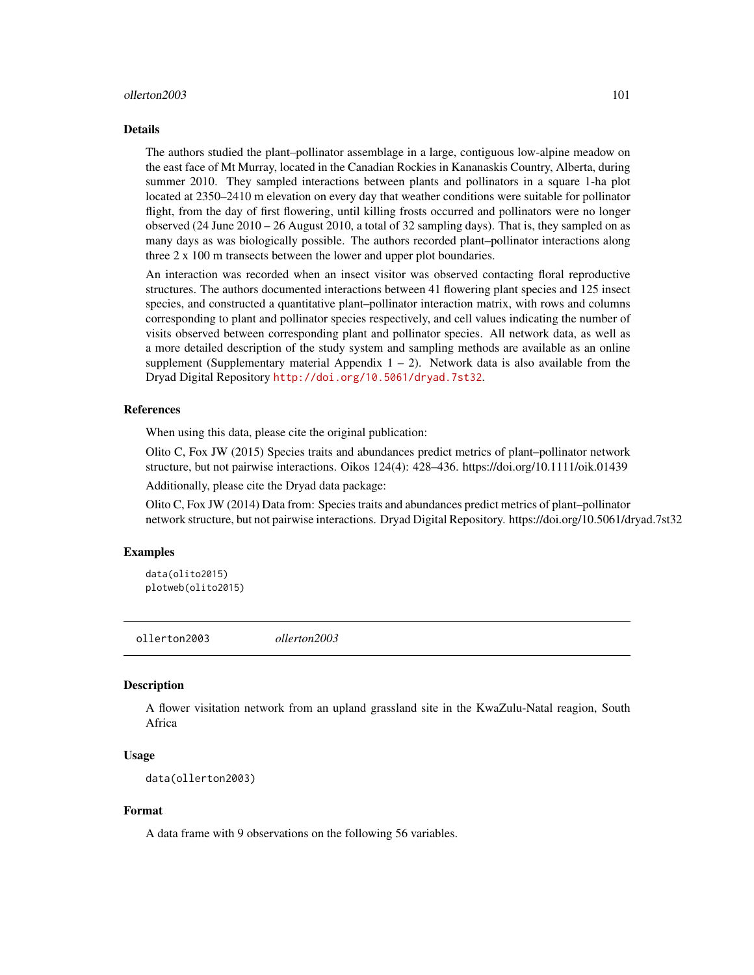#### ollerton2003 101

#### Details

The authors studied the plant–pollinator assemblage in a large, contiguous low-alpine meadow on the east face of Mt Murray, located in the Canadian Rockies in Kananaskis Country, Alberta, during summer 2010. They sampled interactions between plants and pollinators in a square 1-ha plot located at 2350–2410 m elevation on every day that weather conditions were suitable for pollinator flight, from the day of first flowering, until killing frosts occurred and pollinators were no longer observed (24 June 2010 – 26 August 2010, a total of 32 sampling days). That is, they sampled on as many days as was biologically possible. The authors recorded plant–pollinator interactions along three 2 x 100 m transects between the lower and upper plot boundaries.

An interaction was recorded when an insect visitor was observed contacting floral reproductive structures. The authors documented interactions between 41 flowering plant species and 125 insect species, and constructed a quantitative plant–pollinator interaction matrix, with rows and columns corresponding to plant and pollinator species respectively, and cell values indicating the number of visits observed between corresponding plant and pollinator species. All network data, as well as a more detailed description of the study system and sampling methods are available as an online supplement (Supplementary material Appendix  $1 - 2$ ). Network data is also available from the Dryad Digital Repository <http://doi.org/10.5061/dryad.7st32>.

## References

When using this data, please cite the original publication:

Olito C, Fox JW (2015) Species traits and abundances predict metrics of plant–pollinator network structure, but not pairwise interactions. Oikos 124(4): 428–436. https://doi.org/10.1111/oik.01439

Additionally, please cite the Dryad data package:

Olito C, Fox JW (2014) Data from: Species traits and abundances predict metrics of plant–pollinator network structure, but not pairwise interactions. Dryad Digital Repository. https://doi.org/10.5061/dryad.7st32

#### Examples

```
data(olito2015)
plotweb(olito2015)
```
ollerton2003 *ollerton2003*

## Description

A flower visitation network from an upland grassland site in the KwaZulu-Natal reagion, South Africa

#### Usage

```
data(ollerton2003)
```
## Format

A data frame with 9 observations on the following 56 variables.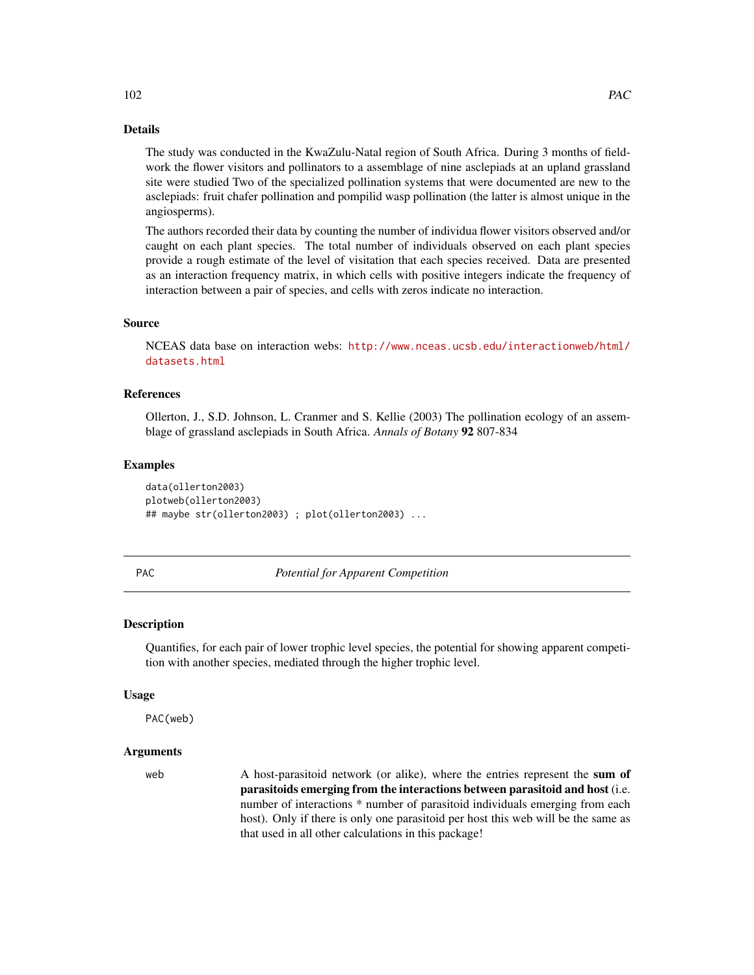# Details

The study was conducted in the KwaZulu-Natal region of South Africa. During 3 months of fieldwork the flower visitors and pollinators to a assemblage of nine asclepiads at an upland grassland site were studied Two of the specialized pollination systems that were documented are new to the asclepiads: fruit chafer pollination and pompilid wasp pollination (the latter is almost unique in the angiosperms).

The authors recorded their data by counting the number of individua flower visitors observed and/or caught on each plant species. The total number of individuals observed on each plant species provide a rough estimate of the level of visitation that each species received. Data are presented as an interaction frequency matrix, in which cells with positive integers indicate the frequency of interaction between a pair of species, and cells with zeros indicate no interaction.

## Source

NCEAS data base on interaction webs: [http://www.nceas.ucsb.edu/interactionweb/html/](http://www.nceas.ucsb.edu/interactionweb/html/datasets.html) [datasets.html](http://www.nceas.ucsb.edu/interactionweb/html/datasets.html)

# References

Ollerton, J., S.D. Johnson, L. Cranmer and S. Kellie (2003) The pollination ecology of an assemblage of grassland asclepiads in South Africa. *Annals of Botany* 92 807-834

## Examples

data(ollerton2003) plotweb(ollerton2003) ## maybe str(ollerton2003) ; plot(ollerton2003) ...

<span id="page-101-0"></span>

PAC *Potential for Apparent Competition*

#### Description

Quantifies, for each pair of lower trophic level species, the potential for showing apparent competition with another species, mediated through the higher trophic level.

#### Usage

PAC(web)

# Arguments

web A host-parasitoid network (or alike), where the entries represent the sum of parasitoids emerging from the interactions between parasitoid and host (i.e. number of interactions \* number of parasitoid individuals emerging from each host). Only if there is only one parasitoid per host this web will be the same as that used in all other calculations in this package!

102 PAC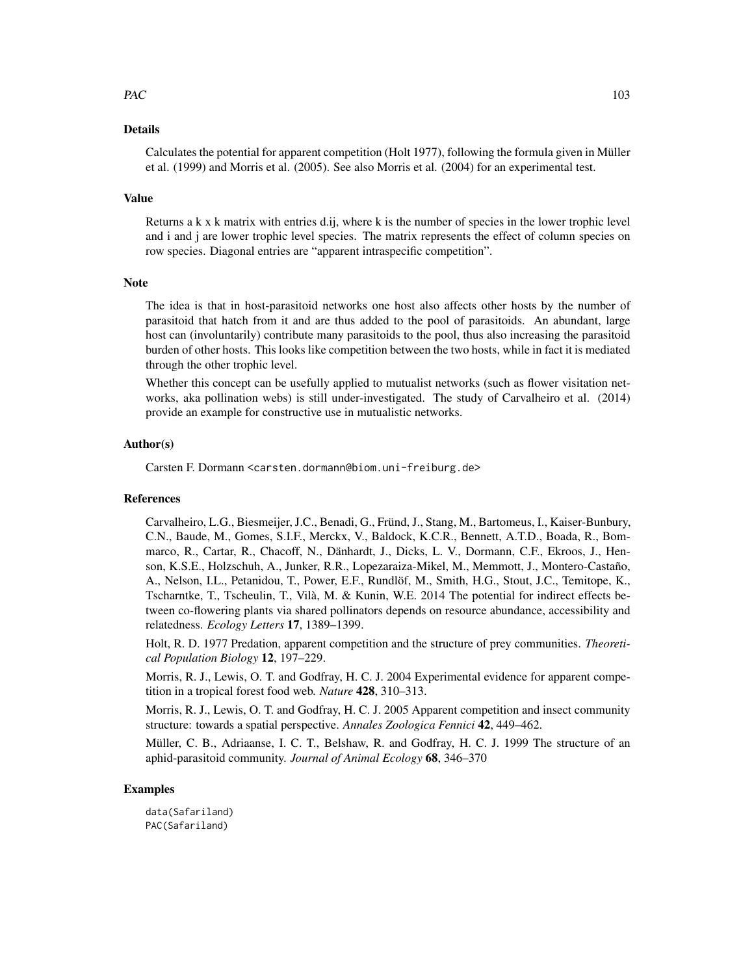## $PAC$  103

## Details

Calculates the potential for apparent competition (Holt 1977), following the formula given in Müller et al. (1999) and Morris et al. (2005). See also Morris et al. (2004) for an experimental test.

## Value

Returns a k x k matrix with entries d.ij, where k is the number of species in the lower trophic level and i and j are lower trophic level species. The matrix represents the effect of column species on row species. Diagonal entries are "apparent intraspecific competition".

# **Note**

The idea is that in host-parasitoid networks one host also affects other hosts by the number of parasitoid that hatch from it and are thus added to the pool of parasitoids. An abundant, large host can (involuntarily) contribute many parasitoids to the pool, thus also increasing the parasitoid burden of other hosts. This looks like competition between the two hosts, while in fact it is mediated through the other trophic level.

Whether this concept can be usefully applied to mutualist networks (such as flower visitation networks, aka pollination webs) is still under-investigated. The study of Carvalheiro et al. (2014) provide an example for constructive use in mutualistic networks.

# Author(s)

Carsten F. Dormann <carsten.dormann@biom.uni-freiburg.de>

#### References

Carvalheiro, L.G., Biesmeijer, J.C., Benadi, G., Fründ, J., Stang, M., Bartomeus, I., Kaiser-Bunbury, C.N., Baude, M., Gomes, S.I.F., Merckx, V., Baldock, K.C.R., Bennett, A.T.D., Boada, R., Bommarco, R., Cartar, R., Chacoff, N., Dänhardt, J., Dicks, L. V., Dormann, C.F., Ekroos, J., Henson, K.S.E., Holzschuh, A., Junker, R.R., Lopezaraiza-Mikel, M., Memmott, J., Montero-Castaño, A., Nelson, I.L., Petanidou, T., Power, E.F., Rundlöf, M., Smith, H.G., Stout, J.C., Temitope, K., Tscharntke, T., Tscheulin, T., Vilà, M. & Kunin, W.E. 2014 The potential for indirect effects between co-flowering plants via shared pollinators depends on resource abundance, accessibility and relatedness. *Ecology Letters* 17, 1389–1399.

Holt, R. D. 1977 Predation, apparent competition and the structure of prey communities. *Theoretical Population Biology* 12, 197–229.

Morris, R. J., Lewis, O. T. and Godfray, H. C. J. 2004 Experimental evidence for apparent competition in a tropical forest food web. *Nature* 428, 310–313.

Morris, R. J., Lewis, O. T. and Godfray, H. C. J. 2005 Apparent competition and insect community structure: towards a spatial perspective. *Annales Zoologica Fennici* 42, 449–462.

Müller, C. B., Adriaanse, I. C. T., Belshaw, R. and Godfray, H. C. J. 1999 The structure of an aphid-parasitoid community. *Journal of Animal Ecology* 68, 346–370

## Examples

data(Safariland) PAC(Safariland)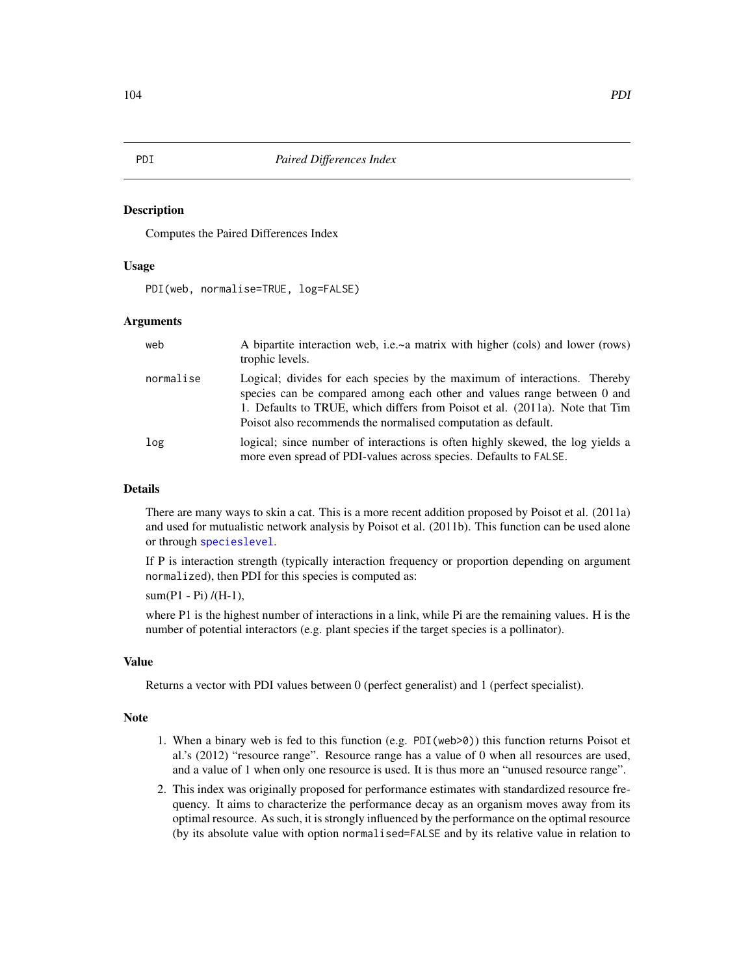## Description

Computes the Paired Differences Index

## Usage

PDI(web, normalise=TRUE, log=FALSE)

## Arguments

| web       | A bipartite interaction web, i.e.~a matrix with higher (cols) and lower (rows)<br>trophic levels.                                                                                                                                                                                                     |
|-----------|-------------------------------------------------------------------------------------------------------------------------------------------------------------------------------------------------------------------------------------------------------------------------------------------------------|
| normalise | Logical; divides for each species by the maximum of interactions. Thereby<br>species can be compared among each other and values range between 0 and<br>1. Defaults to TRUE, which differs from Poisot et al. (2011a). Note that Tim<br>Poisot also recommends the normalised computation as default. |
| log       | logical; since number of interactions is often highly skewed, the log yields a<br>more even spread of PDI-values across species. Defaults to FALSE.                                                                                                                                                   |

## Details

There are many ways to skin a cat. This is a more recent addition proposed by Poisot et al. (2011a) and used for mutualistic network analysis by Poisot et al. (2011b). This function can be used alone or through [specieslevel](#page-128-0).

If P is interaction strength (typically interaction frequency or proportion depending on argument normalized), then PDI for this species is computed as:

sum(P1 - Pi) /(H-1),

where P1 is the highest number of interactions in a link, while Pi are the remaining values. H is the number of potential interactors (e.g. plant species if the target species is a pollinator).

#### Value

Returns a vector with PDI values between 0 (perfect generalist) and 1 (perfect specialist).

#### Note

- 1. When a binary web is fed to this function (e.g. PDI(web>0)) this function returns Poisot et al.'s (2012) "resource range". Resource range has a value of 0 when all resources are used, and a value of 1 when only one resource is used. It is thus more an "unused resource range".
- 2. This index was originally proposed for performance estimates with standardized resource frequency. It aims to characterize the performance decay as an organism moves away from its optimal resource. As such, it is strongly influenced by the performance on the optimal resource (by its absolute value with option normalised=FALSE and by its relative value in relation to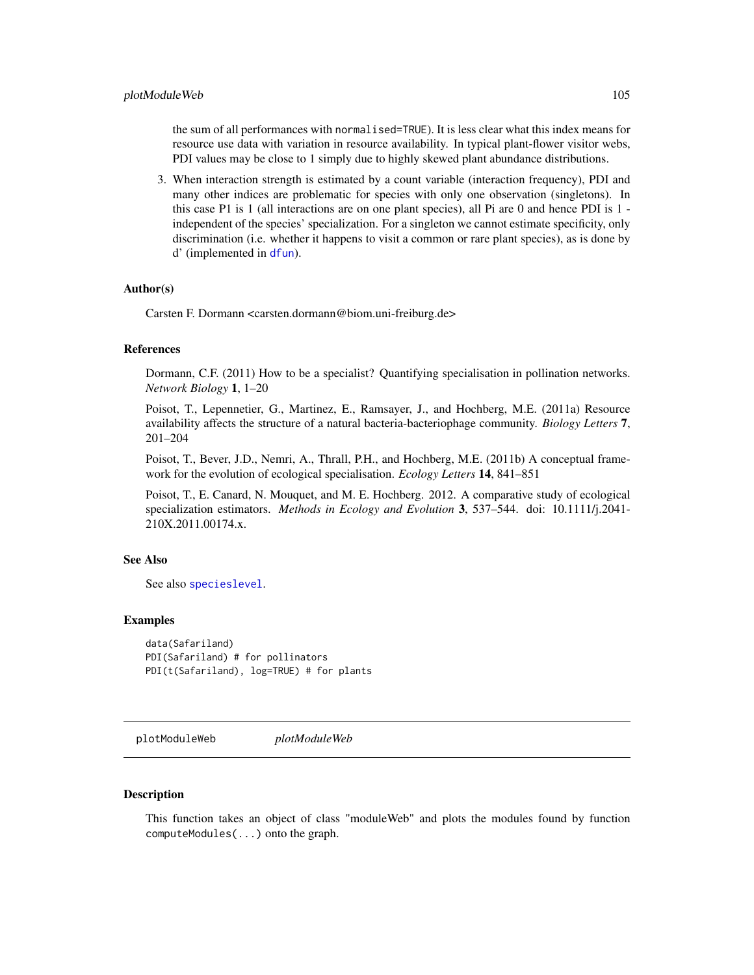the sum of all performances with normalised=TRUE). It is less clear what this index means for resource use data with variation in resource availability. In typical plant-flower visitor webs, PDI values may be close to 1 simply due to highly skewed plant abundance distributions.

3. When interaction strength is estimated by a count variable (interaction frequency), PDI and many other indices are problematic for species with only one observation (singletons). In this case P1 is 1 (all interactions are on one plant species), all Pi are 0 and hence PDI is 1 independent of the species' specialization. For a singleton we cannot estimate specificity, only discrimination (i.e. whether it happens to visit a common or rare plant species), as is done by d' (implemented in [dfun](#page-36-0)).

## Author(s)

Carsten F. Dormann <carsten.dormann@biom.uni-freiburg.de>

#### References

Dormann, C.F. (2011) How to be a specialist? Quantifying specialisation in pollination networks. *Network Biology* 1, 1–20

Poisot, T., Lepennetier, G., Martinez, E., Ramsayer, J., and Hochberg, M.E. (2011a) Resource availability affects the structure of a natural bacteria-bacteriophage community. *Biology Letters* 7, 201–204

Poisot, T., Bever, J.D., Nemri, A., Thrall, P.H., and Hochberg, M.E. (2011b) A conceptual framework for the evolution of ecological specialisation. *Ecology Letters* 14, 841–851

Poisot, T., E. Canard, N. Mouquet, and M. E. Hochberg. 2012. A comparative study of ecological specialization estimators. *Methods in Ecology and Evolution* 3, 537–544. doi: 10.1111/j.2041- 210X.2011.00174.x.

#### See Also

See also [specieslevel](#page-128-0).

#### Examples

```
data(Safariland)
PDI(Safariland) # for pollinators
PDI(t(Safariland), log=TRUE) # for plants
```
plotModuleWeb *plotModuleWeb*

## **Description**

This function takes an object of class "moduleWeb" and plots the modules found by function computeModules(...) onto the graph.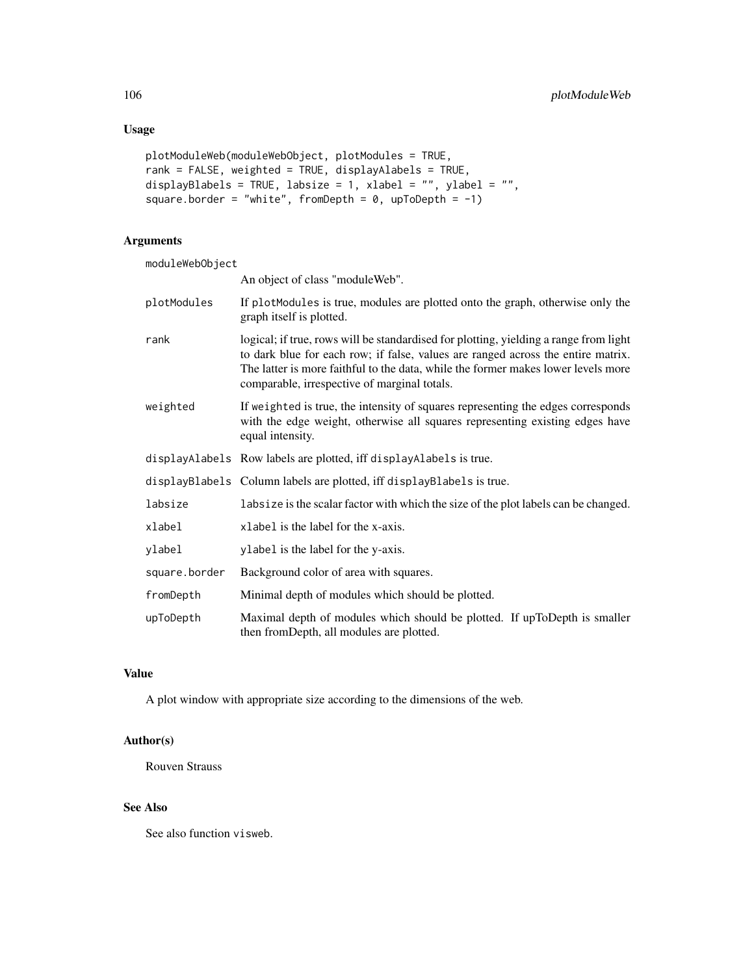# Usage

```
plotModuleWeb(moduleWebObject, plotModules = TRUE,
rank = FALSE, weighted = TRUE, displayAlabels = TRUE,
displayBlabels = TRUE, labsize = 1, xlabel = "", ylabel = "",
square.border = "white", fromDepth = 0, upToDepth = -1)
```
# Arguments

| moduleWebObject |                                                                                                                                                                                                                                                                                                                |
|-----------------|----------------------------------------------------------------------------------------------------------------------------------------------------------------------------------------------------------------------------------------------------------------------------------------------------------------|
|                 | An object of class "module Web".                                                                                                                                                                                                                                                                               |
| plotModules     | If plotModules is true, modules are plotted onto the graph, otherwise only the<br>graph itself is plotted.                                                                                                                                                                                                     |
| rank            | logical; if true, rows will be standardised for plotting, yielding a range from light<br>to dark blue for each row; if false, values are ranged across the entire matrix.<br>The latter is more faithful to the data, while the former makes lower levels more<br>comparable, irrespective of marginal totals. |
| weighted        | If weighted is true, the intensity of squares representing the edges corresponds<br>with the edge weight, otherwise all squares representing existing edges have<br>equal intensity.                                                                                                                           |
|                 | displayAlabels Row labels are plotted, iff displayAlabels is true.                                                                                                                                                                                                                                             |
|                 | displayBlabels Column labels are plotted, iff displayBlabels is true.                                                                                                                                                                                                                                          |
| labsize         | labsize is the scalar factor with which the size of the plot labels can be changed.                                                                                                                                                                                                                            |
| xlabel          | xlabel is the label for the x-axis.                                                                                                                                                                                                                                                                            |
| ylabel          | ylabel is the label for the y-axis.                                                                                                                                                                                                                                                                            |
| square.border   | Background color of area with squares.                                                                                                                                                                                                                                                                         |
| fromDepth       | Minimal depth of modules which should be plotted.                                                                                                                                                                                                                                                              |
| upToDepth       | Maximal depth of modules which should be plotted. If upToDepth is smaller<br>then fromDepth, all modules are plotted.                                                                                                                                                                                          |

# Value

A plot window with appropriate size according to the dimensions of the web.

# Author(s)

Rouven Strauss

# See Also

See also function visweb.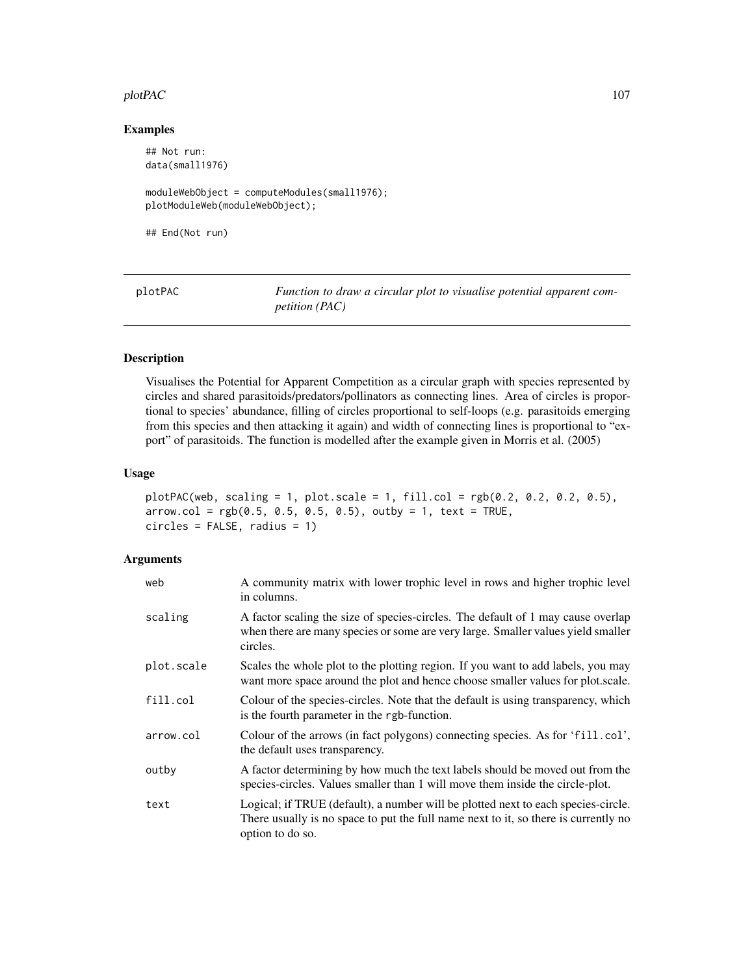## plotPAC 107

## Examples

```
## Not run:
data(small1976)
moduleWebObject = computeModules(small1976);
plotModuleWeb(moduleWebObject);
```
## End(Not run)

plotPAC *Function to draw a circular plot to visualise potential apparent competition (PAC)*

# Description

Visualises the Potential for Apparent Competition as a circular graph with species represented by circles and shared parasitoids/predators/pollinators as connecting lines. Area of circles is proportional to species' abundance, filling of circles proportional to self-loops (e.g. parasitoids emerging from this species and then attacking it again) and width of connecting lines is proportional to "export" of parasitoids. The function is modelled after the example given in Morris et al. (2005)

# Usage

```
plotPAC(web, scaling = 1, plot.scale = 1, fill.col = rgb(0.2, 0.2, 0.2, 0.5),
arrow.col = rgb(0.5, 0.5, 0.5, 0.5), outby = 1, text = TRUE,
circles = FALSE, radius = 1)
```
# Arguments

| web        | A community matrix with lower trophic level in rows and higher trophic level<br>in columns.                                                                                                  |
|------------|----------------------------------------------------------------------------------------------------------------------------------------------------------------------------------------------|
| scaling    | A factor scaling the size of species-circles. The default of 1 may cause overlap<br>when there are many species or some are very large. Smaller values yield smaller<br>circles.             |
| plot.scale | Scales the whole plot to the plotting region. If you want to add labels, you may<br>want more space around the plot and hence choose smaller values for plot scale.                          |
| fill.col   | Colour of the species-circles. Note that the default is using transparency, which<br>is the fourth parameter in the rgb-function.                                                            |
| arrow.col  | Colour of the arrows (in fact polygons) connecting species. As for 'fill.col',<br>the default uses transparency.                                                                             |
| outby      | A factor determining by how much the text labels should be moved out from the<br>species-circles. Values smaller than 1 will move them inside the circle-plot.                               |
| text       | Logical; if TRUE (default), a number will be plotted next to each species-circle.<br>There usually is no space to put the full name next to it, so there is currently no<br>option to do so. |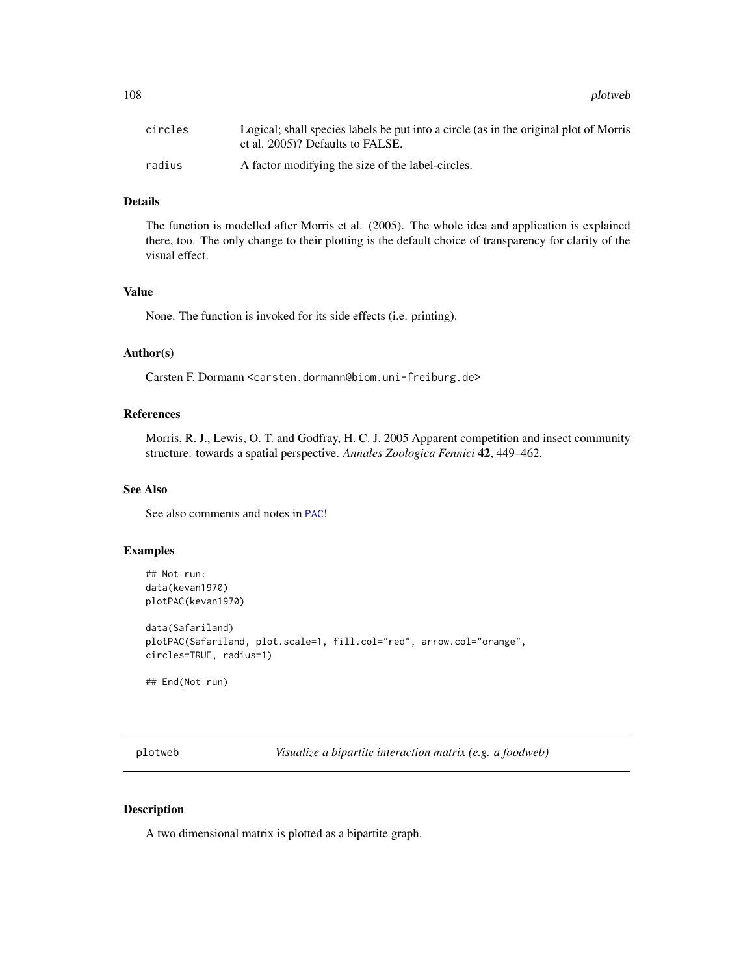108 plotweb and the plotweb series of the plotweb series of the plotweb series of the plotweb series of the plotweb

| circles | Logical; shall species labels be put into a circle (as in the original plot of Morris<br>et al. 2005)? Defaults to FALSE. |
|---------|---------------------------------------------------------------------------------------------------------------------------|
| radius  | A factor modifying the size of the label-circles.                                                                         |

# Details

The function is modelled after Morris et al. (2005). The whole idea and application is explained there, too. The only change to their plotting is the default choice of transparency for clarity of the visual effect.

# Value

None. The function is invoked for its side effects (i.e. printing).

# Author(s)

Carsten F. Dormann <carsten.dormann@biom.uni-freiburg.de>

# References

Morris, R. J., Lewis, O. T. and Godfray, H. C. J. 2005 Apparent competition and insect community structure: towards a spatial perspective. *Annales Zoologica Fennici* 42, 449–462.

# See Also

See also comments and notes in [PAC](#page-101-0)!

# Examples

```
## Not run:
data(kevan1970)
plotPAC(kevan1970)
```
data(Safariland) plotPAC(Safariland, plot.scale=1, fill.col="red", arrow.col="orange", circles=TRUE, radius=1)

## End(Not run)

plotweb *Visualize a bipartite interaction matrix (e.g. a foodweb)*

## Description

A two dimensional matrix is plotted as a bipartite graph.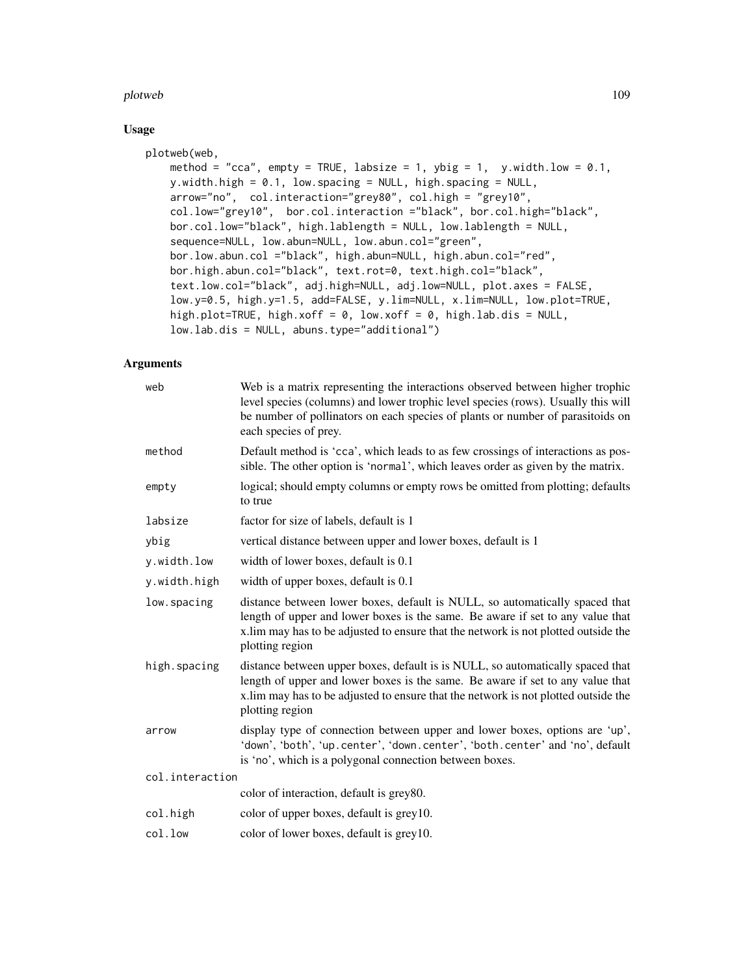#### plotweb the contract of the contract of the contract of the contract of the contract of the contract of the contract of the contract of the contract of the contract of the contract of the contract of the contract of the co

# Usage

```
plotweb(web,
   method = "cca", empty = TRUE, labsize = 1, ybig = 1, y.width.low = 0.1,
    y.width.high = 0.1, low.spacing = NULL, high.spacing = NULL,
    arrow="no", col.interaction="grey80", col.high = "grey10",
    col.low="grey10", bor.col.interaction ="black", bor.col.high="black",
    bor.col.low="black", high.lablength = NULL, low.lablength = NULL,
    sequence=NULL, low.abun=NULL, low.abun.col="green",
    bor.low.abun.col ="black", high.abun=NULL, high.abun.col="red",
    bor.high.abun.col="black", text.rot=0, text.high.col="black",
    text.low.col="black", adj.high=NULL, adj.low=NULL, plot.axes = FALSE,
    low.y=0.5, high.y=1.5, add=FALSE, y.lim=NULL, x.lim=NULL, low.plot=TRUE,
    high.plot=TRUE, high.xoff = 0, low.xoff = 0, high.lab.dis = NULL,
    low.lab.dis = NULL, abuns.type="additional")
```
## Arguments

| web             | Web is a matrix representing the interactions observed between higher trophic<br>level species (columns) and lower trophic level species (rows). Usually this will<br>be number of pollinators on each species of plants or number of parasitoids on<br>each species of prey. |  |
|-----------------|-------------------------------------------------------------------------------------------------------------------------------------------------------------------------------------------------------------------------------------------------------------------------------|--|
| method          | Default method is 'cca', which leads to as few crossings of interactions as pos-<br>sible. The other option is 'normal', which leaves order as given by the matrix.                                                                                                           |  |
| empty           | logical; should empty columns or empty rows be omitted from plotting; defaults<br>to true                                                                                                                                                                                     |  |
| labsize         | factor for size of labels, default is 1                                                                                                                                                                                                                                       |  |
| ybig            | vertical distance between upper and lower boxes, default is 1                                                                                                                                                                                                                 |  |
| y.width.low     | width of lower boxes, default is 0.1                                                                                                                                                                                                                                          |  |
| y.width.high    | width of upper boxes, default is 0.1                                                                                                                                                                                                                                          |  |
| low.spacing     | distance between lower boxes, default is NULL, so automatically spaced that<br>length of upper and lower boxes is the same. Be aware if set to any value that<br>x.lim may has to be adjusted to ensure that the network is not plotted outside the<br>plotting region        |  |
| high.spacing    | distance between upper boxes, default is is NULL, so automatically spaced that<br>length of upper and lower boxes is the same. Be aware if set to any value that<br>x.lim may has to be adjusted to ensure that the network is not plotted outside the<br>plotting region     |  |
| arrow           | display type of connection between upper and lower boxes, options are 'up',<br>'down', 'both', 'up.center', 'down.center', 'both.center' and 'no', default<br>is 'no', which is a polygonal connection between boxes.                                                         |  |
| col.interaction |                                                                                                                                                                                                                                                                               |  |
|                 | color of interaction, default is grey80.                                                                                                                                                                                                                                      |  |
| col.high        | color of upper boxes, default is grey 10.                                                                                                                                                                                                                                     |  |
| col.low         | color of lower boxes, default is grey10.                                                                                                                                                                                                                                      |  |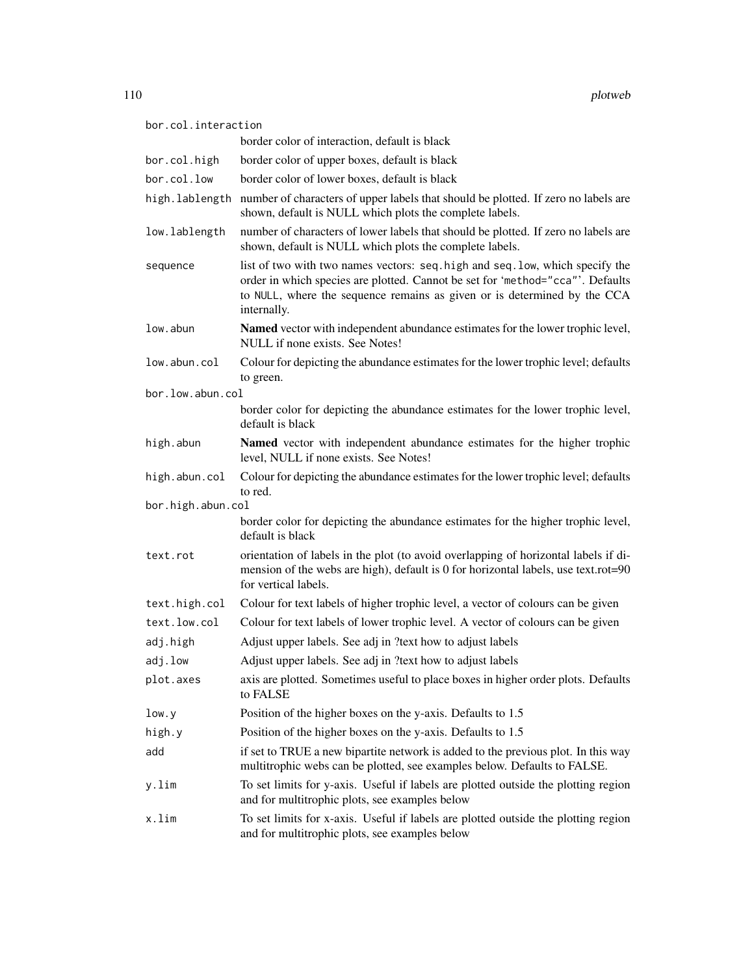| bor.col.interaction |                                                                                                                                                                                                                                                            |  |
|---------------------|------------------------------------------------------------------------------------------------------------------------------------------------------------------------------------------------------------------------------------------------------------|--|
|                     | border color of interaction, default is black                                                                                                                                                                                                              |  |
| bor.col.high        | border color of upper boxes, default is black                                                                                                                                                                                                              |  |
| bor.col.low         | border color of lower boxes, default is black                                                                                                                                                                                                              |  |
| high.lablength      | number of characters of upper labels that should be plotted. If zero no labels are<br>shown, default is NULL which plots the complete labels.                                                                                                              |  |
| low.lablength       | number of characters of lower labels that should be plotted. If zero no labels are<br>shown, default is NULL which plots the complete labels.                                                                                                              |  |
| sequence            | list of two with two names vectors: seq. high and seq. low, which specify the<br>order in which species are plotted. Cannot be set for 'method="cca"'. Defaults<br>to NULL, where the sequence remains as given or is determined by the CCA<br>internally. |  |
| low.abun            | Named vector with independent abundance estimates for the lower trophic level,<br>NULL if none exists. See Notes!                                                                                                                                          |  |
| low.abun.col        | Colour for depicting the abundance estimates for the lower trophic level; defaults<br>to green.                                                                                                                                                            |  |
| bor.low.abun.col    |                                                                                                                                                                                                                                                            |  |
|                     | border color for depicting the abundance estimates for the lower trophic level,<br>default is black                                                                                                                                                        |  |
| high.abun           | Named vector with independent abundance estimates for the higher trophic<br>level, NULL if none exists. See Notes!                                                                                                                                         |  |
| high.abun.col       | Colour for depicting the abundance estimates for the lower trophic level; defaults<br>to red.                                                                                                                                                              |  |
| bor.high.abun.col   |                                                                                                                                                                                                                                                            |  |
|                     | border color for depicting the abundance estimates for the higher trophic level,<br>default is black                                                                                                                                                       |  |
| text.rot            | orientation of labels in the plot (to avoid overlapping of horizontal labels if di-<br>mension of the webs are high), default is 0 for horizontal labels, use text.rot=90<br>for vertical labels.                                                          |  |
| text.high.col       | Colour for text labels of higher trophic level, a vector of colours can be given                                                                                                                                                                           |  |
| text.low.col        | Colour for text labels of lower trophic level. A vector of colours can be given                                                                                                                                                                            |  |
| adj.high            | Adjust upper labels. See adj in ?text how to adjust labels                                                                                                                                                                                                 |  |
| adj.low             | Adjust upper labels. See adj in ?text how to adjust labels                                                                                                                                                                                                 |  |
| plot.axes           | axis are plotted. Sometimes useful to place boxes in higher order plots. Defaults<br>to FALSE                                                                                                                                                              |  |
| low.y               | Position of the higher boxes on the y-axis. Defaults to 1.5                                                                                                                                                                                                |  |
| high.y              | Position of the higher boxes on the y-axis. Defaults to 1.5                                                                                                                                                                                                |  |
| add                 | if set to TRUE a new bipartite network is added to the previous plot. In this way<br>multitrophic webs can be plotted, see examples below. Defaults to FALSE.                                                                                              |  |
| y.lim               | To set limits for y-axis. Useful if labels are plotted outside the plotting region<br>and for multitrophic plots, see examples below                                                                                                                       |  |
| x.lim               | To set limits for x-axis. Useful if labels are plotted outside the plotting region<br>and for multitrophic plots, see examples below                                                                                                                       |  |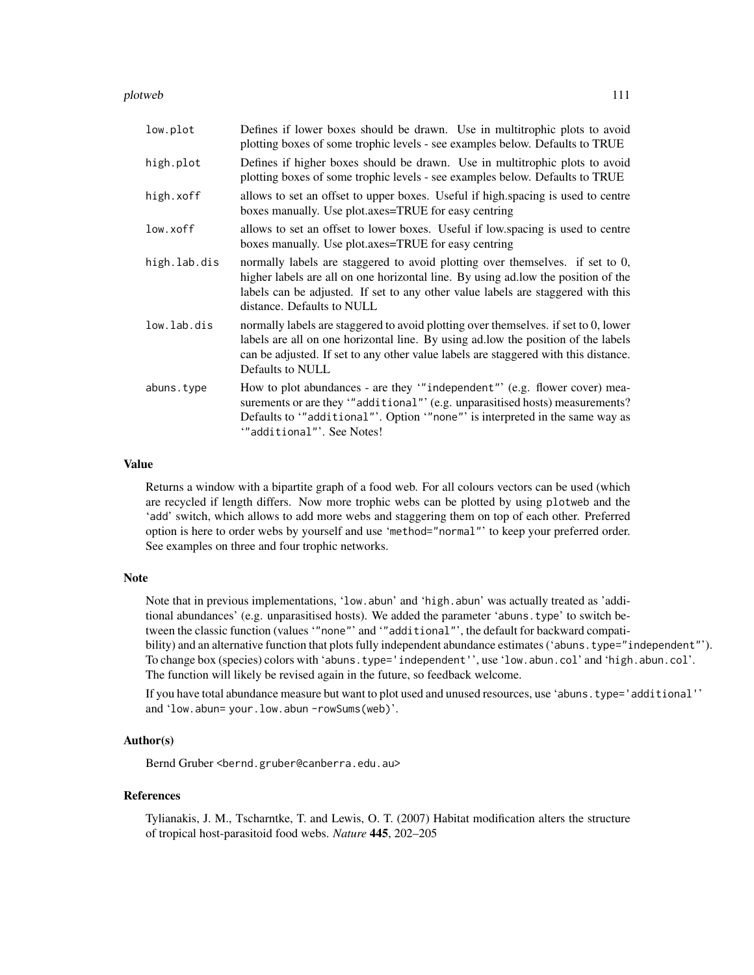plotweb 111

| low.plot     | Defines if lower boxes should be drawn. Use in multitrophic plots to avoid<br>plotting boxes of some trophic levels - see examples below. Defaults to TRUE                                                                                                                           |
|--------------|--------------------------------------------------------------------------------------------------------------------------------------------------------------------------------------------------------------------------------------------------------------------------------------|
| high.plot    | Defines if higher boxes should be drawn. Use in multitrophic plots to avoid<br>plotting boxes of some trophic levels - see examples below. Defaults to TRUE                                                                                                                          |
| high.xoff    | allows to set an offset to upper boxes. Useful if high.spacing is used to centre<br>boxes manually. Use plot.axes=TRUE for easy centring                                                                                                                                             |
| low.xoff     | allows to set an offset to lower boxes. Useful if low spacing is used to centre<br>boxes manually. Use plot.axes=TRUE for easy centring                                                                                                                                              |
| high.lab.dis | normally labels are staggered to avoid plotting over themselves. if set to 0,<br>higher labels are all on one horizontal line. By using ad.low the position of the<br>labels can be adjusted. If set to any other value labels are staggered with this<br>distance. Defaults to NULL |
| low.lab.dis  | normally labels are staggered to avoid plotting over themselves. if set to 0, lower<br>labels are all on one horizontal line. By using ad.low the position of the labels<br>can be adjusted. If set to any other value labels are staggered with this distance.<br>Defaults to NULL  |
| abuns.type   | How to plot abundances - are they ""independent" (e.g. flower cover) mea-<br>surements or are they "additional" (e.g. unparasitised hosts) measurements?<br>Defaults to '"additional"'. Option '"none"' is interpreted in the same way as<br>"additional"'. See Notes!               |

## Value

Returns a window with a bipartite graph of a food web. For all colours vectors can be used (which are recycled if length differs. Now more trophic webs can be plotted by using plotweb and the 'add' switch, which allows to add more webs and staggering them on top of each other. Preferred option is here to order webs by yourself and use 'method="normal"' to keep your preferred order. See examples on three and four trophic networks.

#### Note

Note that in previous implementations, 'low.abun' and 'high.abun' was actually treated as 'additional abundances' (e.g. unparasitised hosts). We added the parameter 'abuns.type' to switch between the classic function (values '"none"' and '"additional"', the default for backward compatibility) and an alternative function that plots fully independent abundance estimates ('abuns.type="independent"'). To change box (species) colors with 'abuns.type='independent'', use 'low.abun.col' and 'high.abun.col'. The function will likely be revised again in the future, so feedback welcome.

If you have total abundance measure but want to plot used and unused resources, use 'abuns.type='additional'' and 'low.abun= your.low.abun -rowSums(web)'.

## Author(s)

Bernd Gruber <bernd.gruber@canberra.edu.au>

#### References

Tylianakis, J. M., Tscharntke, T. and Lewis, O. T. (2007) Habitat modification alters the structure of tropical host-parasitoid food webs. *Nature* 445, 202–205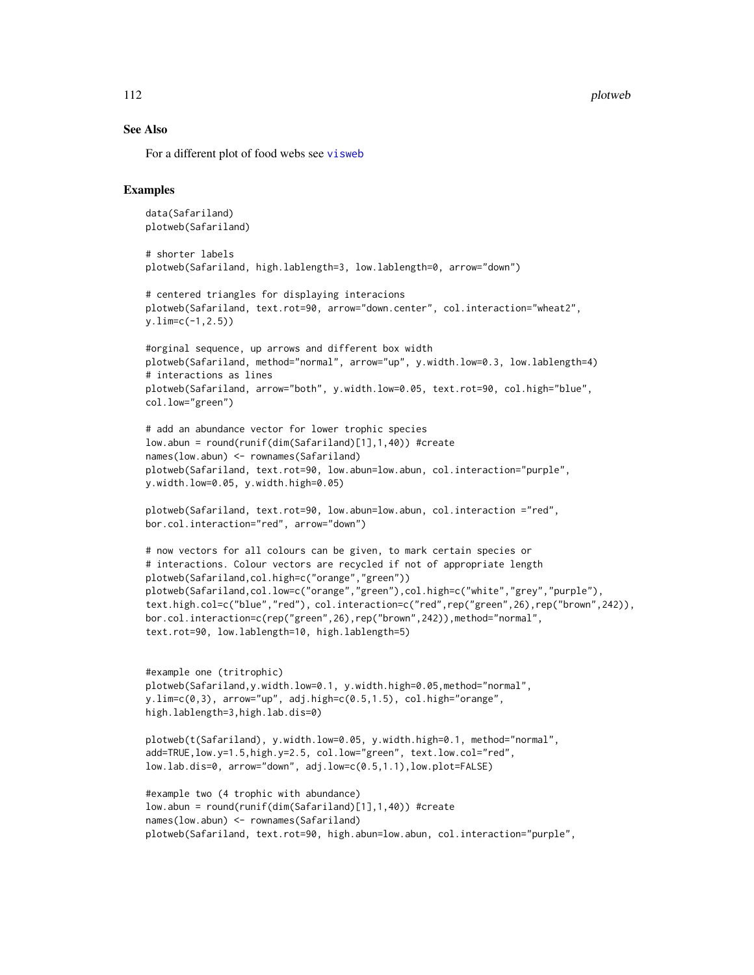112 plotweb power and the plotweb plotweb plotweb plotweb plotweb plotweb plotweb plotweb plotweb plotweb plotweb plotweb plotweb plotweb plotweb plotweb plotweb plotweb plotweb plotweb plotweb plotweb plotweb plotweb plot

#### See Also

For a different plot of food webs see [visweb](#page-158-0)

```
data(Safariland)
plotweb(Safariland)
# shorter labels
plotweb(Safariland, high.lablength=3, low.lablength=0, arrow="down")
# centered triangles for displaying interacions
plotweb(Safariland, text.rot=90, arrow="down.center", col.interaction="wheat2",
y.lim=c(-1,2.5))
#orginal sequence, up arrows and different box width
plotweb(Safariland, method="normal", arrow="up", y.width.low=0.3, low.lablength=4)
# interactions as lines
plotweb(Safariland, arrow="both", y.width.low=0.05, text.rot=90, col.high="blue",
col.low="green")
# add an abundance vector for lower trophic species
low.abun = round(runif(dim(Safariland)[1],1,40)) #create
names(low.abun) <- rownames(Safariland)
plotweb(Safariland, text.rot=90, low.abun=low.abun, col.interaction="purple",
y.width.low=0.05, y.width.high=0.05)
plotweb(Safariland, text.rot=90, low.abun=low.abun, col.interaction ="red",
bor.col.interaction="red", arrow="down")
# now vectors for all colours can be given, to mark certain species or
# interactions. Colour vectors are recycled if not of appropriate length
plotweb(Safariland,col.high=c("orange","green"))
plotweb(Safariland,col.low=c("orange","green"),col.high=c("white","grey","purple"),
text.high.col=c("blue","red"), col.interaction=c("red",rep("green",26),rep("brown",242)),
bor.col.interaction=c(rep("green",26),rep("brown",242)),method="normal",
text.rot=90, low.lablength=10, high.lablength=5)
#example one (tritrophic)
plotweb(Safariland,y.width.low=0.1, y.width.high=0.05,method="normal",
y.lim=c(0,3), arrow="up", adj.high=c(0.5,1.5), col.high="orange",
high.lablength=3,high.lab.dis=0)
plotweb(t(Safariland), y.width.low=0.05, y.width.high=0.1, method="normal",
add=TRUE,low.y=1.5,high.y=2.5, col.low="green", text.low.col="red",
low.lab.dis=0, arrow="down", adj.low=c(0.5,1.1),low.plot=FALSE)
#example two (4 trophic with abundance)
low.abun = round(runif(dim(Safariland)[1],1,40)) #create
names(low.abun) <- rownames(Safariland)
plotweb(Safariland, text.rot=90, high.abun=low.abun, col.interaction="purple",
```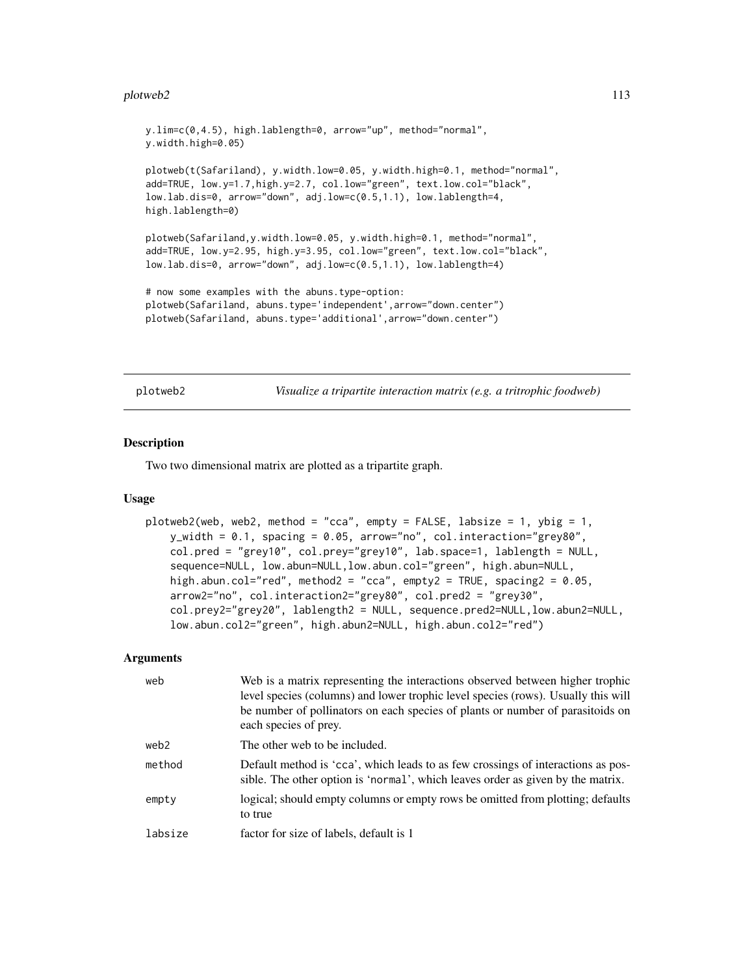#### plotweb2 113

```
y.lim=c(0,4.5), high.lablength=0, arrow="up", method="normal",
y.width.high=0.05)
plotweb(t(Safariland), y.width.low=0.05, y.width.high=0.1, method="normal",
add=TRUE, low.y=1.7,high.y=2.7, col.low="green", text.low.col="black",
low.lab.dis=0, arrow="down", adj.low=c(0.5,1.1), low.lablength=4,
high.lablength=0)
plotweb(Safariland,y.width.low=0.05, y.width.high=0.1, method="normal",
add=TRUE, low.y=2.95, high.y=3.95, col.low="green", text.low.col="black",
low.lab.dis=0, arrow="down", adj.low=c(0.5,1.1), low.lablength=4)
# now some examples with the abuns.type-option:
plotweb(Safariland, abuns.type='independent',arrow="down.center")
```

```
plotweb(Safariland, abuns.type='additional',arrow="down.center")
```
plotweb2 *Visualize a tripartite interaction matrix (e.g. a tritrophic foodweb)*

#### Description

Two two dimensional matrix are plotted as a tripartite graph.

#### Usage

```
plotweb2(web, web2, method = "cca", empty = FALSE, labsize = 1, ybig = 1,
   y_width = 0.1, spacing = 0.05, arrow="no", col.interaction="grey80",
   col.pred = "grey10", col.prey="grey10", lab.space=1, lablength = NULL,
    sequence=NULL, low.abun=NULL,low.abun.col="green", high.abun=NULL,
   high.abun.col="red", method2 = "cca", empty2 = TRUE, spacing2 = 0.05,
    arrow2="no", col.interaction2="grey80", col.pred2 = "grey30",
    col.prey2="grey20", lablength2 = NULL, sequence.pred2=NULL,low.abun2=NULL,
   low.abun.col2="green", high.abun2=NULL, high.abun.col2="red")
```
#### Arguments

| web     | Web is a matrix representing the interactions observed between higher trophic<br>level species (columns) and lower trophic level species (rows). Usually this will<br>be number of pollinators on each species of plants or number of parasitoids on<br>each species of prey. |
|---------|-------------------------------------------------------------------------------------------------------------------------------------------------------------------------------------------------------------------------------------------------------------------------------|
| web2    | The other web to be included.                                                                                                                                                                                                                                                 |
| method  | Default method is 'cca', which leads to as few crossings of interactions as pos-<br>sible. The other option is 'normal', which leaves order as given by the matrix.                                                                                                           |
| empty   | logical; should empty columns or empty rows be omitted from plotting; defaults<br>to true                                                                                                                                                                                     |
| labsize | factor for size of labels, default is 1                                                                                                                                                                                                                                       |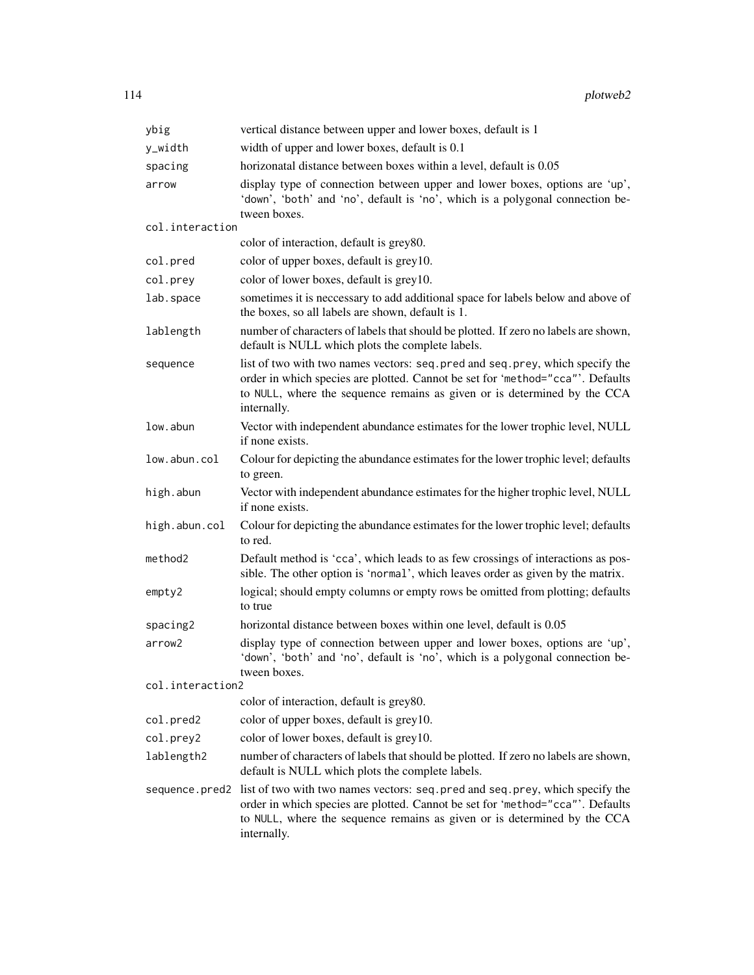| ybig             | vertical distance between upper and lower boxes, default is 1                                                                                                                                                                                               |  |
|------------------|-------------------------------------------------------------------------------------------------------------------------------------------------------------------------------------------------------------------------------------------------------------|--|
| y_width          | width of upper and lower boxes, default is 0.1                                                                                                                                                                                                              |  |
| spacing          | horizonatal distance between boxes within a level, default is 0.05                                                                                                                                                                                          |  |
| arrow            | display type of connection between upper and lower boxes, options are 'up',<br>'down', 'both' and 'no', default is 'no', which is a polygonal connection be-<br>tween boxes.                                                                                |  |
| col.interaction  |                                                                                                                                                                                                                                                             |  |
|                  | color of interaction, default is grey80.                                                                                                                                                                                                                    |  |
| col.pred         | color of upper boxes, default is grey10.                                                                                                                                                                                                                    |  |
| col.prey         | color of lower boxes, default is grey10.                                                                                                                                                                                                                    |  |
| lab.space        | sometimes it is neccessary to add additional space for labels below and above of<br>the boxes, so all labels are shown, default is 1.                                                                                                                       |  |
| lablength        | number of characters of labels that should be plotted. If zero no labels are shown,<br>default is NULL which plots the complete labels.                                                                                                                     |  |
| sequence         | list of two with two names vectors: seq. pred and seq. prey, which specify the<br>order in which species are plotted. Cannot be set for 'method="cca"'. Defaults<br>to NULL, where the sequence remains as given or is determined by the CCA<br>internally. |  |
| low.abun         | Vector with independent abundance estimates for the lower trophic level, NULL<br>if none exists.                                                                                                                                                            |  |
| low.abun.col     | Colour for depicting the abundance estimates for the lower trophic level; defaults<br>to green.                                                                                                                                                             |  |
| high.abun        | Vector with independent abundance estimates for the higher trophic level, NULL<br>if none exists.                                                                                                                                                           |  |
| high.abun.col    | Colour for depicting the abundance estimates for the lower trophic level; defaults<br>to red.                                                                                                                                                               |  |
| method2          | Default method is 'cca', which leads to as few crossings of interactions as pos-<br>sible. The other option is 'normal', which leaves order as given by the matrix.                                                                                         |  |
| empty 2          | logical; should empty columns or empty rows be omitted from plotting; defaults<br>to true                                                                                                                                                                   |  |
| spacing2         | horizontal distance between boxes within one level, default is 0.05                                                                                                                                                                                         |  |
| arrow2           | display type of connection between upper and lower boxes, options are 'up',<br>'down', 'both' and 'no', default is 'no', which is a polygonal connection be-<br>tween boxes.                                                                                |  |
| col.interaction2 |                                                                                                                                                                                                                                                             |  |
|                  | color of interaction, default is grey80.                                                                                                                                                                                                                    |  |
| col.pred2        | color of upper boxes, default is grey10.                                                                                                                                                                                                                    |  |
| col.prey2        | color of lower boxes, default is grey10.                                                                                                                                                                                                                    |  |
| lablength2       | number of characters of labels that should be plotted. If zero no labels are shown,<br>default is NULL which plots the complete labels.                                                                                                                     |  |
| sequence.pred2   | list of two with two names vectors: seq. pred and seq. prey, which specify the<br>order in which species are plotted. Cannot be set for 'method="cca"'. Defaults<br>to NULL, where the sequence remains as given or is determined by the CCA<br>internally. |  |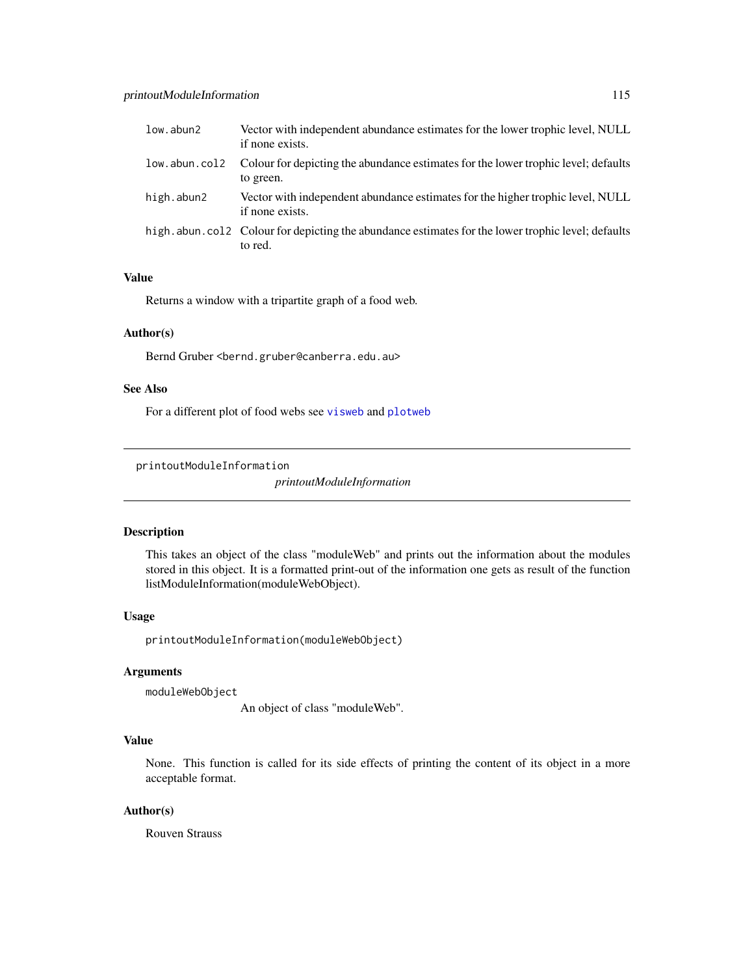| low.abun2     | Vector with independent abundance estimates for the lower trophic level, NULL<br>if none exists.               |
|---------------|----------------------------------------------------------------------------------------------------------------|
| low.abun.col2 | Colour for depicting the abundance estimates for the lower trophic level; defaults<br>to green.                |
| high.abun2    | Vector with independent abundance estimates for the higher trophic level, NULL<br>if none exists.              |
|               | high, abun, col2 Colour for depicting the abundance estimates for the lower trophic level; defaults<br>to red. |

# Value

Returns a window with a tripartite graph of a food web.

# Author(s)

Bernd Gruber <bernd.gruber@canberra.edu.au>

# See Also

For a different plot of food webs see [visweb](#page-158-0) and [plotweb](#page-107-0)

printoutModuleInformation

*printoutModuleInformation*

# Description

This takes an object of the class "moduleWeb" and prints out the information about the modules stored in this object. It is a formatted print-out of the information one gets as result of the function listModuleInformation(moduleWebObject).

#### Usage

printoutModuleInformation(moduleWebObject)

# Arguments

moduleWebObject

An object of class "moduleWeb".

## Value

None. This function is called for its side effects of printing the content of its object in a more acceptable format.

## Author(s)

Rouven Strauss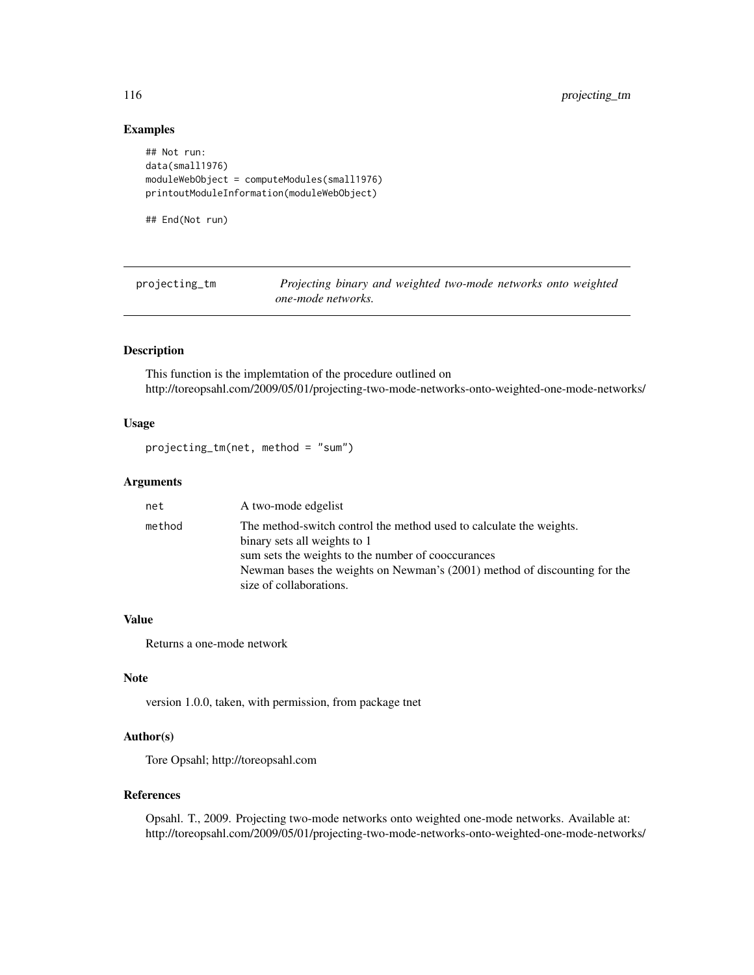## Examples

```
## Not run:
data(small1976)
moduleWebObject = computeModules(small1976)
printoutModuleInformation(moduleWebObject)
```
## End(Not run)

projecting\_tm *Projecting binary and weighted two-mode networks onto weighted one-mode networks.*

## Description

This function is the implemtation of the procedure outlined on http://toreopsahl.com/2009/05/01/projecting-two-mode-networks-onto-weighted-one-mode-networks/

## Usage

projecting\_tm(net, method = "sum")

## Arguments

| net    | A two-mode edgelist                                                                                 |
|--------|-----------------------------------------------------------------------------------------------------|
| method | The method-switch control the method used to calculate the weights.<br>binary sets all weights to 1 |
|        | sum sets the weights to the number of cooccurances                                                  |
|        | Newman bases the weights on Newman's (2001) method of discounting for the                           |
|        | size of collaborations.                                                                             |

#### Value

Returns a one-mode network

## Note

version 1.0.0, taken, with permission, from package tnet

# Author(s)

Tore Opsahl; http://toreopsahl.com

## References

Opsahl. T., 2009. Projecting two-mode networks onto weighted one-mode networks. Available at: http://toreopsahl.com/2009/05/01/projecting-two-mode-networks-onto-weighted-one-mode-networks/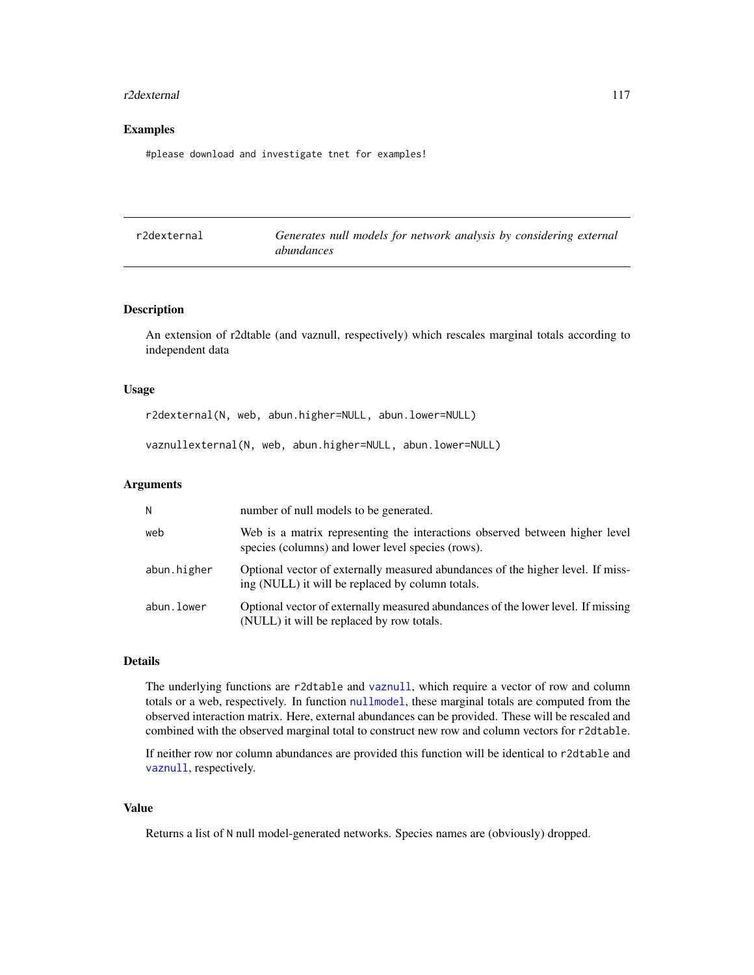#### r2dexternal 117

# Examples

#please download and investigate tnet for examples!

| r2dexternal | Generates null models for network analysis by considering external |
|-------------|--------------------------------------------------------------------|
|             | abundances                                                         |

#### Description

An extension of r2dtable (and vaznull, respectively) which rescales marginal totals according to independent data

## Usage

r2dexternal(N, web, abun.higher=NULL, abun.lower=NULL)

vaznullexternal(N, web, abun.higher=NULL, abun.lower=NULL)

#### Arguments

| N           | number of null models to be generated.                                                                                              |
|-------------|-------------------------------------------------------------------------------------------------------------------------------------|
| web         | Web is a matrix representing the interactions observed between higher level<br>species (columns) and lower level species (rows).    |
| abun.higher | Optional vector of externally measured abundances of the higher level. If miss-<br>ing (NULL) it will be replaced by column totals. |
| abun.lower  | Optional vector of externally measured abundances of the lower level. If missing<br>(NULL) it will be replaced by row totals.       |

# Details

The underlying functions are r2dtable and [vaznull](#page-145-0), which require a vector of row and column totals or a web, respectively. In function [nullmodel](#page-96-0), these marginal totals are computed from the observed interaction matrix. Here, external abundances can be provided. These will be rescaled and combined with the observed marginal total to construct new row and column vectors for r2dtable.

If neither row nor column abundances are provided this function will be identical to r2dtable and [vaznull](#page-145-0), respectively.

# Value

Returns a list of N null model-generated networks. Species names are (obviously) dropped.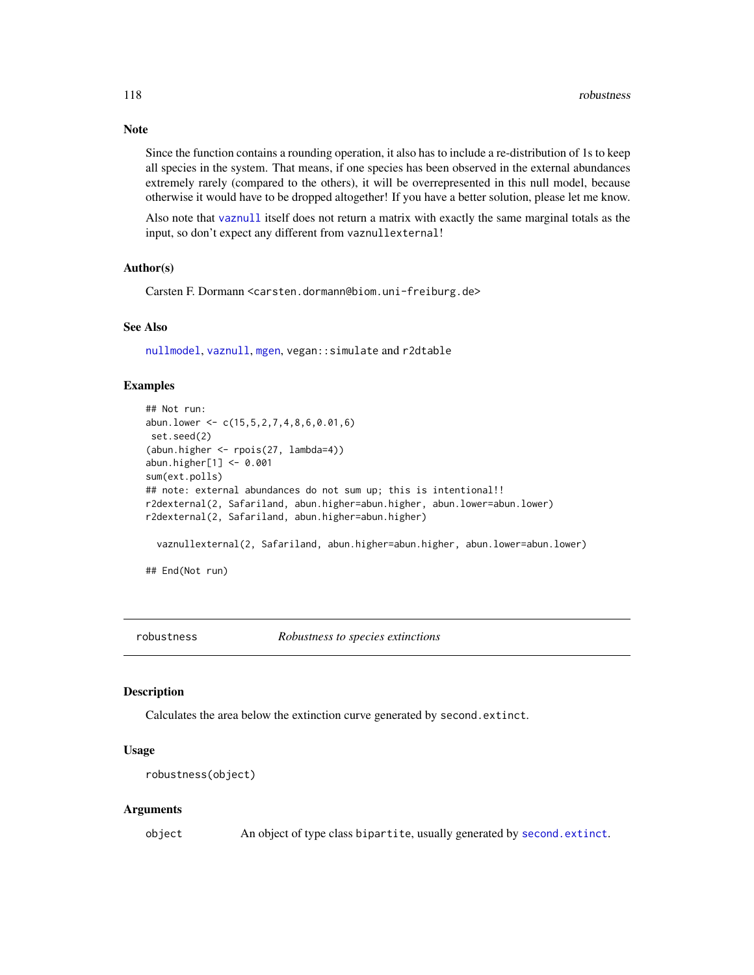Since the function contains a rounding operation, it also has to include a re-distribution of 1s to keep all species in the system. That means, if one species has been observed in the external abundances extremely rarely (compared to the others), it will be overrepresented in this null model, because otherwise it would have to be dropped altogether! If you have a better solution, please let me know.

Also note that [vaznull](#page-145-0) itself does not return a matrix with exactly the same marginal totals as the input, so don't expect any different from vaznullexternal!

## Author(s)

Carsten F. Dormann <carsten.dormann@biom.uni-freiburg.de>

# See Also

[nullmodel](#page-96-0), [vaznull](#page-145-0), [mgen](#page-64-0), vegan::simulate and r2dtable

## Examples

```
## Not run:
abun.lower <- c(15,5,2,7,4,8,6,0.01,6)
set.seed(2)
(abun.higher <- rpois(27, lambda=4))
abun.higher[1] <- 0.001
sum(ext.polls)
## note: external abundances do not sum up; this is intentional!!
r2dexternal(2, Safariland, abun.higher=abun.higher, abun.lower=abun.lower)
r2dexternal(2, Safariland, abun.higher=abun.higher)
 vaznullexternal(2, Safariland, abun.higher=abun.higher, abun.lower=abun.lower)
## End(Not run)
```
robustness *Robustness to species extinctions*

#### Description

Calculates the area below the extinction curve generated by second.extinct.

## Usage

```
robustness(object)
```
#### Arguments

object An object of type class bipartite, usually generated by [second.extinct](#page-121-0).

# Note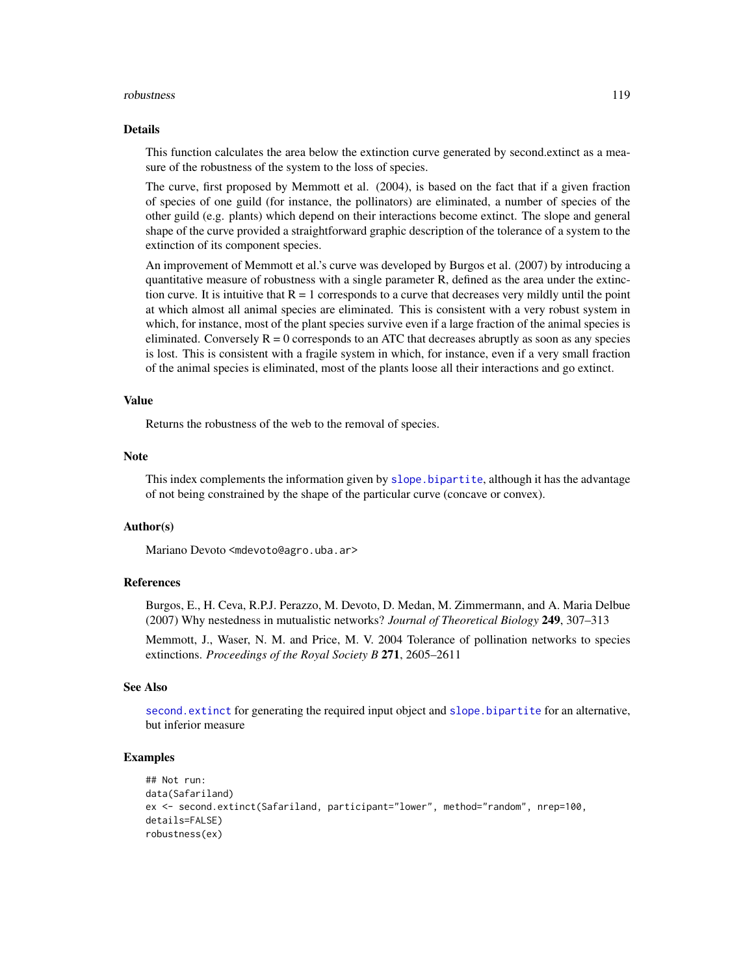#### robustness and the contract of the contract of the contract of the contract of the contract of the contract of the contract of the contract of the contract of the contract of the contract of the contract of the contract of

#### Details

This function calculates the area below the extinction curve generated by second.extinct as a measure of the robustness of the system to the loss of species.

The curve, first proposed by Memmott et al. (2004), is based on the fact that if a given fraction of species of one guild (for instance, the pollinators) are eliminated, a number of species of the other guild (e.g. plants) which depend on their interactions become extinct. The slope and general shape of the curve provided a straightforward graphic description of the tolerance of a system to the extinction of its component species.

An improvement of Memmott et al.'s curve was developed by Burgos et al. (2007) by introducing a quantitative measure of robustness with a single parameter R, defined as the area under the extinction curve. It is intuitive that  $R = 1$  corresponds to a curve that decreases very mildly until the point at which almost all animal species are eliminated. This is consistent with a very robust system in which, for instance, most of the plant species survive even if a large fraction of the animal species is eliminated. Conversely  $R = 0$  corresponds to an ATC that decreases abruptly as soon as any species is lost. This is consistent with a fragile system in which, for instance, even if a very small fraction of the animal species is eliminated, most of the plants loose all their interactions and go extinct.

# Value

Returns the robustness of the web to the removal of species.

#### **Note**

This index complements the information given by [slope.bipartite](#page-124-0), although it has the advantage of not being constrained by the shape of the particular curve (concave or convex).

#### Author(s)

Mariano Devoto <mdevoto@agro.uba.ar>

# References

Burgos, E., H. Ceva, R.P.J. Perazzo, M. Devoto, D. Medan, M. Zimmermann, and A. Maria Delbue (2007) Why nestedness in mutualistic networks? *Journal of Theoretical Biology* 249, 307–313

Memmott, J., Waser, N. M. and Price, M. V. 2004 Tolerance of pollination networks to species extinctions. *Proceedings of the Royal Society B* 271, 2605–2611

## See Also

[second.extinct](#page-121-0) for generating the required input object and [slope.bipartite](#page-124-0) for an alternative, but inferior measure

```
## Not run:
data(Safariland)
ex <- second.extinct(Safariland, participant="lower", method="random", nrep=100,
details=FALSE)
robustness(ex)
```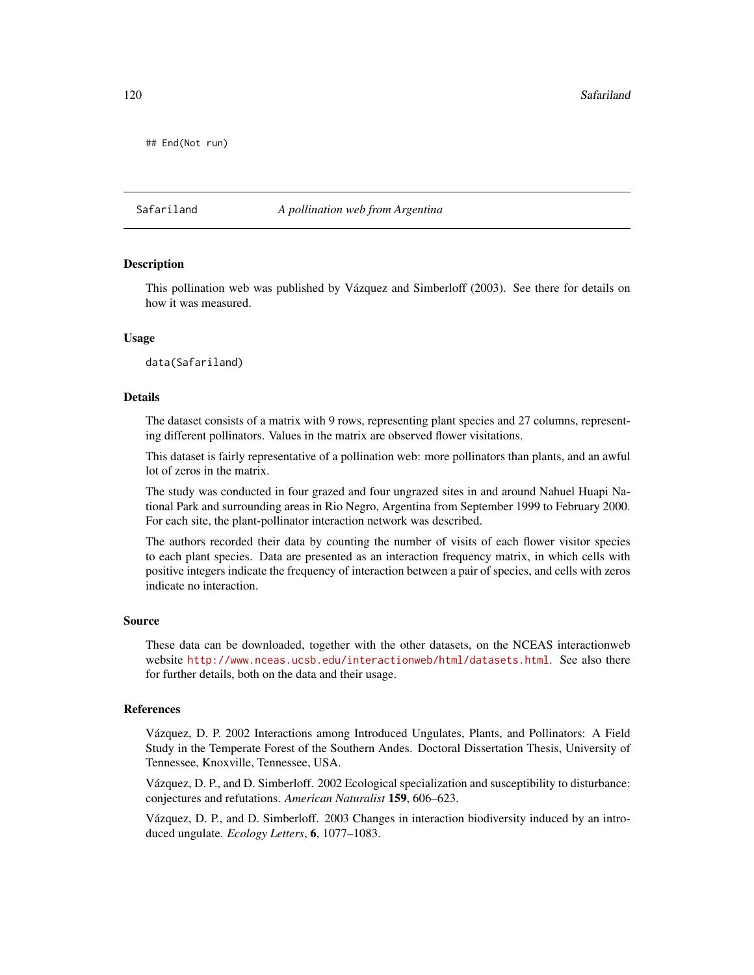120 Safariland Safari and Safari and Safari and Safari and Safari and Safari and Safari and Safari and Safari and Safari and Safari and Safari and Safari and Safari and Safari and Safari and Safari and Safari and Safari an

## End(Not run)

Safariland *A pollination web from Argentina*

#### Description

This pollination web was published by Vázquez and Simberloff (2003). See there for details on how it was measured.

#### Usage

data(Safariland)

#### Details

The dataset consists of a matrix with 9 rows, representing plant species and 27 columns, representing different pollinators. Values in the matrix are observed flower visitations.

This dataset is fairly representative of a pollination web: more pollinators than plants, and an awful lot of zeros in the matrix.

The study was conducted in four grazed and four ungrazed sites in and around Nahuel Huapi National Park and surrounding areas in Rio Negro, Argentina from September 1999 to February 2000. For each site, the plant-pollinator interaction network was described.

The authors recorded their data by counting the number of visits of each flower visitor species to each plant species. Data are presented as an interaction frequency matrix, in which cells with positive integers indicate the frequency of interaction between a pair of species, and cells with zeros indicate no interaction.

#### Source

These data can be downloaded, together with the other datasets, on the NCEAS interactionweb website <http://www.nceas.ucsb.edu/interactionweb/html/datasets.html>. See also there for further details, both on the data and their usage.

# References

Vázquez, D. P. 2002 Interactions among Introduced Ungulates, Plants, and Pollinators: A Field Study in the Temperate Forest of the Southern Andes. Doctoral Dissertation Thesis, University of Tennessee, Knoxville, Tennessee, USA.

Vázquez, D. P., and D. Simberloff. 2002 Ecological specialization and susceptibility to disturbance: conjectures and refutations. *American Naturalist* 159, 606–623.

Vázquez, D. P., and D. Simberloff. 2003 Changes in interaction biodiversity induced by an introduced ungulate. *Ecology Letters*, 6, 1077–1083.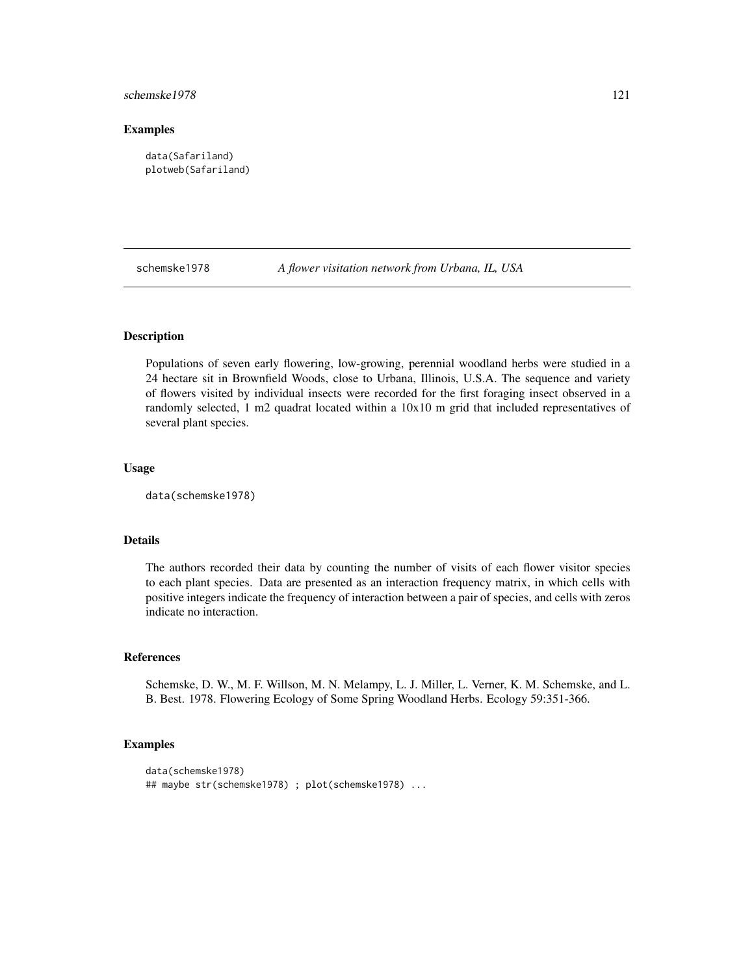## schemske1978 121

## Examples

```
data(Safariland)
plotweb(Safariland)
```
schemske1978 *A flower visitation network from Urbana, IL, USA*

## Description

Populations of seven early flowering, low-growing, perennial woodland herbs were studied in a 24 hectare sit in Brownfield Woods, close to Urbana, Illinois, U.S.A. The sequence and variety of flowers visited by individual insects were recorded for the first foraging insect observed in a randomly selected, 1 m2 quadrat located within a 10x10 m grid that included representatives of several plant species.

#### Usage

data(schemske1978)

## Details

The authors recorded their data by counting the number of visits of each flower visitor species to each plant species. Data are presented as an interaction frequency matrix, in which cells with positive integers indicate the frequency of interaction between a pair of species, and cells with zeros indicate no interaction.

## References

Schemske, D. W., M. F. Willson, M. N. Melampy, L. J. Miller, L. Verner, K. M. Schemske, and L. B. Best. 1978. Flowering Ecology of Some Spring Woodland Herbs. Ecology 59:351-366.

```
data(schemske1978)
## maybe str(schemske1978) ; plot(schemske1978) ...
```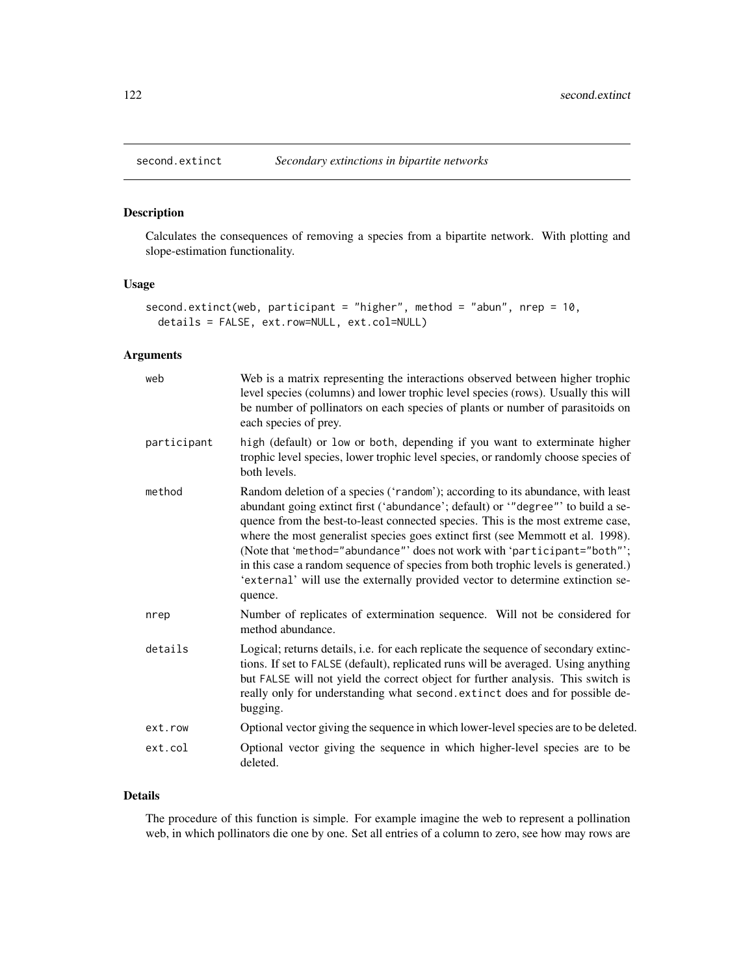<span id="page-121-0"></span>

# Description

Calculates the consequences of removing a species from a bipartite network. With plotting and slope-estimation functionality.

# Usage

```
second.extinct(web, participant = "higher", method = "abun", nrep = 10,
 details = FALSE, ext.row=NULL, ext.col=NULL)
```
# Arguments

| web         | Web is a matrix representing the interactions observed between higher trophic<br>level species (columns) and lower trophic level species (rows). Usually this will<br>be number of pollinators on each species of plants or number of parasitoids on<br>each species of prey.                                                                                                                                                                                                                                                                                                                           |
|-------------|---------------------------------------------------------------------------------------------------------------------------------------------------------------------------------------------------------------------------------------------------------------------------------------------------------------------------------------------------------------------------------------------------------------------------------------------------------------------------------------------------------------------------------------------------------------------------------------------------------|
| participant | high (default) or low or both, depending if you want to exterminate higher<br>trophic level species, lower trophic level species, or randomly choose species of<br>both levels.                                                                                                                                                                                                                                                                                                                                                                                                                         |
| method      | Random deletion of a species ('random'); according to its abundance, with least<br>abundant going extinct first ('abundance'; default) or '"degree"' to build a se-<br>quence from the best-to-least connected species. This is the most extreme case,<br>where the most generalist species goes extinct first (see Memmott et al. 1998).<br>(Note that 'method="abundance"' does not work with 'participant="both"';<br>in this case a random sequence of species from both trophic levels is generated.)<br>'external' will use the externally provided vector to determine extinction se-<br>quence. |
| nrep        | Number of replicates of extermination sequence. Will not be considered for<br>method abundance.                                                                                                                                                                                                                                                                                                                                                                                                                                                                                                         |
| details     | Logical; returns details, i.e. for each replicate the sequence of secondary extinc-<br>tions. If set to FALSE (default), replicated runs will be averaged. Using anything<br>but FALSE will not yield the correct object for further analysis. This switch is<br>really only for understanding what second. extinct does and for possible de-<br>bugging.                                                                                                                                                                                                                                               |
| ext.row     | Optional vector giving the sequence in which lower-level species are to be deleted.                                                                                                                                                                                                                                                                                                                                                                                                                                                                                                                     |
| ext.col     | Optional vector giving the sequence in which higher-level species are to be<br>deleted.                                                                                                                                                                                                                                                                                                                                                                                                                                                                                                                 |

# Details

The procedure of this function is simple. For example imagine the web to represent a pollination web, in which pollinators die one by one. Set all entries of a column to zero, see how may rows are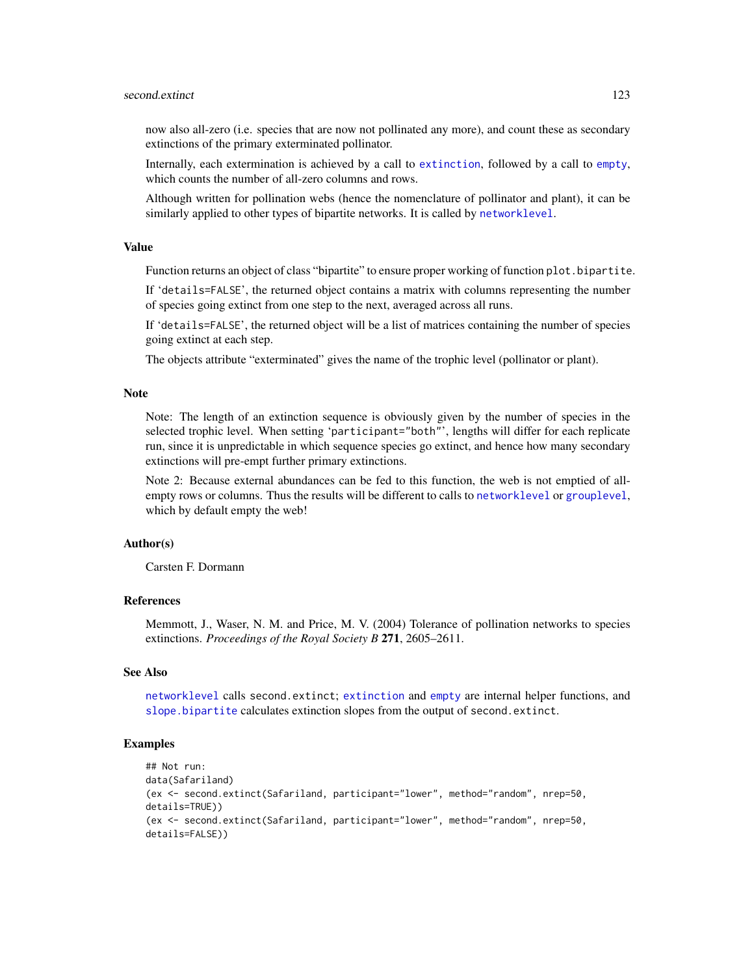## second.extinct 123

now also all-zero (i.e. species that are now not pollinated any more), and count these as secondary extinctions of the primary exterminated pollinator.

Internally, each extermination is achieved by a call to [extinction](#page-46-0), followed by a call to [empty](#page-44-0), which counts the number of all-zero columns and rows.

Although written for pollination webs (hence the nomenclature of pollinator and plant), it can be similarly applied to other types of bipartite networks. It is called by [networklevel](#page-80-0).

## Value

Function returns an object of class "bipartite" to ensure proper working of function plot. bipartite.

If 'details=FALSE', the returned object contains a matrix with columns representing the number of species going extinct from one step to the next, averaged across all runs.

If 'details=FALSE', the returned object will be a list of matrices containing the number of species going extinct at each step.

The objects attribute "exterminated" gives the name of the trophic level (pollinator or plant).

#### **Note**

Note: The length of an extinction sequence is obviously given by the number of species in the selected trophic level. When setting 'participant="both"', lengths will differ for each replicate run, since it is unpredictable in which sequence species go extinct, and hence how many secondary extinctions will pre-empt further primary extinctions.

Note 2: Because external abundances can be fed to this function, the web is not emptied of allempty rows or columns. Thus the results will be different to calls to [networklevel](#page-80-0) or [grouplevel](#page-51-0), which by default empty the web!

# Author(s)

Carsten F. Dormann

## References

Memmott, J., Waser, N. M. and Price, M. V. (2004) Tolerance of pollination networks to species extinctions. *Proceedings of the Royal Society B* 271, 2605–2611.

#### See Also

[networklevel](#page-80-0) calls second.extinct; [extinction](#page-46-0) and [empty](#page-44-0) are internal helper functions, and [slope.bipartite](#page-124-0) calculates extinction slopes from the output of second.extinct.

```
## Not run:
data(Safariland)
(ex <- second.extinct(Safariland, participant="lower", method="random", nrep=50,
details=TRUE))
(ex <- second.extinct(Safariland, participant="lower", method="random", nrep=50,
details=FALSE))
```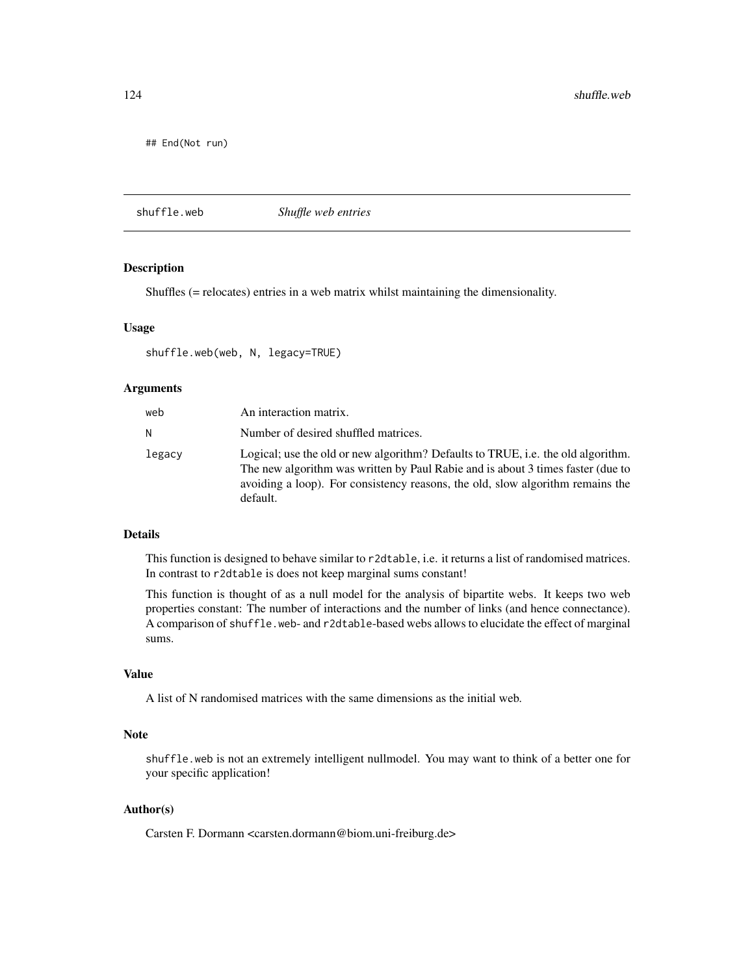## End(Not run)

<span id="page-123-0"></span>shuffle.web *Shuffle web entries*

# Description

Shuffles (= relocates) entries in a web matrix whilst maintaining the dimensionality.

#### Usage

```
shuffle.web(web, N, legacy=TRUE)
```
#### Arguments

| web    | An interaction matrix.                                                                                                                                                                                                                                            |
|--------|-------------------------------------------------------------------------------------------------------------------------------------------------------------------------------------------------------------------------------------------------------------------|
| N      | Number of desired shuffled matrices.                                                                                                                                                                                                                              |
| legacy | Logical; use the old or new algorithm? Defaults to TRUE, i.e. the old algorithm.<br>The new algorithm was written by Paul Rabie and is about 3 times faster (due to<br>avoiding a loop). For consistency reasons, the old, slow algorithm remains the<br>default. |

# Details

This function is designed to behave similar to r2dtable, i.e. it returns a list of randomised matrices. In contrast to r2dtable is does not keep marginal sums constant!

This function is thought of as a null model for the analysis of bipartite webs. It keeps two web properties constant: The number of interactions and the number of links (and hence connectance). A comparison of shuffle.web- and r2dtable-based webs allows to elucidate the effect of marginal sums.

# Value

A list of N randomised matrices with the same dimensions as the initial web.

## Note

shuffle.web is not an extremely intelligent nullmodel. You may want to think of a better one for your specific application!

# Author(s)

Carsten F. Dormann <carsten.dormann@biom.uni-freiburg.de>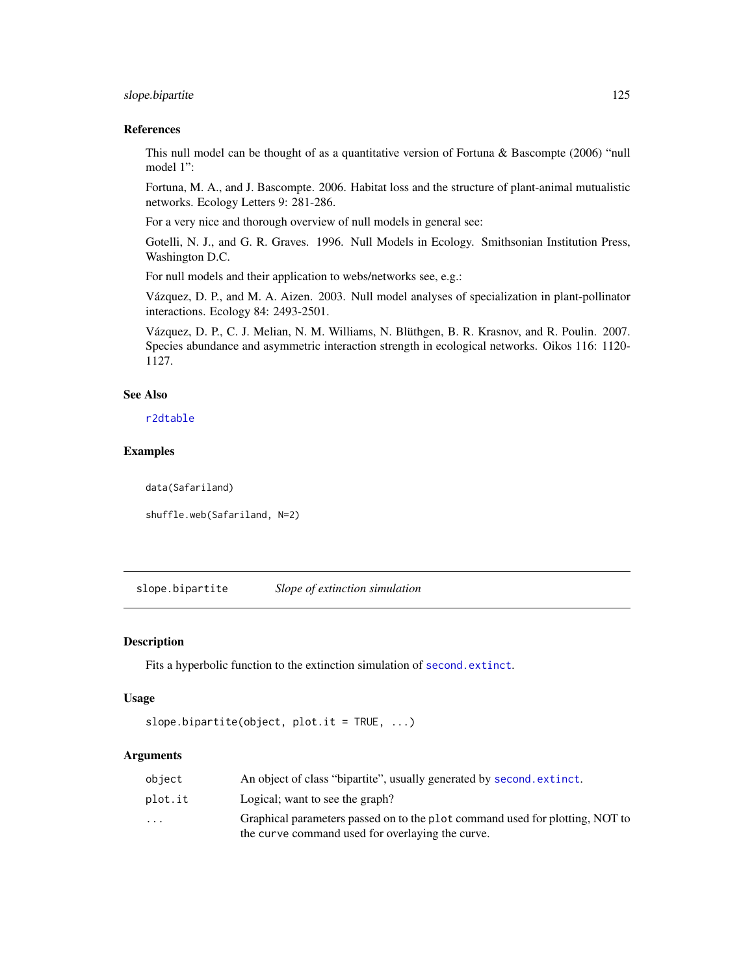# slope.bipartite 125

## References

This null model can be thought of as a quantitative version of Fortuna & Bascompte (2006) "null model 1":

Fortuna, M. A., and J. Bascompte. 2006. Habitat loss and the structure of plant-animal mutualistic networks. Ecology Letters 9: 281-286.

For a very nice and thorough overview of null models in general see:

Gotelli, N. J., and G. R. Graves. 1996. Null Models in Ecology. Smithsonian Institution Press, Washington D.C.

For null models and their application to webs/networks see, e.g.:

Vázquez, D. P., and M. A. Aizen. 2003. Null model analyses of specialization in plant-pollinator interactions. Ecology 84: 2493-2501.

Vázquez, D. P., C. J. Melian, N. M. Williams, N. Blüthgen, B. R. Krasnov, and R. Poulin. 2007. Species abundance and asymmetric interaction strength in ecological networks. Oikos 116: 1120- 1127.

# See Also

[r2dtable](#page-0-0)

## Examples

data(Safariland)

shuffle.web(Safariland, N=2)

<span id="page-124-0"></span>slope.bipartite *Slope of extinction simulation*

## Description

Fits a hyperbolic function to the extinction simulation of [second.extinct](#page-121-0).

#### Usage

```
slope.bipartite(object, plot.it = TRUE, ...)
```
# Arguments

| object                  | An object of class "bipartite", usually generated by second. extinct.                                                            |
|-------------------------|----------------------------------------------------------------------------------------------------------------------------------|
| plot.it                 | Logical; want to see the graph?                                                                                                  |
| $\cdot$ $\cdot$ $\cdot$ | Graphical parameters passed on to the plot command used for plotting, NOT to<br>the curve command used for overlaying the curve. |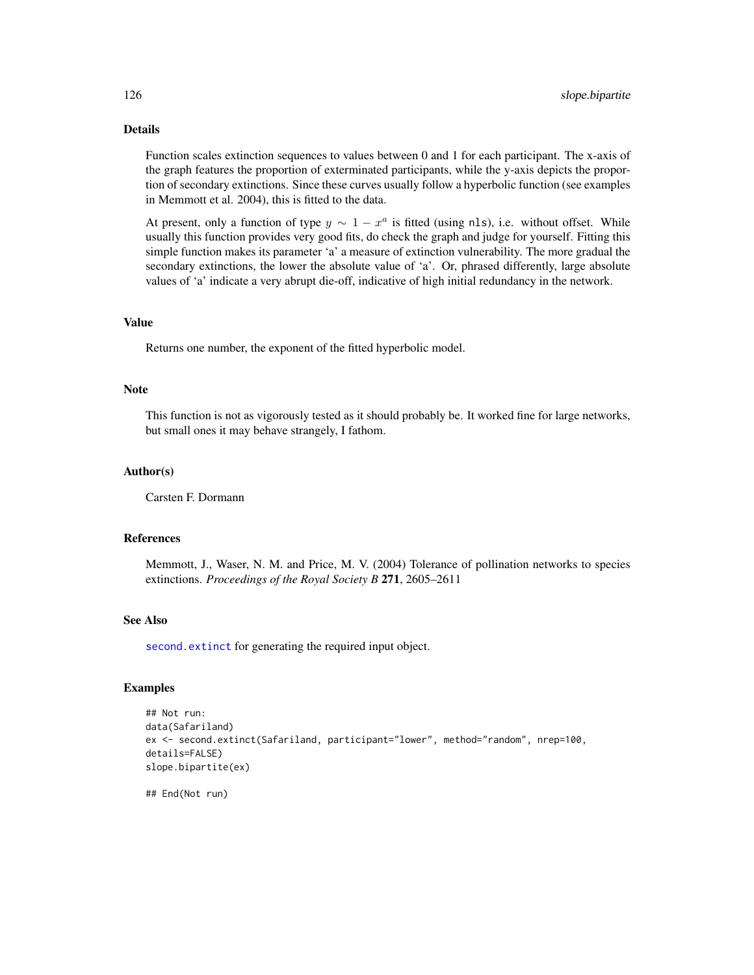# Details

Function scales extinction sequences to values between 0 and 1 for each participant. The x-axis of the graph features the proportion of exterminated participants, while the y-axis depicts the proportion of secondary extinctions. Since these curves usually follow a hyperbolic function (see examples in Memmott et al. 2004), this is fitted to the data.

At present, only a function of type  $y \sim 1 - x^a$  is fitted (using nls), i.e. without offset. While usually this function provides very good fits, do check the graph and judge for yourself. Fitting this simple function makes its parameter 'a' a measure of extinction vulnerability. The more gradual the secondary extinctions, the lower the absolute value of 'a'. Or, phrased differently, large absolute values of 'a' indicate a very abrupt die-off, indicative of high initial redundancy in the network.

## Value

Returns one number, the exponent of the fitted hyperbolic model.

#### **Note**

This function is not as vigorously tested as it should probably be. It worked fine for large networks, but small ones it may behave strangely, I fathom.

## Author(s)

Carsten F. Dormann

#### References

Memmott, J., Waser, N. M. and Price, M. V. (2004) Tolerance of pollination networks to species extinctions. *Proceedings of the Royal Society B* 271, 2605–2611

## See Also

[second.extinct](#page-121-0) for generating the required input object.

## Examples

```
## Not run:
data(Safariland)
ex <- second.extinct(Safariland, participant="lower", method="random", nrep=100,
details=FALSE)
slope.bipartite(ex)
```
## End(Not run)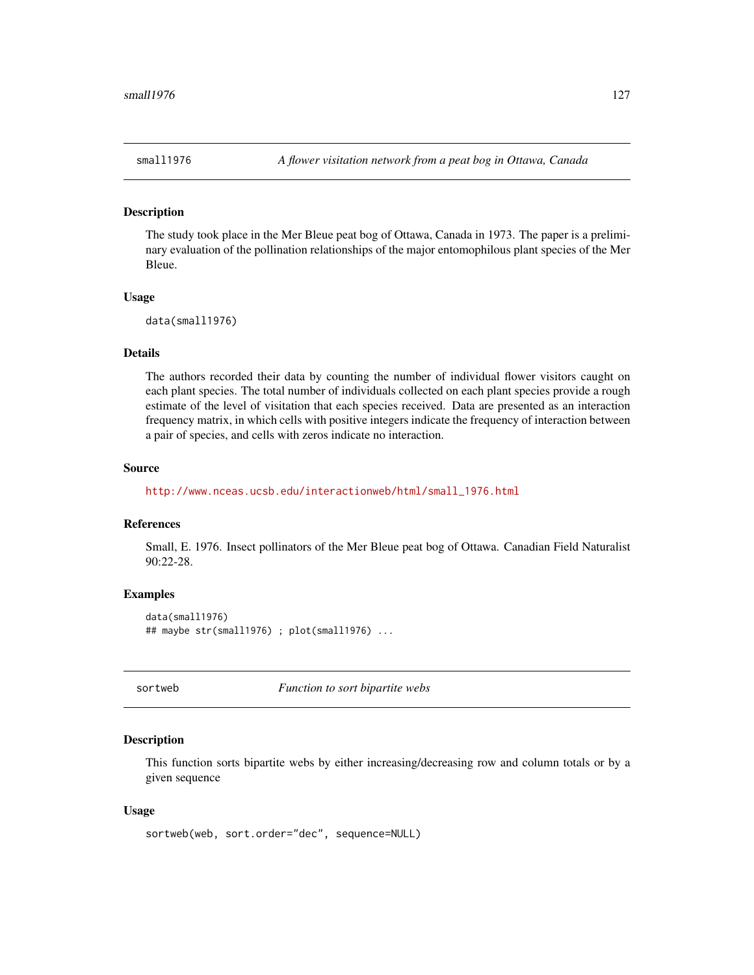#### Description

The study took place in the Mer Bleue peat bog of Ottawa, Canada in 1973. The paper is a preliminary evaluation of the pollination relationships of the major entomophilous plant species of the Mer Bleue.

## Usage

data(small1976)

## Details

The authors recorded their data by counting the number of individual flower visitors caught on each plant species. The total number of individuals collected on each plant species provide a rough estimate of the level of visitation that each species received. Data are presented as an interaction frequency matrix, in which cells with positive integers indicate the frequency of interaction between a pair of species, and cells with zeros indicate no interaction.

#### Source

[http://www.nceas.ucsb.edu/interactionweb/html/small\\_1976.html](http://www.nceas.ucsb.edu/interactionweb/html/small_1976.html)

# References

Small, E. 1976. Insect pollinators of the Mer Bleue peat bog of Ottawa. Canadian Field Naturalist 90:22-28.

## Examples

```
data(small1976)
## maybe str(small1976) ; plot(small1976) ...
```
sortweb *Function to sort bipartite webs*

#### Description

This function sorts bipartite webs by either increasing/decreasing row and column totals or by a given sequence

#### Usage

```
sortweb(web, sort.order="dec", sequence=NULL)
```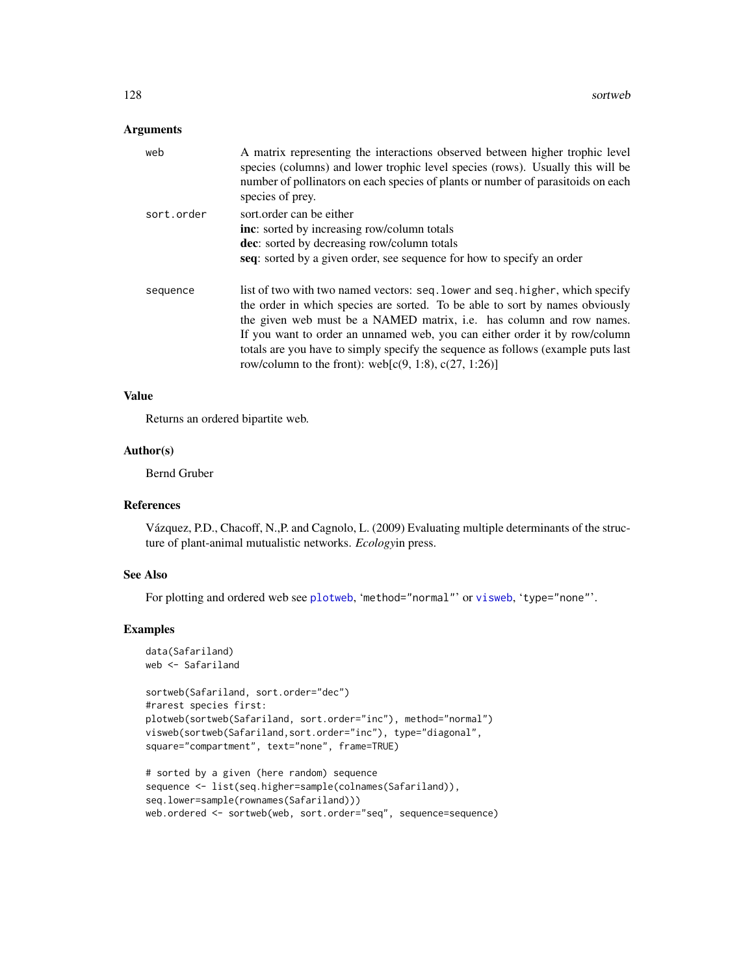## Arguments

| web        | A matrix representing the interactions observed between higher trophic level<br>species (columns) and lower trophic level species (rows). Usually this will be<br>number of pollinators on each species of plants or number of parasitoids on each<br>species of prey.                                                                                                                                                                                                  |
|------------|-------------------------------------------------------------------------------------------------------------------------------------------------------------------------------------------------------------------------------------------------------------------------------------------------------------------------------------------------------------------------------------------------------------------------------------------------------------------------|
| sort.order | sort.order can be either<br>inc: sorted by increasing row/column totals<br>dec: sorted by decreasing row/column totals<br>seq: sorted by a given order, see sequence for how to specify an order                                                                                                                                                                                                                                                                        |
| sequence   | list of two with two named vectors: seq. lower and seq. higher, which specify<br>the order in which species are sorted. To be able to sort by names obviously<br>the given web must be a NAMED matrix, i.e. has column and row names.<br>If you want to order an unnamed web, you can either order it by row/column<br>totals are you have to simply specify the sequence as follows (example puts last<br>row/column to the front): web[ $c(9, 1.8)$ , $c(27, 1.26)$ ] |

#### Value

Returns an ordered bipartite web.

# Author(s)

Bernd Gruber

# References

Vázquez, P.D., Chacoff, N.,P. and Cagnolo, L. (2009) Evaluating multiple determinants of the structure of plant-animal mutualistic networks. *Ecology*in press.

#### See Also

For plotting and ordered web see [plotweb](#page-107-0), 'method="normal"' or [visweb](#page-158-0), 'type="none"'.

```
data(Safariland)
web <- Safariland
```

```
sortweb(Safariland, sort.order="dec")
#rarest species first:
plotweb(sortweb(Safariland, sort.order="inc"), method="normal")
visweb(sortweb(Safariland,sort.order="inc"), type="diagonal",
square="compartment", text="none", frame=TRUE)
```

```
# sorted by a given (here random) sequence
sequence <- list(seq.higher=sample(colnames(Safariland)),
seq.lower=sample(rownames(Safariland)))
web.ordered <- sortweb(web, sort.order="seq", sequence=sequence)
```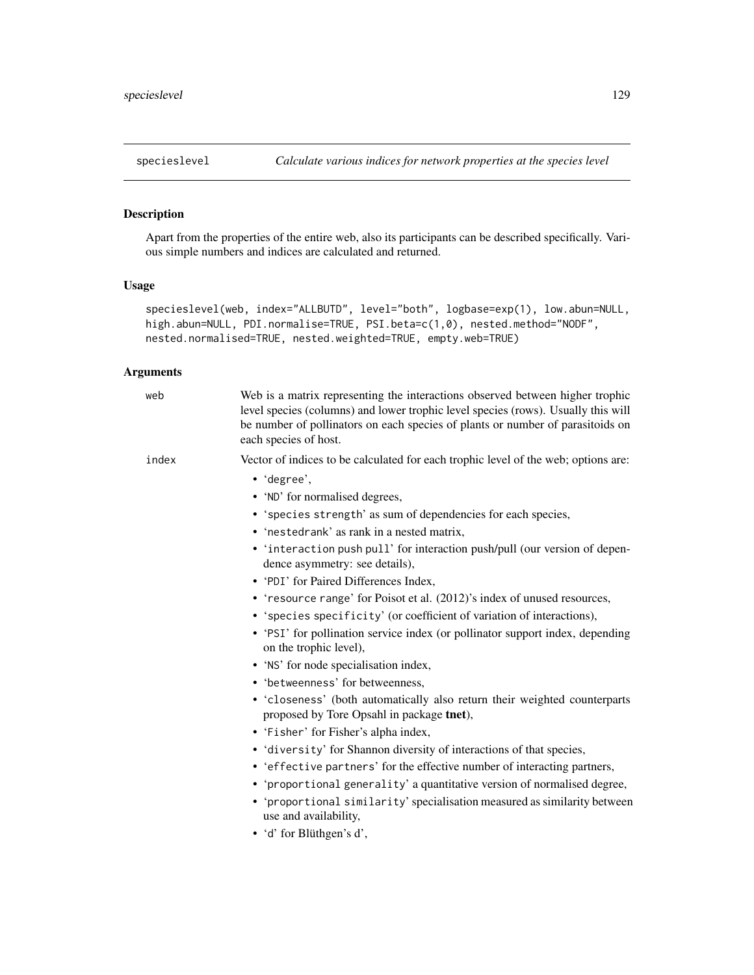<span id="page-128-0"></span>

# Description

Apart from the properties of the entire web, also its participants can be described specifically. Various simple numbers and indices are calculated and returned.

# Usage

```
specieslevel(web, index="ALLBUTD", level="both", logbase=exp(1), low.abun=NULL,
high.abun=NULL, PDI.normalise=TRUE, PSI.beta=c(1,0), nested.method="NODF",
nested.normalised=TRUE, nested.weighted=TRUE, empty.web=TRUE)
```
# Arguments

| web   | Web is a matrix representing the interactions observed between higher trophic<br>level species (columns) and lower trophic level species (rows). Usually this will<br>be number of pollinators on each species of plants or number of parasitoids on<br>each species of host.                                                                                                                                                                                                                                                                                                                                                                                                                                                                                                                                                                                                                                                                                                                                                                                                                                                                                                                                                                                                                 |
|-------|-----------------------------------------------------------------------------------------------------------------------------------------------------------------------------------------------------------------------------------------------------------------------------------------------------------------------------------------------------------------------------------------------------------------------------------------------------------------------------------------------------------------------------------------------------------------------------------------------------------------------------------------------------------------------------------------------------------------------------------------------------------------------------------------------------------------------------------------------------------------------------------------------------------------------------------------------------------------------------------------------------------------------------------------------------------------------------------------------------------------------------------------------------------------------------------------------------------------------------------------------------------------------------------------------|
| index | Vector of indices to be calculated for each trophic level of the web; options are:<br>• 'degree',<br>• 'ND' for normalised degrees,<br>• 'species strength' as sum of dependencies for each species,<br>• 'nestedrank' as rank in a nested matrix,<br>• 'interaction push pull' for interaction push/pull (our version of depen-<br>dence asymmetry: see details),<br>• 'PDI' for Paired Differences Index,<br>• 'resource range' for Poisot et al. (2012)'s index of unused resources,<br>• 'species specificity' (or coefficient of variation of interactions),<br>• 'PSI' for pollination service index (or pollinator support index, depending<br>on the trophic level),<br>• 'NS' for node specialisation index,<br>• 'betweenness' for betweenness,<br>· 'closeness' (both automatically also return their weighted counterparts<br>proposed by Tore Opsahl in package tnet),<br>· 'Fisher' for Fisher's alpha index,<br>· 'diversity' for Shannon diversity of interactions of that species,<br>• 'effective partners' for the effective number of interacting partners,<br>• 'proportional generality' a quantitative version of normalised degree,<br>• 'proportional similarity' specialisation measured as similarity between<br>use and availability,<br>• 'd' for Blüthgen's d', |
|       |                                                                                                                                                                                                                                                                                                                                                                                                                                                                                                                                                                                                                                                                                                                                                                                                                                                                                                                                                                                                                                                                                                                                                                                                                                                                                               |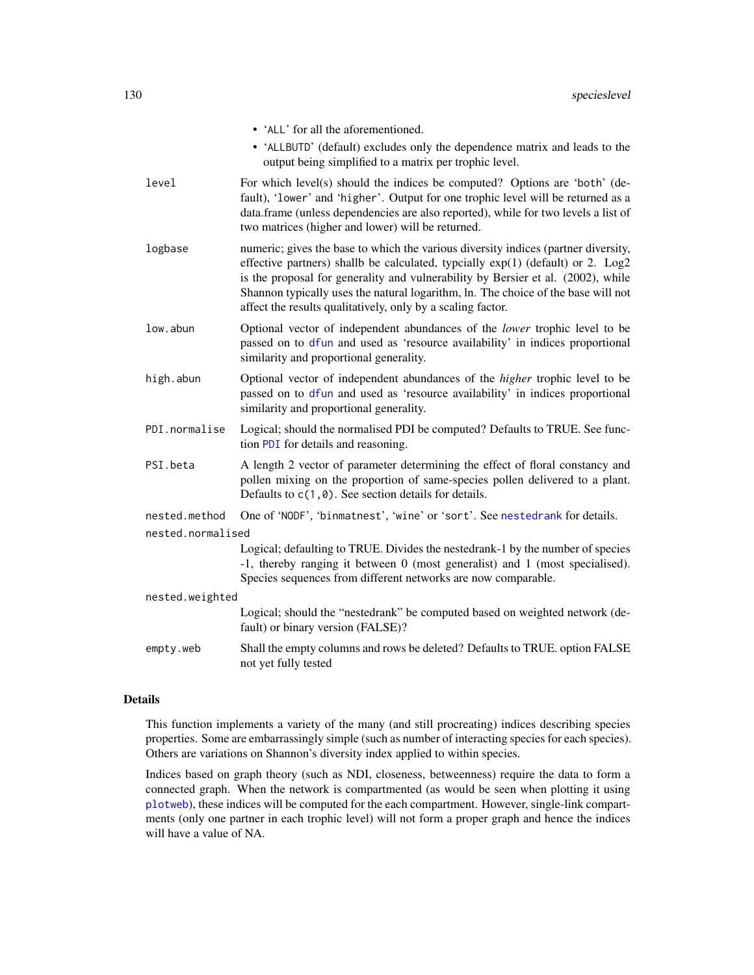|                   | • 'ALL' for all the aforementioned.                                                                                                                                                                                                                                                                                                                                                                           |  |
|-------------------|---------------------------------------------------------------------------------------------------------------------------------------------------------------------------------------------------------------------------------------------------------------------------------------------------------------------------------------------------------------------------------------------------------------|--|
|                   | • 'ALLBUTD' (default) excludes only the dependence matrix and leads to the<br>output being simplified to a matrix per trophic level.                                                                                                                                                                                                                                                                          |  |
| level             | For which level(s) should the indices be computed? Options are 'both' (de-<br>fault), 'lower' and 'higher'. Output for one trophic level will be returned as a<br>data.frame (unless dependencies are also reported), while for two levels a list of<br>two matrices (higher and lower) will be returned.                                                                                                     |  |
| logbase           | numeric; gives the base to which the various diversity indices (partner diversity,<br>effective partners) shallb be calculated, typcially exp(1) (default) or 2. Log2<br>is the proposal for generality and vulnerability by Bersier et al. (2002), while<br>Shannon typically uses the natural logarithm, ln. The choice of the base will not<br>affect the results qualitatively, only by a scaling factor. |  |
| low.abun          | Optional vector of independent abundances of the lower trophic level to be<br>passed on to dfun and used as 'resource availability' in indices proportional<br>similarity and proportional generality.                                                                                                                                                                                                        |  |
| high.abun         | Optional vector of independent abundances of the <i>higher</i> trophic level to be<br>passed on to dfun and used as 'resource availability' in indices proportional<br>similarity and proportional generality.                                                                                                                                                                                                |  |
| PDI.normalise     | Logical; should the normalised PDI be computed? Defaults to TRUE. See func-<br>tion PDI for details and reasoning.                                                                                                                                                                                                                                                                                            |  |
| PSI.beta          | A length 2 vector of parameter determining the effect of floral constancy and<br>pollen mixing on the proportion of same-species pollen delivered to a plant.<br>Defaults to $c(1, 0)$ . See section details for details.                                                                                                                                                                                     |  |
| nested.method     | One of 'NODF', 'binmatnest', 'wine' or 'sort'. See nestedrank for details.                                                                                                                                                                                                                                                                                                                                    |  |
| nested.normalised |                                                                                                                                                                                                                                                                                                                                                                                                               |  |
|                   | Logical; defaulting to TRUE. Divides the nestedrank-1 by the number of species<br>-1, thereby ranging it between 0 (most generalist) and 1 (most specialised).<br>Species sequences from different networks are now comparable.                                                                                                                                                                               |  |
| nested.weighted   |                                                                                                                                                                                                                                                                                                                                                                                                               |  |
|                   | Logical; should the "nestedrank" be computed based on weighted network (de-<br>fault) or binary version (FALSE)?                                                                                                                                                                                                                                                                                              |  |
| empty.web         | Shall the empty columns and rows be deleted? Defaults to TRUE. option FALSE<br>not yet fully tested                                                                                                                                                                                                                                                                                                           |  |

# Details

This function implements a variety of the many (and still procreating) indices describing species properties. Some are embarrassingly simple (such as number of interacting species for each species). Others are variations on Shannon's diversity index applied to within species.

Indices based on graph theory (such as NDI, closeness, betweenness) require the data to form a connected graph. When the network is compartmented (as would be seen when plotting it using [plotweb](#page-107-0)), these indices will be computed for the each compartment. However, single-link compartments (only one partner in each trophic level) will not form a proper graph and hence the indices will have a value of NA.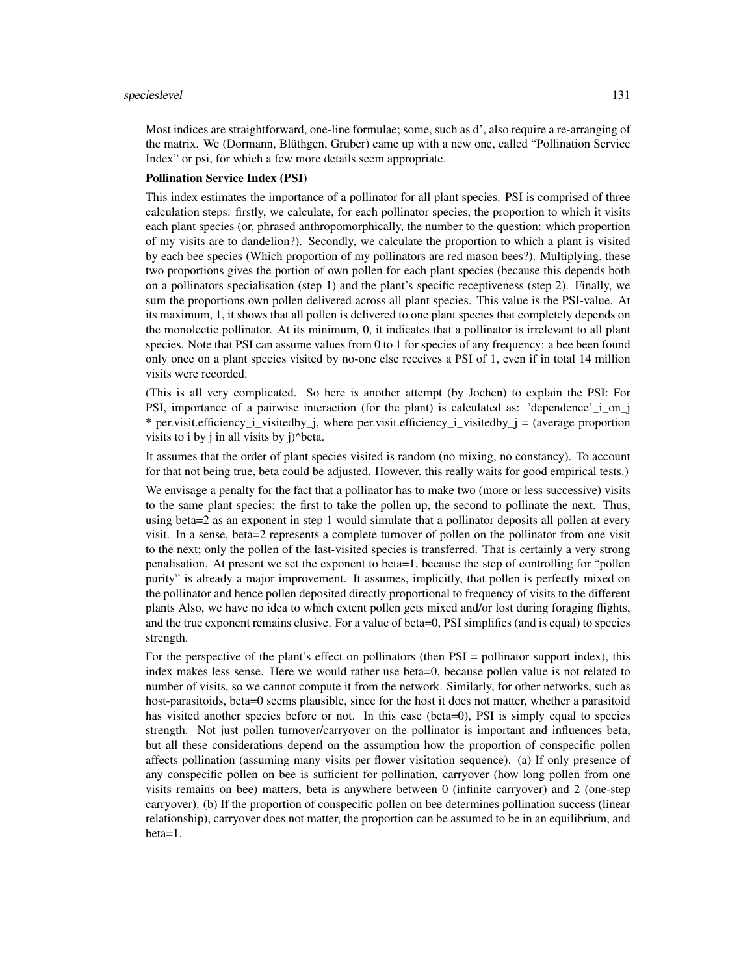Most indices are straightforward, one-line formulae; some, such as d', also require a re-arranging of the matrix. We (Dormann, Blüthgen, Gruber) came up with a new one, called "Pollination Service Index" or psi, for which a few more details seem appropriate.

#### Pollination Service Index (PSI)

This index estimates the importance of a pollinator for all plant species. PSI is comprised of three calculation steps: firstly, we calculate, for each pollinator species, the proportion to which it visits each plant species (or, phrased anthropomorphically, the number to the question: which proportion of my visits are to dandelion?). Secondly, we calculate the proportion to which a plant is visited by each bee species (Which proportion of my pollinators are red mason bees?). Multiplying, these two proportions gives the portion of own pollen for each plant species (because this depends both on a pollinators specialisation (step 1) and the plant's specific receptiveness (step 2). Finally, we sum the proportions own pollen delivered across all plant species. This value is the PSI-value. At its maximum, 1, it shows that all pollen is delivered to one plant species that completely depends on the monolectic pollinator. At its minimum, 0, it indicates that a pollinator is irrelevant to all plant species. Note that PSI can assume values from 0 to 1 for species of any frequency: a bee been found only once on a plant species visited by no-one else receives a PSI of 1, even if in total 14 million visits were recorded.

(This is all very complicated. So here is another attempt (by Jochen) to explain the PSI: For PSI, importance of a pairwise interaction (for the plant) is calculated as: 'dependence' i on j \* per.visit.efficiency i visitedby j, where per.visit.efficiency i visitedby  $j =$  (average proportion visits to i by j in all visits by  $j$ <sup> $\Delta$ beta.</sup>

It assumes that the order of plant species visited is random (no mixing, no constancy). To account for that not being true, beta could be adjusted. However, this really waits for good empirical tests.)

We envisage a penalty for the fact that a pollinator has to make two (more or less successive) visits to the same plant species: the first to take the pollen up, the second to pollinate the next. Thus, using beta=2 as an exponent in step 1 would simulate that a pollinator deposits all pollen at every visit. In a sense, beta=2 represents a complete turnover of pollen on the pollinator from one visit to the next; only the pollen of the last-visited species is transferred. That is certainly a very strong penalisation. At present we set the exponent to beta=1, because the step of controlling for "pollen purity" is already a major improvement. It assumes, implicitly, that pollen is perfectly mixed on the pollinator and hence pollen deposited directly proportional to frequency of visits to the different plants Also, we have no idea to which extent pollen gets mixed and/or lost during foraging flights, and the true exponent remains elusive. For a value of beta=0, PSI simplifies (and is equal) to species strength.

For the perspective of the plant's effect on pollinators (then PSI = pollinator support index), this index makes less sense. Here we would rather use beta=0, because pollen value is not related to number of visits, so we cannot compute it from the network. Similarly, for other networks, such as host-parasitoids, beta=0 seems plausible, since for the host it does not matter, whether a parasitoid has visited another species before or not. In this case (beta=0), PSI is simply equal to species strength. Not just pollen turnover/carryover on the pollinator is important and influences beta, but all these considerations depend on the assumption how the proportion of conspecific pollen affects pollination (assuming many visits per flower visitation sequence). (a) If only presence of any conspecific pollen on bee is sufficient for pollination, carryover (how long pollen from one visits remains on bee) matters, beta is anywhere between 0 (infinite carryover) and 2 (one-step carryover). (b) If the proportion of conspecific pollen on bee determines pollination success (linear relationship), carryover does not matter, the proportion can be assumed to be in an equilibrium, and beta=1.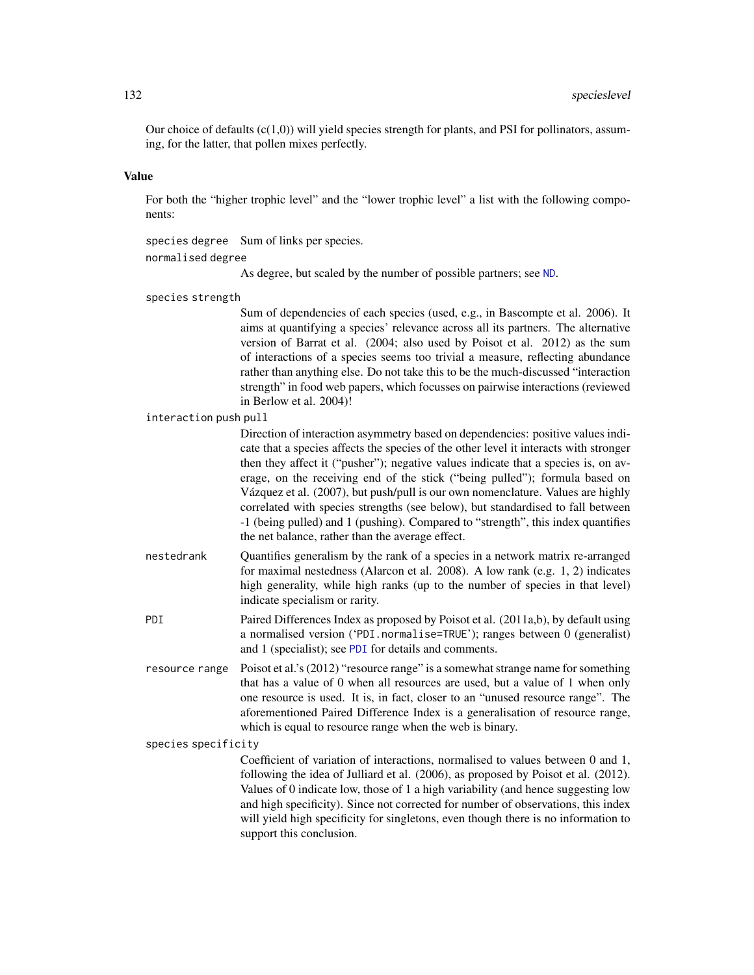Our choice of defaults  $(c(1,0))$  will yield species strength for plants, and PSI for pollinators, assuming, for the latter, that pollen mixes perfectly.

# Value

For both the "higher trophic level" and the "lower trophic level" a list with the following components:

species degree Sum of links per species. normalised degree

As degree, but scaled by the number of possible partners; see [ND](#page-69-0).

species strength

Sum of dependencies of each species (used, e.g., in Bascompte et al. 2006). It aims at quantifying a species' relevance across all its partners. The alternative version of Barrat et al. (2004; also used by Poisot et al. 2012) as the sum of interactions of a species seems too trivial a measure, reflecting abundance rather than anything else. Do not take this to be the much-discussed "interaction strength" in food web papers, which focusses on pairwise interactions (reviewed in Berlow et al. 2004)!

interaction push pull

Direction of interaction asymmetry based on dependencies: positive values indicate that a species affects the species of the other level it interacts with stronger then they affect it ("pusher"); negative values indicate that a species is, on average, on the receiving end of the stick ("being pulled"); formula based on Vázquez et al. (2007), but push/pull is our own nomenclature. Values are highly correlated with species strengths (see below), but standardised to fall between -1 (being pulled) and 1 (pushing). Compared to "strength", this index quantifies the net balance, rather than the average effect.

- nestedrank Quantifies generalism by the rank of a species in a network matrix re-arranged for maximal nestedness (Alarcon et al. 2008). A low rank (e.g. 1, 2) indicates high generality, while high ranks (up to the number of species in that level) indicate specialism or rarity.
- PDI Paired Differences Index as proposed by Poisot et al. (2011a,b), by default using a normalised version ('PDI.normalise=TRUE'); ranges between 0 (generalist) and 1 (specialist); see [PDI](#page-103-0) for details and comments.
- resource range Poisot et al.'s (2012) "resource range" is a somewhat strange name for something that has a value of 0 when all resources are used, but a value of 1 when only one resource is used. It is, in fact, closer to an "unused resource range". The aforementioned Paired Difference Index is a generalisation of resource range, which is equal to resource range when the web is binary.

species specificity

Coefficient of variation of interactions, normalised to values between 0 and 1, following the idea of Julliard et al. (2006), as proposed by Poisot et al. (2012). Values of 0 indicate low, those of 1 a high variability (and hence suggesting low and high specificity). Since not corrected for number of observations, this index will yield high specificity for singletons, even though there is no information to support this conclusion.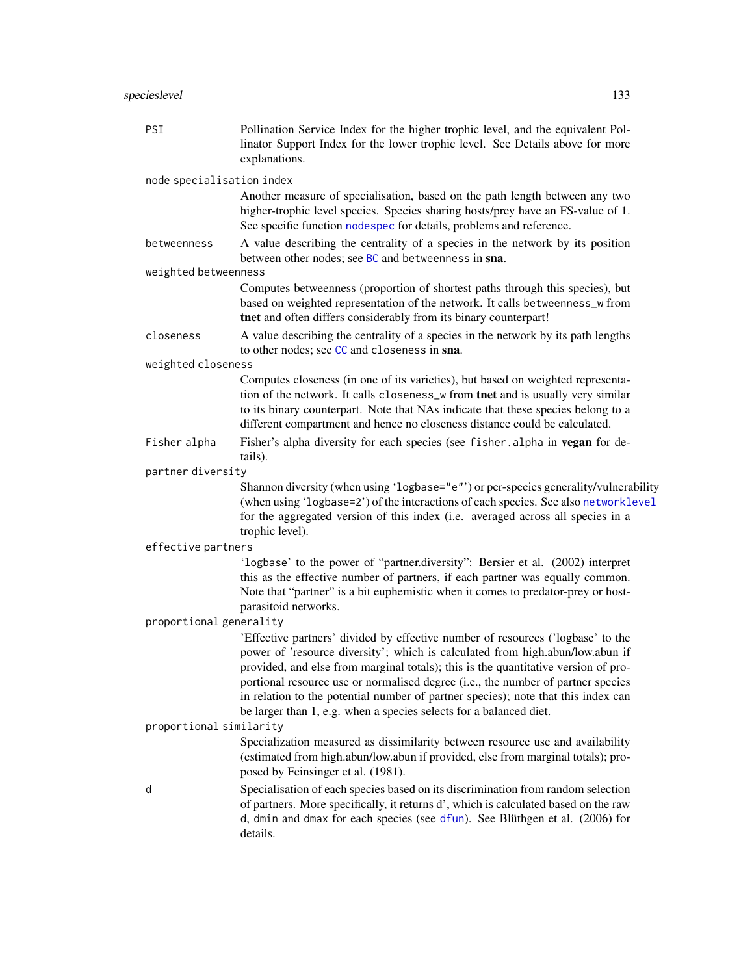| PSI                       | Pollination Service Index for the higher trophic level, and the equivalent Pol-<br>linator Support Index for the lower trophic level. See Details above for more<br>explanations.                                                                                                                                                                                                                                                                                                                     |
|---------------------------|-------------------------------------------------------------------------------------------------------------------------------------------------------------------------------------------------------------------------------------------------------------------------------------------------------------------------------------------------------------------------------------------------------------------------------------------------------------------------------------------------------|
| node specialisation index |                                                                                                                                                                                                                                                                                                                                                                                                                                                                                                       |
|                           | Another measure of specialisation, based on the path length between any two<br>higher-trophic level species. Species sharing hosts/prey have an FS-value of 1.<br>See specific function nodespec for details, problems and reference.                                                                                                                                                                                                                                                                 |
| betweenness               | A value describing the centrality of a species in the network by its position<br>between other nodes; see BC and betweenness in sna.                                                                                                                                                                                                                                                                                                                                                                  |
| weighted betweenness      |                                                                                                                                                                                                                                                                                                                                                                                                                                                                                                       |
|                           | Computes betweenness (proportion of shortest paths through this species), but<br>based on weighted representation of the network. It calls betweenness_w from<br>tnet and often differs considerably from its binary counterpart!                                                                                                                                                                                                                                                                     |
| closeness                 | A value describing the centrality of a species in the network by its path lengths<br>to other nodes; see CC and closeness in sna.                                                                                                                                                                                                                                                                                                                                                                     |
| weighted closeness        |                                                                                                                                                                                                                                                                                                                                                                                                                                                                                                       |
|                           | Computes closeness (in one of its varieties), but based on weighted representa-<br>tion of the network. It calls closeness_w from tnet and is usually very similar<br>to its binary counterpart. Note that NAs indicate that these species belong to a<br>different compartment and hence no closeness distance could be calculated.                                                                                                                                                                  |
| Fisher alpha              | Fisher's alpha diversity for each species (see fisher.alpha in vegan for de-                                                                                                                                                                                                                                                                                                                                                                                                                          |
| partner diversity         | tails).                                                                                                                                                                                                                                                                                                                                                                                                                                                                                               |
|                           | Shannon diversity (when using 'logbase="e"') or per-species generality/vulnerability<br>(when using 'logbase=2') of the interactions of each species. See also networklevel<br>for the aggregated version of this index (i.e. averaged across all species in a<br>trophic level).                                                                                                                                                                                                                     |
| effective partners        |                                                                                                                                                                                                                                                                                                                                                                                                                                                                                                       |
|                           | 'logbase' to the power of "partner.diversity": Bersier et al. (2002) interpret<br>this as the effective number of partners, if each partner was equally common.<br>Note that "partner" is a bit euphemistic when it comes to predator-prey or host-<br>parasitoid networks.                                                                                                                                                                                                                           |
| proportional generality   |                                                                                                                                                                                                                                                                                                                                                                                                                                                                                                       |
|                           | 'Effective partners' divided by effective number of resources ('logbase' to the<br>power of 'resource diversity'; which is calculated from high.abun/low.abun if<br>provided, and else from marginal totals); this is the quantitative version of pro-<br>portional resource use or normalised degree (i.e., the number of partner species<br>in relation to the potential number of partner species); note that this index can<br>be larger than 1, e.g. when a species selects for a balanced diet. |
| proportional similarity   |                                                                                                                                                                                                                                                                                                                                                                                                                                                                                                       |
|                           | Specialization measured as dissimilarity between resource use and availability<br>(estimated from high.abun/low.abun if provided, else from marginal totals); pro-<br>posed by Feinsinger et al. (1981).                                                                                                                                                                                                                                                                                              |
| d                         | Specialisation of each species based on its discrimination from random selection<br>of partners. More specifically, it returns d', which is calculated based on the raw<br>d, dmin and dmax for each species (see dfun). See Blüthgen et al. (2006) for<br>details.                                                                                                                                                                                                                                   |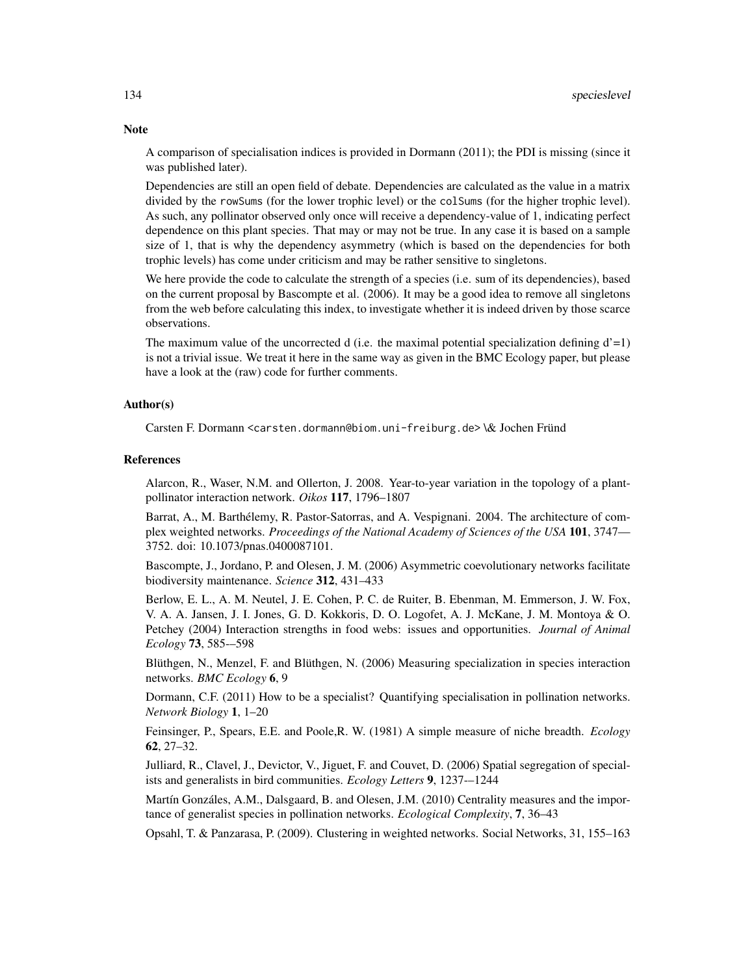A comparison of specialisation indices is provided in Dormann (2011); the PDI is missing (since it was published later).

Dependencies are still an open field of debate. Dependencies are calculated as the value in a matrix divided by the rowSums (for the lower trophic level) or the colSums (for the higher trophic level). As such, any pollinator observed only once will receive a dependency-value of 1, indicating perfect dependence on this plant species. That may or may not be true. In any case it is based on a sample size of 1, that is why the dependency asymmetry (which is based on the dependencies for both trophic levels) has come under criticism and may be rather sensitive to singletons.

We here provide the code to calculate the strength of a species (i.e. sum of its dependencies), based on the current proposal by Bascompte et al. (2006). It may be a good idea to remove all singletons from the web before calculating this index, to investigate whether it is indeed driven by those scarce observations.

The maximum value of the uncorrected d (i.e. the maximal potential specialization defining  $d'=1$ ) is not a trivial issue. We treat it here in the same way as given in the BMC Ecology paper, but please have a look at the (raw) code for further comments.

## Author(s)

Carsten F. Dormann <carsten.dormann@biom.uni-freiburg.de> \& Jochen Fründ

#### References

Alarcon, R., Waser, N.M. and Ollerton, J. 2008. Year-to-year variation in the topology of a plantpollinator interaction network. *Oikos* 117, 1796–1807

Barrat, A., M. Barthélemy, R. Pastor-Satorras, and A. Vespignani. 2004. The architecture of complex weighted networks. *Proceedings of the National Academy of Sciences of the USA* 101, 3747— 3752. doi: 10.1073/pnas.0400087101.

Bascompte, J., Jordano, P. and Olesen, J. M. (2006) Asymmetric coevolutionary networks facilitate biodiversity maintenance. *Science* 312, 431–433

Berlow, E. L., A. M. Neutel, J. E. Cohen, P. C. de Ruiter, B. Ebenman, M. Emmerson, J. W. Fox, V. A. A. Jansen, J. I. Jones, G. D. Kokkoris, D. O. Logofet, A. J. McKane, J. M. Montoya & O. Petchey (2004) Interaction strengths in food webs: issues and opportunities. *Journal of Animal Ecology* 73, 585-–598

Blüthgen, N., Menzel, F. and Blüthgen, N. (2006) Measuring specialization in species interaction networks. *BMC Ecology* 6, 9

Dormann, C.F. (2011) How to be a specialist? Quantifying specialisation in pollination networks. *Network Biology* 1, 1–20

Feinsinger, P., Spears, E.E. and Poole,R. W. (1981) A simple measure of niche breadth. *Ecology* 62, 27–32.

Julliard, R., Clavel, J., Devictor, V., Jiguet, F. and Couvet, D. (2006) Spatial segregation of specialists and generalists in bird communities. *Ecology Letters* 9, 1237-–1244

Martín Gonzáles, A.M., Dalsgaard, B. and Olesen, J.M. (2010) Centrality measures and the importance of generalist species in pollination networks. *Ecological Complexity*, 7, 36–43

Opsahl, T. & Panzarasa, P. (2009). Clustering in weighted networks. Social Networks, 31, 155–163

# **Note**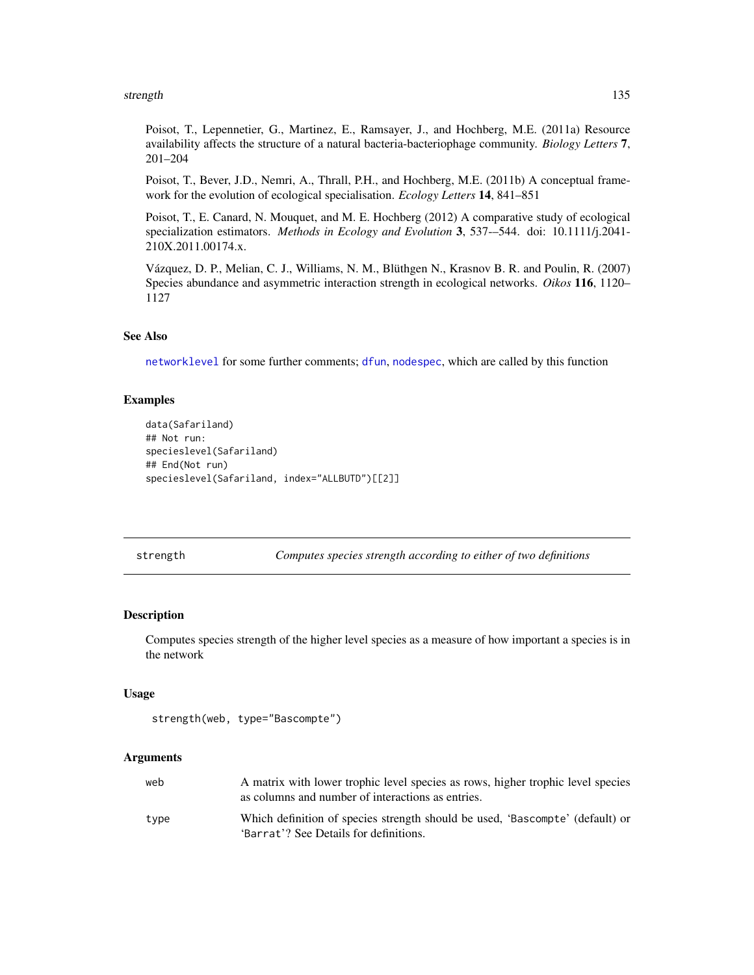#### strength the strength through the strength of the strength of the strength of the strength of the strength of the strength of the strength of the strength of the strength of the strength of the strength of the strength of

Poisot, T., Lepennetier, G., Martinez, E., Ramsayer, J., and Hochberg, M.E. (2011a) Resource availability affects the structure of a natural bacteria-bacteriophage community. *Biology Letters* 7, 201–204

Poisot, T., Bever, J.D., Nemri, A., Thrall, P.H., and Hochberg, M.E. (2011b) A conceptual framework for the evolution of ecological specialisation. *Ecology Letters* 14, 841–851

Poisot, T., E. Canard, N. Mouquet, and M. E. Hochberg (2012) A comparative study of ecological specialization estimators. *Methods in Ecology and Evolution* 3, 537-–544. doi: 10.1111/j.2041- 210X.2011.00174.x.

Vázquez, D. P., Melian, C. J., Williams, N. M., Blüthgen N., Krasnov B. R. and Poulin, R. (2007) Species abundance and asymmetric interaction strength in ecological networks. *Oikos* 116, 1120– 1127

## See Also

[networklevel](#page-80-0) for some further comments; [dfun](#page-36-0), [nodespec](#page-89-0), which are called by this function

# Examples

```
data(Safariland)
## Not run:
specieslevel(Safariland)
## End(Not run)
specieslevel(Safariland, index="ALLBUTD")[[2]]
```
strength *Computes species strength according to either of two definitions*

# **Description**

Computes species strength of the higher level species as a measure of how important a species is in the network

## Usage

```
strength(web, type="Bascompte")
```
#### Arguments

| web  | A matrix with lower trophic level species as rows, higher trophic level species<br>as columns and number of interactions as entries. |
|------|--------------------------------------------------------------------------------------------------------------------------------------|
| tvpe | Which definition of species strength should be used, 'Bascompte' (default) or<br>'Barrat'? See Details for definitions.              |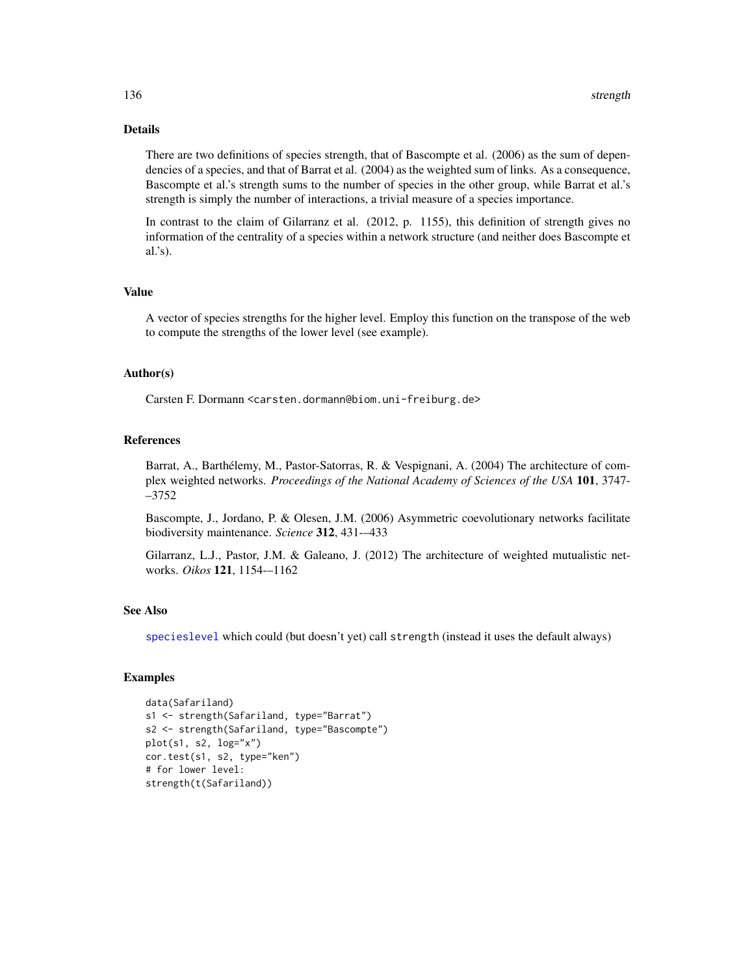# Details

There are two definitions of species strength, that of Bascompte et al. (2006) as the sum of dependencies of a species, and that of Barrat et al. (2004) as the weighted sum of links. As a consequence, Bascompte et al.'s strength sums to the number of species in the other group, while Barrat et al.'s strength is simply the number of interactions, a trivial measure of a species importance.

In contrast to the claim of Gilarranz et al. (2012, p. 1155), this definition of strength gives no information of the centrality of a species within a network structure (and neither does Bascompte et al.'s).

## Value

A vector of species strengths for the higher level. Employ this function on the transpose of the web to compute the strengths of the lower level (see example).

## Author(s)

Carsten F. Dormann <carsten.dormann@biom.uni-freiburg.de>

# References

Barrat, A., Barthélemy, M., Pastor-Satorras, R. & Vespignani, A. (2004) The architecture of complex weighted networks. *Proceedings of the National Academy of Sciences of the USA* 101, 3747- –3752

Bascompte, J., Jordano, P. & Olesen, J.M. (2006) Asymmetric coevolutionary networks facilitate biodiversity maintenance. *Science* 312, 431-–433

Gilarranz, L.J., Pastor, J.M. & Galeano, J. (2012) The architecture of weighted mutualistic networks. *Oikos* 121, 1154-–1162

#### See Also

[specieslevel](#page-128-0) which could (but doesn't yet) call strength (instead it uses the default always)

```
data(Safariland)
s1 <- strength(Safariland, type="Barrat")
s2 <- strength(Safariland, type="Bascompte")
plot(s1, s2, log="x")
cor.test(s1, s2, type="ken")
# for lower level:
strength(t(Safariland))
```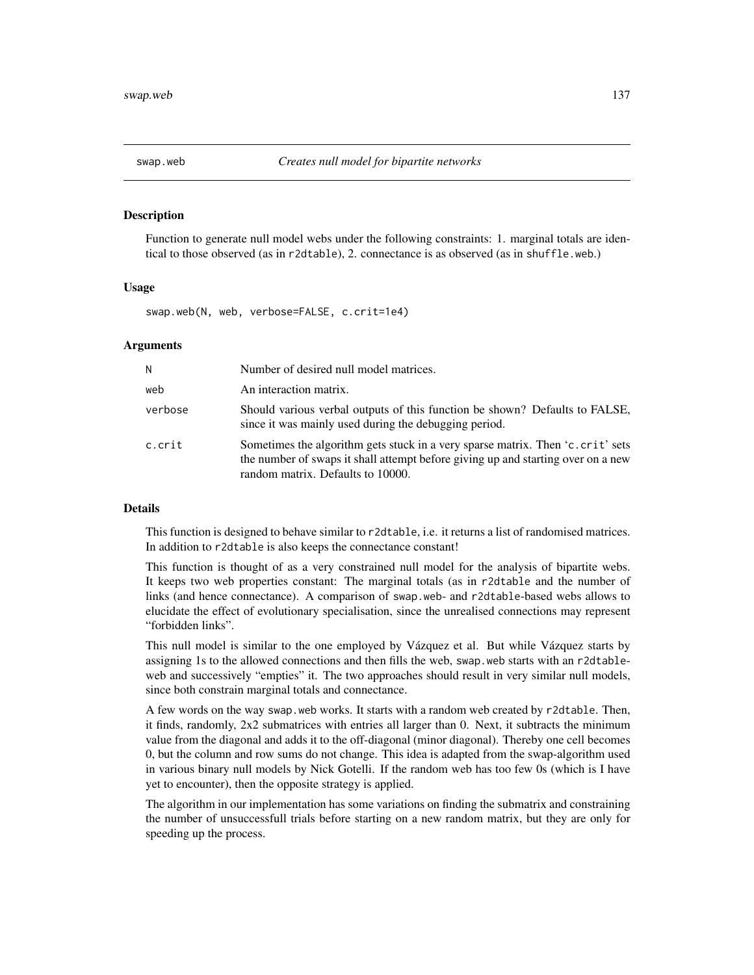## Description

Function to generate null model webs under the following constraints: 1. marginal totals are identical to those observed (as in r2dtable), 2. connectance is as observed (as in shuffle.web.)

#### Usage

swap.web(N, web, verbose=FALSE, c.crit=1e4)

#### Arguments

| N       | Number of desired null model matrices.                                                                                                                                                                  |
|---------|---------------------------------------------------------------------------------------------------------------------------------------------------------------------------------------------------------|
| web     | An interaction matrix.                                                                                                                                                                                  |
| verbose | Should various verbal outputs of this function be shown? Defaults to FALSE,<br>since it was mainly used during the debugging period.                                                                    |
| c.crit  | Sometimes the algorithm gets stuck in a very sparse matrix. Then 'c.crit' sets<br>the number of swaps it shall attempt before giving up and starting over on a new<br>random matrix. Defaults to 10000. |

# Details

This function is designed to behave similar to r2dtable, i.e. it returns a list of randomised matrices. In addition to r2dtable is also keeps the connectance constant!

This function is thought of as a very constrained null model for the analysis of bipartite webs. It keeps two web properties constant: The marginal totals (as in r2dtable and the number of links (and hence connectance). A comparison of swap.web- and r2dtable-based webs allows to elucidate the effect of evolutionary specialisation, since the unrealised connections may represent "forbidden links".

This null model is similar to the one employed by Vázquez et al. But while Vázquez starts by assigning 1s to the allowed connections and then fills the web, swap.web starts with an r2dtableweb and successively "empties" it. The two approaches should result in very similar null models, since both constrain marginal totals and connectance.

A few words on the way swap.web works. It starts with a random web created by r2dtable. Then, it finds, randomly, 2x2 submatrices with entries all larger than 0. Next, it subtracts the minimum value from the diagonal and adds it to the off-diagonal (minor diagonal). Thereby one cell becomes 0, but the column and row sums do not change. This idea is adapted from the swap-algorithm used in various binary null models by Nick Gotelli. If the random web has too few 0s (which is I have yet to encounter), then the opposite strategy is applied.

The algorithm in our implementation has some variations on finding the submatrix and constraining the number of unsuccessfull trials before starting on a new random matrix, but they are only for speeding up the process.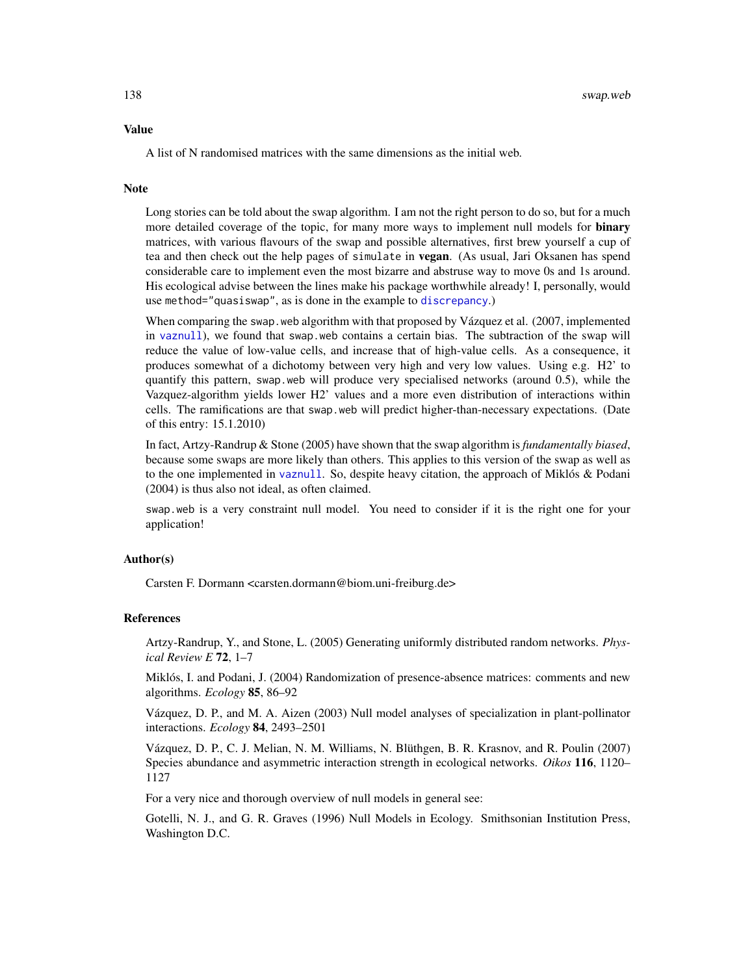## Value

A list of N randomised matrices with the same dimensions as the initial web.

#### **Note**

Long stories can be told about the swap algorithm. I am not the right person to do so, but for a much more detailed coverage of the topic, for many more ways to implement null models for **binary** matrices, with various flavours of the swap and possible alternatives, first brew yourself a cup of tea and then check out the help pages of simulate in **vegan**. (As usual, Jari Oksanen has spend considerable care to implement even the most bizarre and abstruse way to move 0s and 1s around. His ecological advise between the lines make his package worthwhile already! I, personally, would use method="quasiswap", as is done in the example to [discrepancy](#page-40-0).)

When comparing the swap. web algorithm with that proposed by Vázquez et al. (2007, implemented in [vaznull](#page-145-0)), we found that swap.web contains a certain bias. The subtraction of the swap will reduce the value of low-value cells, and increase that of high-value cells. As a consequence, it produces somewhat of a dichotomy between very high and very low values. Using e.g. H2' to quantify this pattern, swap.web will produce very specialised networks (around 0.5), while the Vazquez-algorithm yields lower H2' values and a more even distribution of interactions within cells. The ramifications are that swap.web will predict higher-than-necessary expectations. (Date of this entry: 15.1.2010)

In fact, Artzy-Randrup & Stone (2005) have shown that the swap algorithm is *fundamentally biased*, because some swaps are more likely than others. This applies to this version of the swap as well as to the one implemented in [vaznull](#page-145-0). So, despite heavy citation, the approach of Miklós & Podani (2004) is thus also not ideal, as often claimed.

swap.web is a very constraint null model. You need to consider if it is the right one for your application!

## Author(s)

Carsten F. Dormann <carsten.dormann@biom.uni-freiburg.de>

#### References

Artzy-Randrup, Y., and Stone, L. (2005) Generating uniformly distributed random networks. *Physical Review E* 72, 1–7

Miklós, I. and Podani, J. (2004) Randomization of presence-absence matrices: comments and new algorithms. *Ecology* 85, 86–92

Vázquez, D. P., and M. A. Aizen (2003) Null model analyses of specialization in plant-pollinator interactions. *Ecology* 84, 2493–2501

Vázquez, D. P., C. J. Melian, N. M. Williams, N. Blüthgen, B. R. Krasnov, and R. Poulin (2007) Species abundance and asymmetric interaction strength in ecological networks. *Oikos* 116, 1120– 1127

For a very nice and thorough overview of null models in general see:

Gotelli, N. J., and G. R. Graves (1996) Null Models in Ecology. Smithsonian Institution Press, Washington D.C.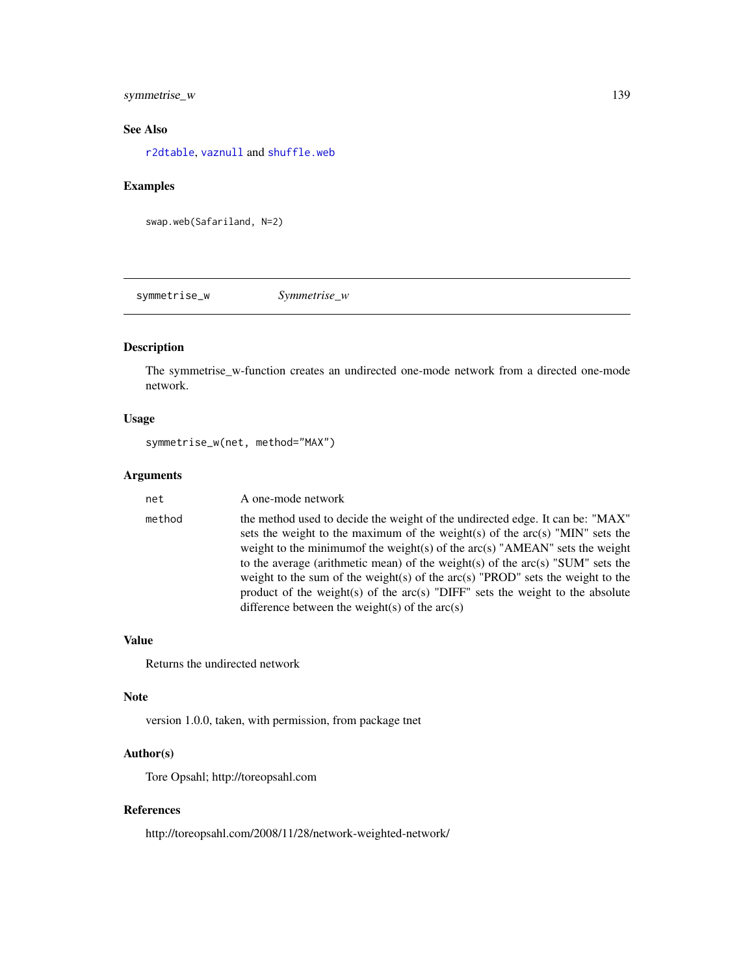# symmetrise\_w 139

# See Also

[r2dtable](#page-0-0), [vaznull](#page-145-0) and [shuffle.web](#page-123-0)

# Examples

swap.web(Safariland, N=2)

symmetrise\_w *Symmetrise\_w*

# Description

The symmetrise\_w-function creates an undirected one-mode network from a directed one-mode network.

# Usage

```
symmetrise_w(net, method="MAX")
```
# Arguments

| net    | A one-mode network                                                                                                                                                                                                                                                                                                                                                                                                                                                                                                                                            |
|--------|---------------------------------------------------------------------------------------------------------------------------------------------------------------------------------------------------------------------------------------------------------------------------------------------------------------------------------------------------------------------------------------------------------------------------------------------------------------------------------------------------------------------------------------------------------------|
| method | the method used to decide the weight of the undirected edge. It can be: "MAX"<br>sets the weight to the maximum of the weight(s) of the $arc(s)$ "MIN" sets the<br>weight to the minimum f the weight(s) of the $arc(s)$ "AMEAN" sets the weight<br>to the average (arithmetic mean) of the weight(s) of the arc(s) "SUM" sets the<br>weight to the sum of the weight(s) of the $arc(s)$ "PROD" sets the weight to the<br>product of the weight(s) of the $arc(s)$ "DIFF" sets the weight to the absolute<br>difference between the weight(s) of the $arc(s)$ |

## Value

Returns the undirected network

#### Note

version 1.0.0, taken, with permission, from package tnet

# Author(s)

Tore Opsahl; http://toreopsahl.com

# References

http://toreopsahl.com/2008/11/28/network-weighted-network/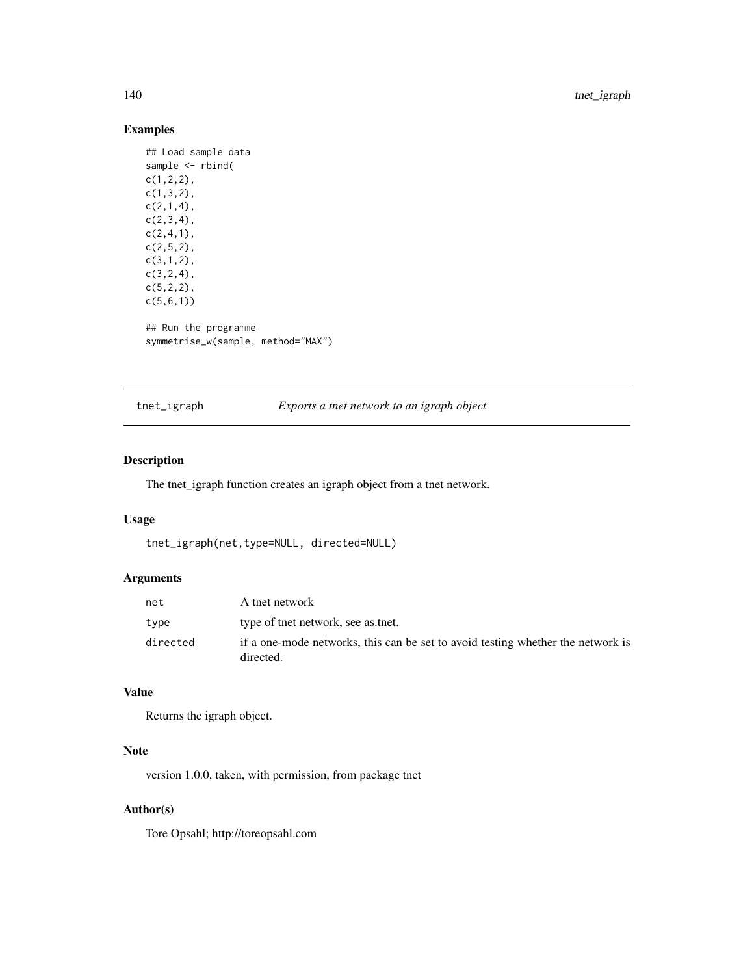# Examples

```
## Load sample data
sample <- rbind(
c(1,2,2),
c(1,3,2),
c(2,1,4),
c(2,3,4),
c(2,4,1),
c(2,5,2),
c(3,1,2),
c(3,2,4),
c(5,2,2),
c(5,6,1))
## Run the programme
symmetrise_w(sample, method="MAX")
```
tnet\_igraph *Exports a tnet network to an igraph object*

# Description

The tnet\_igraph function creates an igraph object from a tnet network.

#### Usage

```
tnet_igraph(net,type=NULL, directed=NULL)
```
# Arguments

| net      | A tnet network                                                                               |
|----------|----------------------------------------------------------------------------------------------|
| type     | type of the energy see as the t.                                                             |
| directed | if a one-mode networks, this can be set to avoid testing whether the network is<br>directed. |

## Value

Returns the igraph object.

# Note

version 1.0.0, taken, with permission, from package tnet

# Author(s)

Tore Opsahl; http://toreopsahl.com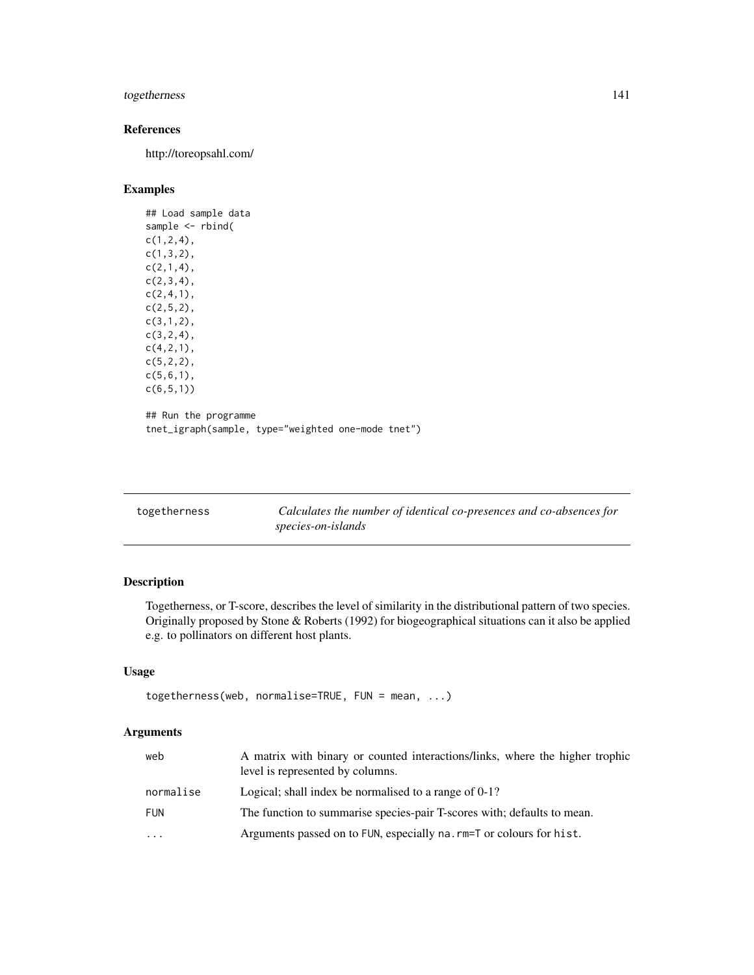# togetherness 141

# References

http://toreopsahl.com/

# Examples

```
## Load sample data
sample <- rbind(
c(1,2,4),
c(1,3,2),
c(2,1,4),
c(2,3,4),
c(2,4,1),
c(2,5,2),
c(3,1,2),
c(3,2,4),
c(4,2,1),
c(5,2,2),
c(5,6,1),
c(6,5,1))
## Run the programme
tnet_igraph(sample, type="weighted one-mode tnet")
```

| togetherness | Calculates the number of identical co-presences and co-absences for |
|--------------|---------------------------------------------------------------------|
|              | species-on-islands                                                  |

# Description

Togetherness, or T-score, describes the level of similarity in the distributional pattern of two species. Originally proposed by Stone & Roberts (1992) for biogeographical situations can it also be applied e.g. to pollinators on different host plants.

# Usage

```
togetherness(web, normalise=TRUE, FUN = mean, ...)
```
# Arguments

| web        | A matrix with binary or counted interactions/links, where the higher trophic<br>level is represented by columns. |
|------------|------------------------------------------------------------------------------------------------------------------|
| normalise  | Logical; shall index be normalised to a range of $0-1$ ?                                                         |
| <b>FUN</b> | The function to summarise species-pair T-scores with; defaults to mean.                                          |
| $\cdot$    | Arguments passed on to FUN, especially na. rm=T or colours for hist.                                             |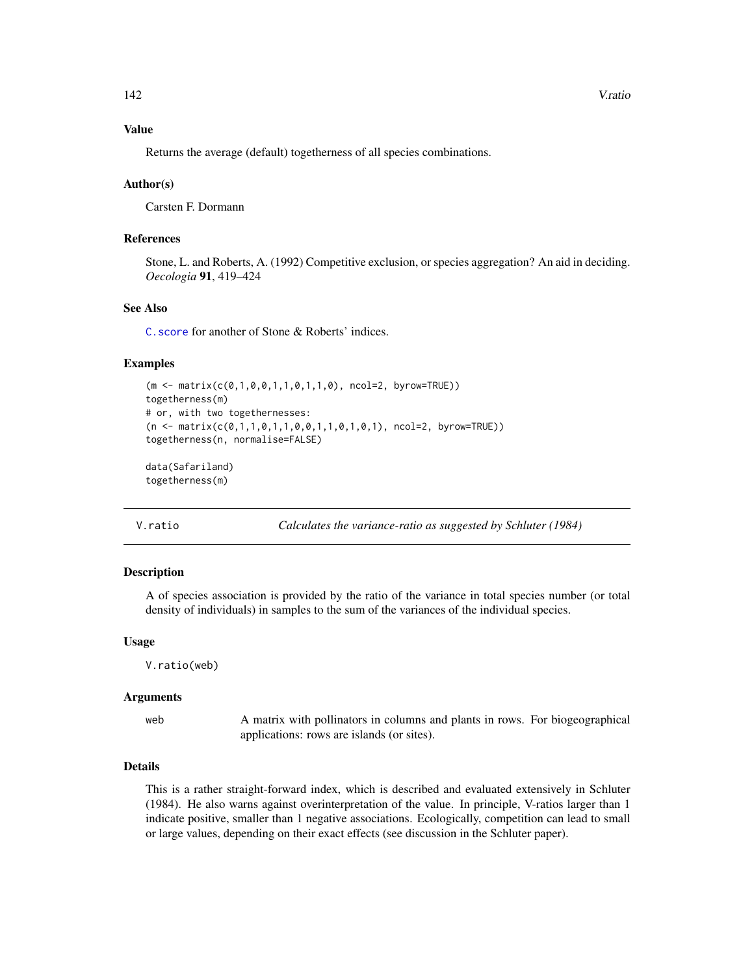#### Value

Returns the average (default) togetherness of all species combinations.

#### Author(s)

Carsten F. Dormann

# References

Stone, L. and Roberts, A. (1992) Competitive exclusion, or species aggregation? An aid in deciding. *Oecologia* 91, 419–424

## See Also

[C.score](#page-23-0) for another of Stone & Roberts' indices.

## Examples

```
(m <- matrix(c(0,1,0,0,1,1,0,1,1,0), ncol=2, byrow=TRUE))
togetherness(m)
# or, with two togethernesses:
(n \leq matrix(c(0,1,1,0,1,1,0,0,1,1,0,1,1,0,1), ncol=2, byrow=True)togetherness(n, normalise=FALSE)
data(Safariland)
togetherness(m)
```
V.ratio *Calculates the variance-ratio as suggested by Schluter (1984)*

# Description

A of species association is provided by the ratio of the variance in total species number (or total density of individuals) in samples to the sum of the variances of the individual species.

## Usage

V.ratio(web)

#### Arguments

web A matrix with pollinators in columns and plants in rows. For biogeographical applications: rows are islands (or sites).

## Details

This is a rather straight-forward index, which is described and evaluated extensively in Schluter (1984). He also warns against overinterpretation of the value. In principle, V-ratios larger than 1 indicate positive, smaller than 1 negative associations. Ecologically, competition can lead to small or large values, depending on their exact effects (see discussion in the Schluter paper).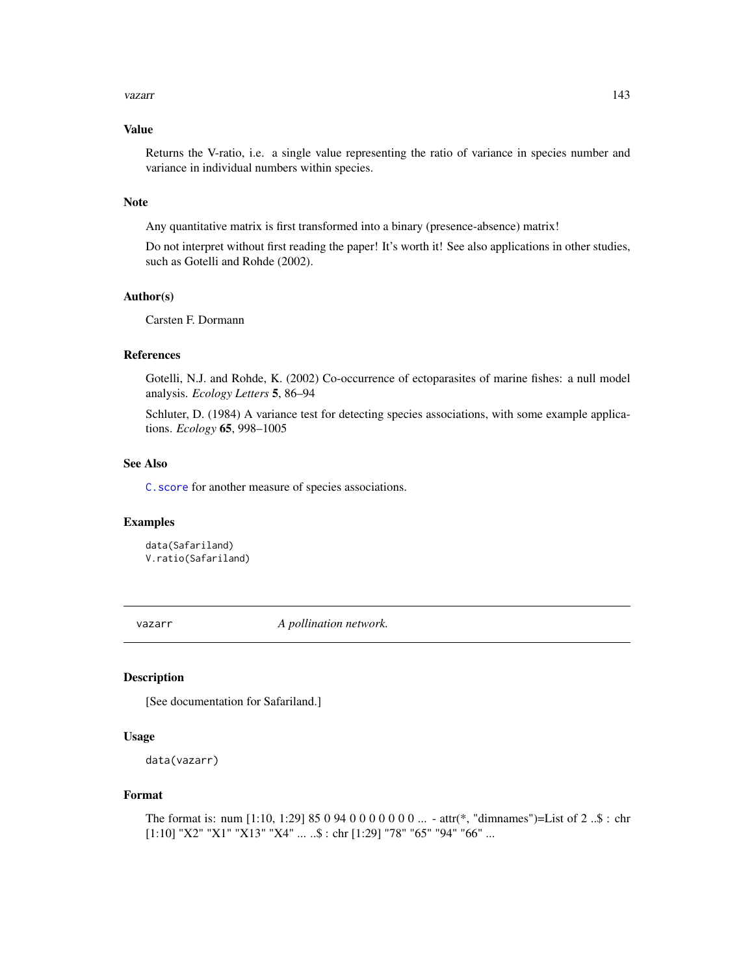#### vazarr 143

## Value

Returns the V-ratio, i.e. a single value representing the ratio of variance in species number and variance in individual numbers within species.

# Note

Any quantitative matrix is first transformed into a binary (presence-absence) matrix!

Do not interpret without first reading the paper! It's worth it! See also applications in other studies, such as Gotelli and Rohde (2002).

## Author(s)

Carsten F. Dormann

# References

Gotelli, N.J. and Rohde, K. (2002) Co-occurrence of ectoparasites of marine fishes: a null model analysis. *Ecology Letters* 5, 86–94

Schluter, D. (1984) A variance test for detecting species associations, with some example applications. *Ecology* 65, 998–1005

#### See Also

[C.score](#page-23-0) for another measure of species associations.

## Examples

data(Safariland) V.ratio(Safariland)

vazarr *A pollination network.*

# Description

[See documentation for Safariland.]

## Usage

```
data(vazarr)
```
## Format

The format is: num [1:10, 1:29] 85 0 94 0 0 0 0 0 0 0 ... - attr(\*, "dimnames")=List of 2 ..\$ : chr [1:10] "X2" "X1" "X13" "X4" ... ..\$ : chr [1:29] "78" "65" "94" "66" ...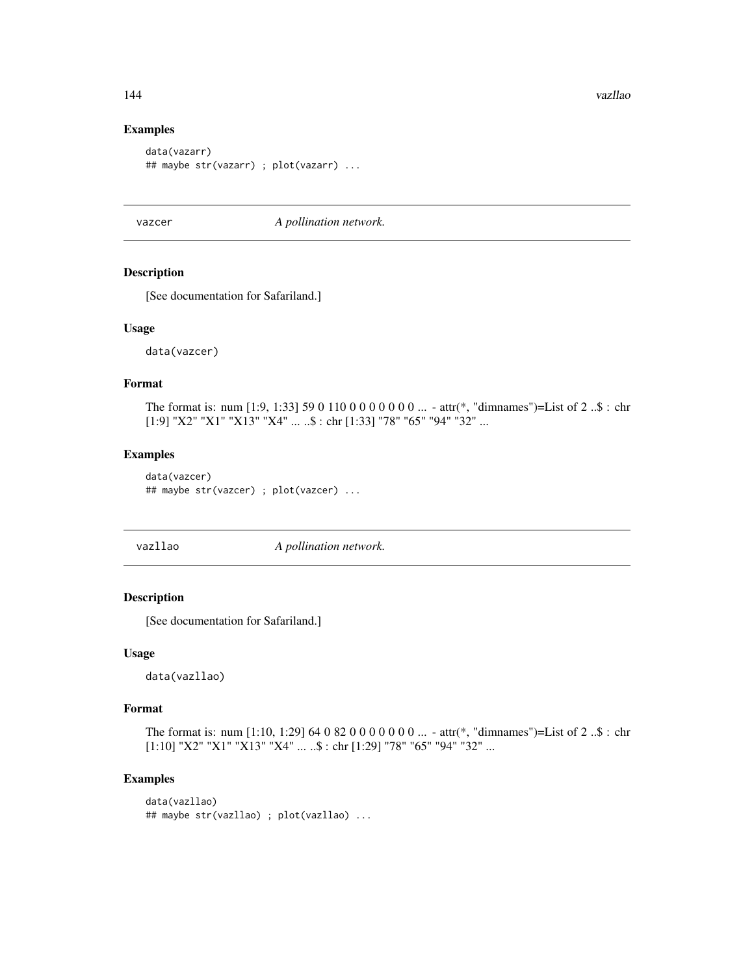# Examples

```
data(vazarr)
## maybe str(vazarr) ; plot(vazarr) ...
```
vazcer *A pollination network.*

#### Description

[See documentation for Safariland.]

#### Usage

data(vazcer)

## Format

The format is: num [1:9, 1:33] 59 0 110 0 0 0 0 0 0 0 ... - attr(\*, "dimnames")=List of 2 ..\$ : chr [1:9] "X2" "X1" "X13" "X4" ... ..\$ : chr [1:33] "78" "65" "94" "32" ...

# Examples

```
data(vazcer)
## maybe str(vazcer) ; plot(vazcer) ...
```
vazllao *A pollination network.*

## Description

[See documentation for Safariland.]

#### Usage

data(vazllao)

## Format

The format is: num [1:10, 1:29] 64 0 82 0 0 0 0 0 0 0 ... - attr(\*, "dimnames")=List of 2 ..\$ : chr  $[1:10]$ "X2" "X1" "X13" "X4"  $\ldots$ ..\$ : chr $[1:29]$ "78" "65" "94" "32"  $\ldots$ 

```
data(vazllao)
## maybe str(vazllao) ; plot(vazllao) ...
```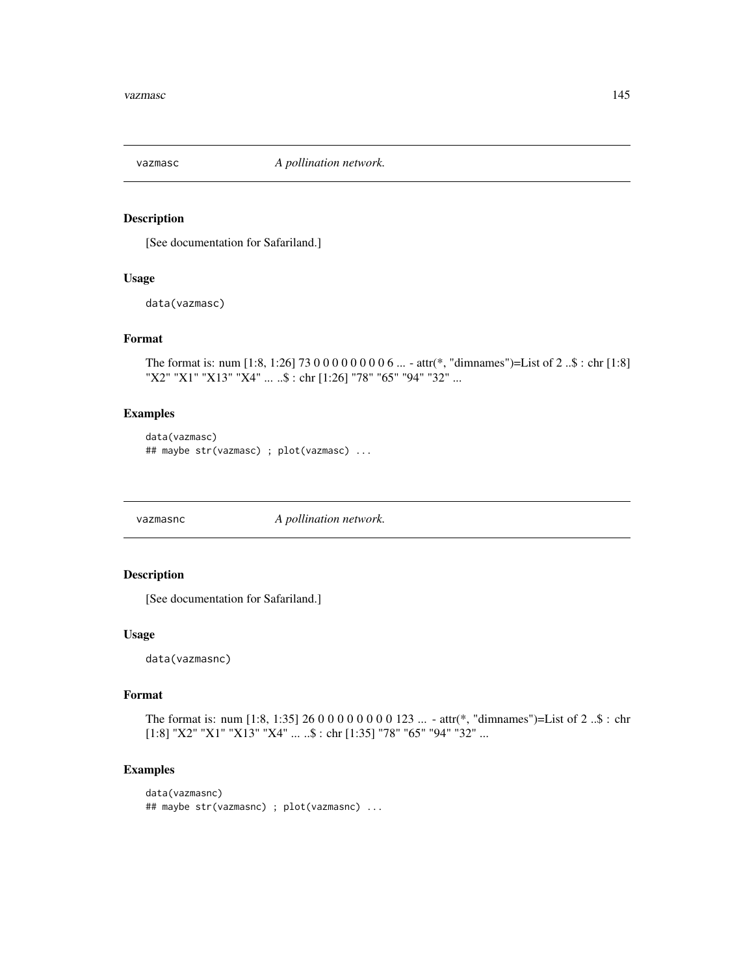<span id="page-144-0"></span>

## Description

[See documentation for Safariland.]

#### Usage

data(vazmasc)

## Format

The format is: num [1:8, 1:26] 73 0 0 0 0 0 0 0 0 6 ... - attr(\*, "dimnames")=List of 2 ..\$ : chr [1:8] "X2" "X1" "X13" "X4" ... ..\$ : chr [1:26] "78" "65" "94" "32" ...

## Examples

```
data(vazmasc)
## maybe str(vazmasc) ; plot(vazmasc) ...
```
vazmasnc *A pollination network.*

## Description

[See documentation for Safariland.]

## Usage

data(vazmasnc)

#### Format

The format is: num [1:8, 1:35] 26 0 0 0 0 0 0 0 0 123 ... - attr(\*, "dimnames")=List of 2 ..\$ : chr [1:8] "X2" "X1" "X13" "X4" ... ..\$ : chr [1:35] "78" "65" "94" "32" ...

#### Examples

```
data(vazmasnc)
## maybe str(vazmasnc) ; plot(vazmasnc) ...
```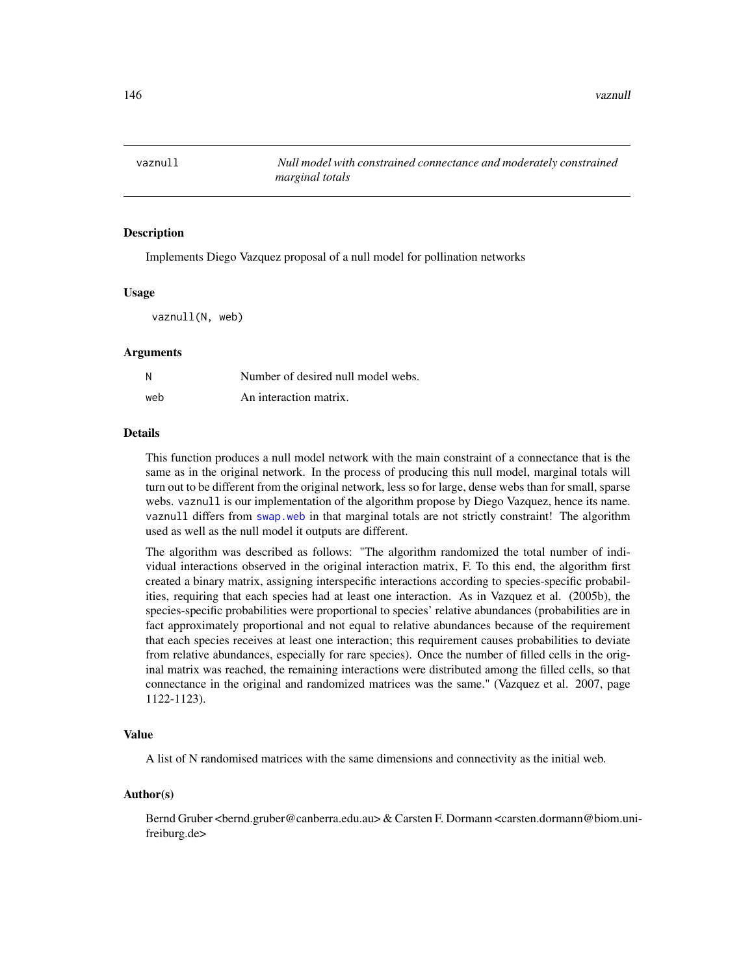<span id="page-145-1"></span><span id="page-145-0"></span>

#### **Description**

Implements Diego Vazquez proposal of a null model for pollination networks

#### Usage

vaznull(N, web)

#### Arguments

| N   | Number of desired null model webs. |
|-----|------------------------------------|
| web | An interaction matrix.             |

#### Details

This function produces a null model network with the main constraint of a connectance that is the same as in the original network. In the process of producing this null model, marginal totals will turn out to be different from the original network, less so for large, dense webs than for small, sparse webs. vaznull is our implementation of the algorithm propose by Diego Vazquez, hence its name. vaznull differs from [swap.web](#page-136-0) in that marginal totals are not strictly constraint! The algorithm used as well as the null model it outputs are different.

The algorithm was described as follows: "The algorithm randomized the total number of individual interactions observed in the original interaction matrix, F. To this end, the algorithm first created a binary matrix, assigning interspecific interactions according to species-specific probabilities, requiring that each species had at least one interaction. As in Vazquez et al. (2005b), the species-specific probabilities were proportional to species' relative abundances (probabilities are in fact approximately proportional and not equal to relative abundances because of the requirement that each species receives at least one interaction; this requirement causes probabilities to deviate from relative abundances, especially for rare species). Once the number of filled cells in the original matrix was reached, the remaining interactions were distributed among the filled cells, so that connectance in the original and randomized matrices was the same." (Vazquez et al. 2007, page 1122-1123).

#### Value

A list of N randomised matrices with the same dimensions and connectivity as the initial web.

#### Author(s)

Bernd Gruber <bernd.gruber@canberra.edu.au> & Carsten F. Dormann <carsten.dormann@biom.unifreiburg.de>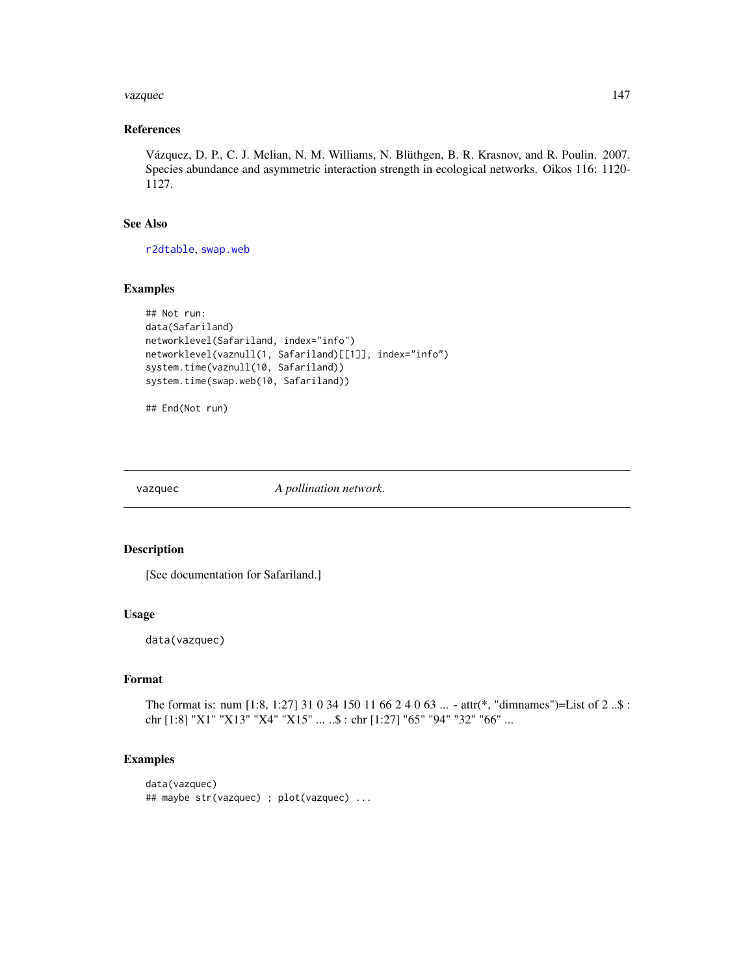#### <span id="page-146-0"></span>vazquec and the state of the state of the state of the state of the state of the state of the state of the state of the state of the state of the state of the state of the state of the state of the state of the state of th

## References

Vázquez, D. P., C. J. Melian, N. M. Williams, N. Blüthgen, B. R. Krasnov, and R. Poulin. 2007. Species abundance and asymmetric interaction strength in ecological networks. Oikos 116: 1120- 1127.

#### See Also

[r2dtable](#page-0-0), [swap.web](#page-136-0)

## Examples

```
## Not run:
data(Safariland)
networklevel(Safariland, index="info")
networklevel(vaznull(1, Safariland)[[1]], index="info")
system.time(vaznull(10, Safariland))
system.time(swap.web(10, Safariland))
```

```
## End(Not run)
```
vazquec *A pollination network.*

## Description

[See documentation for Safariland.]

#### Usage

data(vazquec)

## Format

The format is: num [1:8, 1:27] 31 0 34 150 11 66 2 4 0 63 ... - attr(\*, "dimnames")=List of 2 ..\$ : chr [1:8] "X1" "X13" "X4" "X15" ... ..\$ : chr [1:27] "65" "94" "32" "66" ...

## Examples

```
data(vazquec)
## maybe str(vazquec) ; plot(vazquec) ...
```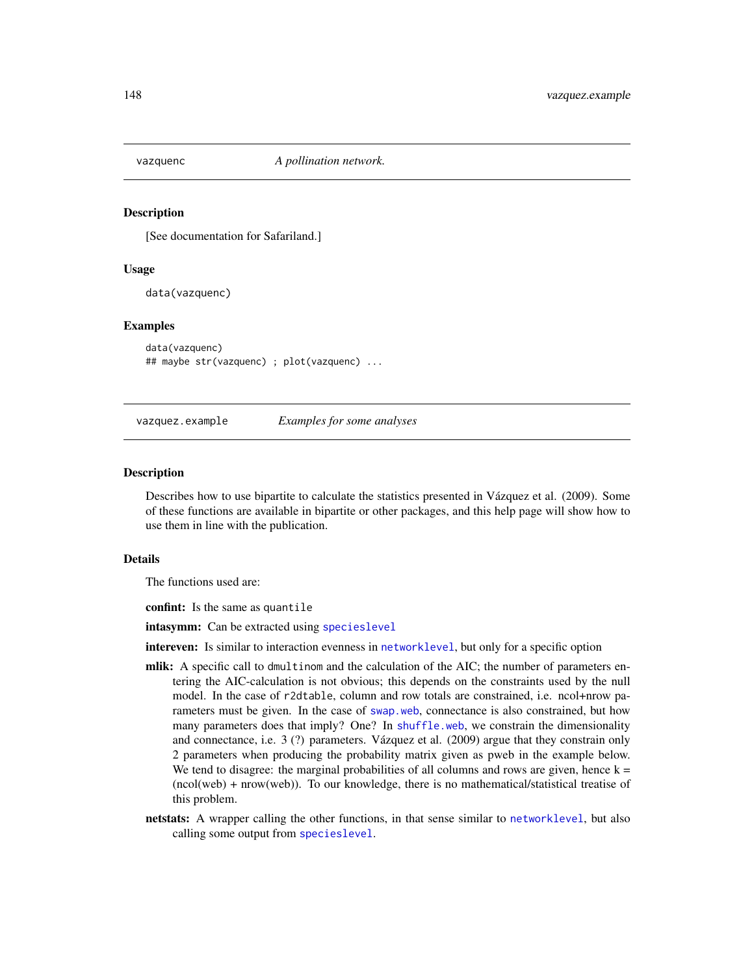<span id="page-147-0"></span>

#### Description

[See documentation for Safariland.]

#### Usage

data(vazquenc)

#### Examples

data(vazquenc) ## maybe str(vazquenc) ; plot(vazquenc) ...

vazquez.example *Examples for some analyses*

#### Description

Describes how to use bipartite to calculate the statistics presented in Vázquez et al. (2009). Some of these functions are available in bipartite or other packages, and this help page will show how to use them in line with the publication.

#### Details

The functions used are:

confint: Is the same as quantile

intasymm: Can be extracted using [specieslevel](#page-128-0)

- intereven: Is similar to interaction evenness in [networklevel](#page-80-0), but only for a specific option
- mlik: A specific call to dmultinom and the calculation of the AIC; the number of parameters entering the AIC-calculation is not obvious; this depends on the constraints used by the null model. In the case of r2dtable, column and row totals are constrained, i.e. ncol+nrow parameters must be given. In the case of [swap.web](#page-136-0), connectance is also constrained, but how many parameters does that imply? One? In [shuffle.web](#page-123-0), we constrain the dimensionality and connectance, i.e. 3 (?) parameters. Vázquez et al. (2009) argue that they constrain only 2 parameters when producing the probability matrix given as pweb in the example below. We tend to disagree: the marginal probabilities of all columns and rows are given, hence  $k =$ (ncol(web) + nrow(web)). To our knowledge, there is no mathematical/statistical treatise of this problem.
- netstats: A wrapper calling the other functions, in that sense similar to [networklevel](#page-80-0), but also calling some output from [specieslevel](#page-128-0).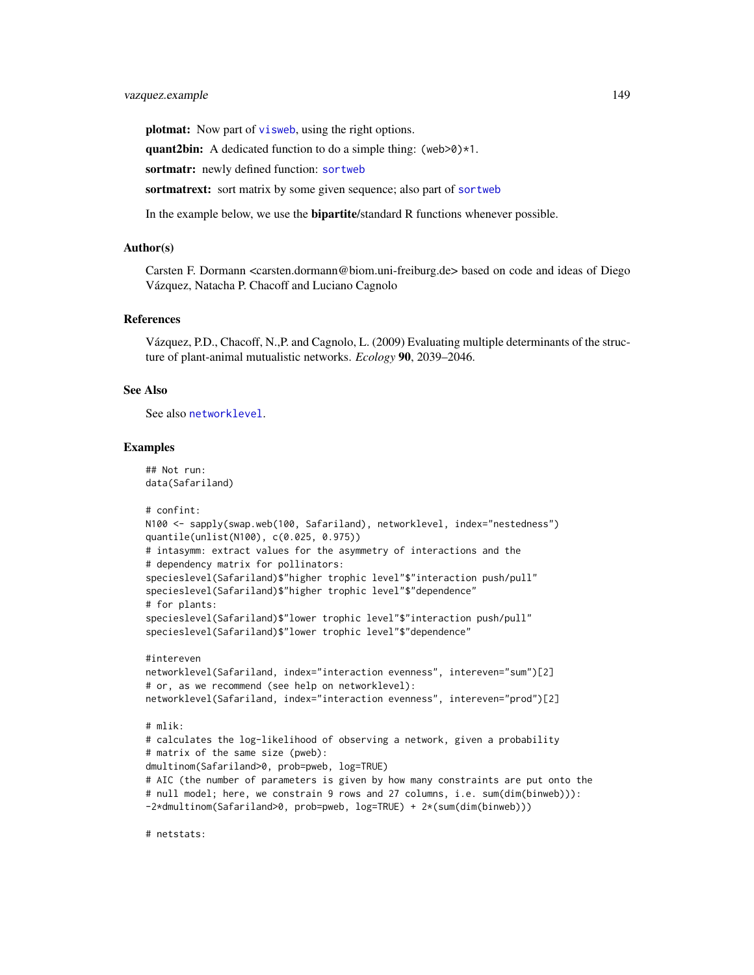## <span id="page-148-0"></span>vazquez.example 149

plotmat: Now part of [visweb](#page-158-0), using the right options.

quant2bin: A dedicated function to do a simple thing: (web>0) $*1$ .

sortmatr: newly defined function: [sortweb](#page-126-0)

sortmatrext: sort matrix by some given sequence; also part of [sortweb](#page-126-0)

In the example below, we use the **bipartite**/standard R functions whenever possible.

## Author(s)

Carsten F. Dormann <carsten.dormann@biom.uni-freiburg.de> based on code and ideas of Diego Vázquez, Natacha P. Chacoff and Luciano Cagnolo

## References

Vázquez, P.D., Chacoff, N.,P. and Cagnolo, L. (2009) Evaluating multiple determinants of the structure of plant-animal mutualistic networks. *Ecology* 90, 2039–2046.

#### See Also

See also [networklevel](#page-80-0).

#### Examples

```
## Not run:
data(Safariland)
# confint:
N100 <- sapply(swap.web(100, Safariland), networklevel, index="nestedness")
quantile(unlist(N100), c(0.025, 0.975))
# intasymm: extract values for the asymmetry of interactions and the
# dependency matrix for pollinators:
specieslevel(Safariland)$"higher trophic level"$"interaction push/pull"
specieslevel(Safariland)$"higher trophic level"$"dependence"
# for plants:
specieslevel(Safariland)$"lower trophic level"$"interaction push/pull"
specieslevel(Safariland)$"lower trophic level"$"dependence"
#intereven
networklevel(Safariland, index="interaction evenness", intereven="sum")[2]
# or, as we recommend (see help on networklevel):
networklevel(Safariland, index="interaction evenness", intereven="prod")[2]
```
## # mlik:

# calculates the log-likelihood of observing a network, given a probability # matrix of the same size (pweb): dmultinom(Safariland>0, prob=pweb, log=TRUE) # AIC (the number of parameters is given by how many constraints are put onto the # null model; here, we constrain 9 rows and 27 columns, i.e. sum(dim(binweb))):

-2\*dmultinom(Safariland>0, prob=pweb, log=TRUE) + 2\*(sum(dim(binweb)))

# netstats: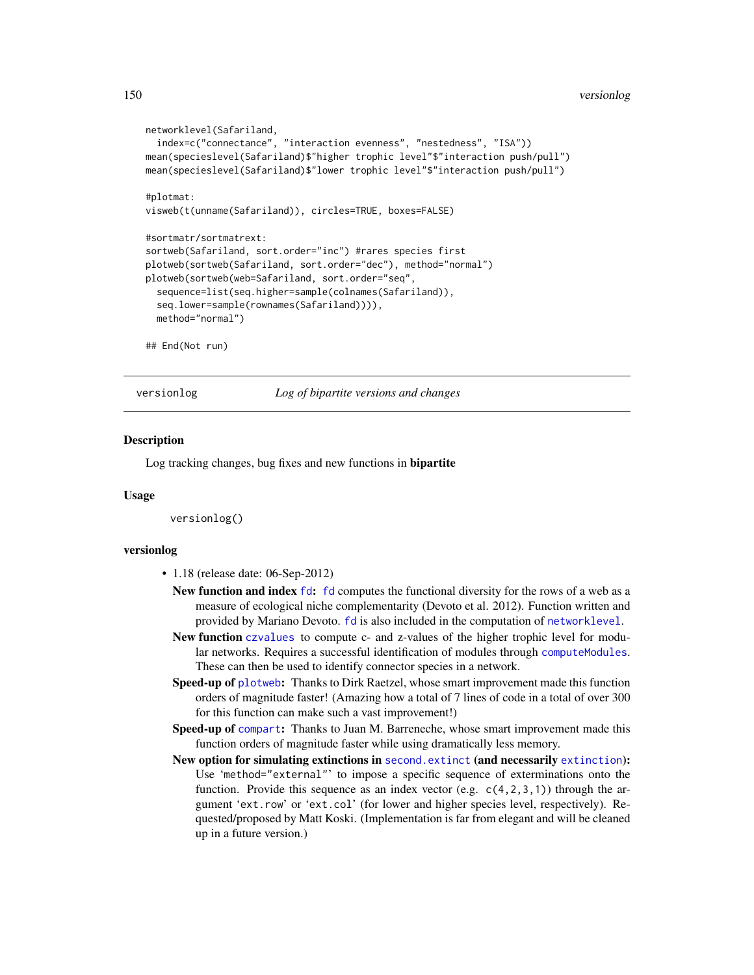```
networklevel(Safariland,
  index=c("connectance", "interaction evenness", "nestedness", "ISA"))
mean(specieslevel(Safariland)$"higher trophic level"$"interaction push/pull")
mean(specieslevel(Safariland)$"lower trophic level"$"interaction push/pull")
#plotmat:
visweb(t(unname(Safariland)), circles=TRUE, boxes=FALSE)
#sortmatr/sortmatrext:
sortweb(Safariland, sort.order="inc") #rares species first
plotweb(sortweb(Safariland, sort.order="dec"), method="normal")
plotweb(sortweb(web=Safariland, sort.order="seq",
  sequence=list(seq.higher=sample(colnames(Safariland)),
  seq.lower=sample(rownames(Safariland)))),
 method="normal")
## End(Not run)
```
versionlog *Log of bipartite versions and changes*

#### **Description**

Log tracking changes, bug fixes and new functions in bipartite

#### Usage

versionlog()

#### versionlog

- 1.18 (release date: 06-Sep-2012)
	- New function and index  $fd$ :  $fd$  computes the functional diversity for the rows of a web as a measure of ecological niche complementarity (Devoto et al. 2012). Function written and provided by Mariano Devoto. [fd](#page-47-0) is also included in the computation of [networklevel](#page-80-0).
	- New function [czvalues](#page-30-0) to compute c- and z-values of the higher trophic level for modular networks. Requires a successful identification of modules through compute Modules. These can then be used to identify connector species in a network.
	- Speed-up of [plotweb](#page-107-0): Thanks to Dirk Raetzel, whose smart improvement made this function orders of magnitude faster! (Amazing how a total of 7 lines of code in a total of over 300 for this function can make such a vast improvement!)
	- Speed-up of [compart](#page-27-0): Thanks to Juan M. Barreneche, whose smart improvement made this function orders of magnitude faster while using dramatically less memory.
	- New option for simulating extinctions in [second.extinct](#page-121-0) (and necessarily [extinction](#page-46-0)): Use 'method="external"' to impose a specific sequence of exterminations onto the function. Provide this sequence as an index vector (e.g.  $c(4,2,3,1)$ ) through the argument 'ext.row' or 'ext.col' (for lower and higher species level, respectively). Requested/proposed by Matt Koski. (Implementation is far from elegant and will be cleaned up in a future version.)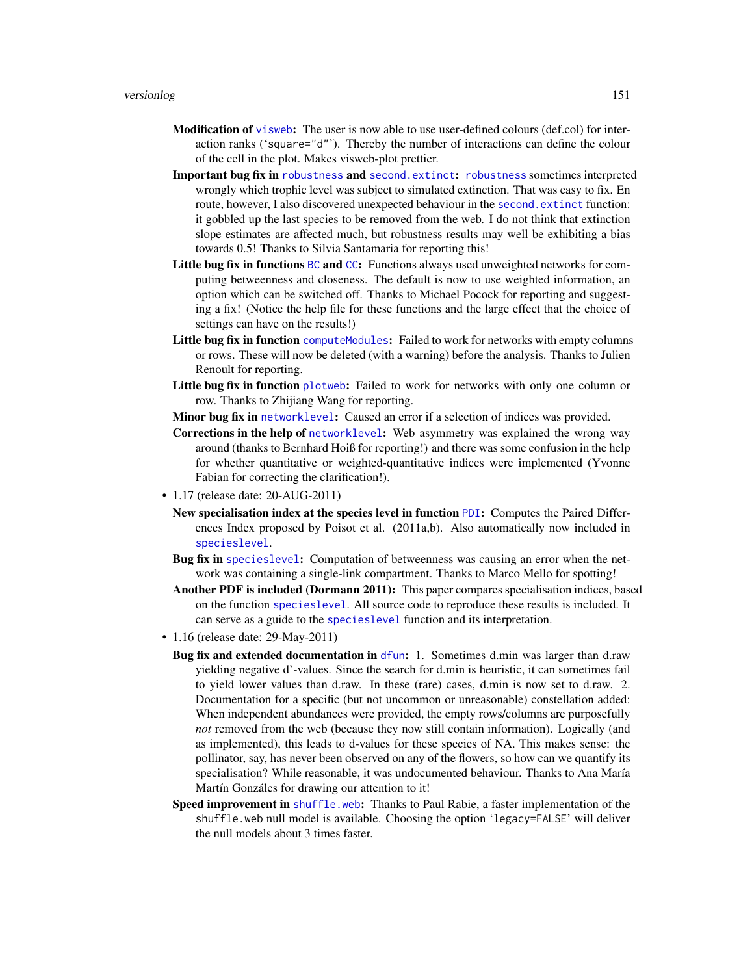- <span id="page-150-0"></span>**Modification of** [visweb](#page-158-0): The user is now able to use user-defined colours (def.col) for interaction ranks ('square="d"'). Thereby the number of interactions can define the colour of the cell in the plot. Makes visweb-plot prettier.
- Important bug fix in [robustness](#page-117-0) and [second.extinct](#page-121-0): [robustness](#page-117-0) sometimes interpreted wrongly which trophic level was subject to simulated extinction. That was easy to fix. En route, however, I also discovered unexpected behaviour in the [second.extinct](#page-121-0) function: it gobbled up the last species to be removed from the web. I do not think that extinction slope estimates are affected much, but robustness results may well be exhibiting a bias towards 0.5! Thanks to Silvia Santamaria for reporting this!
- Little bug fix in functions [BC](#page-69-0) and [CC](#page-69-0): Functions always used unweighted networks for computing betweenness and closeness. The default is now to use weighted information, an option which can be switched off. Thanks to Michael Pocock for reporting and suggesting a fix! (Notice the help file for these functions and the large effect that the choice of settings can have on the results!)
- Little bug fix in function [computeModules](#page-28-0): Failed to work for networks with empty columns or rows. These will now be deleted (with a warning) before the analysis. Thanks to Julien Renoult for reporting.
- Little bug fix in function [plotweb](#page-107-0): Failed to work for networks with only one column or row. Thanks to Zhijiang Wang for reporting.
- Minor bug fix in [networklevel](#page-80-0): Caused an error if a selection of indices was provided.
- Corrections in the help of [networklevel](#page-80-0): Web asymmetry was explained the wrong way around (thanks to Bernhard Hoiß for reporting!) and there was some confusion in the help for whether quantitative or weighted-quantitative indices were implemented (Yvonne Fabian for correcting the clarification!).
- 1.17 (release date: 20-AUG-2011)
	- New specialisation index at the species level in function [PDI](#page-103-0): Computes the Paired Differences Index proposed by Poisot et al. (2011a,b). Also automatically now included in [specieslevel](#page-128-0).
	- Bug fix in [specieslevel](#page-128-0): Computation of betweenness was causing an error when the network was containing a single-link compartment. Thanks to Marco Mello for spotting!
	- Another PDF is included (Dormann 2011): This paper compares specialisation indices, based on the function [specieslevel](#page-128-0). All source code to reproduce these results is included. It can serve as a guide to the [specieslevel](#page-128-0) function and its interpretation.
- 1.16 (release date: 29-May-2011)
	- Bug fix and extended documentation in [dfun](#page-36-0): 1. Sometimes d.min was larger than d.raw yielding negative d'-values. Since the search for d.min is heuristic, it can sometimes fail to yield lower values than d.raw. In these (rare) cases, d.min is now set to d.raw. 2. Documentation for a specific (but not uncommon or unreasonable) constellation added: When independent abundances were provided, the empty rows/columns are purposefully *not* removed from the web (because they now still contain information). Logically (and as implemented), this leads to d-values for these species of NA. This makes sense: the pollinator, say, has never been observed on any of the flowers, so how can we quantify its specialisation? While reasonable, it was undocumented behaviour. Thanks to Ana María Martín Gonzáles for drawing our attention to it!
	- Speed improvement in [shuffle.web](#page-123-0): Thanks to Paul Rabie, a faster implementation of the shuffle.web null model is available. Choosing the option 'legacy=FALSE' will deliver the null models about 3 times faster.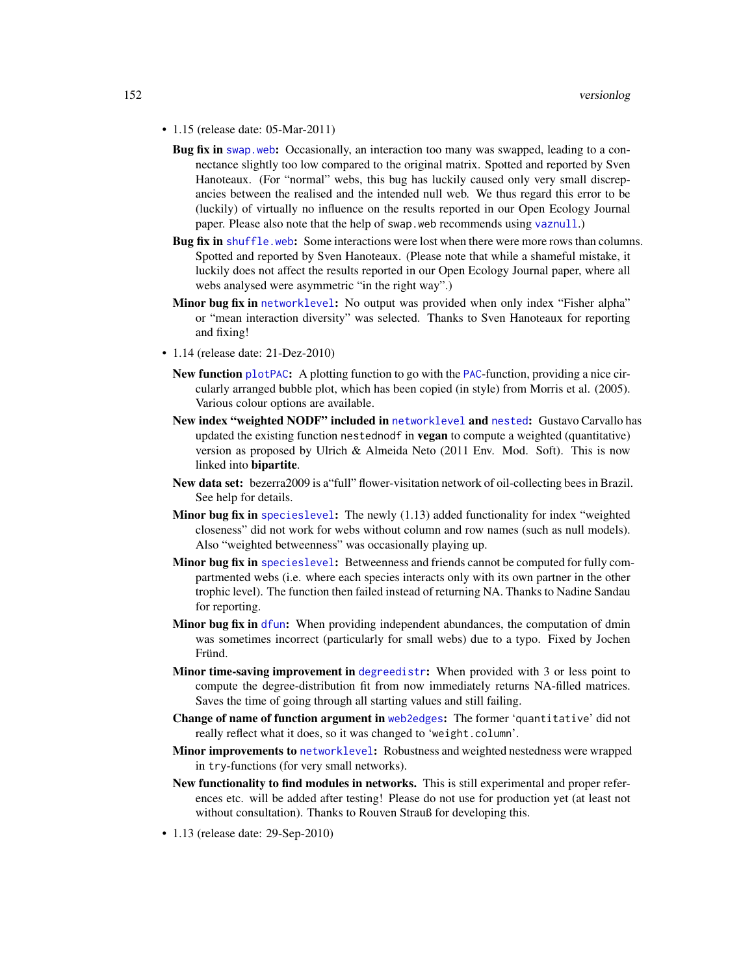- <span id="page-151-0"></span>• 1.15 (release date: 05-Mar-2011)
	- Bug fix in [swap.web](#page-136-0): Occasionally, an interaction too many was swapped, leading to a connectance slightly too low compared to the original matrix. Spotted and reported by Sven Hanoteaux. (For "normal" webs, this bug has luckily caused only very small discrepancies between the realised and the intended null web. We thus regard this error to be (luckily) of virtually no influence on the results reported in our Open Ecology Journal paper. Please also note that the help of swap.web recommends using [vaznull](#page-145-0).)
	- Bug fix in [shuffle.web](#page-123-0): Some interactions were lost when there were more rows than columns. Spotted and reported by Sven Hanoteaux. (Please note that while a shameful mistake, it luckily does not affect the results reported in our Open Ecology Journal paper, where all webs analysed were asymmetric "in the right way".)
	- Minor bug fix in [networklevel](#page-80-0): No output was provided when only index "Fisher alpha" or "mean interaction diversity" was selected. Thanks to Sven Hanoteaux for reporting and fixing!
- 1.14 (release date: 21-Dez-2010)
	- New function [plotPAC](#page-106-0): A plotting function to go with the [PAC](#page-101-0)-function, providing a nice circularly arranged bubble plot, which has been copied (in style) from Morris et al. (2005). Various colour options are available.
	- New index "weighted NODF" included in [networklevel](#page-80-0) and [nested](#page-73-0): Gustavo Carvallo has updated the existing function nestednodf in **vegan** to compute a weighted (quantitative) version as proposed by Ulrich & Almeida Neto (2011 Env. Mod. Soft). This is now linked into bipartite.
	- New data set: bezerra2009 is a"full" flower-visitation network of oil-collecting bees in Brazil. See help for details.
	- **Minor bug fix in** species level: The newly  $(1.13)$  added functionality for index "weighted closeness" did not work for webs without column and row names (such as null models). Also "weighted betweenness" was occasionally playing up.
	- Minor bug fix in [specieslevel](#page-128-0): Betweenness and friends cannot be computed for fully compartmented webs (i.e. where each species interacts only with its own partner in the other trophic level). The function then failed instead of returning NA. Thanks to Nadine Sandau for reporting.
	- Minor bug fix in [dfun](#page-36-0): When providing independent abundances, the computation of dmin was sometimes incorrect (particularly for small webs) due to a typo. Fixed by Jochen Fründ.
	- Minor time-saving improvement in [degreedistr](#page-34-0): When provided with 3 or less point to compute the degree-distribution fit from now immediately returns NA-filled matrices. Saves the time of going through all starting values and still failing.
	- Change of name of function argument in [web2edges](#page-161-0): The former 'quantitative' did not really reflect what it does, so it was changed to 'weight.column'.
	- Minor improvements to [networklevel](#page-80-0): Robustness and weighted nestedness were wrapped in try-functions (for very small networks).
	- New functionality to find modules in networks. This is still experimental and proper references etc. will be added after testing! Please do not use for production yet (at least not without consultation). Thanks to Rouven Strauß for developing this.
- 1.13 (release date: 29-Sep-2010)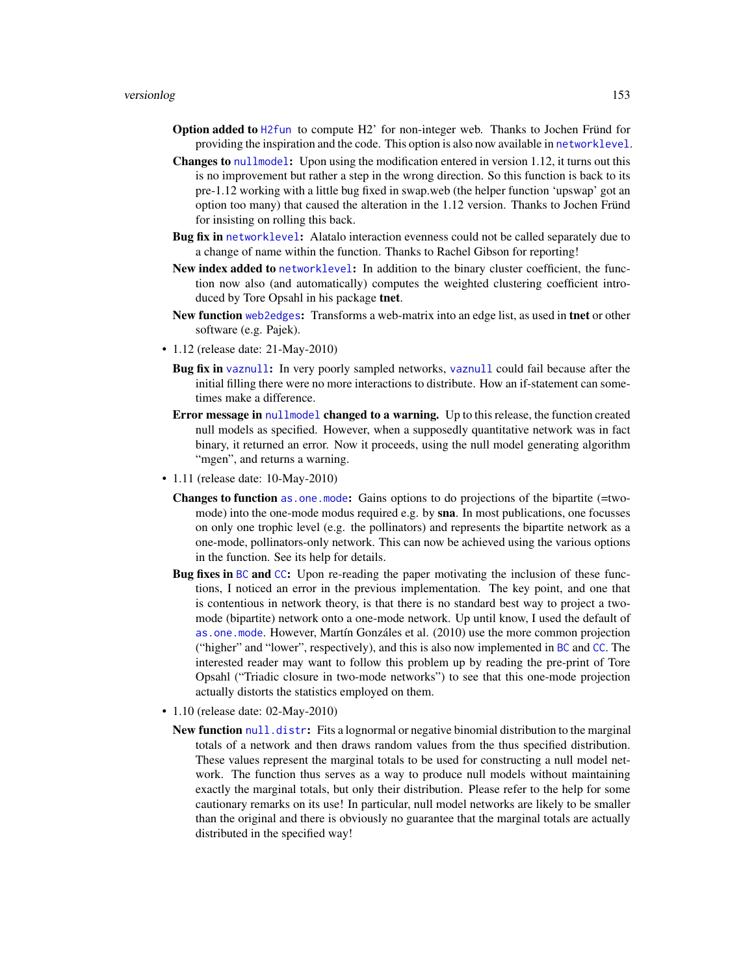- <span id="page-152-0"></span>Option added to [H2fun](#page-57-0) to compute H2' for non-integer web. Thanks to Jochen Fründ for providing the inspiration and the code. This option is also now available in [networklevel](#page-80-0).
- Changes to [nullmodel](#page-96-0): Upon using the modification entered in version 1.12, it turns out this is no improvement but rather a step in the wrong direction. So this function is back to its pre-1.12 working with a little bug fixed in swap.web (the helper function 'upswap' got an option too many) that caused the alteration in the 1.12 version. Thanks to Jochen Fründ for insisting on rolling this back.
- Bug fix in [networklevel](#page-80-0): Alatalo interaction evenness could not be called separately due to a change of name within the function. Thanks to Rachel Gibson for reporting!
- New index added to [networklevel](#page-80-0): In addition to the binary cluster coefficient, the function now also (and automatically) computes the weighted clustering coefficient introduced by Tore Opsahl in his package tnet.
- New function [web2edges](#page-161-0): Transforms a web-matrix into an edge list, as used in tnet or other software (e.g. Pajek).
- 1.12 (release date: 21-May-2010)
	- Bug fix in [vaznull](#page-145-0): In very poorly sampled networks, [vaznull](#page-145-0) could fail because after the initial filling there were no more interactions to distribute. How an if-statement can sometimes make a difference.
	- Error message in [nullmodel](#page-96-0) changed to a warning. Up to this release, the function created null models as specified. However, when a supposedly quantitative network was in fact binary, it returned an error. Now it proceeds, using the null model generating algorithm "mgen", and returns a warning.
- 1.11 (release date: 10-May-2010)
	- Changes to function [as.one.mode](#page-13-0): Gains options to do projections of the bipartite (=twomode) into the one-mode modus required e.g. by sna. In most publications, one focusses on only one trophic level (e.g. the pollinators) and represents the bipartite network as a one-mode, pollinators-only network. This can now be achieved using the various options in the function. See its help for details.
	- Bug fixes in [BC](#page-69-0) and [CC](#page-69-0): Upon re-reading the paper motivating the inclusion of these functions, I noticed an error in the previous implementation. The key point, and one that is contentious in network theory, is that there is no standard best way to project a twomode (bipartite) network onto a one-mode network. Up until know, I used the default of [as.one.mode](#page-13-0). However, Martín Gonzáles et al. (2010) use the more common projection ("higher" and "lower", respectively), and this is also now implemented in [BC](#page-69-0) and [CC](#page-69-0). The interested reader may want to follow this problem up by reading the pre-print of Tore Opsahl ("Triadic closure in two-mode networks") to see that this one-mode projection actually distorts the statistics employed on them.
- 1.10 (release date: 02-May-2010)
	- New function [null.distr](#page-93-0): Fits a lognormal or negative binomial distribution to the marginal totals of a network and then draws random values from the thus specified distribution. These values represent the marginal totals to be used for constructing a null model network. The function thus serves as a way to produce null models without maintaining exactly the marginal totals, but only their distribution. Please refer to the help for some cautionary remarks on its use! In particular, null model networks are likely to be smaller than the original and there is obviously no guarantee that the marginal totals are actually distributed in the specified way!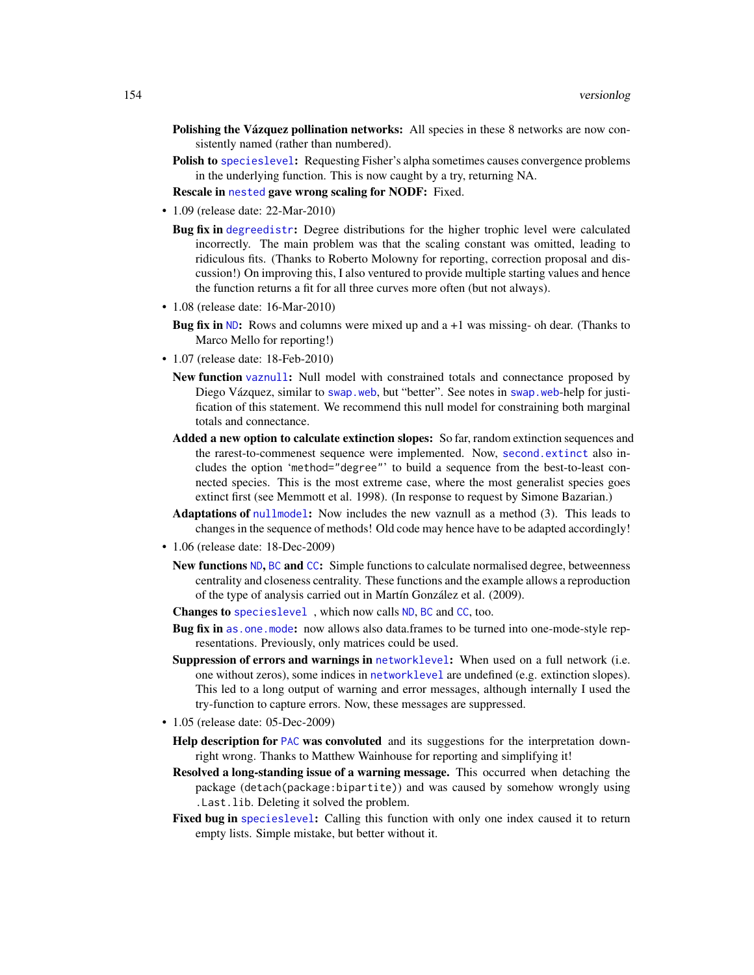- <span id="page-153-0"></span>Polishing the Vázquez pollination networks: All species in these 8 networks are now consistently named (rather than numbered).
- Polish to [specieslevel](#page-128-0): Requesting Fisher's alpha sometimes causes convergence problems in the underlying function. This is now caught by a try, returning NA.

Rescale in [nested](#page-73-0) gave wrong scaling for NODF: Fixed.

- 1.09 (release date: 22-Mar-2010)
	- Bug fix in [degreedistr](#page-34-0): Degree distributions for the higher trophic level were calculated incorrectly. The main problem was that the scaling constant was omitted, leading to ridiculous fits. (Thanks to Roberto Molowny for reporting, correction proposal and discussion!) On improving this, I also ventured to provide multiple starting values and hence the function returns a fit for all three curves more often (but not always).
- 1.08 (release date: 16-Mar-2010)
	- **Bug fix in [ND](#page-69-1):** Rows and columns were mixed up and  $a +1$  was missing- oh dear. (Thanks to Marco Mello for reporting!)
- 1.07 (release date: 18-Feb-2010)
	- New function [vaznull](#page-145-0): Null model with constrained totals and connectance proposed by Diego Vázquez, similar to [swap.web](#page-136-0), but "better". See notes in [swap.web](#page-136-0)-help for justification of this statement. We recommend this null model for constraining both marginal totals and connectance.
	- Added a new option to calculate extinction slopes: So far, random extinction sequences and the rarest-to-commenest sequence were implemented. Now, [second.extinct](#page-121-0) also includes the option 'method="degree"' to build a sequence from the best-to-least connected species. This is the most extreme case, where the most generalist species goes extinct first (see Memmott et al. 1998). (In response to request by Simone Bazarian.)
	- Adaptations of [nullmodel](#page-96-0): Now includes the new vaznull as a method (3). This leads to changes in the sequence of methods! Old code may hence have to be adapted accordingly!
- 1.06 (release date: 18-Dec-2009)
	- New functions [ND](#page-69-1), [BC](#page-69-0) and [CC](#page-69-0): Simple functions to calculate normalised degree, betweenness centrality and closeness centrality. These functions and the example allows a reproduction of the type of analysis carried out in Martín González et al. (2009).
	- Changes to [specieslevel](#page-128-0) , which now calls [ND](#page-69-1), [BC](#page-69-0) and [CC](#page-69-0), too.
	- Bug fix in [as.one.mode](#page-13-0): now allows also data.frames to be turned into one-mode-style representations. Previously, only matrices could be used.
	- Suppression of errors and warnings in [networklevel](#page-80-0): When used on a full network (i.e. one without zeros), some indices in [networklevel](#page-80-0) are undefined (e.g. extinction slopes). This led to a long output of warning and error messages, although internally I used the try-function to capture errors. Now, these messages are suppressed.
- 1.05 (release date: 05-Dec-2009)
	- Help description for [PAC](#page-101-0) was convoluted and its suggestions for the interpretation downright wrong. Thanks to Matthew Wainhouse for reporting and simplifying it!
	- Resolved a long-standing issue of a warning message. This occurred when detaching the package (detach(package:bipartite)) and was caused by somehow wrongly using .Last.lib. Deleting it solved the problem.
	- Fixed bug in [specieslevel](#page-128-0): Calling this function with only one index caused it to return empty lists. Simple mistake, but better without it.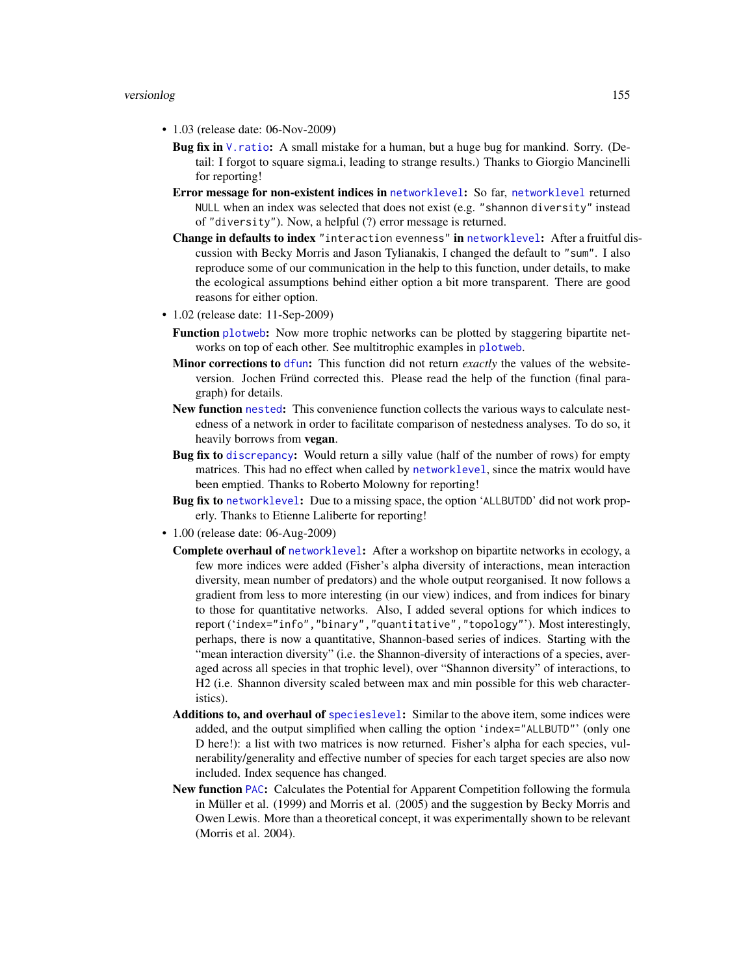- <span id="page-154-0"></span>• 1.03 (release date: 06-Nov-2009)
	- **Bug fix in** V. ratio: A small mistake for a human, but a huge bug for mankind. Sorry. (Detail: I forgot to square sigma.i, leading to strange results.) Thanks to Giorgio Mancinelli for reporting!
	- Error message for non-existent indices in [networklevel](#page-80-0): So far, [networklevel](#page-80-0) returned NULL when an index was selected that does not exist (e.g. "shannon diversity" instead of "diversity"). Now, a helpful (?) error message is returned.
	- Change in defaults to index "interaction evenness" in [networklevel](#page-80-0): After a fruitful discussion with Becky Morris and Jason Tylianakis, I changed the default to "sum". I also reproduce some of our communication in the help to this function, under details, to make the ecological assumptions behind either option a bit more transparent. There are good reasons for either option.
- 1.02 (release date: 11-Sep-2009)
	- Function [plotweb](#page-107-0): Now more trophic networks can be plotted by staggering bipartite networks on top of each other. See multitrophic examples in [plotweb](#page-107-0).
	- Minor corrections to [dfun](#page-36-0): This function did not return *exactly* the values of the websiteversion. Jochen Fründ corrected this. Please read the help of the function (final paragraph) for details.
	- New function [nested](#page-73-0): This convenience function collects the various ways to calculate nestedness of a network in order to facilitate comparison of nestedness analyses. To do so, it heavily borrows from vegan.
	- Bug fix to [discrepancy](#page-40-0): Would return a silly value (half of the number of rows) for empty matrices. This had no effect when called by [networklevel](#page-80-0), since the matrix would have been emptied. Thanks to Roberto Molowny for reporting!
	- Bug fix to [networklevel](#page-80-0): Due to a missing space, the option 'ALLBUTDD' did not work properly. Thanks to Etienne Laliberte for reporting!
- 1.00 (release date: 06-Aug-2009)
	- **Complete overhaul of [networklevel](#page-80-0):** After a workshop on bipartite networks in ecology, a few more indices were added (Fisher's alpha diversity of interactions, mean interaction diversity, mean number of predators) and the whole output reorganised. It now follows a gradient from less to more interesting (in our view) indices, and from indices for binary to those for quantitative networks. Also, I added several options for which indices to report ('index="info","binary","quantitative","topology"'). Most interestingly, perhaps, there is now a quantitative, Shannon-based series of indices. Starting with the "mean interaction diversity" (i.e. the Shannon-diversity of interactions of a species, averaged across all species in that trophic level), over "Shannon diversity" of interactions, to H2 (i.e. Shannon diversity scaled between max and min possible for this web characteristics).
	- Additions to, and overhaul of [specieslevel](#page-128-0): Similar to the above item, some indices were added, and the output simplified when calling the option 'index="ALLBUTD"' (only one D here!): a list with two matrices is now returned. Fisher's alpha for each species, vulnerability/generality and effective number of species for each target species are also now included. Index sequence has changed.
	- New function [PAC](#page-101-0): Calculates the Potential for Apparent Competition following the formula in Müller et al. (1999) and Morris et al. (2005) and the suggestion by Becky Morris and Owen Lewis. More than a theoretical concept, it was experimentally shown to be relevant (Morris et al. 2004).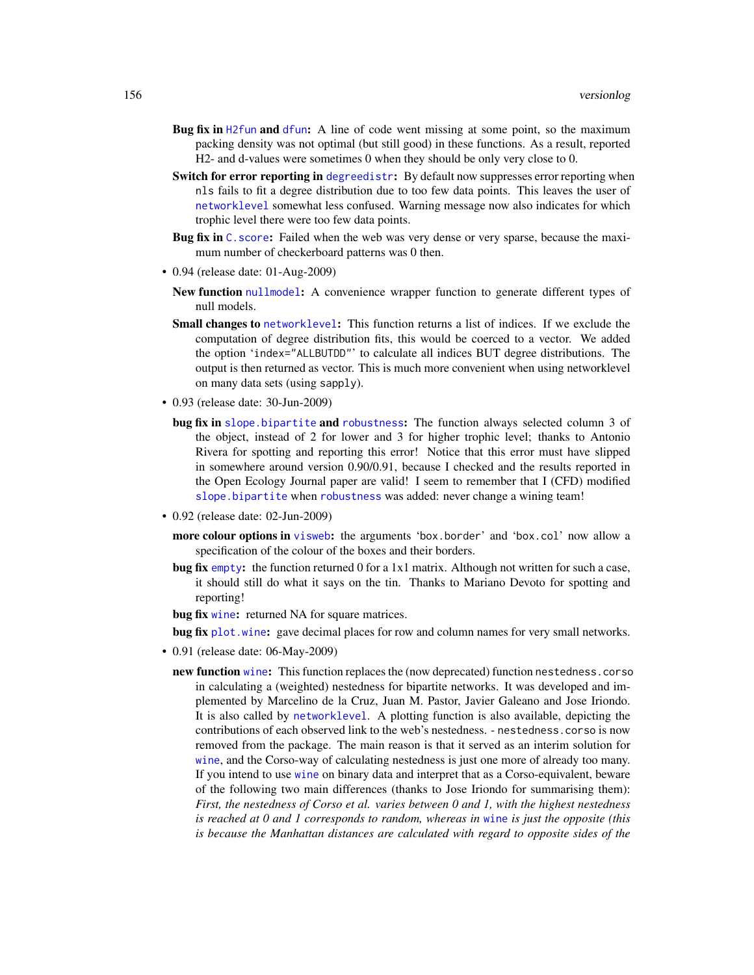- <span id="page-155-0"></span>Bug fix in [H2fun](#page-57-0) and [dfun](#page-36-0): A line of code went missing at some point, so the maximum packing density was not optimal (but still good) in these functions. As a result, reported H2- and d-values were sometimes 0 when they should be only very close to 0.
- Switch for error reporting in [degreedistr](#page-34-0): By default now suppresses error reporting when nls fails to fit a degree distribution due to too few data points. This leaves the user of [networklevel](#page-80-0) somewhat less confused. Warning message now also indicates for which trophic level there were too few data points.
- Bug fix in C. score: Failed when the web was very dense or very sparse, because the maximum number of checkerboard patterns was 0 then.
- 0.94 (release date: 01-Aug-2009)
	- New function [nullmodel](#page-96-0): A convenience wrapper function to generate different types of null models.
	- Small changes to [networklevel](#page-80-0): This function returns a list of indices. If we exclude the computation of degree distribution fits, this would be coerced to a vector. We added the option 'index="ALLBUTDD"' to calculate all indices BUT degree distributions. The output is then returned as vector. This is much more convenient when using networklevel on many data sets (using sapply).
- 0.93 (release date: 30-Jun-2009)
	- bug fix in [slope.bipartite](#page-124-0) and [robustness](#page-117-0): The function always selected column 3 of the object, instead of 2 for lower and 3 for higher trophic level; thanks to Antonio Rivera for spotting and reporting this error! Notice that this error must have slipped in somewhere around version 0.90/0.91, because I checked and the results reported in the Open Ecology Journal paper are valid! I seem to remember that I (CFD) modified [slope.bipartite](#page-124-0) when [robustness](#page-117-0) was added: never change a wining team!
- 0.92 (release date: 02-Jun-2009)
	- more colour options in [visweb](#page-158-0): the arguments 'box.border' and 'box.col' now allow a specification of the colour of the boxes and their borders.
	- bug fix [empty](#page-44-0): the function returned 0 for a 1x1 matrix. Although not written for such a case, it should still do what it says on the tin. Thanks to Mariano Devoto for spotting and reporting!
	- bug fix [wine](#page-163-0): returned NA for square matrices.
	- bug fix [plot.wine](#page-163-1): gave decimal places for row and column names for very small networks.
- 0.91 (release date: 06-May-2009)
	- new function [wine](#page-163-0): This function replaces the (now deprecated) function nestedness.corso in calculating a (weighted) nestedness for bipartite networks. It was developed and implemented by Marcelino de la Cruz, Juan M. Pastor, Javier Galeano and Jose Iriondo. It is also called by [networklevel](#page-80-0). A plotting function is also available, depicting the contributions of each observed link to the web's nestedness. - nestedness.corso is now removed from the package. The main reason is that it served as an interim solution for [wine](#page-163-0), and the Corso-way of calculating nestedness is just one more of already too many. If you intend to use [wine](#page-163-0) on binary data and interpret that as a Corso-equivalent, beware of the following two main differences (thanks to Jose Iriondo for summarising them): *First, the nestedness of Corso et al. varies between 0 and 1, with the highest nestedness is reached at 0 and 1 corresponds to random, whereas in* [wine](#page-163-0) *is just the opposite (this is because the Manhattan distances are calculated with regard to opposite sides of the*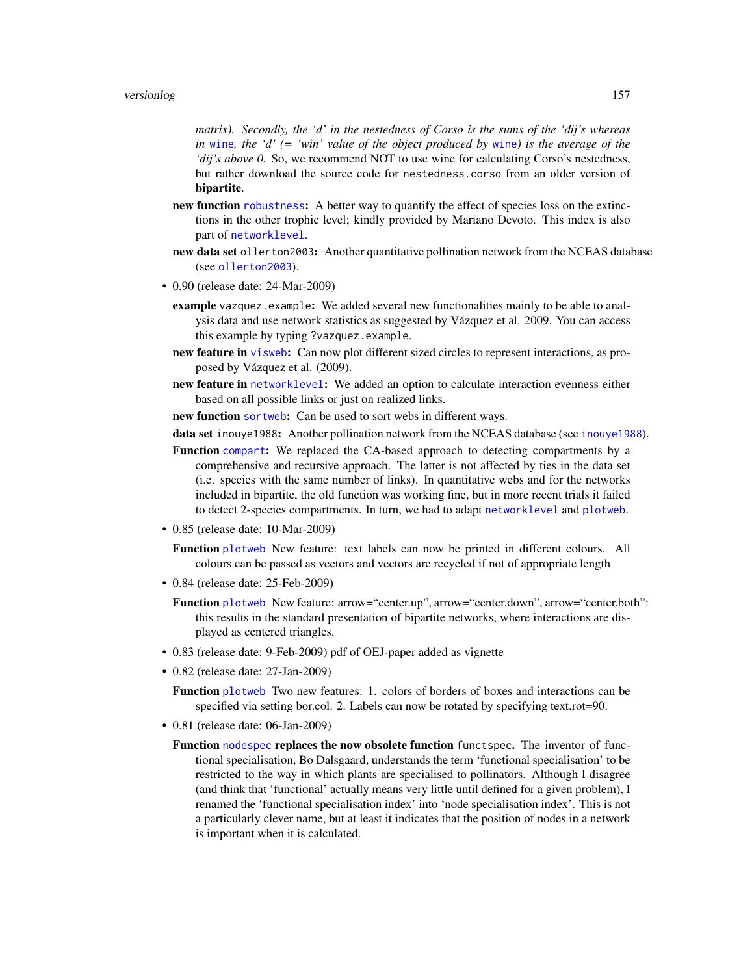<span id="page-156-0"></span>*matrix). Secondly, the 'd' in the nestedness of Corso is the sums of the 'dij's whereas in* [wine](#page-163-0)*, the 'd' (= 'win' value of the object produced by* [wine](#page-163-0)*) is the average of the 'dij's above 0.* So, we recommend NOT to use wine for calculating Corso's nestedness, but rather download the source code for nestedness.corso from an older version of bipartite.

- new function [robustness](#page-117-0): A better way to quantify the effect of species loss on the extinctions in the other trophic level; kindly provided by Mariano Devoto. This index is also part of [networklevel](#page-80-0).
- new data set ollerton2003: Another quantitative pollination network from the NCEAS database (see [ollerton2003](#page-100-0)).
- 0.90 (release date: 24-Mar-2009)
	- example vazquez.example: We added several new functionalities mainly to be able to analysis data and use network statistics as suggested by Vázquez et al. 2009. You can access this example by typing ?vazquez.example.
	- new feature in [visweb](#page-158-0): Can now plot different sized circles to represent interactions, as proposed by Vázquez et al. (2009).
	- new feature in [networklevel](#page-80-0): We added an option to calculate interaction evenness either based on all possible links or just on realized links.
	- new function [sortweb](#page-126-0): Can be used to sort webs in different ways.

data set [inouye1988](#page-58-0): Another pollination network from the NCEAS database (see inouye1988).

- Function [compart](#page-27-0): We replaced the CA-based approach to detecting compartments by a comprehensive and recursive approach. The latter is not affected by ties in the data set (i.e. species with the same number of links). In quantitative webs and for the networks included in bipartite, the old function was working fine, but in more recent trials it failed to detect 2-species compartments. In turn, we had to adapt [networklevel](#page-80-0) and [plotweb](#page-107-0).
- 0.85 (release date: 10-Mar-2009)

Function [plotweb](#page-107-0) New feature: text labels can now be printed in different colours. All colours can be passed as vectors and vectors are recycled if not of appropriate length

- 0.84 (release date: 25-Feb-2009)
	- Function [plotweb](#page-107-0) New feature: arrow="center.up", arrow="center.down", arrow="center.both": this results in the standard presentation of bipartite networks, where interactions are displayed as centered triangles.
- 0.83 (release date: 9-Feb-2009) pdf of OEJ-paper added as vignette
- 0.82 (release date: 27-Jan-2009)
	- Function [plotweb](#page-107-0) Two new features: 1. colors of borders of boxes and interactions can be specified via setting bor.col. 2. Labels can now be rotated by specifying text.rot=90.
- 0.81 (release date: 06-Jan-2009)
	- Function [nodespec](#page-89-0) replaces the now obsolete function functspec. The inventor of functional specialisation, Bo Dalsgaard, understands the term 'functional specialisation' to be restricted to the way in which plants are specialised to pollinators. Although I disagree (and think that 'functional' actually means very little until defined for a given problem), I renamed the 'functional specialisation index' into 'node specialisation index'. This is not a particularly clever name, but at least it indicates that the position of nodes in a network is important when it is calculated.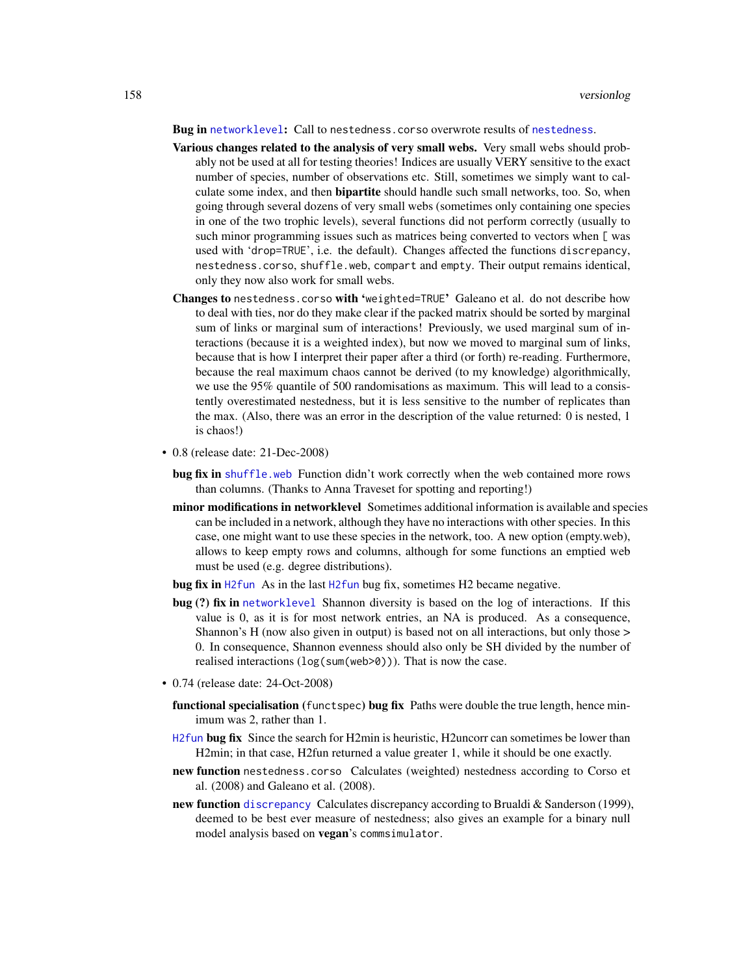#### <span id="page-157-0"></span>Bug in [networklevel](#page-80-0): Call to [nestedness](#page-77-0).corso overwrote results of nestedness.

- Various changes related to the analysis of very small webs. Very small webs should probably not be used at all for testing theories! Indices are usually VERY sensitive to the exact number of species, number of observations etc. Still, sometimes we simply want to calculate some index, and then **bipartite** should handle such small networks, too. So, when going through several dozens of very small webs (sometimes only containing one species in one of the two trophic levels), several functions did not perform correctly (usually to such minor programming issues such as matrices being converted to vectors when [ was used with 'drop=TRUE', i.e. the default). Changes affected the functions discrepancy, nestedness.corso, shuffle.web, compart and empty. Their output remains identical, only they now also work for small webs.
- Changes to nestedness.corso with 'weighted=TRUE' Galeano et al. do not describe how to deal with ties, nor do they make clear if the packed matrix should be sorted by marginal sum of links or marginal sum of interactions! Previously, we used marginal sum of interactions (because it is a weighted index), but now we moved to marginal sum of links, because that is how I interpret their paper after a third (or forth) re-reading. Furthermore, because the real maximum chaos cannot be derived (to my knowledge) algorithmically, we use the 95% quantile of 500 randomisations as maximum. This will lead to a consistently overestimated nestedness, but it is less sensitive to the number of replicates than the max. (Also, there was an error in the description of the value returned: 0 is nested, 1 is chaos!)
- 0.8 (release date: 21-Dec-2008)
	- bug fix in [shuffle.web](#page-123-0) Function didn't work correctly when the web contained more rows than columns. (Thanks to Anna Traveset for spotting and reporting!)
	- minor modifications in networklevel Sometimes additional information is available and species can be included in a network, although they have no interactions with other species. In this case, one might want to use these species in the network, too. A new option (empty.web), allows to keep empty rows and columns, although for some functions an emptied web must be used (e.g. degree distributions).
	- bug fix in [H2fun](#page-57-0) As in the last [H2fun](#page-57-0) bug fix, sometimes H2 became negative.
	- bug (?) fix in [networklevel](#page-80-0) Shannon diversity is based on the log of interactions. If this value is 0, as it is for most network entries, an NA is produced. As a consequence, Shannon's H (now also given in output) is based not on all interactions, but only those > 0. In consequence, Shannon evenness should also only be SH divided by the number of realised interactions (log(sum(web>0))). That is now the case.
- 0.74 (release date: 24-Oct-2008)
	- functional specialisation (functspec) bug fix Paths were double the true length, hence minimum was 2, rather than 1.
	- [H2fun](#page-57-0) bug fix Since the search for H2min is heuristic, H2uncorr can sometimes be lower than H2min; in that case, H2fun returned a value greater 1, while it should be one exactly.
	- new function nestedness.corso Calculates (weighted) nestedness according to Corso et al. (2008) and Galeano et al. (2008).
	- new function [discrepancy](#page-40-0) Calculates discrepancy according to Brualdi & Sanderson (1999), deemed to be best ever measure of nestedness; also gives an example for a binary null model analysis based on vegan's commsimulator.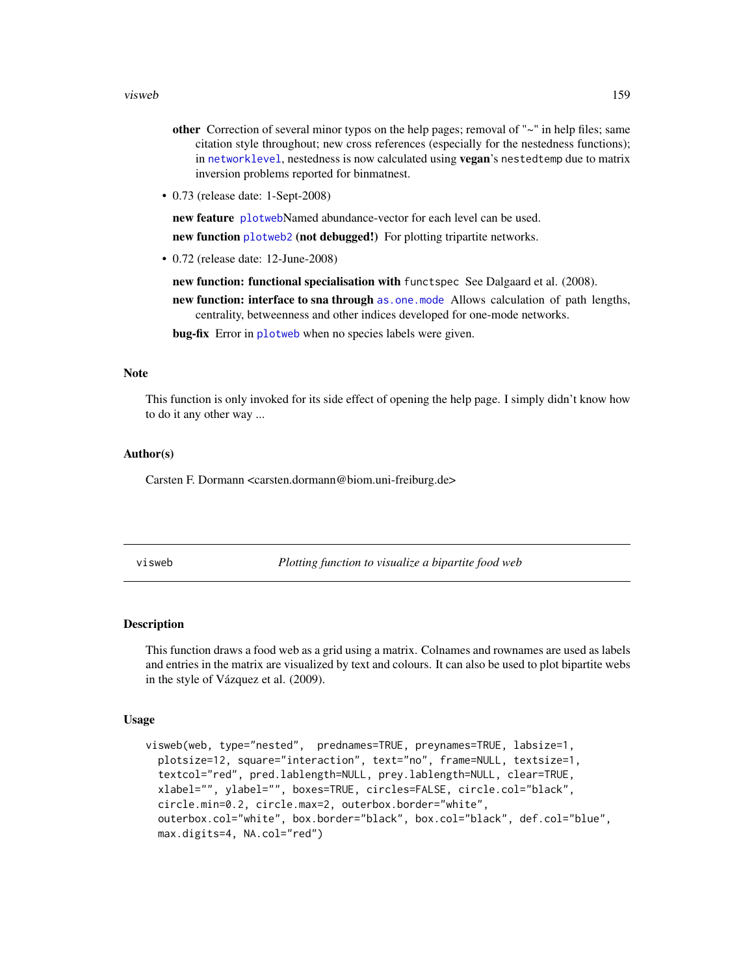#### <span id="page-158-1"></span>visweb 159

- other Correction of several minor typos on the help pages; removal of  $"~\sim"$  in help files; same citation style throughout; new cross references (especially for the nestedness functions); in [networklevel](#page-80-0), nestedness is now calculated using vegan's nestedtemp due to matrix inversion problems reported for binmatnest.
- 0.73 (release date: 1-Sept-2008)

new feature [plotweb](#page-107-0)Named abundance-vector for each level can be used.

new function [plotweb2](#page-112-0) (not debugged!) For plotting tripartite networks.

• 0.72 (release date: 12-June-2008)

new function: functional specialisation with functspec See Dalgaard et al. (2008).

new function: interface to sna through [as.one.mode](#page-13-0) Allows calculation of path lengths, centrality, betweenness and other indices developed for one-mode networks.

bug-fix Error in [plotweb](#page-107-0) when no species labels were given.

#### Note

This function is only invoked for its side effect of opening the help page. I simply didn't know how to do it any other way ...

#### Author(s)

Carsten F. Dormann <carsten.dormann@biom.uni-freiburg.de>

<span id="page-158-0"></span>visweb *Plotting function to visualize a bipartite food web*

#### Description

This function draws a food web as a grid using a matrix. Colnames and rownames are used as labels and entries in the matrix are visualized by text and colours. It can also be used to plot bipartite webs in the style of Vázquez et al. (2009).

#### Usage

```
visweb(web, type="nested", prednames=TRUE, preynames=TRUE, labsize=1,
 plotsize=12, square="interaction", text="no", frame=NULL, textsize=1,
  textcol="red", pred.lablength=NULL, prey.lablength=NULL, clear=TRUE,
  xlabel="", ylabel="", boxes=TRUE, circles=FALSE, circle.col="black",
  circle.min=0.2, circle.max=2, outerbox.border="white",
 outerbox.col="white", box.border="black", box.col="black", def.col="blue",
 max.digits=4, NA.col="red")
```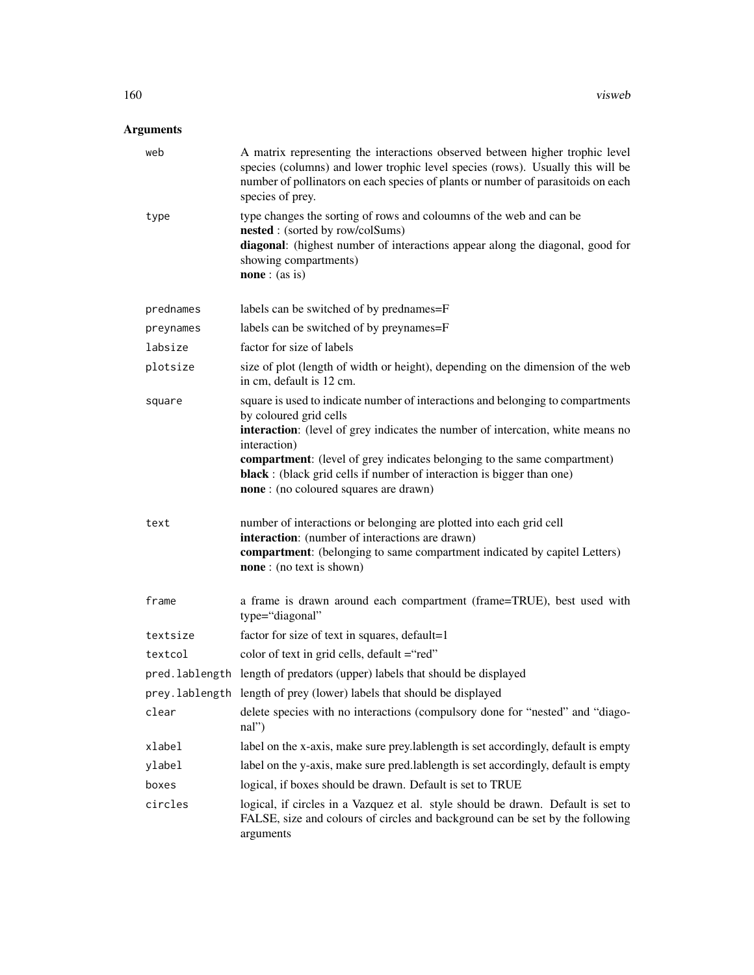## Arguments

| web       | A matrix representing the interactions observed between higher trophic level<br>species (columns) and lower trophic level species (rows). Usually this will be<br>number of pollinators on each species of plants or number of parasitoids on each<br>species of prey.                                                                                                                                             |
|-----------|--------------------------------------------------------------------------------------------------------------------------------------------------------------------------------------------------------------------------------------------------------------------------------------------------------------------------------------------------------------------------------------------------------------------|
| type      | type changes the sorting of rows and coloumns of the web and can be<br><b>nested</b> : (sorted by row/colSums)<br>diagonal: (highest number of interactions appear along the diagonal, good for<br>showing compartments)<br><b>none</b> : $(as is)$                                                                                                                                                                |
| prednames | labels can be switched of by prednames=F                                                                                                                                                                                                                                                                                                                                                                           |
| preynames | labels can be switched of by preynames=F                                                                                                                                                                                                                                                                                                                                                                           |
| labsize   | factor for size of labels                                                                                                                                                                                                                                                                                                                                                                                          |
| plotsize  | size of plot (length of width or height), depending on the dimension of the web<br>in cm, default is 12 cm.                                                                                                                                                                                                                                                                                                        |
| square    | square is used to indicate number of interactions and belonging to compartments<br>by coloured grid cells<br>interaction: (level of grey indicates the number of intercation, white means no<br>interaction)<br><b>compartment:</b> (level of grey indicates belonging to the same compartment)<br>black : (black grid cells if number of interaction is bigger than one)<br>none: (no coloured squares are drawn) |
| text      | number of interactions or belonging are plotted into each grid cell<br>interaction: (number of interactions are drawn)<br>compartment: (belonging to same compartment indicated by capitel Letters)<br>none: (no text is shown)                                                                                                                                                                                    |
| frame     | a frame is drawn around each compartment (frame=TRUE), best used with<br>type="diagonal"                                                                                                                                                                                                                                                                                                                           |
| textsize  | factor for size of text in squares, default=1                                                                                                                                                                                                                                                                                                                                                                      |
| textcol   | color of text in grid cells, default = "red"                                                                                                                                                                                                                                                                                                                                                                       |
|           | pred. lablength length of predators (upper) labels that should be displayed                                                                                                                                                                                                                                                                                                                                        |
|           | prey. lablength length of prey (lower) labels that should be displayed                                                                                                                                                                                                                                                                                                                                             |
| clear     | delete species with no interactions (compulsory done for "nested" and "diago-<br>$\text{nal''}$                                                                                                                                                                                                                                                                                                                    |
| xlabel    | label on the x-axis, make sure prey.lablength is set accordingly, default is empty                                                                                                                                                                                                                                                                                                                                 |
| ylabel    | label on the y-axis, make sure pred.lablength is set accordingly, default is empty                                                                                                                                                                                                                                                                                                                                 |
| boxes     | logical, if boxes should be drawn. Default is set to TRUE                                                                                                                                                                                                                                                                                                                                                          |
| circles   | logical, if circles in a Vazquez et al. style should be drawn. Default is set to<br>FALSE, size and colours of circles and background can be set by the following<br>arguments                                                                                                                                                                                                                                     |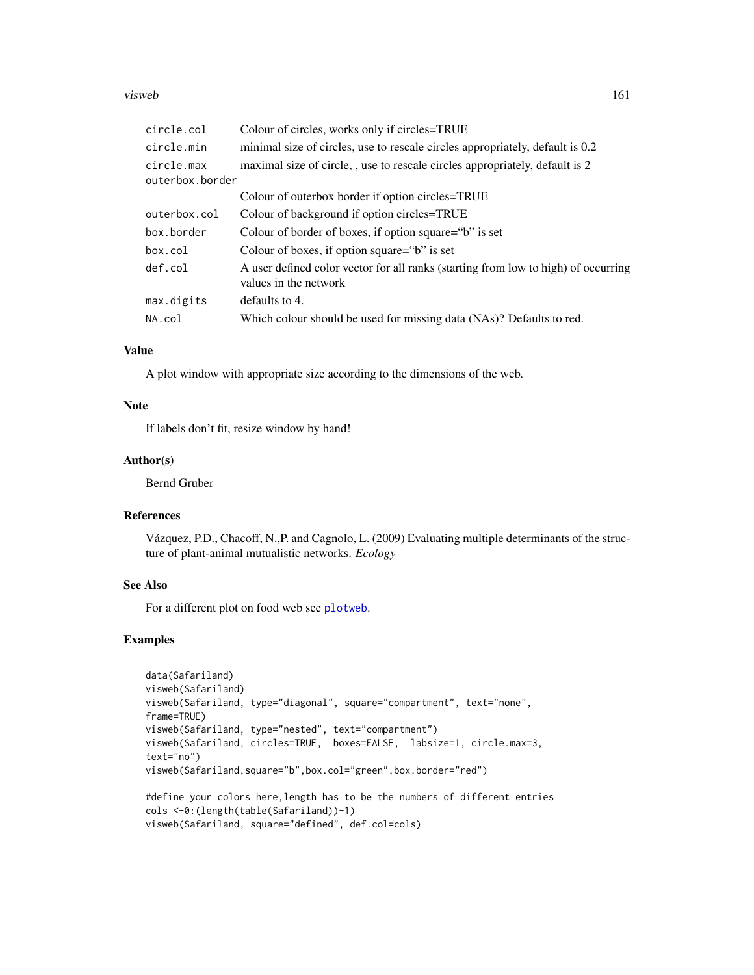#### <span id="page-160-0"></span>visweb 161

| circle.col                    | Colour of circles, works only if circles=TRUE                                                               |
|-------------------------------|-------------------------------------------------------------------------------------------------------------|
| circle.min                    | minimal size of circles, use to rescale circles appropriately, default is 0.2                               |
| circle.max<br>outerbox.border | maximal size of circle, , use to rescale circles appropriately, default is 2                                |
|                               | Colour of outerbox border if option circles=TRUE                                                            |
| outerbox.col                  | Colour of background if option circles=TRUE                                                                 |
| box.border                    | Colour of border of boxes, if option square="b" is set                                                      |
| box.col                       | Colour of boxes, if option square="b" is set                                                                |
| def.col                       | A user defined color vector for all ranks (starting from low to high) of occurring<br>values in the network |
| max.digits                    | defaults to 4.                                                                                              |
| NA.col                        | Which colour should be used for missing data (NAs)? Defaults to red.                                        |

#### Value

A plot window with appropriate size according to the dimensions of the web.

#### Note

If labels don't fit, resize window by hand!

## Author(s)

Bernd Gruber

## References

Vázquez, P.D., Chacoff, N.,P. and Cagnolo, L. (2009) Evaluating multiple determinants of the structure of plant-animal mutualistic networks. *Ecology*

#### See Also

For a different plot on food web see [plotweb](#page-107-0).

#### Examples

```
data(Safariland)
visweb(Safariland)
visweb(Safariland, type="diagonal", square="compartment", text="none",
frame=TRUE)
visweb(Safariland, type="nested", text="compartment")
visweb(Safariland, circles=TRUE, boxes=FALSE, labsize=1, circle.max=3,
text="no")
visweb(Safariland,square="b",box.col="green",box.border="red")
#define your colors here,length has to be the numbers of different entries
```

```
cols <-0:(length(table(Safariland))-1)
visweb(Safariland, square="defined", def.col=cols)
```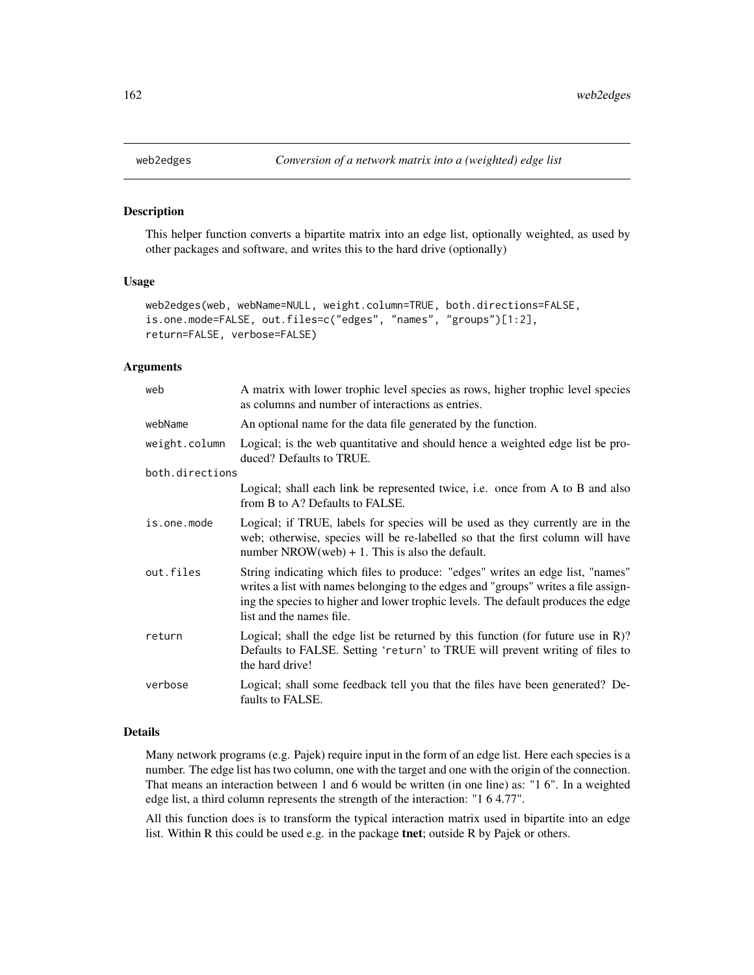#### Description

This helper function converts a bipartite matrix into an edge list, optionally weighted, as used by other packages and software, and writes this to the hard drive (optionally)

#### Usage

```
web2edges(web, webName=NULL, weight.column=TRUE, both.directions=FALSE,
is.one.mode=FALSE, out.files=c("edges", "names", "groups")[1:2],
return=FALSE, verbose=FALSE)
```
#### Arguments

| web             | A matrix with lower trophic level species as rows, higher trophic level species<br>as columns and number of interactions as entries.                                                                                                                                                  |
|-----------------|---------------------------------------------------------------------------------------------------------------------------------------------------------------------------------------------------------------------------------------------------------------------------------------|
| webName         | An optional name for the data file generated by the function.                                                                                                                                                                                                                         |
| weight.column   | Logical; is the web quantitative and should hence a weighted edge list be pro-<br>duced? Defaults to TRUE.                                                                                                                                                                            |
| both.directions |                                                                                                                                                                                                                                                                                       |
|                 | Logical; shall each link be represented twice, i.e. once from A to B and also<br>from B to A? Defaults to FALSE.                                                                                                                                                                      |
| is.one.mode     | Logical; if TRUE, labels for species will be used as they currently are in the<br>web; otherwise, species will be re-labelled so that the first column will have<br>number NROW(web) + 1. This is also the default.                                                                   |
| out.files       | String indicating which files to produce: "edges" writes an edge list, "names"<br>writes a list with names belonging to the edges and "groups" writes a file assign-<br>ing the species to higher and lower trophic levels. The default produces the edge<br>list and the names file. |
| return          | Logical; shall the edge list be returned by this function (for future use in $R$ )?<br>Defaults to FALSE. Setting 'return' to TRUE will prevent writing of files to<br>the hard drive!                                                                                                |
| verbose         | Logical; shall some feedback tell you that the files have been generated? De-<br>faults to FALSE.                                                                                                                                                                                     |

## Details

Many network programs (e.g. Pajek) require input in the form of an edge list. Here each species is a number. The edge list has two column, one with the target and one with the origin of the connection. That means an interaction between 1 and 6 would be written (in one line) as: "1 6". In a weighted edge list, a third column represents the strength of the interaction: "1 6 4.77".

All this function does is to transform the typical interaction matrix used in bipartite into an edge list. Within R this could be used e.g. in the package tnet; outside R by Pajek or others.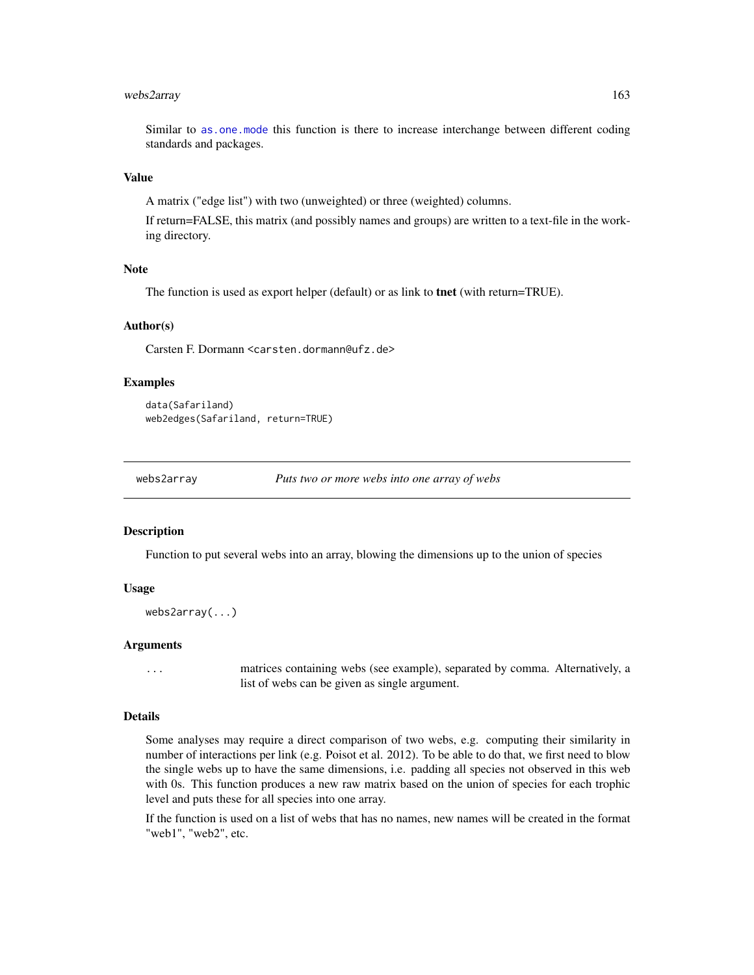## <span id="page-162-0"></span>webs2array 163

Similar to [as.one.mode](#page-13-0) this function is there to increase interchange between different coding standards and packages.

#### Value

A matrix ("edge list") with two (unweighted) or three (weighted) columns.

If return=FALSE, this matrix (and possibly names and groups) are written to a text-file in the working directory.

#### Note

The function is used as export helper (default) or as link to **tnet** (with return=TRUE).

## Author(s)

Carsten F. Dormann <carsten.dormann@ufz.de>

#### Examples

```
data(Safariland)
web2edges(Safariland, return=TRUE)
```
webs2array *Puts two or more webs into one array of webs*

#### **Description**

Function to put several webs into an array, blowing the dimensions up to the union of species

#### Usage

```
webs2array(...)
```
#### Arguments

... matrices containing webs (see example), separated by comma. Alternatively, a list of webs can be given as single argument.

#### Details

Some analyses may require a direct comparison of two webs, e.g. computing their similarity in number of interactions per link (e.g. Poisot et al. 2012). To be able to do that, we first need to blow the single webs up to have the same dimensions, i.e. padding all species not observed in this web with 0s. This function produces a new raw matrix based on the union of species for each trophic level and puts these for all species into one array.

If the function is used on a list of webs that has no names, new names will be created in the format "web1", "web2", etc.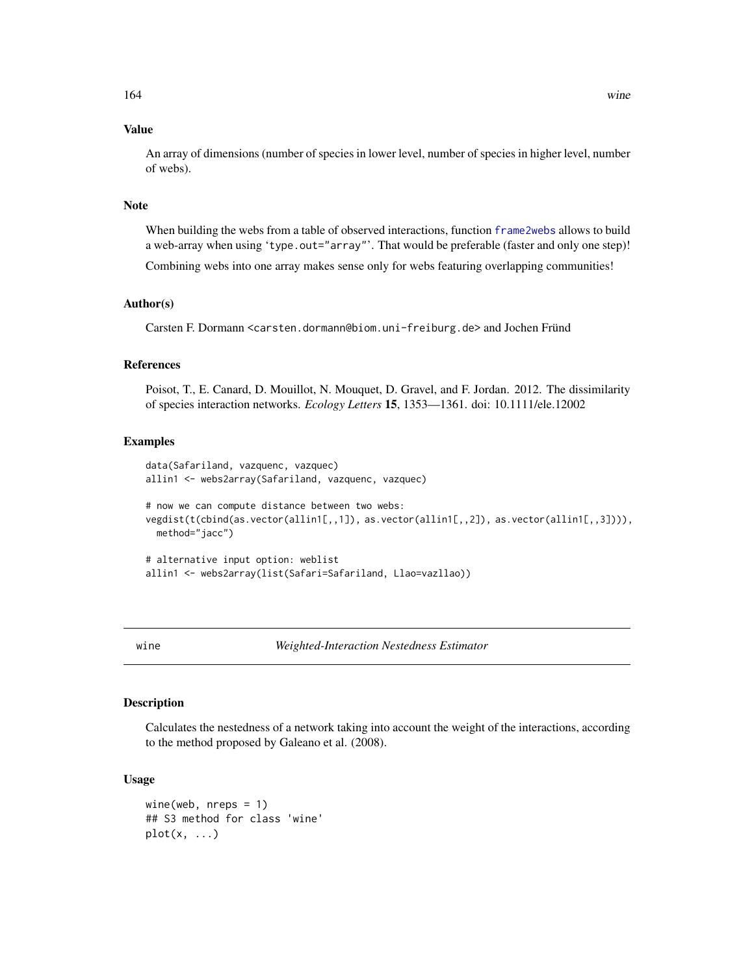## <span id="page-163-2"></span>Value

An array of dimensions (number of species in lower level, number of species in higher level, number of webs).

## Note

When building the webs from a table of observed interactions, function [frame2webs](#page-48-0) allows to build a web-array when using 'type.out="array"'. That would be preferable (faster and only one step)!

Combining webs into one array makes sense only for webs featuring overlapping communities!

## Author(s)

Carsten F. Dormann <carsten.dormann@biom.uni-freiburg.de> and Jochen Fründ

## References

Poisot, T., E. Canard, D. Mouillot, N. Mouquet, D. Gravel, and F. Jordan. 2012. The dissimilarity of species interaction networks. *Ecology Letters* 15, 1353—1361. doi: 10.1111/ele.12002

#### Examples

```
data(Safariland, vazquenc, vazquec)
allin1 <- webs2array(Safariland, vazquenc, vazquec)
# now we can compute distance between two webs:
vegdist(t(cbind(as.vector(allin1[,,1]), as.vector(allin1[,,2]), as.vector(allin1[,,3]))),
 method="jacc")
# alternative input option: weblist
allin1 <- webs2array(list(Safari=Safariland, Llao=vazllao))
```
<span id="page-163-0"></span>

wine *Weighted-Interaction Nestedness Estimator*

## <span id="page-163-1"></span>Description

Calculates the nestedness of a network taking into account the weight of the interactions, according to the method proposed by Galeano et al. (2008).

#### Usage

```
wine(web, nreps = 1)
## S3 method for class 'wine'
plot(x, \ldots)
```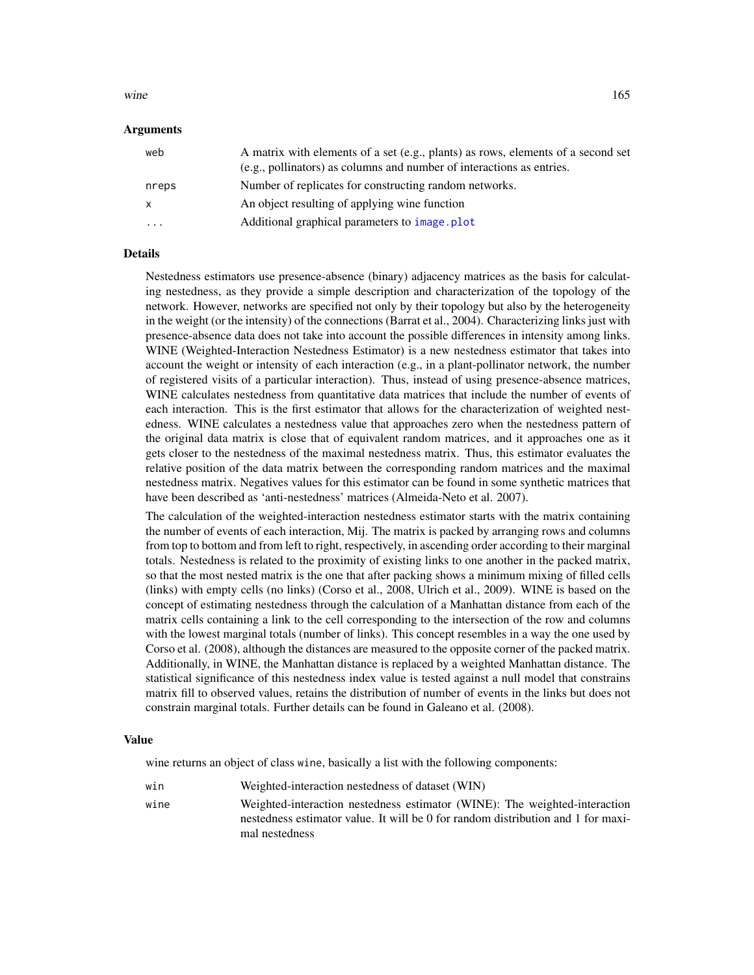#### <span id="page-164-0"></span>wine the state of the state of the state of the state of the state of the state of the state of the state of the state of the state of the state of the state of the state of the state of the state of the state of the state

#### Arguments

| web                     | A matrix with elements of a set (e.g., plants) as rows, elements of a second set<br>(e.g., pollinators) as columns and number of interactions as entries. |
|-------------------------|-----------------------------------------------------------------------------------------------------------------------------------------------------------|
| nreps                   | Number of replicates for constructing random networks.                                                                                                    |
| X                       | An object resulting of applying wine function                                                                                                             |
| $\cdot$ $\cdot$ $\cdot$ | Additional graphical parameters to image.plot                                                                                                             |

#### Details

Nestedness estimators use presence-absence (binary) adjacency matrices as the basis for calculating nestedness, as they provide a simple description and characterization of the topology of the network. However, networks are specified not only by their topology but also by the heterogeneity in the weight (or the intensity) of the connections (Barrat et al., 2004). Characterizing links just with presence-absence data does not take into account the possible differences in intensity among links. WINE (Weighted-Interaction Nestedness Estimator) is a new nestedness estimator that takes into account the weight or intensity of each interaction (e.g., in a plant-pollinator network, the number of registered visits of a particular interaction). Thus, instead of using presence-absence matrices, WINE calculates nestedness from quantitative data matrices that include the number of events of each interaction. This is the first estimator that allows for the characterization of weighted nestedness. WINE calculates a nestedness value that approaches zero when the nestedness pattern of the original data matrix is close that of equivalent random matrices, and it approaches one as it gets closer to the nestedness of the maximal nestedness matrix. Thus, this estimator evaluates the relative position of the data matrix between the corresponding random matrices and the maximal nestedness matrix. Negatives values for this estimator can be found in some synthetic matrices that have been described as 'anti-nestedness' matrices (Almeida-Neto et al. 2007).

The calculation of the weighted-interaction nestedness estimator starts with the matrix containing the number of events of each interaction, Mij. The matrix is packed by arranging rows and columns from top to bottom and from left to right, respectively, in ascending order according to their marginal totals. Nestedness is related to the proximity of existing links to one another in the packed matrix, so that the most nested matrix is the one that after packing shows a minimum mixing of filled cells (links) with empty cells (no links) (Corso et al., 2008, Ulrich et al., 2009). WINE is based on the concept of estimating nestedness through the calculation of a Manhattan distance from each of the matrix cells containing a link to the cell corresponding to the intersection of the row and columns with the lowest marginal totals (number of links). This concept resembles in a way the one used by Corso et al. (2008), although the distances are measured to the opposite corner of the packed matrix. Additionally, in WINE, the Manhattan distance is replaced by a weighted Manhattan distance. The statistical significance of this nestedness index value is tested against a null model that constrains matrix fill to observed values, retains the distribution of number of events in the links but does not constrain marginal totals. Further details can be found in Galeano et al. (2008).

#### Value

wine returns an object of class wine, basically a list with the following components:

win Weighted-interaction nestedness of dataset (WIN) wine Weighted-interaction nestedness estimator (WINE): The weighted-interaction nestedness estimator value. It will be 0 for random distribution and 1 for maximal nestedness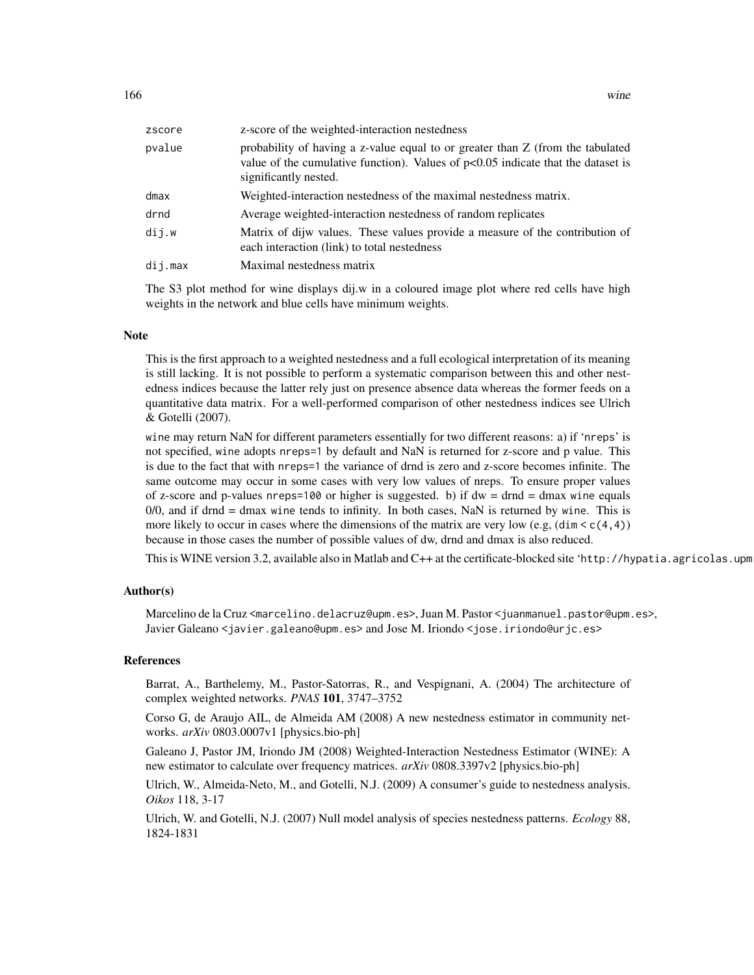| zscore  | z-score of the weighted-interaction nestedness                                                                                                                                                |
|---------|-----------------------------------------------------------------------------------------------------------------------------------------------------------------------------------------------|
| pvalue  | probability of having a z-value equal to or greater than Z (from the tabulated<br>value of the cumulative function). Values of $p<0.05$ indicate that the dataset is<br>significantly nested. |
| dmax    | Weighted-interaction nestedness of the maximal nestedness matrix.                                                                                                                             |
| drnd    | Average weighted-interaction nestedness of random replicates                                                                                                                                  |
| dij.w   | Matrix of dijw values. These values provide a measure of the contribution of<br>each interaction (link) to total nestedness                                                                   |
| dij.max | Maximal nestedness matrix                                                                                                                                                                     |

The S3 plot method for wine displays dij.w in a coloured image plot where red cells have high weights in the network and blue cells have minimum weights.

#### **Note**

This is the first approach to a weighted nestedness and a full ecological interpretation of its meaning is still lacking. It is not possible to perform a systematic comparison between this and other nestedness indices because the latter rely just on presence absence data whereas the former feeds on a quantitative data matrix. For a well-performed comparison of other nestedness indices see Ulrich & Gotelli (2007).

wine may return NaN for different parameters essentially for two different reasons: a) if 'nreps' is not specified, wine adopts nreps=1 by default and NaN is returned for z-score and p value. This is due to the fact that with nreps=1 the variance of drnd is zero and z-score becomes infinite. The same outcome may occur in some cases with very low values of nreps. To ensure proper values of z-score and p-values nreps=100 or higher is suggested. b) if  $dw = dr = d$  max wine equals  $0/0$ , and if drnd = dmax wine tends to infinity. In both cases, NaN is returned by wine. This is more likely to occur in cases where the dimensions of the matrix are very low (e.g,  $(\dim \leq c(4,4))$ ) because in those cases the number of possible values of dw, drnd and dmax is also reduced.

This is WINE version 3.2, available also in Matlab and C++ at the certificate-blocked site 'http://hypatia.agricolas.upm

#### Author(s)

Marcelino de la Cruz <marcelino.delacruz@upm.es>, Juan M. Pastor <juanmanuel.pastor@upm.es>, Javier Galeano <javier.galeano@upm.es> and Jose M. Iriondo <jose.iriondo@urjc.es>

#### References

Barrat, A., Barthelemy, M., Pastor-Satorras, R., and Vespignani, A. (2004) The architecture of complex weighted networks. *PNAS* 101, 3747–3752

Corso G, de Araujo AIL, de Almeida AM (2008) A new nestedness estimator in community networks. *arXiv* 0803.0007v1 [physics.bio-ph]

Galeano J, Pastor JM, Iriondo JM (2008) Weighted-Interaction Nestedness Estimator (WINE): A new estimator to calculate over frequency matrices. *arXiv* 0808.3397v2 [physics.bio-ph]

Ulrich, W., Almeida-Neto, M., and Gotelli, N.J. (2009) A consumer's guide to nestedness analysis. *Oikos* 118, 3-17

Ulrich, W. and Gotelli, N.J. (2007) Null model analysis of species nestedness patterns. *Ecology* 88, 1824-1831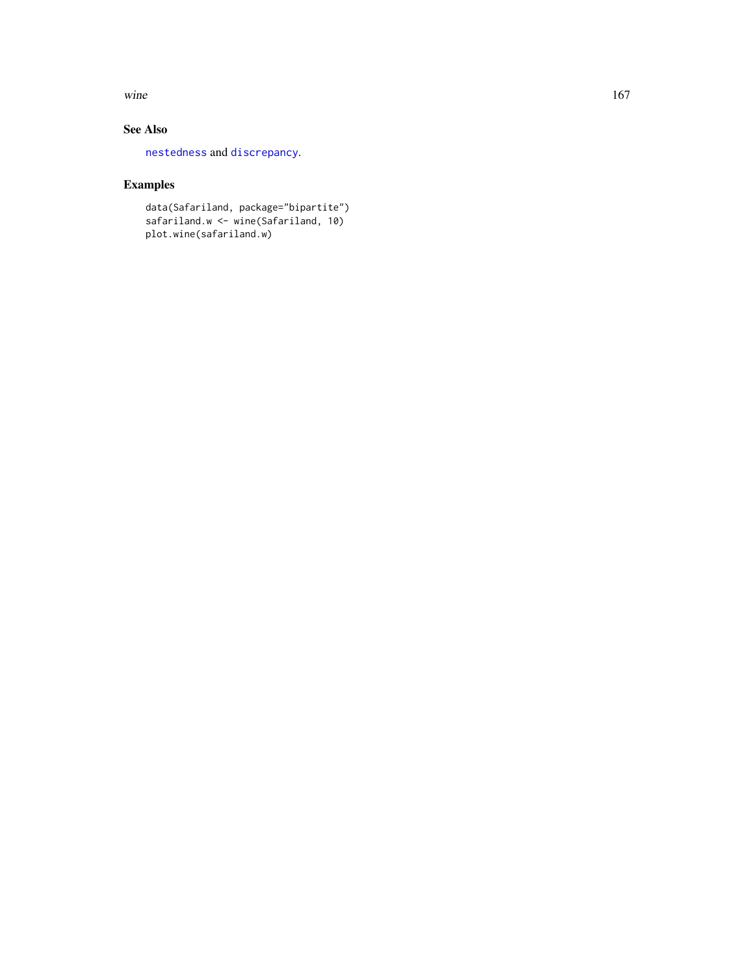<span id="page-166-0"></span>wine  $167$ 

## See Also

[nestedness](#page-77-0) and [discrepancy](#page-40-0).

## Examples

data(Safariland, package="bipartite") safariland.w <- wine(Safariland, 10) plot.wine(safariland.w)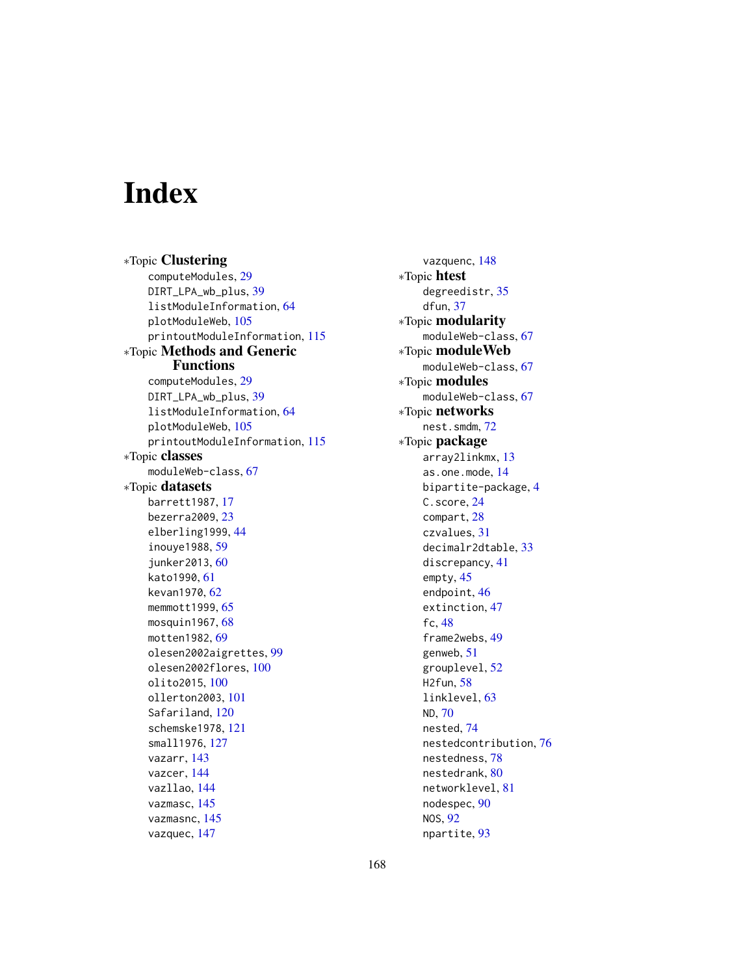# Index

∗Topic Clustering computeModules, [29](#page-28-1) DIRT\_LPA\_wb\_plus, [39](#page-38-0) listModuleInformation, [64](#page-63-0) plotModuleWeb, [105](#page-104-0) printoutModuleInformation, [115](#page-114-0) ∗Topic Methods and Generic Functions computeModules, [29](#page-28-1) DIRT\_LPA\_wb\_plus, [39](#page-38-0) listModuleInformation, [64](#page-63-0) plotModuleWeb, [105](#page-104-0) printoutModuleInformation, [115](#page-114-0) ∗Topic classes moduleWeb-class, [67](#page-66-0) ∗Topic datasets barrett1987, [17](#page-16-0) bezerra2009, [23](#page-22-0) elberling1999, [44](#page-43-0) inouye1988, [59](#page-58-1) junker2013, [60](#page-59-0) kato1990, [61](#page-60-0) kevan1970, [62](#page-61-0) memmott1999, [65](#page-64-0) mosquin1967, [68](#page-67-0) motten1982, [69](#page-68-0) olesen2002aigrettes, [99](#page-98-0) olesen2002flores, [100](#page-99-0) olito2015, [100](#page-99-0) ollerton2003, [101](#page-100-1) Safariland, [120](#page-119-0) schemske1978, [121](#page-120-0) small1976, [127](#page-126-1) vazarr, [143](#page-142-0) vazcer, [144](#page-143-0) vazllao, [144](#page-143-0) vazmasc, [145](#page-144-0) vazmasnc, [145](#page-144-0) vazquec, [147](#page-146-0)

vazquenc, [148](#page-147-0) ∗Topic htest degreedistr, [35](#page-34-1) dfun, [37](#page-36-1) ∗Topic modularity moduleWeb-class, [67](#page-66-0) ∗Topic moduleWeb moduleWeb-class, [67](#page-66-0) ∗Topic modules moduleWeb-class, [67](#page-66-0) ∗Topic networks nest.smdm, [72](#page-71-0) ∗Topic package array2linkmx, [13](#page-12-0) as.one.mode, [14](#page-13-1) bipartite-package, [4](#page-3-0) C.score, [24](#page-23-1) compart, [28](#page-27-1) czvalues, [31](#page-30-1) decimalr2dtable, [33](#page-32-0) discrepancy, [41](#page-40-1) empty, [45](#page-44-1) endpoint, [46](#page-45-0) extinction, [47](#page-46-1) fc, [48](#page-47-1) frame2webs, [49](#page-48-1) genweb, [51](#page-50-0) grouplevel, [52](#page-51-0) H2fun, [58](#page-57-1) linklevel, [63](#page-62-0) ND, [70](#page-69-2) nested, [74](#page-73-1) nestedcontribution, [76](#page-75-0) nestedness, [78](#page-77-1) nestedrank, [80](#page-79-0) networklevel, [81](#page-80-1) nodespec, [90](#page-89-1) NOS, [92](#page-91-0) npartite, [93](#page-92-0)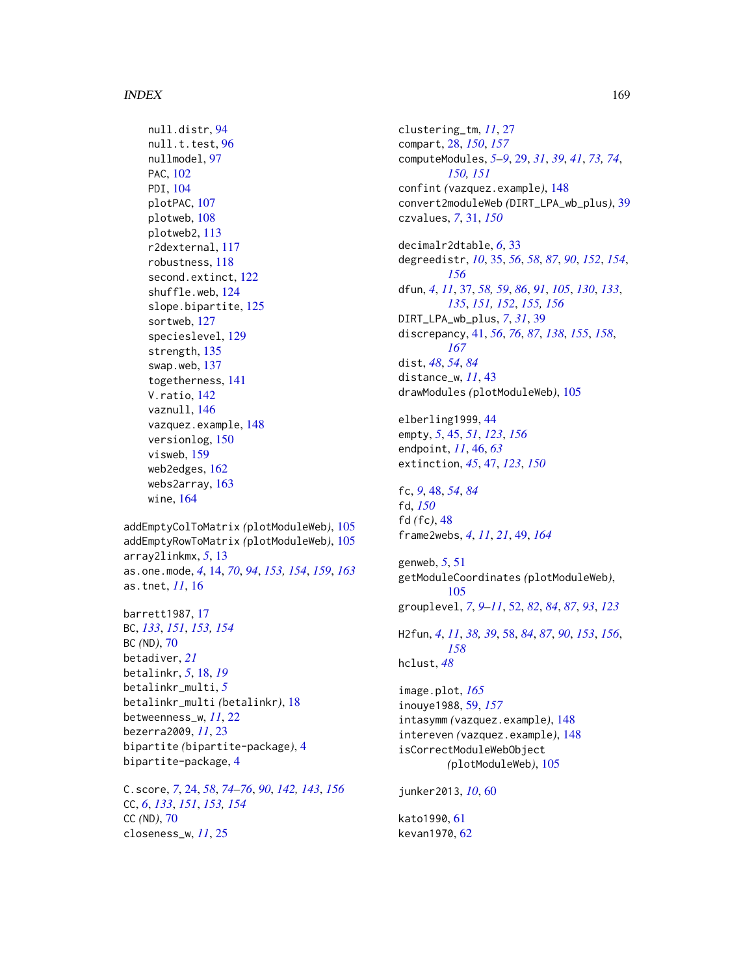#### INDEX  $169$

```
null.distr, 94
96
nullmodel, 97
PAC, 102
PDI, 104
plotPAC, 107
plotweb, 108
plotweb2, 113
r2dexternal, 117
robustness, 118
second.extinct, 122
shuffle.web, 124
slope.bipartite, 125
sortweb, 127
specieslevel, 129
strength, 135
swap.web, 137
togetherness, 141
V.ratio, 142
vaznull, 146
vazquez.example, 148
versionlog, 150
visweb, 159
web2edges, 162
webs2array, 163
wine, 164
```
addEmptyColToMatrix *(*plotModuleWeb*)*, [105](#page-104-0) addEmptyRowToMatrix *(*plotModuleWeb*)*, [105](#page-104-0) array2linkmx, *[5](#page-4-0)*, [13](#page-12-0) as.one.mode, *[4](#page-3-0)*, [14,](#page-13-1) *[70](#page-69-2)*, *[94](#page-93-1)*, *[153,](#page-152-0) [154](#page-153-0)*, *[159](#page-158-1)*, *[163](#page-162-0)* as.tnet, *[11](#page-10-0)*, [16](#page-15-0)

barrett1987, [17](#page-16-0) BC, *[133](#page-132-0)*, *[151](#page-150-0)*, *[153,](#page-152-0) [154](#page-153-0)* BC *(*ND*)*, [70](#page-69-2) betadiver, *[21](#page-20-0)* betalinkr, *[5](#page-4-0)*, [18,](#page-17-0) *[19](#page-18-0)* betalinkr\_multi, *[5](#page-4-0)* betalinkr\_multi *(*betalinkr*)*, [18](#page-17-0) betweenness\_w, *[11](#page-10-0)*, [22](#page-21-0) bezerra2009, *[11](#page-10-0)*, [23](#page-22-0) bipartite *(*bipartite-package*)*, [4](#page-3-0) bipartite-package, [4](#page-3-0)

C.score, *[7](#page-6-0)*, [24,](#page-23-1) *[58](#page-57-1)*, *[74](#page-73-1)[–76](#page-75-0)*, *[90](#page-89-1)*, *[142,](#page-141-1) [143](#page-142-0)*, *[156](#page-155-0)* CC, *[6](#page-5-0)*, *[133](#page-132-0)*, *[151](#page-150-0)*, *[153,](#page-152-0) [154](#page-153-0)* CC *(*ND*)*, [70](#page-69-2) closeness\_w, *[11](#page-10-0)*, [25](#page-24-0)

clustering\_tm, *[11](#page-10-0)*, [27](#page-26-0) compart, [28,](#page-27-1) *[150](#page-149-0)*, *[157](#page-156-0)* computeModules, *[5](#page-4-0)[–9](#page-8-0)*, [29,](#page-28-1) *[31](#page-30-1)*, *[39](#page-38-0)*, *[41](#page-40-1)*, *[73,](#page-72-0) [74](#page-73-1)*, *[150,](#page-149-0) [151](#page-150-0)* confint *(*vazquez.example*)*, [148](#page-147-0) convert2moduleWeb *(*DIRT\_LPA\_wb\_plus*)*, [39](#page-38-0) czvalues, *[7](#page-6-0)*, [31,](#page-30-1) *[150](#page-149-0)*

decimalr2dtable, *[6](#page-5-0)*, [33](#page-32-0) degreedistr, *[10](#page-9-0)*, [35,](#page-34-1) *[56](#page-55-0)*, *[58](#page-57-1)*, *[87](#page-86-0)*, *[90](#page-89-1)*, *[152](#page-151-0)*, *[154](#page-153-0)*, *[156](#page-155-0)* dfun, *[4](#page-3-0)*, *[11](#page-10-0)*, [37,](#page-36-1) *[58,](#page-57-1) [59](#page-58-1)*, *[86](#page-85-0)*, *[91](#page-90-0)*, *[105](#page-104-0)*, *[130](#page-129-0)*, *[133](#page-132-0)*, *[135](#page-134-0)*, *[151,](#page-150-0) [152](#page-151-0)*, *[155,](#page-154-0) [156](#page-155-0)* DIRT\_LPA\_wb\_plus, *[7](#page-6-0)*, *[31](#page-30-1)*, [39](#page-38-0) discrepancy, [41,](#page-40-1) *[56](#page-55-0)*, *[76](#page-75-0)*, *[87](#page-86-0)*, *[138](#page-137-0)*, *[155](#page-154-0)*, *[158](#page-157-0)*, *[167](#page-166-0)* dist, *[48](#page-47-1)*, *[54](#page-53-0)*, *[84](#page-83-0)* distance\_w, *[11](#page-10-0)*, [43](#page-42-0) drawModules *(*plotModuleWeb*)*, [105](#page-104-0)

elberling1999, [44](#page-43-0) empty, *[5](#page-4-0)*, [45,](#page-44-1) *[51](#page-50-0)*, *[123](#page-122-0)*, *[156](#page-155-0)* endpoint, *[11](#page-10-0)*, [46,](#page-45-0) *[63](#page-62-0)* extinction, *[45](#page-44-1)*, [47,](#page-46-1) *[123](#page-122-0)*, *[150](#page-149-0)*

fc, *[9](#page-8-0)*, [48,](#page-47-1) *[54](#page-53-0)*, *[84](#page-83-0)* fd, *[150](#page-149-0)* fd *(*fc*)*, [48](#page-47-1) frame2webs, *[4](#page-3-0)*, *[11](#page-10-0)*, *[21](#page-20-0)*, [49,](#page-48-1) *[164](#page-163-2)*

genweb, *[5](#page-4-0)*, [51](#page-50-0) getModuleCoordinates *(*plotModuleWeb*)*, [105](#page-104-0) grouplevel, *[7](#page-6-0)*, *[9](#page-8-0)[–11](#page-10-0)*, [52,](#page-51-0) *[82](#page-81-0)*, *[84](#page-83-0)*, *[87](#page-86-0)*, *[93](#page-92-0)*, *[123](#page-122-0)* H2fun, *[4](#page-3-0)*, *[11](#page-10-0)*, *[38,](#page-37-0) [39](#page-38-0)*, [58,](#page-57-1) *[84](#page-83-0)*, *[87](#page-86-0)*, *[90](#page-89-1)*, *[153](#page-152-0)*, *[156](#page-155-0)*, *[158](#page-157-0)*

```
hclust, 48
```
image.plot, *[165](#page-164-0)* inouye1988, [59,](#page-58-1) *[157](#page-156-0)* intasymm *(*vazquez.example*)*, [148](#page-147-0) intereven *(*vazquez.example*)*, [148](#page-147-0) isCorrectModuleWebObject *(*plotModuleWeb*)*, [105](#page-104-0)

junker2013, *[10](#page-9-0)*, [60](#page-59-0)

kato1990, [61](#page-60-0) kevan1970, [62](#page-61-0)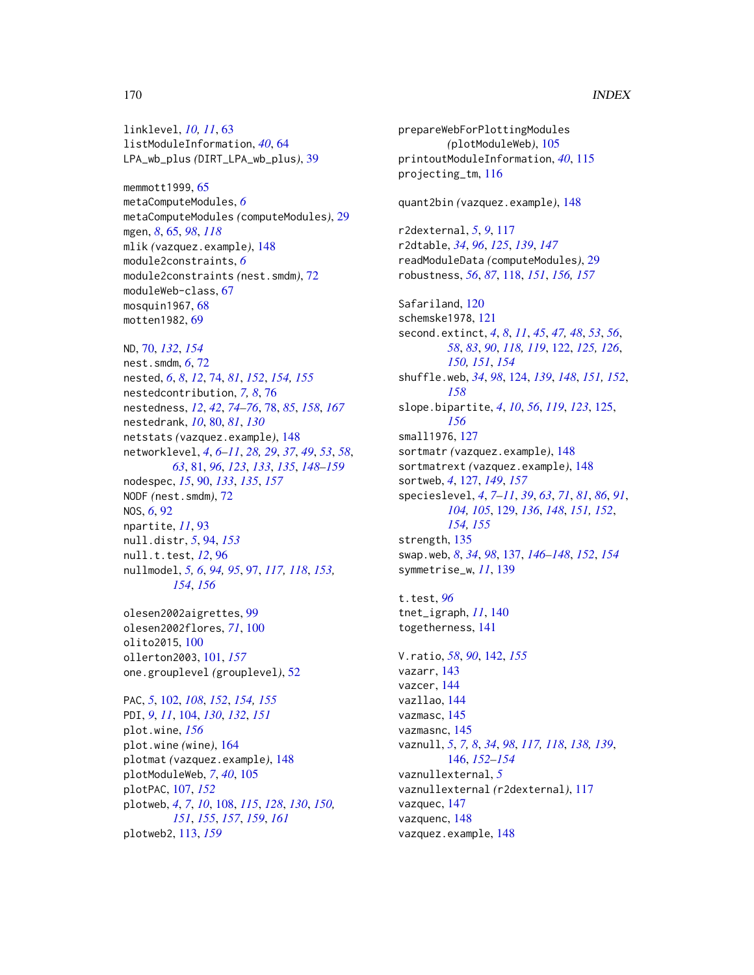linklevel, *[10,](#page-9-0) [11](#page-10-0)*, [63](#page-62-0) listModuleInformation, *[40](#page-39-0)*, [64](#page-63-0) LPA\_wb\_plus *(*DIRT\_LPA\_wb\_plus*)*, [39](#page-38-0)

memmott1999, [65](#page-64-0) metaComputeModules, *[6](#page-5-0)* metaComputeModules *(*computeModules*)*, [29](#page-28-1) mgen, *[8](#page-7-0)*, [65,](#page-64-0) *[98](#page-97-0)*, *[118](#page-117-1)* mlik *(*vazquez.example*)*, [148](#page-147-0) module2constraints, *[6](#page-5-0)* module2constraints *(*nest.smdm*)*, [72](#page-71-0) moduleWeb-class, [67](#page-66-0) mosquin1967, [68](#page-67-0) motten1982, [69](#page-68-0)

ND, [70,](#page-69-2) *[132](#page-131-0)*, *[154](#page-153-0)* nest.smdm, *[6](#page-5-0)*, [72](#page-71-0) nested, *[6](#page-5-0)*, *[8](#page-7-0)*, *[12](#page-11-0)*, [74,](#page-73-1) *[81](#page-80-1)*, *[152](#page-151-0)*, *[154,](#page-153-0) [155](#page-154-0)* nestedcontribution, *[7,](#page-6-0) [8](#page-7-0)*, [76](#page-75-0) nestedness, *[12](#page-11-0)*, *[42](#page-41-0)*, *[74–](#page-73-1)[76](#page-75-0)*, [78,](#page-77-1) *[85](#page-84-0)*, *[158](#page-157-0)*, *[167](#page-166-0)* nestedrank, *[10](#page-9-0)*, [80,](#page-79-0) *[81](#page-80-1)*, *[130](#page-129-0)* netstats *(*vazquez.example*)*, [148](#page-147-0) networklevel, *[4](#page-3-0)*, *[6](#page-5-0)[–11](#page-10-0)*, *[28,](#page-27-1) [29](#page-28-1)*, *[37](#page-36-1)*, *[49](#page-48-1)*, *[53](#page-52-0)*, *[58](#page-57-1)*, *[63](#page-62-0)*, [81,](#page-80-1) *[96](#page-95-0)*, *[123](#page-122-0)*, *[133](#page-132-0)*, *[135](#page-134-0)*, *[148–](#page-147-0)[159](#page-158-1)* nodespec, *[15](#page-14-0)*, [90,](#page-89-1) *[133](#page-132-0)*, *[135](#page-134-0)*, *[157](#page-156-0)* NODF *(*nest.smdm*)*, [72](#page-71-0) NOS, *[6](#page-5-0)*, [92](#page-91-0) npartite, *[11](#page-10-0)*, [93](#page-92-0) null.distr, *[5](#page-4-0)*, [94,](#page-93-1) *[153](#page-152-0)* null.t.test, *[12](#page-11-0)*, [96](#page-95-0) nullmodel, *[5,](#page-4-0) [6](#page-5-0)*, *[94,](#page-93-1) [95](#page-94-0)*, [97,](#page-96-1) *[117,](#page-116-0) [118](#page-117-1)*, *[153,](#page-152-0) [154](#page-153-0)*, *[156](#page-155-0)*

olesen2002aigrettes, [99](#page-98-0) olesen2002flores, *[71](#page-70-0)*, [100](#page-99-0) olito2015, [100](#page-99-0) ollerton2003, [101,](#page-100-1) *[157](#page-156-0)* one.grouplevel *(*grouplevel*)*, [52](#page-51-0)

PAC, *[5](#page-4-0)*, [102,](#page-101-1) *[108](#page-107-1)*, *[152](#page-151-0)*, *[154,](#page-153-0) [155](#page-154-0)* PDI, *[9](#page-8-0)*, *[11](#page-10-0)*, [104,](#page-103-1) *[130](#page-129-0)*, *[132](#page-131-0)*, *[151](#page-150-0)* plot.wine, *[156](#page-155-0)* plot.wine *(*wine*)*, [164](#page-163-2) plotmat *(*vazquez.example*)*, [148](#page-147-0) plotModuleWeb, *[7](#page-6-0)*, *[40](#page-39-0)*, [105](#page-104-0) plotPAC, [107,](#page-106-1) *[152](#page-151-0)* plotweb, *[4](#page-3-0)*, *[7](#page-6-0)*, *[10](#page-9-0)*, [108,](#page-107-1) *[115](#page-114-0)*, *[128](#page-127-0)*, *[130](#page-129-0)*, *[150,](#page-149-0) [151](#page-150-0)*, *[155](#page-154-0)*, *[157](#page-156-0)*, *[159](#page-158-1)*, *[161](#page-160-0)* plotweb2, [113,](#page-112-1) *[159](#page-158-1)*

prepareWebForPlottingModules *(*plotModuleWeb*)*, [105](#page-104-0) printoutModuleInformation, *[40](#page-39-0)*, [115](#page-114-0) projecting\_tm, [116](#page-115-0) quant2bin *(*vazquez.example*)*, [148](#page-147-0) r2dexternal, *[5](#page-4-0)*, *[9](#page-8-0)*, [117](#page-116-0) r2dtable, *[34](#page-33-0)*, *[96](#page-95-0)*, *[125](#page-124-1)*, *[139](#page-138-0)*, *[147](#page-146-0)* readModuleData *(*computeModules*)*, [29](#page-28-1) robustness, *[56](#page-55-0)*, *[87](#page-86-0)*, [118,](#page-117-1) *[151](#page-150-0)*, *[156,](#page-155-0) [157](#page-156-0)* Safariland, [120](#page-119-0) schemske1978, [121](#page-120-0) second.extinct, *[4](#page-3-0)*, *[8](#page-7-0)*, *[11](#page-10-0)*, *[45](#page-44-1)*, *[47,](#page-46-1) [48](#page-47-1)*, *[53](#page-52-0)*, *[56](#page-55-0)*, *[58](#page-57-1)*, *[83](#page-82-0)*, *[90](#page-89-1)*, *[118,](#page-117-1) [119](#page-118-0)*, [122,](#page-121-1) *[125,](#page-124-1) [126](#page-125-0)*, *[150,](#page-149-0) [151](#page-150-0)*, *[154](#page-153-0)* shuffle.web, *[34](#page-33-0)*, *[98](#page-97-0)*, [124,](#page-123-1) *[139](#page-138-0)*, *[148](#page-147-0)*, *[151,](#page-150-0) [152](#page-151-0)*, *[158](#page-157-0)* slope.bipartite, *[4](#page-3-0)*, *[10](#page-9-0)*, *[56](#page-55-0)*, *[119](#page-118-0)*, *[123](#page-122-0)*, [125,](#page-124-1) *[156](#page-155-0)* small1976, [127](#page-126-1) sortmatr *(*vazquez.example*)*, [148](#page-147-0) sortmatrext *(*vazquez.example*)*, [148](#page-147-0) sortweb, *[4](#page-3-0)*, [127,](#page-126-1) *[149](#page-148-0)*, *[157](#page-156-0)* specieslevel, *[4](#page-3-0)*, *[7](#page-6-0)[–11](#page-10-0)*, *[39](#page-38-0)*, *[63](#page-62-0)*, *[71](#page-70-0)*, *[81](#page-80-1)*, *[86](#page-85-0)*, *[91](#page-90-0)*, *[104,](#page-103-1) [105](#page-104-0)*, [129,](#page-128-1) *[136](#page-135-0)*, *[148](#page-147-0)*, *[151,](#page-150-0) [152](#page-151-0)*, *[154,](#page-153-0) [155](#page-154-0)* strength, [135](#page-134-0) swap.web, *[8](#page-7-0)*, *[34](#page-33-0)*, *[98](#page-97-0)*, [137,](#page-136-1) *[146](#page-145-1)[–148](#page-147-0)*, *[152](#page-151-0)*, *[154](#page-153-0)* symmetrise\_w, *[11](#page-10-0)*, [139](#page-138-0) t.test, *[96](#page-95-0)* tnet\_igraph, *[11](#page-10-0)*, [140](#page-139-0) togetherness, [141](#page-140-0) V.ratio, *[58](#page-57-1)*, *[90](#page-89-1)*, [142,](#page-141-1) *[155](#page-154-0)* vazarr, [143](#page-142-0) vazcer, [144](#page-143-0) vazllao, [144](#page-143-0) vazmasc, [145](#page-144-0) vazmasnc, [145](#page-144-0) vaznull, *[5](#page-4-0)*, *[7,](#page-6-0) [8](#page-7-0)*, *[34](#page-33-0)*, *[98](#page-97-0)*, *[117,](#page-116-0) [118](#page-117-1)*, *[138,](#page-137-0) [139](#page-138-0)*, [146,](#page-145-1) *[152](#page-151-0)[–154](#page-153-0)* vaznullexternal, *[5](#page-4-0)*

vaznullexternal *(*r2dexternal*)*, [117](#page-116-0) vazquec, [147](#page-146-0) vazquenc, [148](#page-147-0) vazquez.example, [148](#page-147-0)